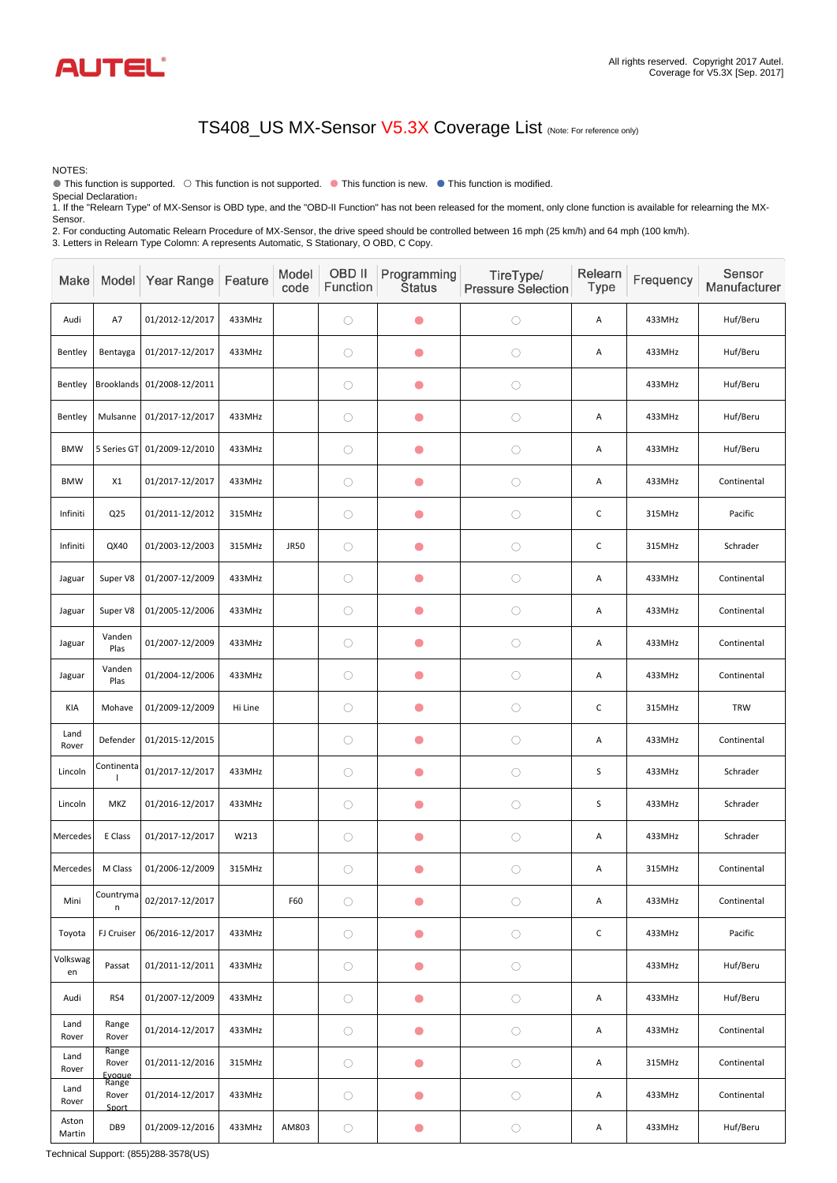| Make            |                          | Model Year Range           | Feature | Model<br>code | OBD II<br>Function | Programming<br><b>Status</b> | TireType/<br><b>Pressure Selection</b> | Relearn<br><b>Type</b> | Frequency | Sensor<br>Manufacturer |
|-----------------|--------------------------|----------------------------|---------|---------------|--------------------|------------------------------|----------------------------------------|------------------------|-----------|------------------------|
| Audi            | A7                       | 01/2012-12/2017            | 433MHz  |               | $\bigcirc$         | $\bullet$                    | $\bigcirc$                             | A                      | 433MHz    | Huf/Beru               |
| Bentley         | Bentayga                 | 01/2017-12/2017            | 433MHz  |               | $\bigcirc$         | $\bullet$                    | $\bigcirc$                             | A                      | 433MHz    | Huf/Beru               |
| Bentley         |                          | Brooklands 01/2008-12/2011 |         |               | $\bigcirc$         | O                            | $\bigcirc$                             |                        | 433MHz    | Huf/Beru               |
| Bentley         | Mulsanne                 | 01/2017-12/2017            | 433MHz  |               | $\bigcirc$         | $\bullet$                    | $\bigcirc$                             | A                      | 433MHz    | Huf/Beru               |
| <b>BMW</b>      | 5 Series GT              | 01/2009-12/2010            | 433MHz  |               | $\bigcirc$         | $\bullet$                    | $\bigcirc$                             | A                      | 433MHz    | Huf/Beru               |
| <b>BMW</b>      | X1                       | 01/2017-12/2017            | 433MHz  |               | $\bigcirc$         | O                            | $\bigcirc$                             | A                      | 433MHz    | Continental            |
| Infiniti        | Q <sub>25</sub>          | 01/2011-12/2012            | 315MHz  |               | $\bigcirc$         | $\bullet$                    | $\bigcirc$                             | $\mathsf C$            | 315MHz    | Pacific                |
| Infiniti        | QX40                     | 01/2003-12/2003            | 315MHz  | <b>JR50</b>   | $\bigcirc$         | $\bullet$                    | $\bigcirc$                             | $\mathsf C$            | 315MHz    | Schrader               |
| Jaguar          | Super V8                 | 01/2007-12/2009            | 433MHz  |               | $\bigcirc$         | $\bullet$                    | $\bigcirc$                             | A                      | 433MHz    | Continental            |
| Jaguar          | Super V8                 | 01/2005-12/2006            | 433MHz  |               | $\bigcirc$         | O                            | $\bigcirc$                             | A                      | 433MHz    | Continental            |
| Jaguar          | Vanden<br>Plas           | 01/2007-12/2009            | 433MHz  |               | $\bigcirc$         | $\bullet$                    | $\bigcirc$                             | A                      | 433MHz    | Continental            |
| Jaguar          | Vanden<br>Plas           | 01/2004-12/2006            | 433MHz  |               | $\bigcirc$         | $\bullet$                    | $\bigcirc$                             | A                      | 433MHz    | Continental            |
| KIA             | Mohave                   | 01/2009-12/2009            | Hi Line |               | $\bigcirc$         | $\bullet$                    | O                                      | $\mathsf C$            | 315MHz    | <b>TRW</b>             |
| Land<br>Rover   | Defender                 | 01/2015-12/2015            |         |               | $\bigcirc$         | $\bullet$                    | $\bigcirc$                             | A                      | 433MHz    | Continental            |
| Lincoln         | Continenta               | 01/2017-12/2017            | 433MHz  |               | $\bigcirc$         | $\bullet$                    | $\bigcirc$                             | $\mathsf S$            | 433MHz    | Schrader               |
| Lincoln         | MKZ                      | 01/2016-12/2017            | 433MHz  |               | $\bigcirc$         | $\bullet$                    | $\bigcirc$                             | $\mathsf S$            | 433MHz    | Schrader               |
| Mercedes        | E Class                  | 01/2017-12/2017            | W213    |               | $\bigcirc$         | $\bullet$                    | $\bigcirc$                             | A                      | 433MHz    | Schrader               |
| Mercedes        | M Class                  | 01/2006-12/2009            | 315MHz  |               | $\bigcirc$         | $\bullet$                    | $\bigcirc$                             | A                      | 315MHz    | Continental            |
| Mini            | Countryma<br>n           | 02/2017-12/2017            |         | F60           | $\bigcirc$         | $\bullet$                    | $\bigcirc$                             | A                      | 433MHz    | Continental            |
| Toyota          | FJ Cruiser               | 06/2016-12/2017            | 433MHz  |               | $\bigcirc$         | $\bullet$                    | $\bigcirc$                             | $\mathsf C$            | 433MHz    | Pacific                |
| Volkswag<br>en  | Passat                   | 01/2011-12/2011            | 433MHz  |               | $\bigcirc$         | $\bullet$                    | $\bigcirc$                             |                        | 433MHz    | Huf/Beru               |
| Audi            | RS4                      | 01/2007-12/2009            | 433MHz  |               | $\bigcirc$         | O                            | $\bigcirc$                             | A                      | 433MHz    | Huf/Beru               |
| Land<br>Rover   | Range<br>Rover           | 01/2014-12/2017            | 433MHz  |               | $\bigcirc$         | $\bullet$                    | $\bigcirc$                             | A                      | 433MHz    | Continental            |
| Land<br>Rover   | Range<br>Rover<br>Evoaue | 01/2011-12/2016            | 315MHz  |               | $\bigcirc$         | $\bullet$                    | $\bigcirc$                             | A                      | 315MHz    | Continental            |
| Land<br>Rover   | Range<br>Rover<br>Sport  | 01/2014-12/2017            | 433MHz  |               | $\bigcirc$         | $\bullet$                    | $\bigcirc$                             | A                      | 433MHz    | Continental            |
| Aston<br>Martin | DB9                      | 01/2009-12/2016            | 433MHz  | AM803         | $\bigcirc$         |                              | $\bigcirc$                             | A                      | 433MHz    | Huf/Beru               |



NOTES:

● This function is supported. ○ This function is not supported. ● This function is new. ● This function is modified.

Special Declaration:

1. If the "Relearn Type" of MX-Sensor is OBD type, and the "OBD-II Function" has not been released for the moment, only clone function is available for relearning the MX-Sensor.

2. For conducting Automatic Relearn Procedure of MX-Sensor, the drive speed should be controlled between 16 mph (25 km/h) and 64 mph (100 km/h). 3. Letters in Relearn Type Colomn: A represents Automatic, S Stationary, O OBD, C Copy.

## TS408\_US MX-Sensor V5.3X Coverage List (Note: For reference only)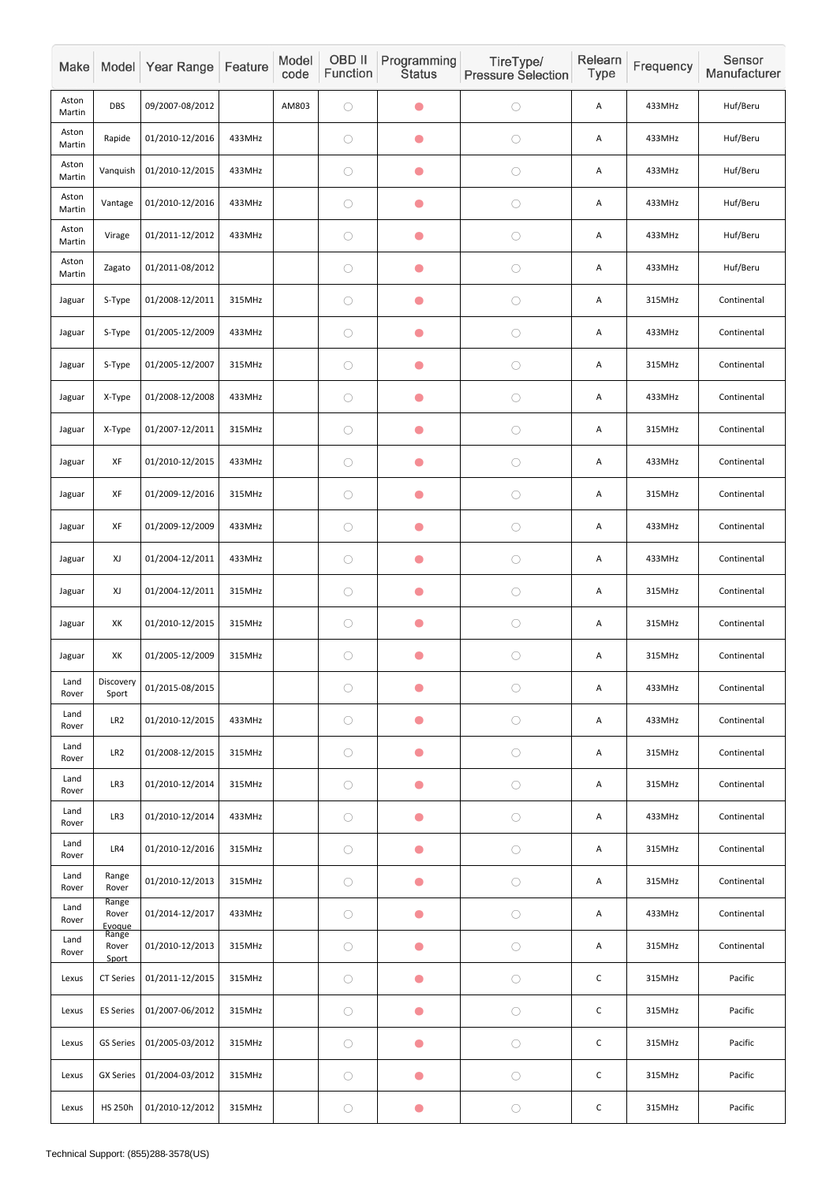| Make            |                                   | Model Year Range | Feature | Model<br>code | OBD II<br>Function | Programming<br><b>Status</b> | TireType/<br><b>Pressure Selection</b> | Relearn<br>Type | Frequency | Sensor<br>Manufacturer |
|-----------------|-----------------------------------|------------------|---------|---------------|--------------------|------------------------------|----------------------------------------|-----------------|-----------|------------------------|
| Aston<br>Martin | <b>DBS</b>                        | 09/2007-08/2012  |         | AM803         | $\bigcirc$         | $\bullet$                    | $\bigcirc$                             | A               | 433MHz    | Huf/Beru               |
| Aston<br>Martin | Rapide                            | 01/2010-12/2016  | 433MHz  |               | $\bigcirc$         | $\bullet$                    | $\bigcirc$                             | A               | 433MHz    | Huf/Beru               |
| Aston<br>Martin | Vanquish                          | 01/2010-12/2015  | 433MHz  |               | $\bigcirc$         | $\bullet$                    | $\bigcirc$                             | Α               | 433MHz    | Huf/Beru               |
| Aston<br>Martin | Vantage                           | 01/2010-12/2016  | 433MHz  |               | $\bigcirc$         | $\bullet$                    | $\bigcirc$                             | A               | 433MHz    | Huf/Beru               |
| Aston<br>Martin | Virage                            | 01/2011-12/2012  | 433MHz  |               | $\bigcirc$         | $\bullet$                    | $\bigcirc$                             | A               | 433MHz    | Huf/Beru               |
| Aston<br>Martin | Zagato                            | 01/2011-08/2012  |         |               | $\bigcirc$         | $\bullet$                    | $\bigcirc$                             | A               | 433MHz    | Huf/Beru               |
| Jaguar          | S-Type                            | 01/2008-12/2011  | 315MHz  |               | $\bigcirc$         | $\bullet$                    | $\bigcirc$                             | A               | 315MHz    | Continental            |
| Jaguar          | S-Type                            | 01/2005-12/2009  | 433MHz  |               | $\bigcirc$         | $\bullet$                    | $\bigcirc$                             | A               | 433MHz    | Continental            |
| Jaguar          | S-Type                            | 01/2005-12/2007  | 315MHz  |               | $\bigcirc$         | $\bullet$                    | $\bigcirc$                             | A               | 315MHz    | Continental            |
| Jaguar          | X-Type                            | 01/2008-12/2008  | 433MHz  |               | $\bigcirc$         | $\bullet$                    | $\bigcirc$                             | Α               | 433MHz    | Continental            |
| Jaguar          | X-Type                            | 01/2007-12/2011  | 315MHz  |               | $\bigcirc$         | $\bullet$                    | $\bigcirc$                             | A               | 315MHz    | Continental            |
| Jaguar          | XF                                | 01/2010-12/2015  | 433MHz  |               | $\bigcirc$         | $\bullet$                    | $\bigcirc$                             | A               | 433MHz    | Continental            |
| Jaguar          | XF                                | 01/2009-12/2016  | 315MHz  |               | $\bigcirc$         | $\bullet$                    | $\bigcirc$                             | Α               | 315MHz    | Continental            |
| Jaguar          | XF                                | 01/2009-12/2009  | 433MHz  |               | $\bigcirc$         | $\bullet$                    | $\bigcirc$                             | Α               | 433MHz    | Continental            |
| Jaguar          | XJ                                | 01/2004-12/2011  | 433MHz  |               | $\bigcirc$         | $\bullet$                    | $\bigcirc$                             | A               | 433MHz    | Continental            |
| Jaguar          | XJ                                | 01/2004-12/2011  | 315MHz  |               | $\bigcirc$         | $\bullet$                    | $\bigcirc$                             | Α               | 315MHz    | Continental            |
| Jaguar          | XK                                | 01/2010-12/2015  | 315MHz  |               | $\bigcirc$         | $\bullet$                    | $\bigcirc$                             | Α               | 315MHz    | Continental            |
| Jaguar          | XK                                | 01/2005-12/2009  | 315MHz  |               | $\bigcirc$         | $\bullet$                    | $\bigcirc$                             | A               | 315MHz    | Continental            |
| Land<br>Rover   | Discovery<br>Sport                | 01/2015-08/2015  |         |               | $\bigcirc$         | $\bullet$                    | $\bigcirc$                             | A               | 433MHz    | Continental            |
| Land<br>Rover   | LR <sub>2</sub>                   | 01/2010-12/2015  | 433MHz  |               | $\bigcirc$         | $\bullet$                    | $\bigcirc$                             | Α               | 433MHz    | Continental            |
| Land<br>Rover   | LR <sub>2</sub>                   | 01/2008-12/2015  | 315MHz  |               | $\bigcirc$         | $\bullet$                    | $\bigcirc$                             | Α               | 315MHz    | Continental            |
| Land<br>Rover   | LR3                               | 01/2010-12/2014  | 315MHz  |               | $\bigcirc$         | $\bullet$                    | $\bigcirc$                             | A               | 315MHz    | Continental            |
| Land<br>Rover   | LR3                               | 01/2010-12/2014  | 433MHz  |               | $\bigcirc$         | $\bullet$                    | $\bigcirc$                             | Α               | 433MHz    | Continental            |
| Land<br>Rover   | LR4                               | 01/2010-12/2016  | 315MHz  |               | $\bigcirc$         | $\bullet$                    | $\bigcirc$                             | A               | 315MHz    | Continental            |
| Land<br>Rover   | Range<br>Rover                    | 01/2010-12/2013  | 315MHz  |               | $\bigcirc$         | $\bullet$                    | $\bigcirc$                             | A               | 315MHz    | Continental            |
| Land<br>Rover   | Range<br>Rover<br>Evoque<br>Range | 01/2014-12/2017  | 433MHz  |               | $\bigcirc$         | $\bullet$                    | $\bigcirc$                             | Α               | 433MHz    | Continental            |
| Land<br>Rover   | Rover<br>Sport                    | 01/2010-12/2013  | 315MHz  |               | $\bigcirc$         | $\bullet$                    | $\bigcirc$                             | A               | 315MHz    | Continental            |
| Lexus           | <b>CT Series</b>                  | 01/2011-12/2015  | 315MHz  |               | $\bigcirc$         | $\bullet$                    | $\bigcirc$                             | $\mathsf C$     | 315MHz    | Pacific                |
| Lexus           | <b>ES Series</b>                  | 01/2007-06/2012  | 315MHz  |               | $\bigcirc$         | $\bullet$                    | $\bigcirc$                             | $\mathsf C$     | 315MHz    | Pacific                |
| Lexus           | <b>GS Series</b>                  | 01/2005-03/2012  | 315MHz  |               | $\bigcirc$         | $\bullet$                    | $\bigcirc$                             | $\mathsf C$     | 315MHz    | Pacific                |
| Lexus           | <b>GX Series</b>                  | 01/2004-03/2012  | 315MHz  |               | $\bigcirc$         | $\bullet$                    | $\bigcirc$                             | $\mathsf C$     | 315MHz    | Pacific                |
| Lexus           | <b>HS 250h</b>                    | 01/2010-12/2012  | 315MHz  |               | $\bigcirc$         | $\bullet$                    | $\bigcirc$                             | $\mathsf C$     | 315MHz    | Pacific                |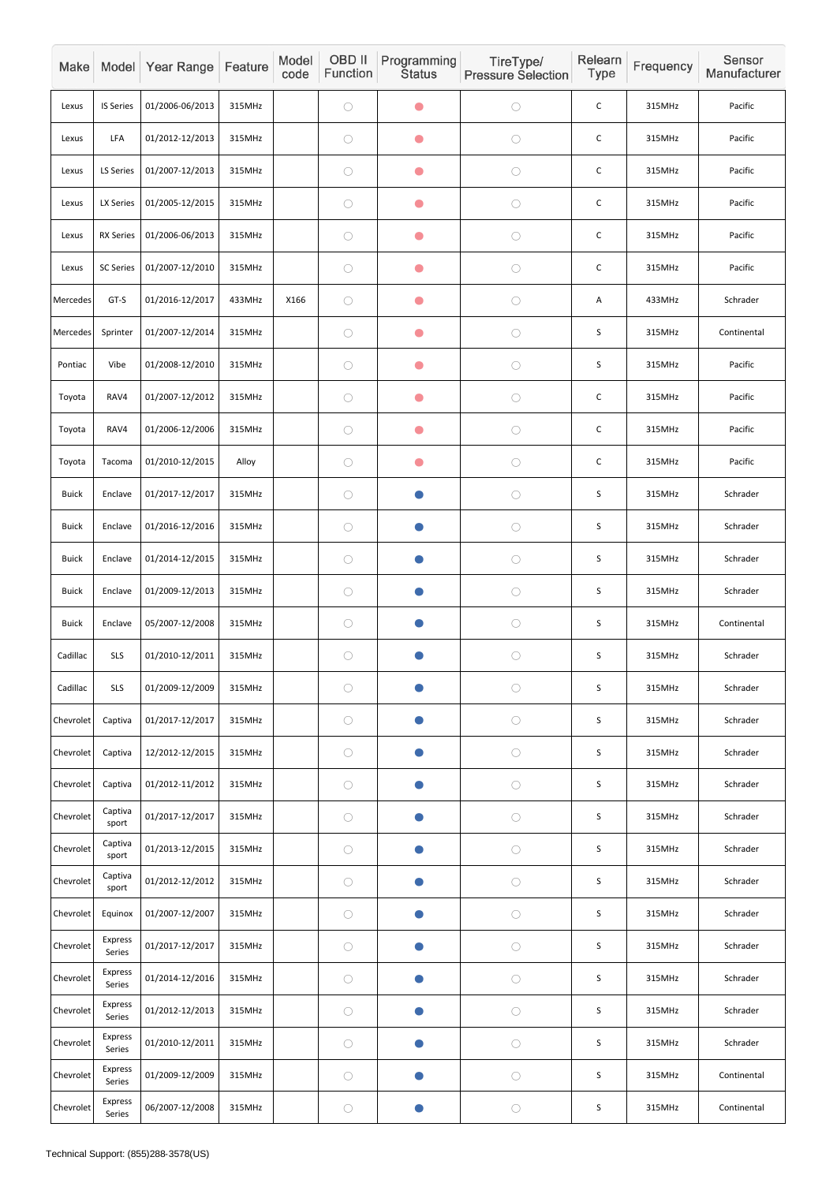| Make         |                          | Model Year Range | Feature | Model<br>code | OBD II<br>Function | Programming<br><b>Status</b> | TireType/<br><b>Pressure Selection</b> | Relearn<br>Type | Frequency | Sensor<br>Manufacturer |
|--------------|--------------------------|------------------|---------|---------------|--------------------|------------------------------|----------------------------------------|-----------------|-----------|------------------------|
| Lexus        | <b>IS Series</b>         | 01/2006-06/2013  | 315MHz  |               | $\bigcirc$         | $\bullet$                    | $\bigcirc$                             | $\mathsf C$     | 315MHz    | Pacific                |
| Lexus        | LFA                      | 01/2012-12/2013  | 315MHz  |               | $\bigcirc$         | $\bullet$                    | $\bigcirc$                             | $\mathsf C$     | 315MHz    | Pacific                |
| Lexus        | LS Series                | 01/2007-12/2013  | 315MHz  |               | $\bigcirc$         | $\bullet$                    | $\bigcirc$                             | $\mathsf C$     | 315MHz    | Pacific                |
| Lexus        | LX Series                | 01/2005-12/2015  | 315MHz  |               | $\bigcirc$         | $\bullet$                    | $\bigcirc$                             | $\mathsf C$     | 315MHz    | Pacific                |
| Lexus        | <b>RX Series</b>         | 01/2006-06/2013  | 315MHz  |               | $\bigcirc$         | $\bullet$                    | $\bigcirc$                             | $\mathsf C$     | 315MHz    | Pacific                |
| Lexus        | <b>SC Series</b>         | 01/2007-12/2010  | 315MHz  |               | $\bigcirc$         | $\bullet$                    | $\bigcirc$                             | $\mathsf C$     | 315MHz    | Pacific                |
| Mercedes     | GT-S                     | 01/2016-12/2017  | 433MHz  | X166          | $\bigcirc$         | O                            | $\bigcirc$                             | Α               | 433MHz    | Schrader               |
| Mercedes     | Sprinter                 | 01/2007-12/2014  | 315MHz  |               | $\bigcirc$         | $\bullet$                    | $\bigcirc$                             | S               | 315MHz    | Continental            |
| Pontiac      | Vibe                     | 01/2008-12/2010  | 315MHz  |               | $\bigcirc$         | $\bullet$                    | $\bigcirc$                             | S               | 315MHz    | Pacific                |
| Toyota       | RAV4                     | 01/2007-12/2012  | 315MHz  |               | $\bigcirc$         | $\bullet$                    | $\bigcirc$                             | $\mathsf C$     | 315MHz    | Pacific                |
| Toyota       | RAV4                     | 01/2006-12/2006  | 315MHz  |               | $\bigcirc$         | $\bullet$                    | $\bigcirc$                             | $\mathsf C$     | 315MHz    | Pacific                |
| Toyota       | Tacoma                   | 01/2010-12/2015  | Alloy   |               | $\bigcirc$         | $\bullet$                    | $\bigcirc$                             | $\mathsf C$     | 315MHz    | Pacific                |
| <b>Buick</b> | Enclave                  | 01/2017-12/2017  | 315MHz  |               | $\bigcirc$         |                              | $\bigcirc$                             | $\sf S$         | 315MHz    | Schrader               |
| <b>Buick</b> | Enclave                  | 01/2016-12/2016  | 315MHz  |               | $\bigcirc$         | $\bullet$                    | $\bigcirc$                             | $\mathsf S$     | 315MHz    | Schrader               |
| <b>Buick</b> | Enclave                  | 01/2014-12/2015  | 315MHz  |               | $\bigcirc$         | $\bullet$                    | $\bigcirc$                             | S               | 315MHz    | Schrader               |
| <b>Buick</b> | Enclave                  | 01/2009-12/2013  | 315MHz  |               | $\bigcirc$         | O                            | $\bigcirc$                             | $\sf S$         | 315MHz    | Schrader               |
| <b>Buick</b> | Enclave                  | 05/2007-12/2008  | 315MHz  |               | $\bigcirc$         | $\bullet$                    | $\bigcirc$                             | S               | 315MHz    | Continental            |
| Cadillac     | <b>SLS</b>               | 01/2010-12/2011  | 315MHz  |               | $\bigcirc$         | O                            | $\bigcirc$                             | $\sf S$         | 315MHz    | Schrader               |
| Cadillac     | <b>SLS</b>               | 01/2009-12/2009  | 315MHz  |               | $\bigcirc$         | $\bullet$                    | $\bigcirc$                             | $\mathsf S$     | 315MHz    | Schrader               |
| Chevrolet    | Captiva                  | 01/2017-12/2017  | 315MHz  |               | $\bigcirc$         | $\bullet$                    | $\bigcirc$                             | $\sf S$         | 315MHz    | Schrader               |
| Chevrolet    | Captiva                  | 12/2012-12/2015  | 315MHz  |               | $\bigcirc$         | $\bullet$                    | $\bigcirc$                             | $\sf S$         | 315MHz    | Schrader               |
| Chevrolet    | Captiva                  | 01/2012-11/2012  | 315MHz  |               | $\bigcirc$         | $\bullet$                    | $\bigcirc$                             | $\sf S$         | 315MHz    | Schrader               |
| Chevrolet    | Captiva<br>sport         | 01/2017-12/2017  | 315MHz  |               | $\bigcirc$         | O                            | $\bigcirc$                             | $\sf S$         | 315MHz    | Schrader               |
| Chevrolet    | Captiva<br>sport         | 01/2013-12/2015  | 315MHz  |               | $\bigcirc$         | O                            | $\bigcirc$                             | $\sf S$         | 315MHz    | Schrader               |
| Chevrolet    | Captiva<br>sport         | 01/2012-12/2012  | 315MHz  |               | $\bigcirc$         | $\bullet$                    | $\bigcirc$                             | $\sf S$         | 315MHz    | Schrader               |
| Chevrolet    | Equinox                  | 01/2007-12/2007  | 315MHz  |               | $\bigcirc$         | $\bullet$                    | $\bigcirc$                             | $\sf S$         | 315MHz    | Schrader               |
| Chevrolet    | Express<br>Series        | 01/2017-12/2017  | 315MHz  |               | $\bigcirc$         | $\bullet$                    | $\bigcirc$                             | $\sf S$         | 315MHz    | Schrader               |
| Chevrolet    | Express<br>Series        | 01/2014-12/2016  | 315MHz  |               | $\bigcirc$         | $\bullet$                    | $\bigcirc$                             | $\sf S$         | 315MHz    | Schrader               |
| Chevrolet    | Express<br>Series        | 01/2012-12/2013  | 315MHz  |               | $\bigcirc$         | $\bullet$                    | $\bigcirc$                             | $\sf S$         | 315MHz    | Schrader               |
| Chevrolet    | Express<br>Series        | 01/2010-12/2011  | 315MHz  |               | $\bigcirc$         | O                            | $\bigcirc$                             | $\sf S$         | 315MHz    | Schrader               |
| Chevrolet    | <b>Express</b><br>Series | 01/2009-12/2009  | 315MHz  |               | $\bigcirc$         | $\bullet$                    | $\bigcirc$                             | $\sf S$         | 315MHz    | Continental            |
| Chevrolet    | Express<br>Series        | 06/2007-12/2008  | 315MHz  |               | $\bigcirc$         | $\bullet$                    | $\bigcirc$                             | $\sf S$         | 315MHz    | Continental            |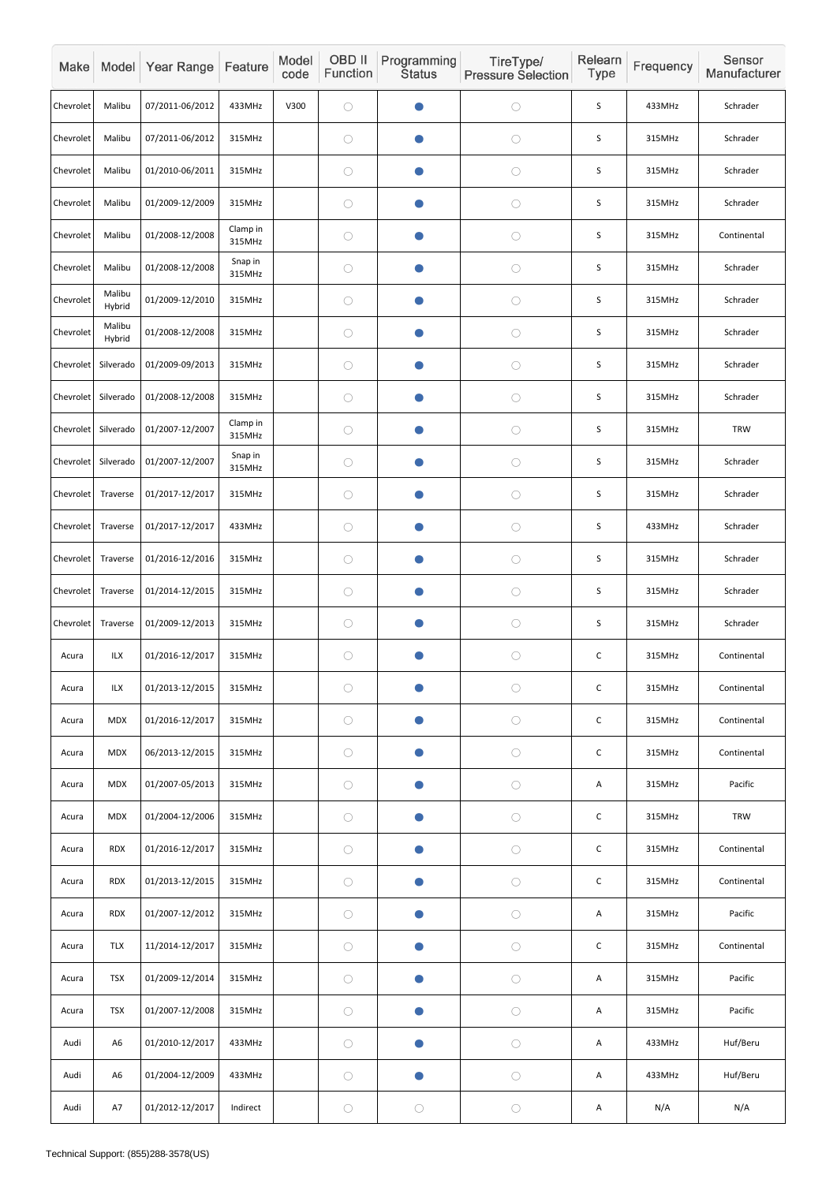| Make      |                  | Model Year Range | Feature            | Model<br>code | OBD II<br>Function | Programming<br><b>Status</b> | TireType/<br><b>Pressure Selection</b> | Relearn<br><b>Type</b> | Frequency | Sensor<br>Manufacturer |
|-----------|------------------|------------------|--------------------|---------------|--------------------|------------------------------|----------------------------------------|------------------------|-----------|------------------------|
| Chevrolet | Malibu           | 07/2011-06/2012  | 433MHz             | V300          | $\bigcirc$         |                              | $\bigcirc$                             | S                      | 433MHz    | Schrader               |
| Chevrolet | Malibu           | 07/2011-06/2012  | 315MHz             |               | $\bigcirc$         |                              | $\bigcirc$                             | $\sf S$                | 315MHz    | Schrader               |
| Chevrolet | Malibu           | 01/2010-06/2011  | 315MHz             |               | $\bigcirc$         |                              | $\bigcirc$                             | S                      | 315MHz    | Schrader               |
| Chevrolet | Malibu           | 01/2009-12/2009  | 315MHz             |               | $\bigcirc$         |                              | $\bigcirc$                             | S                      | 315MHz    | Schrader               |
| Chevrolet | Malibu           | 01/2008-12/2008  | Clamp in<br>315MHz |               | $\bigcirc$         | O                            | $\bigcirc$                             | S                      | 315MHz    | Continental            |
| Chevrolet | Malibu           | 01/2008-12/2008  | Snap in<br>315MHz  |               | $\bigcirc$         |                              | $\bigcirc$                             | S                      | 315MHz    | Schrader               |
| Chevrolet | Malibu<br>Hybrid | 01/2009-12/2010  | 315MHz             |               | $\bigcirc$         |                              | $\bigcirc$                             | S                      | 315MHz    | Schrader               |
| Chevrolet | Malibu<br>Hybrid | 01/2008-12/2008  | 315MHz             |               | $\bigcirc$         |                              | $\bigcirc$                             | $\sf S$                | 315MHz    | Schrader               |
| Chevrolet | Silverado        | 01/2009-09/2013  | 315MHz             |               | $\bigcirc$         |                              | $\bigcirc$                             | S                      | 315MHz    | Schrader               |
| Chevrolet | Silverado        | 01/2008-12/2008  | 315MHz             |               | $\bigcirc$         | O                            | $\bigcirc$                             | S                      | 315MHz    | Schrader               |
| Chevrolet | Silverado        | 01/2007-12/2007  | Clamp in<br>315MHz |               | $\bigcirc$         |                              | $\bigcirc$                             | S                      | 315MHz    | <b>TRW</b>             |
| Chevrolet | Silverado        | 01/2007-12/2007  | Snap in<br>315MHz  |               | $\bigcirc$         | $\bullet$                    | $\bigcirc$                             | S                      | 315MHz    | Schrader               |
| Chevrolet | Traverse         | 01/2017-12/2017  | 315MHz             |               | $\bigcirc$         |                              | $\bigcirc$                             | $\mathsf S$            | 315MHz    | Schrader               |
| Chevrolet | Traverse         | 01/2017-12/2017  | 433MHz             |               | $\bigcirc$         | $\bullet$                    | $\bigcirc$                             | S                      | 433MHz    | Schrader               |
| Chevrolet | Traverse         | 01/2016-12/2016  | 315MHz             |               | $\bigcirc$         | $\bullet$                    | $\bigcirc$                             | $\sf S$                | 315MHz    | Schrader               |
| Chevrolet | Traverse         | 01/2014-12/2015  | 315MHz             |               | $\bigcirc$         |                              | $\bigcirc$                             | $\sf S$                | 315MHz    | Schrader               |
| Chevrolet | Traverse         | 01/2009-12/2013  | 315MHz             |               | $\bigcirc$         | $\bullet$                    | $\bigcirc$                             | $\sf S$                | 315MHz    | Schrader               |
| Acura     | ILX              | 01/2016-12/2017  | 315MHz             |               | $\bigcirc$         | $\bullet$                    | $\bigcirc$                             | $\mathsf C$            | 315MHz    | Continental            |
| Acura     | ILX              | 01/2013-12/2015  | 315MHz             |               | $\bigcirc$         |                              | $\bigcirc$                             | $\mathsf C$            | 315MHz    | Continental            |
| Acura     | <b>MDX</b>       | 01/2016-12/2017  | 315MHz             |               | $\bigcirc$         |                              | $\bigcirc$                             | $\mathsf C$            | 315MHz    | Continental            |
| Acura     | <b>MDX</b>       | 06/2013-12/2015  | 315MHz             |               | $\bigcirc$         | $\bullet$                    | $\bigcirc$                             | $\mathsf C$            | 315MHz    | Continental            |
| Acura     | <b>MDX</b>       | 01/2007-05/2013  | 315MHz             |               | $\bigcirc$         | $\bullet$                    | $\bigcirc$                             | Α                      | 315MHz    | Pacific                |
| Acura     | <b>MDX</b>       | 01/2004-12/2006  | 315MHz             |               | $\bigcirc$         |                              | $\bigcirc$                             | $\mathsf C$            | 315MHz    | <b>TRW</b>             |
| Acura     | <b>RDX</b>       | 01/2016-12/2017  | 315MHz             |               | $\bigcirc$         | $\bullet$                    | $\bigcirc$                             | $\mathsf C$            | 315MHz    | Continental            |
| Acura     | <b>RDX</b>       | 01/2013-12/2015  | 315MHz             |               | $\bigcirc$         | $\bullet$                    | $\bigcirc$                             | $\mathsf C$            | 315MHz    | Continental            |
| Acura     | <b>RDX</b>       | 01/2007-12/2012  | 315MHz             |               | $\bigcirc$         |                              | $\bigcirc$                             | A                      | 315MHz    | Pacific                |
| Acura     | <b>TLX</b>       | 11/2014-12/2017  | 315MHz             |               | $\bigcirc$         | $\bullet$                    | $\bigcirc$                             | $\mathsf C$            | 315MHz    | Continental            |
| Acura     | <b>TSX</b>       | 01/2009-12/2014  | 315MHz             |               | $\bigcirc$         | $\bullet$                    | $\bigcirc$                             | A                      | 315MHz    | Pacific                |
| Acura     | <b>TSX</b>       | 01/2007-12/2008  | 315MHz             |               | $\bigcirc$         | $\bullet$                    | $\bigcirc$                             | Α                      | 315MHz    | Pacific                |
| Audi      | A <sub>6</sub>   | 01/2010-12/2017  | 433MHz             |               | $\bigcirc$         | $\bullet$                    | $\bigcirc$                             | Α                      | 433MHz    | Huf/Beru               |
| Audi      | A <sub>6</sub>   | 01/2004-12/2009  | 433MHz             |               | $\bigcirc$         | $\bullet$                    | $\bigcirc$                             | Α                      | 433MHz    | Huf/Beru               |
| Audi      | A7               | 01/2012-12/2017  | Indirect           |               | $\bigcirc$         | $\bigcirc$                   | $\bigcirc$                             | A                      | N/A       | N/A                    |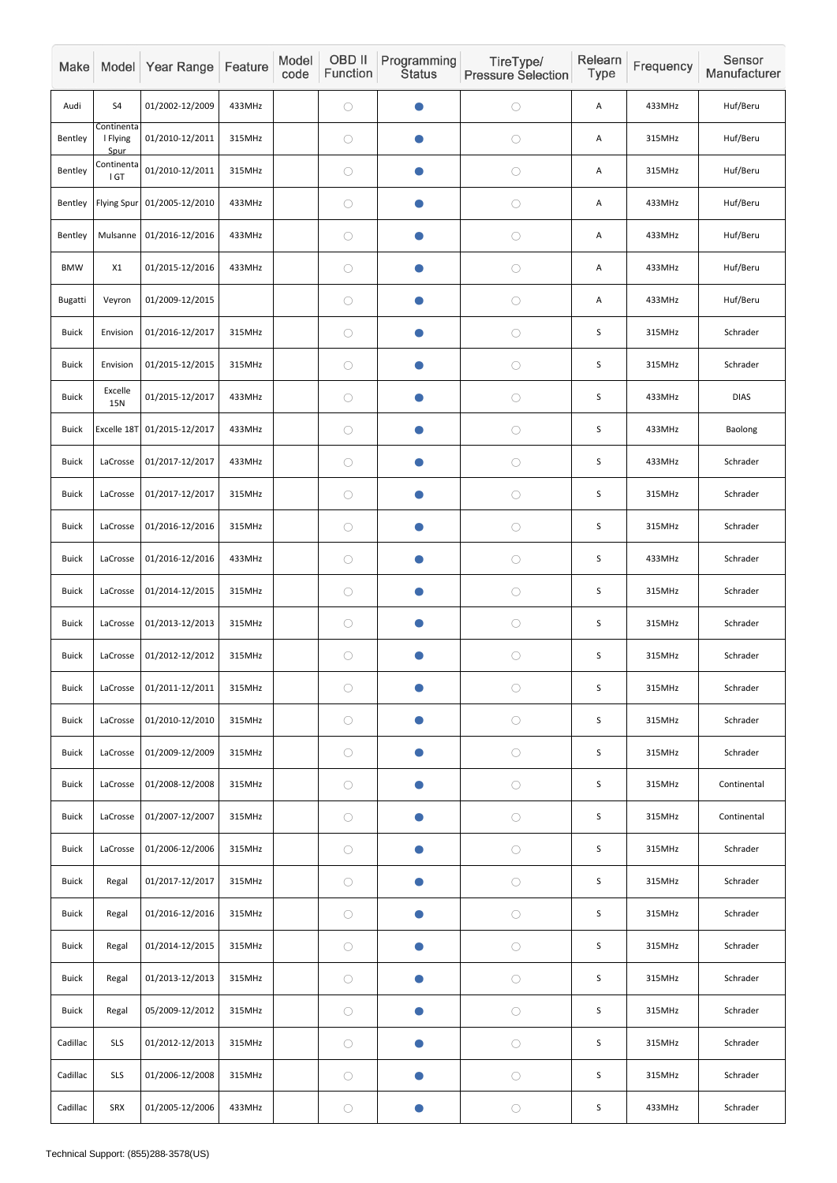| Make         |                                | Model Year Range            | Feature | Model<br>code | <b>OBD II</b><br>Function | Programming<br><b>Status</b> | TireType/<br><b>Pressure Selection</b> | Relearn<br>Type | Frequency | Sensor<br>Manufacturer |
|--------------|--------------------------------|-----------------------------|---------|---------------|---------------------------|------------------------------|----------------------------------------|-----------------|-----------|------------------------|
| Audi         | S <sub>4</sub>                 | 01/2002-12/2009             | 433MHz  |               | $\bigcirc$                | $\bullet$                    | $\bigcirc$                             | Α               | 433MHz    | Huf/Beru               |
| Bentley      | Continenta<br>I Flying<br>Spur | 01/2010-12/2011             | 315MHz  |               | $\bigcirc$                | $\bullet$                    | $\bigcirc$                             | Α               | 315MHz    | Huf/Beru               |
| Bentley      | Continenta<br>I GT             | 01/2010-12/2011             | 315MHz  |               | $\bigcirc$                | $\bullet$                    | $\bigcirc$                             | Α               | 315MHz    | Huf/Beru               |
| Bentley      | <b>Flying Spur</b>             | 01/2005-12/2010             | 433MHz  |               | $\bigcirc$                | $\bullet$                    | $\bigcirc$                             | Α               | 433MHz    | Huf/Beru               |
| Bentley      | Mulsanne                       | 01/2016-12/2016             | 433MHz  |               | $\bigcirc$                | $\bullet$                    | $\bigcirc$                             | Α               | 433MHz    | Huf/Beru               |
| <b>BMW</b>   | X1                             | 01/2015-12/2016             | 433MHz  |               | $\bigcirc$                | $\bullet$                    | $\bigcirc$                             | Α               | 433MHz    | Huf/Beru               |
| Bugatti      | Veyron                         | 01/2009-12/2015             |         |               | $\bigcirc$                | $\bullet$                    | $\bigcirc$                             | Α               | 433MHz    | Huf/Beru               |
| <b>Buick</b> | Envision                       | 01/2016-12/2017             | 315MHz  |               | $\bigcirc$                | $\bullet$                    | $\bigcirc$                             | S               | 315MHz    | Schrader               |
| <b>Buick</b> | Envision                       | 01/2015-12/2015             | 315MHz  |               | $\bigcirc$                | $\bullet$                    | $\bigcirc$                             | S               | 315MHz    | Schrader               |
| <b>Buick</b> | Excelle<br>15N                 | 01/2015-12/2017             | 433MHz  |               | $\bigcirc$                | $\bullet$                    | $\bigcirc$                             | S               | 433MHz    | <b>DIAS</b>            |
| <b>Buick</b> |                                | Excelle 18T 01/2015-12/2017 | 433MHz  |               | $\bigcirc$                | $\bullet$                    | $\bigcirc$                             | $\mathsf S$     | 433MHz    | Baolong                |
| <b>Buick</b> | LaCrosse                       | 01/2017-12/2017             | 433MHz  |               | $\bigcirc$                | $\bullet$                    | $\bigcirc$                             | S               | 433MHz    | Schrader               |
| <b>Buick</b> | LaCrosse                       | 01/2017-12/2017             | 315MHz  |               | $\bigcirc$                | $\bullet$                    | $\bigcirc$                             | $\mathsf S$     | 315MHz    | Schrader               |
| <b>Buick</b> | LaCrosse                       | 01/2016-12/2016             | 315MHz  |               | $\bigcirc$                | $\bullet$                    | $\bigcirc$                             | $\mathsf S$     | 315MHz    | Schrader               |
| <b>Buick</b> | LaCrosse                       | 01/2016-12/2016             | 433MHz  |               | $\bigcirc$                | $\bullet$                    | $\bigcirc$                             | $\mathsf S$     | 433MHz    | Schrader               |
| <b>Buick</b> | LaCrosse                       | 01/2014-12/2015             | 315MHz  |               | $\bigcirc$                | $\bullet$                    | $\bigcirc$                             | $\sf S$         | 315MHz    | Schrader               |
| <b>Buick</b> | LaCrosse                       | 01/2013-12/2013             | 315MHz  |               | $\bigcirc$                | $\bullet$                    | $\bigcirc$                             | $\sf S$         | 315MHz    | Schrader               |
| <b>Buick</b> | LaCrosse                       | 01/2012-12/2012             | 315MHz  |               | $\bigcirc$                | $\bullet$                    | $\bigcirc$                             | $\sf S$         | 315MHz    | Schrader               |
| <b>Buick</b> | LaCrosse                       | 01/2011-12/2011             | 315MHz  |               | $\bigcirc$                | $\bullet$                    | $\bigcirc$                             | $\sf S$         | 315MHz    | Schrader               |
| <b>Buick</b> | LaCrosse                       | 01/2010-12/2010             | 315MHz  |               | $\bigcirc$                | $\bullet$                    | $\bigcirc$                             | $\sf S$         | 315MHz    | Schrader               |
| <b>Buick</b> | LaCrosse                       | 01/2009-12/2009             | 315MHz  |               | $\bigcirc$                | $\bullet$                    | $\bigcirc$                             | $\mathsf S$     | 315MHz    | Schrader               |
| <b>Buick</b> | LaCrosse                       | 01/2008-12/2008             | 315MHz  |               | $\bigcirc$                | $\bullet$                    | $\bigcirc$                             | $\mathsf S$     | 315MHz    | Continental            |
| <b>Buick</b> | LaCrosse                       | 01/2007-12/2007             | 315MHz  |               | $\bigcirc$                | $\bullet$                    | $\bigcirc$                             | $\sf S$         | 315MHz    | Continental            |
| <b>Buick</b> | LaCrosse                       | 01/2006-12/2006             | 315MHz  |               | $\bigcirc$                | $\bullet$                    | $\bigcirc$                             | $\sf S$         | 315MHz    | Schrader               |
| <b>Buick</b> | Regal                          | 01/2017-12/2017             | 315MHz  |               | $\bigcirc$                | $\bullet$                    | $\bigcirc$                             | $\sf S$         | 315MHz    | Schrader               |
| <b>Buick</b> | Regal                          | 01/2016-12/2016             | 315MHz  |               | $\bigcirc$                | $\bullet$                    | $\bigcirc$                             | $\sf S$         | 315MHz    | Schrader               |
| <b>Buick</b> | Regal                          | 01/2014-12/2015             | 315MHz  |               | $\bigcirc$                | $\bullet$                    | $\bigcirc$                             | $\sf S$         | 315MHz    | Schrader               |
| <b>Buick</b> | Regal                          | 01/2013-12/2013             | 315MHz  |               | $\bigcirc$                | $\bullet$                    | $\bigcirc$                             | $\sf S$         | 315MHz    | Schrader               |
| <b>Buick</b> | Regal                          | 05/2009-12/2012             | 315MHz  |               | $\bigcirc$                | $\bullet$                    | $\bigcirc$                             | $\sf S$         | 315MHz    | Schrader               |
| Cadillac     | <b>SLS</b>                     | 01/2012-12/2013             | 315MHz  |               | $\bigcirc$                | $\bullet$                    | $\bigcirc$                             | $\sf S$         | 315MHz    | Schrader               |
| Cadillac     | <b>SLS</b>                     | 01/2006-12/2008             | 315MHz  |               | $\bigcirc$                | $\bullet$                    | $\bigcirc$                             | $\sf S$         | 315MHz    | Schrader               |
| Cadillac     | SRX                            | 01/2005-12/2006             | 433MHz  |               | $\bigcirc$                | $\bullet$                    | $\bigcirc$                             | $\sf S$         | 433MHz    | Schrader               |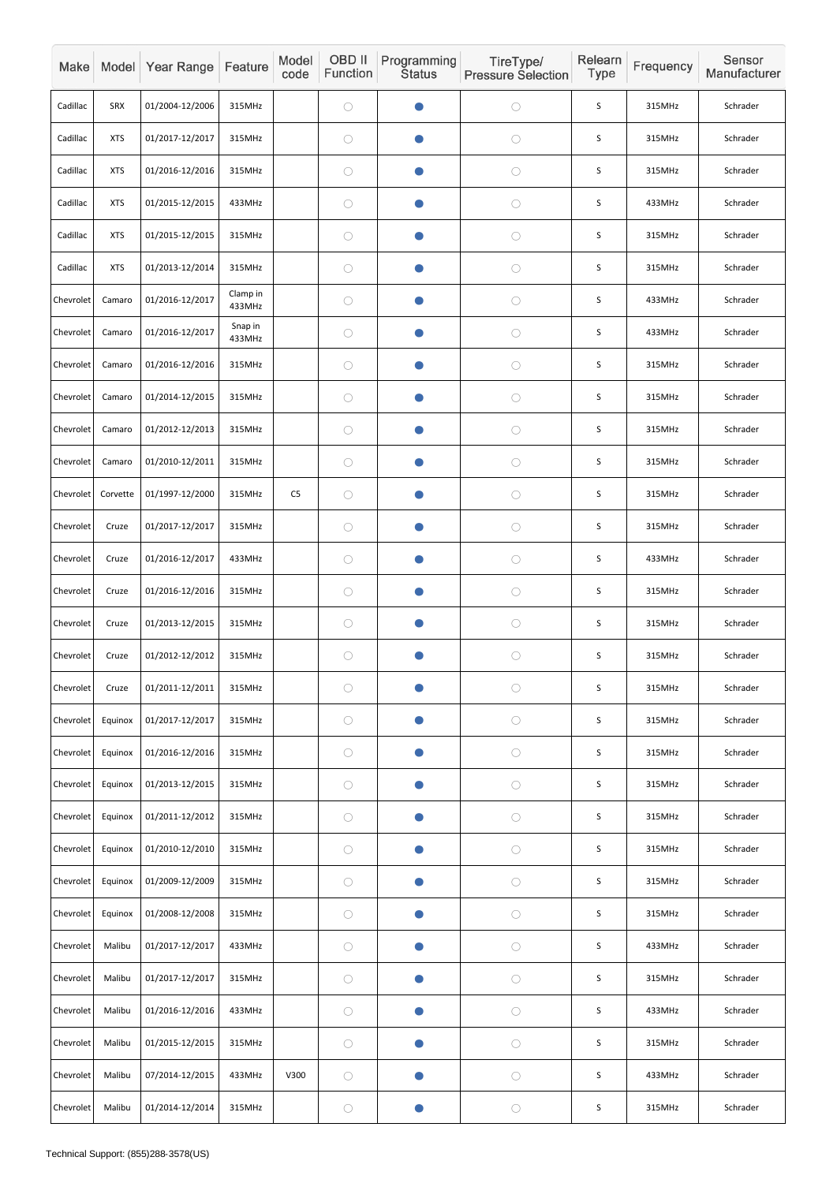| Make      |            | Model Year Range | Feature            | Model<br>code  | OBD II<br>Function | Programming<br><b>Status</b> | TireType/<br><b>Pressure Selection</b> | Relearn<br>Type | Frequency | Sensor<br>Manufacturer |
|-----------|------------|------------------|--------------------|----------------|--------------------|------------------------------|----------------------------------------|-----------------|-----------|------------------------|
| Cadillac  | <b>SRX</b> | 01/2004-12/2006  | 315MHz             |                | $\bigcirc$         |                              | $\bigcirc$                             | S               | 315MHz    | Schrader               |
| Cadillac  | <b>XTS</b> | 01/2017-12/2017  | 315MHz             |                | $\bigcirc$         |                              | $\bigcirc$                             | $\sf S$         | 315MHz    | Schrader               |
| Cadillac  | <b>XTS</b> | 01/2016-12/2016  | 315MHz             |                | $\bigcirc$         |                              | $\bigcirc$                             | $\mathsf S$     | 315MHz    | Schrader               |
| Cadillac  | <b>XTS</b> | 01/2015-12/2015  | 433MHz             |                | $\bigcirc$         |                              | $\bigcirc$                             | S               | 433MHz    | Schrader               |
| Cadillac  | <b>XTS</b> | 01/2015-12/2015  | 315MHz             |                | $\bigcirc$         |                              | $\bigcirc$                             | S               | 315MHz    | Schrader               |
| Cadillac  | <b>XTS</b> | 01/2013-12/2014  | 315MHz             |                | $\bigcirc$         |                              | $\bigcirc$                             | $\sf S$         | 315MHz    | Schrader               |
| Chevrolet | Camaro     | 01/2016-12/2017  | Clamp in<br>433MHz |                | $\bigcirc$         |                              | $\bigcirc$                             | S               | 433MHz    | Schrader               |
| Chevrolet | Camaro     | 01/2016-12/2017  | Snap in<br>433MHz  |                | $\bigcirc$         |                              | $\bigcirc$                             | S               | 433MHz    | Schrader               |
| Chevrolet | Camaro     | 01/2016-12/2016  | 315MHz             |                | $\bigcirc$         |                              | $\bigcirc$                             | S               | 315MHz    | Schrader               |
| Chevrolet | Camaro     | 01/2014-12/2015  | 315MHz             |                | $\bigcirc$         |                              | $\bigcirc$                             | S               | 315MHz    | Schrader               |
| Chevrolet | Camaro     | 01/2012-12/2013  | 315MHz             |                | $\bigcirc$         |                              | $\bigcirc$                             | $\sf S$         | 315MHz    | Schrader               |
| Chevrolet | Camaro     | 01/2010-12/2011  | 315MHz             |                | $\bigcirc$         |                              | $\bigcirc$                             | $\mathsf S$     | 315MHz    | Schrader               |
| Chevrolet | Corvette   | 01/1997-12/2000  | 315MHz             | C <sub>5</sub> | $\bigcirc$         |                              | $\bigcirc$                             | S               | 315MHz    | Schrader               |
| Chevrolet | Cruze      | 01/2017-12/2017  | 315MHz             |                | $\bigcirc$         |                              | $\bigcirc$                             | S               | 315MHz    | Schrader               |
| Chevrolet | Cruze      | 01/2016-12/2017  | 433MHz             |                | $\bigcirc$         |                              | $\bigcirc$                             | $\sf S$         | 433MHz    | Schrader               |
| Chevrolet | Cruze      | 01/2016-12/2016  | 315MHz             |                | $\bigcirc$         |                              | $\bigcirc$                             | $\sf S$         | 315MHz    | Schrader               |
| Chevrolet | Cruze      | 01/2013-12/2015  | 315MHz             |                | $\bigcirc$         |                              | $\bigcirc$                             | S               | 315MHz    | Schrader               |
| Chevrolet | Cruze      | 01/2012-12/2012  | 315MHz             |                | $\bigcirc$         |                              | $\bigcirc$                             | $\sf S$         | 315MHz    | Schrader               |
| Chevrolet | Cruze      | 01/2011-12/2011  | 315MHz             |                | $\bigcirc$         |                              | $\bigcirc$                             | S               | 315MHz    | Schrader               |
| Chevrolet | Equinox    | 01/2017-12/2017  | 315MHz             |                | $\bigcirc$         |                              | $\bigcirc$                             | S               | 315MHz    | Schrader               |
| Chevrolet | Equinox    | 01/2016-12/2016  | 315MHz             |                | $\bigcirc$         |                              | $\bigcirc$                             | $\sf S$         | 315MHz    | Schrader               |
| Chevrolet | Equinox    | 01/2013-12/2015  | 315MHz             |                | $\bigcirc$         |                              | $\bigcirc$                             | S               | 315MHz    | Schrader               |
| Chevrolet | Equinox    | 01/2011-12/2012  | 315MHz             |                | $\bigcirc$         |                              | $\bigcirc$                             | S               | 315MHz    | Schrader               |
| Chevrolet | Equinox    | 01/2010-12/2010  | 315MHz             |                | $\bigcirc$         |                              | $\bigcirc$                             | S               | 315MHz    | Schrader               |
| Chevrolet | Equinox    | 01/2009-12/2009  | 315MHz             |                | $\bigcirc$         |                              | $\bigcirc$                             | $\sf S$         | 315MHz    | Schrader               |
| Chevrolet | Equinox    | 01/2008-12/2008  | 315MHz             |                | $\bigcirc$         |                              | $\bigcirc$                             | S               | 315MHz    | Schrader               |
| Chevrolet | Malibu     | 01/2017-12/2017  | 433MHz             |                | $\bigcirc$         |                              | $\bigcirc$                             | $\sf S$         | 433MHz    | Schrader               |
| Chevrolet | Malibu     | 01/2017-12/2017  | 315MHz             |                | $\bigcirc$         |                              | $\bigcirc$                             | $\sf S$         | 315MHz    | Schrader               |
| Chevrolet | Malibu     | 01/2016-12/2016  | 433MHz             |                | $\bigcirc$         | $\bullet$                    | $\bigcirc$                             | S               | 433MHz    | Schrader               |
| Chevrolet | Malibu     | 01/2015-12/2015  | 315MHz             |                | $\bigcirc$         | O                            | $\bigcirc$                             | $\sf S$         | 315MHz    | Schrader               |
| Chevrolet | Malibu     | 07/2014-12/2015  | 433MHz             | V300           | $\bigcirc$         |                              | $\bigcirc$                             | $\sf S$         | 433MHz    | Schrader               |
| Chevrolet | Malibu     | 01/2014-12/2014  | 315MHz             |                | $\bigcirc$         |                              | $\bigcirc$                             | $\sf S$         | 315MHz    | Schrader               |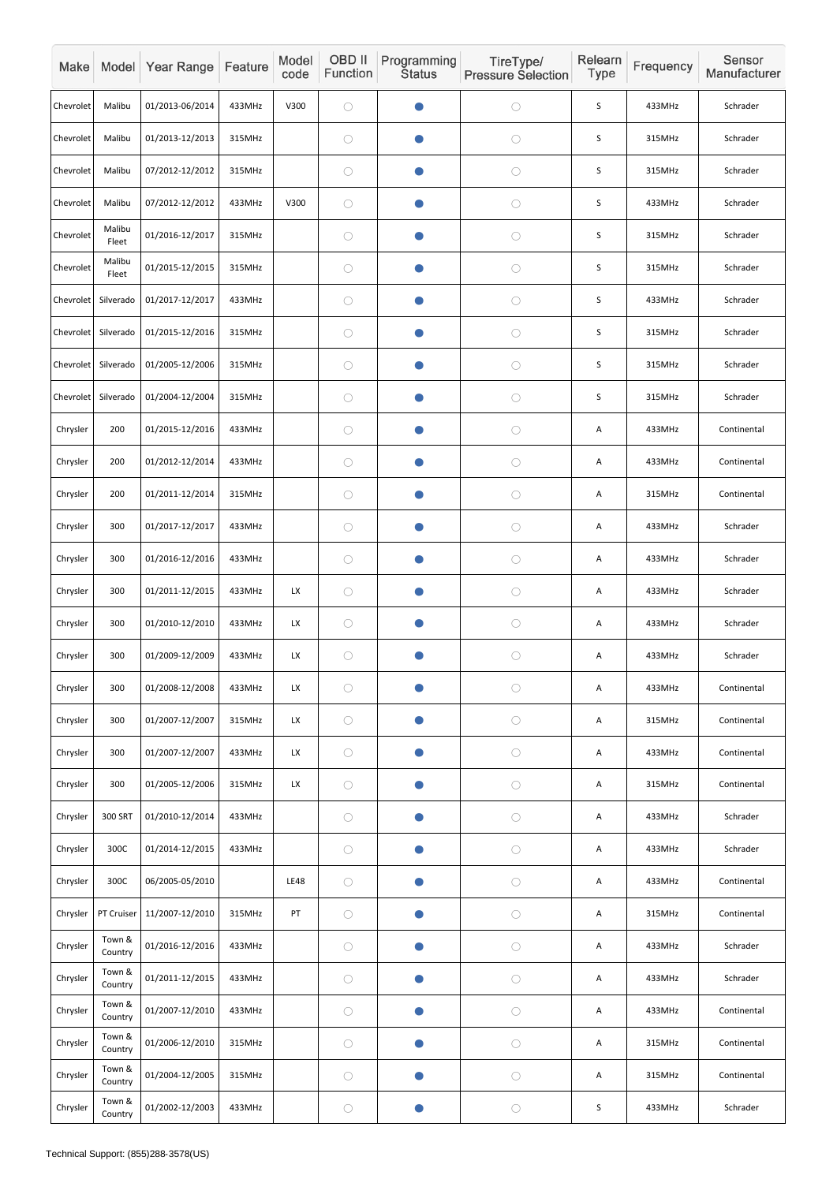| Make      |                   | Model Year Range | Feature | Model<br>code | OBD II<br>Function | Programming<br><b>Status</b> | TireType/<br><b>Pressure Selection</b> | Relearn<br>Type | Frequency | Sensor<br>Manufacturer |
|-----------|-------------------|------------------|---------|---------------|--------------------|------------------------------|----------------------------------------|-----------------|-----------|------------------------|
| Chevrolet | Malibu            | 01/2013-06/2014  | 433MHz  | V300          | $\bigcirc$         |                              | $\bigcirc$                             | S               | 433MHz    | Schrader               |
| Chevrolet | Malibu            | 01/2013-12/2013  | 315MHz  |               | $\bigcirc$         | Œ                            | $\bigcirc$                             | S               | 315MHz    | Schrader               |
| Chevrolet | Malibu            | 07/2012-12/2012  | 315MHz  |               | $\bigcirc$         | $\bullet$                    | $\bigcirc$                             | S               | 315MHz    | Schrader               |
| Chevrolet | Malibu            | 07/2012-12/2012  | 433MHz  | V300          | $\bigcirc$         |                              | $\bigcirc$                             | S               | 433MHz    | Schrader               |
| Chevrolet | Malibu<br>Fleet   | 01/2016-12/2017  | 315MHz  |               | $\bigcirc$         | $\bullet$                    | $\bigcirc$                             | $\sf S$         | 315MHz    | Schrader               |
| Chevrolet | Malibu<br>Fleet   | 01/2015-12/2015  | 315MHz  |               | $\bigcirc$         |                              | $\bigcirc$                             | S               | 315MHz    | Schrader               |
| Chevrolet | Silverado         | 01/2017-12/2017  | 433MHz  |               | $\bigcirc$         |                              | $\bigcirc$                             | S               | 433MHz    | Schrader               |
| Chevrolet | Silverado         | 01/2015-12/2016  | 315MHz  |               | $\bigcirc$         |                              | $\bigcirc$                             | S               | 315MHz    | Schrader               |
| Chevrolet | Silverado         | 01/2005-12/2006  | 315MHz  |               | $\bigcirc$         | $\bullet$                    | $\bigcirc$                             | S               | 315MHz    | Schrader               |
| Chevrolet | Silverado         | 01/2004-12/2004  | 315MHz  |               | $\bigcirc$         | $\bullet$                    | $\bigcirc$                             | S               | 315MHz    | Schrader               |
| Chrysler  | 200               | 01/2015-12/2016  | 433MHz  |               | $\bigcirc$         |                              | $\bigcirc$                             | Α               | 433MHz    | Continental            |
| Chrysler  | 200               | 01/2012-12/2014  | 433MHz  |               | $\bigcirc$         | $\bullet$                    | $\bigcirc$                             | A               | 433MHz    | Continental            |
| Chrysler  | 200               | 01/2011-12/2014  | 315MHz  |               | $\bigcirc$         |                              | $\bigcirc$                             | A               | 315MHz    | Continental            |
| Chrysler  | 300               | 01/2017-12/2017  | 433MHz  |               | $\bigcirc$         | $\bullet$                    | $\bigcirc$                             | A               | 433MHz    | Schrader               |
| Chrysler  | 300               | 01/2016-12/2016  | 433MHz  |               | $\bigcirc$         | $\bullet$                    | $\bigcirc$                             | A               | 433MHz    | Schrader               |
| Chrysler  | 300               | 01/2011-12/2015  | 433MHz  | LX            | $\bigcirc$         | O                            | $\bigcirc$                             | A               | 433MHz    | Schrader               |
| Chrysler  | 300               | 01/2010-12/2010  | 433MHz  | LX            | $\bigcirc$         | $\bullet$                    | $\bigcirc$                             | A               | 433MHz    | Schrader               |
| Chrysler  | 300               | 01/2009-12/2009  | 433MHz  | LX            | $\bigcirc$         | O                            | $\bigcirc$                             | A               | 433MHz    | Schrader               |
| Chrysler  | 300               | 01/2008-12/2008  | 433MHz  | LX            | $\bigcirc$         | O                            | $\bigcirc$                             | A               | 433MHz    | Continental            |
| Chrysler  | 300               | 01/2007-12/2007  | 315MHz  | LX            | $\bigcirc$         | $\bullet$                    | $\bigcirc$                             | A               | 315MHz    | Continental            |
| Chrysler  | 300               | 01/2007-12/2007  | 433MHz  | LX            | $\bigcirc$         | $\bullet$                    | $\bigcirc$                             | A               | 433MHz    | Continental            |
| Chrysler  | 300               | 01/2005-12/2006  | 315MHz  | LX            | $\bigcirc$         | $\bullet$                    | $\bigcirc$                             | A               | 315MHz    | Continental            |
| Chrysler  | 300 SRT           | 01/2010-12/2014  | 433MHz  |               | $\bigcirc$         | O                            | $\bigcirc$                             | A               | 433MHz    | Schrader               |
| Chrysler  | 300C              | 01/2014-12/2015  | 433MHz  |               | $\bigcirc$         | $\bullet$                    | $\bigcirc$                             | A               | 433MHz    | Schrader               |
| Chrysler  | 300C              | 06/2005-05/2010  |         | <b>LE48</b>   | $\bigcirc$         | $\bullet$                    | $\bigcirc$                             | A               | 433MHz    | Continental            |
| Chrysler  | PT Cruiser        | 11/2007-12/2010  | 315MHz  | ${\sf PT}$    | $\bigcirc$         | $\bullet$                    | $\bigcirc$                             | A               | 315MHz    | Continental            |
| Chrysler  | Town &<br>Country | 01/2016-12/2016  | 433MHz  |               | $\bigcirc$         | $\bullet$                    | $\bigcirc$                             | A               | 433MHz    | Schrader               |
| Chrysler  | Town &<br>Country | 01/2011-12/2015  | 433MHz  |               | $\bigcirc$         | $\bullet$                    | $\bigcirc$                             | A               | 433MHz    | Schrader               |
| Chrysler  | Town &<br>Country | 01/2007-12/2010  | 433MHz  |               | $\bigcirc$         | $\bullet$                    | $\bigcirc$                             | A               | 433MHz    | Continental            |
| Chrysler  | Town &<br>Country | 01/2006-12/2010  | 315MHz  |               | $\bigcirc$         | O                            | $\bigcirc$                             | A               | 315MHz    | Continental            |
| Chrysler  | Town &<br>Country | 01/2004-12/2005  | 315MHz  |               | $\bigcirc$         | $\bullet$                    | $\bigcirc$                             | A               | 315MHz    | Continental            |
| Chrysler  | Town &<br>Country | 01/2002-12/2003  | 433MHz  |               | $\bigcirc$         | $\bullet$                    | $\bigcirc$                             | S               | 433MHz    | Schrader               |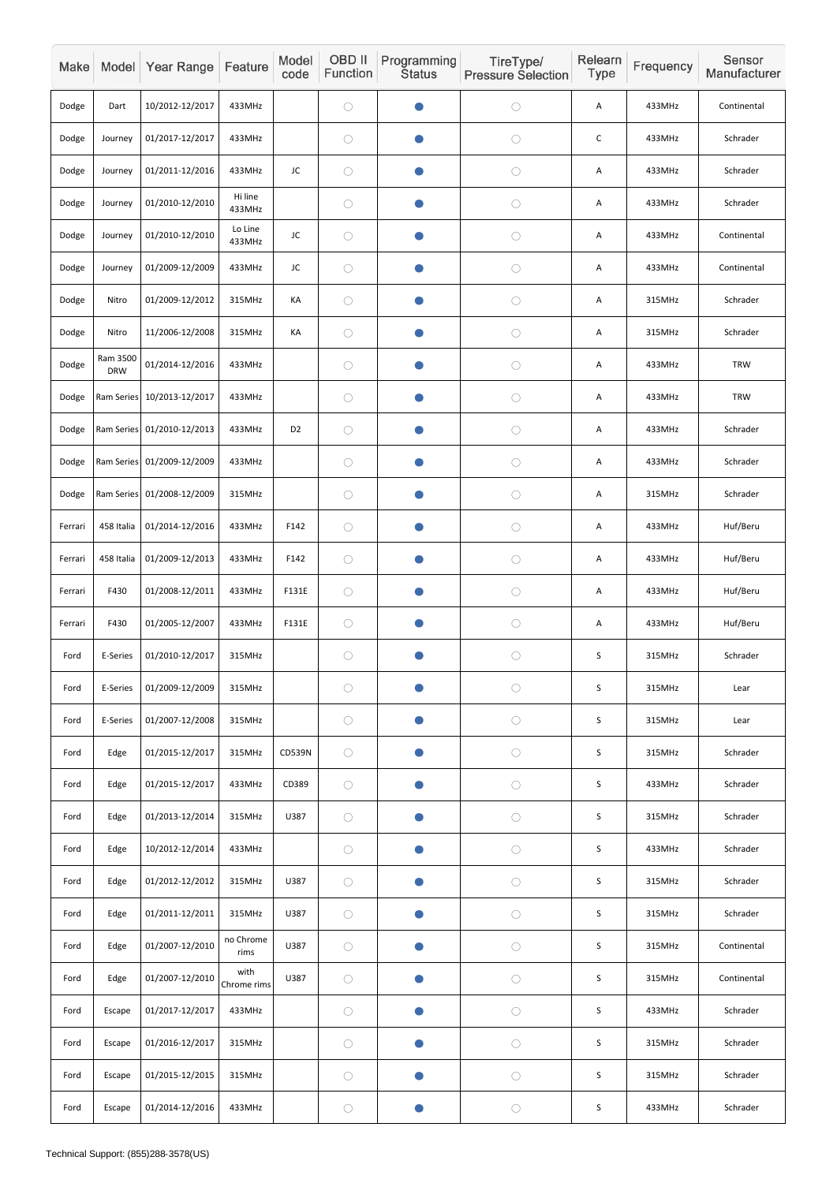| Make    |                        | Model Year Range           | Feature             | Model<br>code  | OBD II<br>Function | Programming<br><b>Status</b> | TireType/<br><b>Pressure Selection</b> | Relearn<br>Type           | Frequency | Sensor<br>Manufacturer |
|---------|------------------------|----------------------------|---------------------|----------------|--------------------|------------------------------|----------------------------------------|---------------------------|-----------|------------------------|
| Dodge   | Dart                   | 10/2012-12/2017            | 433MHz              |                | $\bigcirc$         | $\bullet$                    | $\bigcirc$                             | A                         | 433MHz    | Continental            |
| Dodge   | Journey                | 01/2017-12/2017            | 433MHz              |                | $\bigcirc$         | $\bullet$                    | $\bigcirc$                             | $\mathsf C$               | 433MHz    | Schrader               |
| Dodge   | Journey                | 01/2011-12/2016            | 433MHz              | JC             | $\bigcirc$         | $\bullet$                    | $\bigcirc$                             | Α                         | 433MHz    | Schrader               |
| Dodge   | Journey                | 01/2010-12/2010            | Hi line<br>433MHz   |                | $\bigcirc$         | $\blacksquare$               | $\bigcirc$                             | A                         | 433MHz    | Schrader               |
| Dodge   | Journey                | 01/2010-12/2010            | Lo Line<br>433MHz   | JC             | $\bigcirc$         | $\bullet$                    | $\bigcirc$                             | A                         | 433MHz    | Continental            |
| Dodge   | Journey                | 01/2009-12/2009            | 433MHz              | JC             | $\bigcirc$         | $\bullet$                    | $\bigcirc$                             | Α                         | 433MHz    | Continental            |
| Dodge   | Nitro                  | 01/2009-12/2012            | 315MHz              | KA             | $\bigcirc$         | O                            | $\bigcirc$                             | Α                         | 315MHz    | Schrader               |
| Dodge   | Nitro                  | 11/2006-12/2008            | 315MHz              | KA             | $\bigcirc$         | $\bullet$                    | $\bigcirc$                             | A                         | 315MHz    | Schrader               |
| Dodge   | Ram 3500<br><b>DRW</b> | 01/2014-12/2016            | 433MHz              |                | $\bigcirc$         | $\bullet$                    | $\bigcirc$                             | Α                         | 433MHz    | <b>TRW</b>             |
| Dodge   |                        | Ram Series 10/2013-12/2017 | 433MHz              |                | $\bigcirc$         | $\bullet$                    | $\bigcirc$                             | Α                         | 433MHz    | <b>TRW</b>             |
| Dodge   |                        | Ram Series 01/2010-12/2013 | 433MHz              | D <sub>2</sub> | $\bigcirc$         | œ                            | $\bigcirc$                             | Α                         | 433MHz    | Schrader               |
| Dodge   |                        | Ram Series 01/2009-12/2009 | 433MHz              |                | $\bigcirc$         | $\bullet$                    | $\bigcirc$                             | Α                         | 433MHz    | Schrader               |
| Dodge   |                        | Ram Series 01/2008-12/2009 | 315MHz              |                | $\bigcirc$         | $\bullet$                    | $\bigcirc$                             | A                         | 315MHz    | Schrader               |
| Ferrari | 458 Italia             | 01/2014-12/2016            | 433MHz              | F142           | $\bigcirc$         | $\bullet$                    | $\bigcirc$                             | Α                         | 433MHz    | Huf/Beru               |
| Ferrari | 458 Italia             | 01/2009-12/2013            | 433MHz              | F142           | $\bigcirc$         | $\bullet$                    | $\bigcirc$                             | Α                         | 433MHz    | Huf/Beru               |
| Ferrari | F430                   | 01/2008-12/2011            | 433MHz              | F131E          | $\bigcirc$         | $\bullet$                    | $\bigcirc$                             | $\boldsymbol{\mathsf{A}}$ | 433MHz    | Huf/Beru               |
| Ferrari | F430                   | 01/2005-12/2007            | 433MHz              | F131E          | $\bigcirc$         | $\bullet$                    | $\bigcirc$                             | A                         | 433MHz    | Huf/Beru               |
| Ford    | E-Series               | 01/2010-12/2017            | 315MHz              |                | $\bigcirc$         | $\bullet$                    | $\bigcirc$                             | S                         | 315MHz    | Schrader               |
| Ford    | E-Series               | 01/2009-12/2009            | 315MHz              |                | $\bigcirc$         | $\bullet$                    | $\bigcirc$                             | $\sf S$                   | 315MHz    | Lear                   |
| Ford    | E-Series               | 01/2007-12/2008            | 315MHz              |                | $\bigcirc$         | $\bullet$                    | $\bigcirc$                             | $\sf S$                   | 315MHz    | Lear                   |
| Ford    | Edge                   | 01/2015-12/2017            | 315MHz              | CD539N         | $\bigcirc$         | $\bullet$                    | $\bigcirc$                             | $\sf S$                   | 315MHz    | Schrader               |
| Ford    | Edge                   | 01/2015-12/2017            | 433MHz              | CD389          | $\bigcirc$         | $\bullet$                    | $\bigcirc$                             | S                         | 433MHz    | Schrader               |
| Ford    | Edge                   | 01/2013-12/2014            | 315MHz              | U387           | $\bigcirc$         | $\bullet$                    | $\bigcirc$                             | $\sf S$                   | 315MHz    | Schrader               |
| Ford    | Edge                   | 10/2012-12/2014            | 433MHz              |                | $\bigcirc$         | $\bullet$                    | $\bigcirc$                             | $\sf S$                   | 433MHz    | Schrader               |
| Ford    | Edge                   | 01/2012-12/2012            | 315MHz              | U387           | $\bigcirc$         | $\bullet$                    | $\bigcirc$                             | S                         | 315MHz    | Schrader               |
| Ford    | Edge                   | 01/2011-12/2011            | 315MHz              | U387           | $\bigcirc$         | $\bullet$                    | $\bigcirc$                             | $\sf S$                   | 315MHz    | Schrader               |
| Ford    | Edge                   | 01/2007-12/2010            | no Chrome<br>rims   | U387           | $\bigcirc$         | $\bullet$                    | $\bigcirc$                             | $\sf S$                   | 315MHz    | Continental            |
| Ford    | Edge                   | 01/2007-12/2010            | with<br>Chrome rims | U387           | $\bigcirc$         | $\bullet$                    | $\bigcirc$                             | $\sf S$                   | 315MHz    | Continental            |
| Ford    | Escape                 | 01/2017-12/2017            | 433MHz              |                | $\bigcirc$         | $\bullet$                    | $\bigcirc$                             | $\sf S$                   | 433MHz    | Schrader               |
| Ford    | Escape                 | 01/2016-12/2017            | 315MHz              |                | $\bigcirc$         | $\bullet$                    | $\bigcirc$                             | S                         | 315MHz    | Schrader               |
| Ford    | Escape                 | 01/2015-12/2015            | 315MHz              |                | $\bigcirc$         | $\bullet$                    | $\bigcirc$                             | $\sf S$                   | 315MHz    | Schrader               |
| Ford    | Escape                 | 01/2014-12/2016            | 433MHz              |                | $\bigcirc$         | $\bullet$                    | $\bigcirc$                             | S                         | 433MHz    | Schrader               |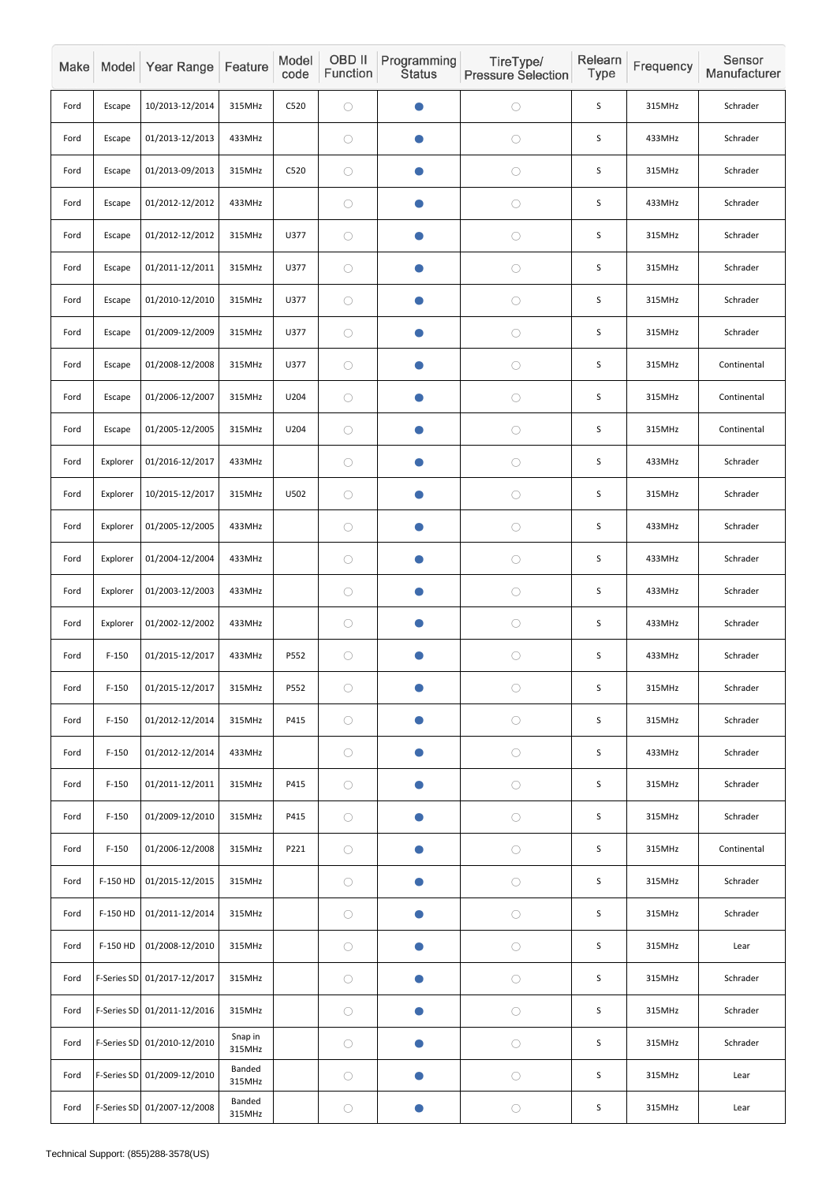| Make |            | Model Year Range            | Feature                 | Model<br>code | OBD II<br>Function | Programming<br><b>Status</b> | TireType/<br><b>Pressure Selection</b> | Relearn<br>Type | Frequency | Sensor<br>Manufacturer |
|------|------------|-----------------------------|-------------------------|---------------|--------------------|------------------------------|----------------------------------------|-----------------|-----------|------------------------|
| Ford | Escape     | 10/2013-12/2014             | 315MHz                  | C520          | $\bigcirc$         |                              | $\bigcirc$                             | S               | 315MHz    | Schrader               |
| Ford | Escape     | 01/2013-12/2013             | 433MHz                  |               | $\bigcirc$         | $\bullet$                    | $\bigcirc$                             | $\sf S$         | 433MHz    | Schrader               |
| Ford | Escape     | 01/2013-09/2013             | 315MHz                  | C520          | $\bigcirc$         | $\bullet$                    | $\bigcirc$                             | S               | 315MHz    | Schrader               |
| Ford | Escape     | 01/2012-12/2012             | 433MHz                  |               | $\bigcirc$         | O                            | $\bigcirc$                             | S               | 433MHz    | Schrader               |
| Ford | Escape     | 01/2012-12/2012             | 315MHz                  | U377          | $\bigcirc$         | $\bullet$                    | $\bigcirc$                             | $\sf S$         | 315MHz    | Schrader               |
| Ford | Escape     | 01/2011-12/2011             | 315MHz                  | U377          | $\bigcirc$         | $\bullet$                    | $\bigcirc$                             | S               | 315MHz    | Schrader               |
| Ford | Escape     | 01/2010-12/2010             | 315MHz                  | U377          | $\bigcirc$         | O                            | $\bigcirc$                             | S               | 315MHz    | Schrader               |
| Ford | Escape     | 01/2009-12/2009             | 315MHz                  | U377          | $\bigcirc$         | $\bullet$                    | $\bigcirc$                             | S               | 315MHz    | Schrader               |
| Ford | Escape     | 01/2008-12/2008             | 315MHz                  | U377          | $\bigcirc$         | $\bullet$                    | $\bigcirc$                             | S               | 315MHz    | Continental            |
| Ford | Escape     | 01/2006-12/2007             | 315MHz                  | U204          | $\bigcirc$         | $\bullet$                    | $\bigcirc$                             | S               | 315MHz    | Continental            |
| Ford | Escape     | 01/2005-12/2005             | 315MHz                  | U204          | $\bigcirc$         | O                            | $\bigcirc$                             | $\sf S$         | 315MHz    | Continental            |
| Ford | Explorer   | 01/2016-12/2017             | 433MHz                  |               | $\bigcirc$         | $\bullet$                    | $\bigcirc$                             | S               | 433MHz    | Schrader               |
| Ford | Explorer   | 10/2015-12/2017             | 315MHz                  | U502          | $\bigcirc$         |                              | $\bigcirc$                             | $\sf S$         | 315MHz    | Schrader               |
| Ford | Explorer   | 01/2005-12/2005             | 433MHz                  |               | $\bigcirc$         | $\bullet$                    | $\bigcirc$                             | S               | 433MHz    | Schrader               |
| Ford | Explorer   | 01/2004-12/2004             | 433MHz                  |               | $\bigcirc$         | $\bullet$                    | $\bigcirc$                             | $\sf S$         | 433MHz    | Schrader               |
| Ford | Explorer   | 01/2003-12/2003             | 433MHz                  |               | $\bigcirc$         | $\bullet$                    | $\bigcirc$                             | $\mathsf S$     | 433MHz    | Schrader               |
| Ford | Explorer   | 01/2002-12/2002             | 433MHz                  |               | $\bigcirc$         | $\bullet$                    | $\bigcirc$                             | $\mathsf S$     | 433MHz    | Schrader               |
| Ford | $F-150$    | 01/2015-12/2017             | 433MHz                  | P552          | $\bigcirc$         | $\bullet$                    | $\bigcirc$                             | $\mathsf S$     | 433MHz    | Schrader               |
| Ford | $F-150$    | 01/2015-12/2017             | 315MHz                  | P552          | $\bigcirc$         | $\bullet$                    | $\bigcirc$                             | S               | 315MHz    | Schrader               |
| Ford | $F-150$    | 01/2012-12/2014             | 315MHz                  | P415          | $\bigcirc$         | $\bullet$                    | $\bigcirc$                             | $\mathsf S$     | 315MHz    | Schrader               |
| Ford | $F-150$    | 01/2012-12/2014             | 433MHz                  |               | $\bigcirc$         | $\bullet$                    | $\bigcirc$                             | $\sf S$         | 433MHz    | Schrader               |
| Ford | $F-150$    | 01/2011-12/2011             | 315MHz                  | P415          | $\bigcirc$         | $\bullet$                    | $\bigcirc$                             | S               | 315MHz    | Schrader               |
| Ford | $F-150$    | 01/2009-12/2010             | 315MHz                  | P415          | $\bigcirc$         | $\bullet$                    | $\bigcirc$                             | $\mathsf S$     | 315MHz    | Schrader               |
| Ford | $F-150$    | 01/2006-12/2008             | 315MHz                  | P221          | $\bigcirc$         | $\bullet$                    | $\bigcirc$                             | $\mathsf S$     | 315MHz    | Continental            |
| Ford | F-150 HD   | 01/2015-12/2015             | 315MHz                  |               | $\bigcirc$         | $\bullet$                    | $\bigcirc$                             | $\mathsf S$     | 315MHz    | Schrader               |
| Ford | F-150 HD   | 01/2011-12/2014             | 315MHz                  |               | $\bigcirc$         | $\bullet$                    | $\bigcirc$                             | $\mathsf S$     | 315MHz    | Schrader               |
| Ford | $F-150$ HD | 01/2008-12/2010             | 315MHz                  |               | $\bigcirc$         | $\bullet$                    | $\bigcirc$                             | $\mathsf S$     | 315MHz    | Lear                   |
| Ford |            | F-Series SD 01/2017-12/2017 | 315MHz                  |               | $\bigcirc$         | $\bullet$                    | $\bigcirc$                             | $\mathsf S$     | 315MHz    | Schrader               |
| Ford |            | F-Series SD 01/2011-12/2016 | 315MHz                  |               | $\bigcirc$         | $\bullet$                    | $\bigcirc$                             | $\mathsf S$     | 315MHz    | Schrader               |
| Ford |            | F-Series SD 01/2010-12/2010 | Snap in<br>315MHz       |               | $\bigcirc$         | $\bullet$                    | $\bigcirc$                             | $\mathsf S$     | 315MHz    | Schrader               |
| Ford |            | F-Series SD 01/2009-12/2010 | <b>Banded</b><br>315MHz |               | $\bigcirc$         | $\bullet$                    | $\bigcirc$                             | $\mathsf S$     | 315MHz    | Lear                   |
| Ford |            | F-Series SD 01/2007-12/2008 | <b>Banded</b><br>315MHz |               | $\bigcirc$         |                              | $\bigcirc$                             | $\mathsf S$     | 315MHz    | Lear                   |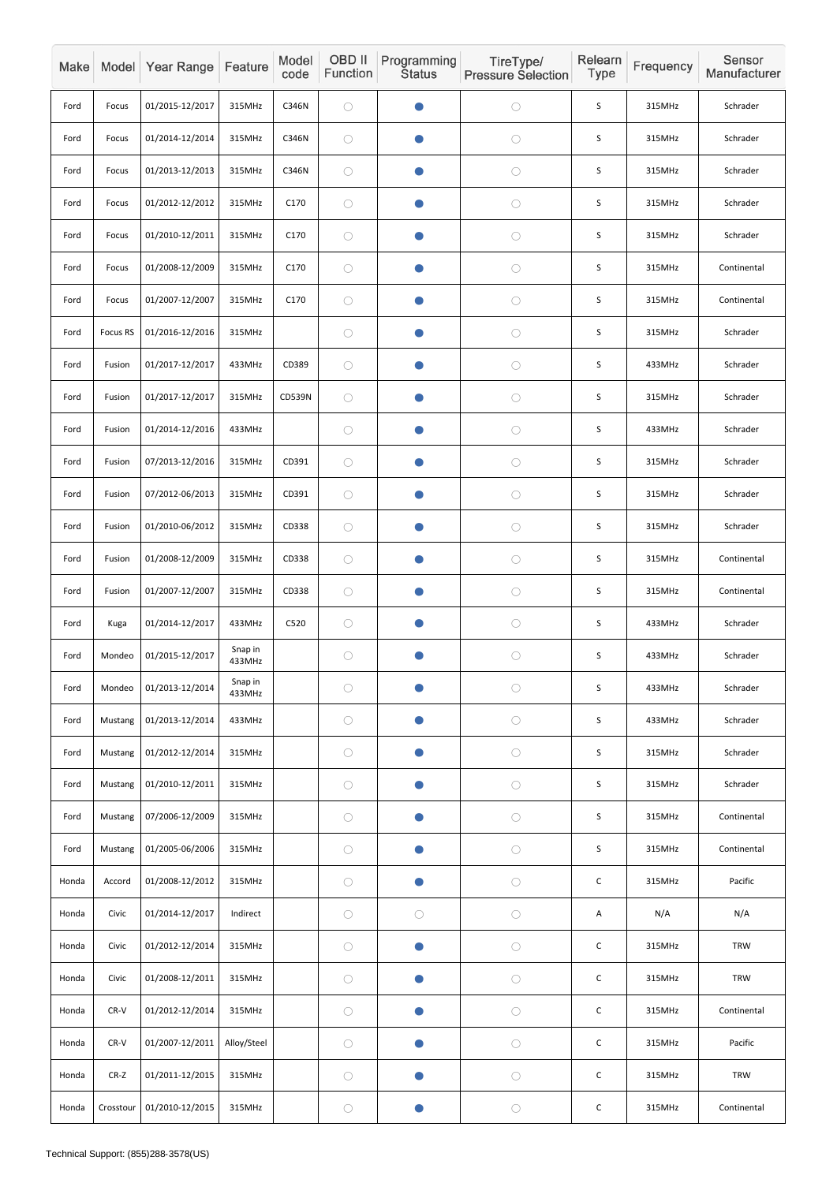| Make  |                 | Model Year Range | Feature           | Model<br>code | OBD II<br>Function | <b>Programming</b><br><b>Status</b> | TireType/<br><b>Pressure Selection</b> | Relearn<br><b>Type</b> | Frequency | Sensor<br>Manufacturer |
|-------|-----------------|------------------|-------------------|---------------|--------------------|-------------------------------------|----------------------------------------|------------------------|-----------|------------------------|
| Ford  | Focus           | 01/2015-12/2017  | 315MHz            | C346N         | $\bigcirc$         |                                     | $\bigcirc$                             | S                      | 315MHz    | Schrader               |
| Ford  | Focus           | 01/2014-12/2014  | 315MHz            | C346N         | $\bigcirc$         | O                                   | $\bigcirc$                             | $\sf S$                | 315MHz    | Schrader               |
| Ford  | Focus           | 01/2013-12/2013  | 315MHz            | C346N         | $\bigcirc$         | $\bullet$                           | $\bigcirc$                             | S                      | 315MHz    | Schrader               |
| Ford  | Focus           | 01/2012-12/2012  | 315MHz            | C170          | $\bigcirc$         |                                     | $\bigcirc$                             | S                      | 315MHz    | Schrader               |
| Ford  | Focus           | 01/2010-12/2011  | 315MHz            | C170          | $\bigcirc$         | $\bullet$                           | $\bigcirc$                             | S                      | 315MHz    | Schrader               |
| Ford  | Focus           | 01/2008-12/2009  | 315MHz            | C170          | $\bigcirc$         | $\bullet$                           | $\bigcirc$                             | S                      | 315MHz    | Continental            |
| Ford  | Focus           | 01/2007-12/2007  | 315MHz            | C170          | $\bigcirc$         |                                     | $\bigcirc$                             | S                      | 315MHz    | Continental            |
| Ford  | <b>Focus RS</b> | 01/2016-12/2016  | 315MHz            |               | $\bigcirc$         |                                     | $\bigcirc$                             | $\sf S$                | 315MHz    | Schrader               |
| Ford  | Fusion          | 01/2017-12/2017  | 433MHz            | CD389         | $\bigcirc$         | $\bullet$                           | $\bigcirc$                             | S                      | 433MHz    | Schrader               |
| Ford  | Fusion          | 01/2017-12/2017  | 315MHz            | CD539N        | $\bigcirc$         | $\bullet$                           | $\bigcirc$                             | S                      | 315MHz    | Schrader               |
| Ford  | Fusion          | 01/2014-12/2016  | 433MHz            |               | $\bigcirc$         | $\bullet$                           | $\bigcirc$                             | $\sf S$                | 433MHz    | Schrader               |
| Ford  | Fusion          | 07/2013-12/2016  | 315MHz            | CD391         | $\bigcirc$         | $\bullet$                           | $\bigcirc$                             | S                      | 315MHz    | Schrader               |
| Ford  | Fusion          | 07/2012-06/2013  | 315MHz            | CD391         | $\bigcirc$         |                                     | $\bigcirc$                             | $\mathsf S$            | 315MHz    | Schrader               |
| Ford  | Fusion          | 01/2010-06/2012  | 315MHz            | CD338         | $\bigcirc$         | $\bullet$                           | $\bigcirc$                             | S                      | 315MHz    | Schrader               |
| Ford  | Fusion          | 01/2008-12/2009  | 315MHz            | CD338         | $\bigcirc$         | $\bullet$                           | $\bigcirc$                             | $\mathsf S$            | 315MHz    | Continental            |
| Ford  | Fusion          | 01/2007-12/2007  | 315MHz            | CD338         | $\bigcirc$         |                                     | $\bigcirc$                             | $\sf S$                | 315MHz    | Continental            |
| Ford  | Kuga            | 01/2014-12/2017  | 433MHz            | C520          | $\bigcirc$         | $\bullet$                           | $\bigcirc$                             | $\sf S$                | 433MHz    | Schrader               |
| Ford  | Mondeo          | 01/2015-12/2017  | Snap in<br>433MHz |               | $\bigcirc$         | $\bullet$                           | $\bigcirc$                             | $\sf S$                | 433MHz    | Schrader               |
| Ford  | Mondeo          | 01/2013-12/2014  | Snap in<br>433MHz |               | $\bigcirc$         | $\bullet$                           | $\bigcirc$                             | $\mathsf S$            | 433MHz    | Schrader               |
| Ford  | Mustang         | 01/2013-12/2014  | 433MHz            |               | $\bigcirc$         | $\bullet$                           | $\bigcirc$                             | $\sf S$                | 433MHz    | Schrader               |
| Ford  | Mustang         | 01/2012-12/2014  | 315MHz            |               | $\bigcirc$         | $\bullet$                           | $\bigcirc$                             | S                      | 315MHz    | Schrader               |
| Ford  | Mustang         | 01/2010-12/2011  | 315MHz            |               | $\bigcirc$         | $\bullet$                           | $\bigcirc$                             | $\mathsf S$            | 315MHz    | Schrader               |
| Ford  | Mustang         | 07/2006-12/2009  | 315MHz            |               | $\bigcirc$         | $\bullet$                           | $\bigcirc$                             | $\sf S$                | 315MHz    | Continental            |
| Ford  | Mustang         | 01/2005-06/2006  | 315MHz            |               | $\bigcirc$         | $\bullet$                           | $\bigcirc$                             | $\mathsf S$            | 315MHz    | Continental            |
| Honda | Accord          | 01/2008-12/2012  | 315MHz            |               | $\bigcirc$         | $\bullet$                           | $\bigcirc$                             | $\mathsf C$            | 315MHz    | Pacific                |
| Honda | Civic           | 01/2014-12/2017  | Indirect          |               | $\bigcirc$         | $\bigcirc$                          | $\bigcirc$                             | A                      | N/A       | N/A                    |
| Honda | Civic           | 01/2012-12/2014  | 315MHz            |               | $\bigcirc$         | $\bullet$                           | $\bigcirc$                             | $\mathsf C$            | 315MHz    | TRW                    |
| Honda | Civic           | 01/2008-12/2011  | 315MHz            |               | $\bigcirc$         | $\bullet$                           | $\bigcirc$                             | $\mathsf C$            | 315MHz    | <b>TRW</b>             |
| Honda | $CR-V$          | 01/2012-12/2014  | 315MHz            |               | $\bigcirc$         | $\bullet$                           | $\bigcirc$                             | $\mathsf C$            | 315MHz    | Continental            |
| Honda | $CR-V$          | 01/2007-12/2011  | Alloy/Steel       |               | $\bigcirc$         | $\bullet$                           | $\bigcirc$                             | $\mathsf C$            | 315MHz    | Pacific                |
| Honda | $CR-Z$          | 01/2011-12/2015  | 315MHz            |               | $\bigcirc$         | $\bullet$                           | $\bigcirc$                             | $\mathsf C$            | 315MHz    | <b>TRW</b>             |
| Honda | Crosstour       | 01/2010-12/2015  | 315MHz            |               | $\bigcirc$         |                                     | $\bigcirc$                             | $\mathsf C$            | 315MHz    | Continental            |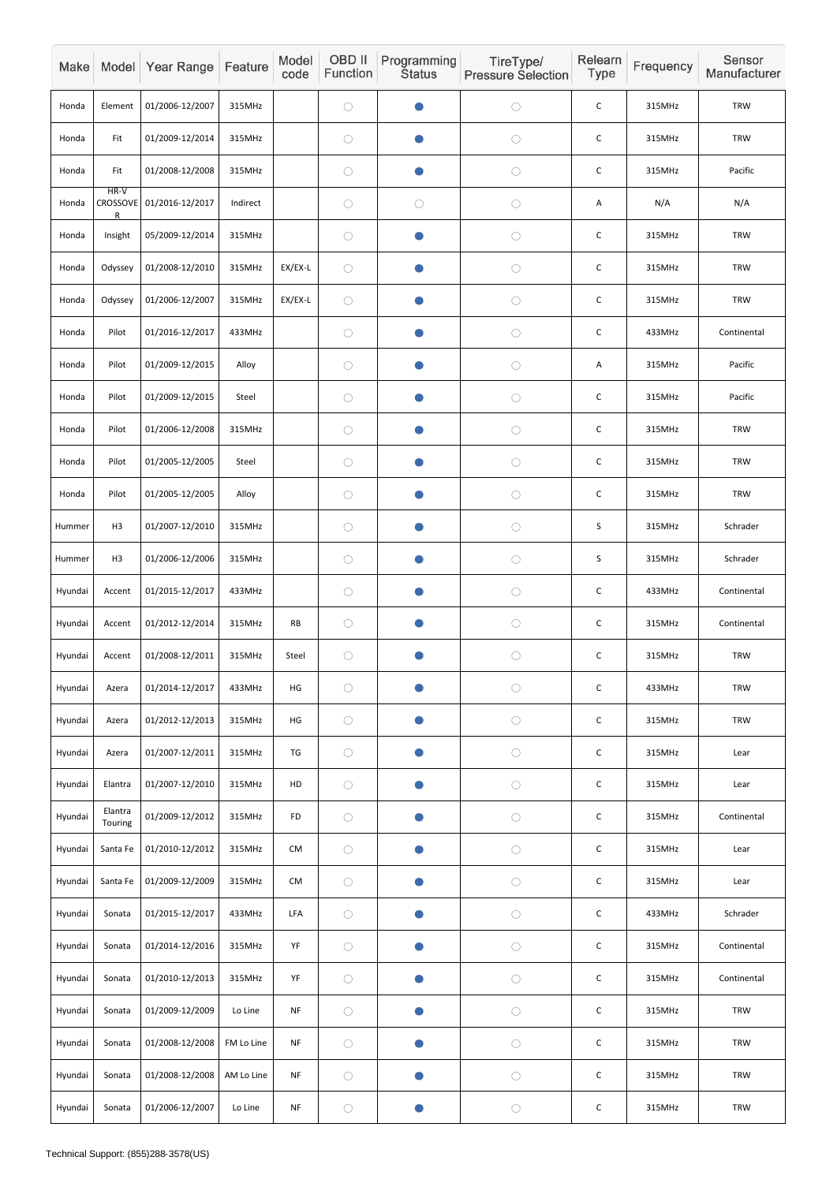| Make    |                    | Model Year Range         | Feature    | Model<br>code | OBD II<br>Function | Programming<br><b>Status</b> | TireType/<br><b>Pressure Selection</b> | Relearn<br>Type | Frequency | Sensor<br>Manufacturer |
|---------|--------------------|--------------------------|------------|---------------|--------------------|------------------------------|----------------------------------------|-----------------|-----------|------------------------|
| Honda   | Element            | 01/2006-12/2007          | 315MHz     |               | $\bigcirc$         |                              | $\bigcirc$                             | $\mathsf C$     | 315MHz    | <b>TRW</b>             |
| Honda   | Fit                | 01/2009-12/2014          | 315MHz     |               | $\bigcirc$         | O                            | $\bigcirc$                             | $\mathsf C$     | 315MHz    | <b>TRW</b>             |
| Honda   | Fit                | 01/2008-12/2008          | 315MHz     |               | $\bigcirc$         | $\bullet$                    | $\bigcirc$                             | $\mathsf C$     | 315MHz    | Pacific                |
| Honda   | HR-V<br>R          | CROSSOVE 01/2016-12/2017 | Indirect   |               | $\bigcirc$         | $\bigcirc$                   | $\bigcirc$                             | A               | N/A       | N/A                    |
| Honda   | Insight            | 05/2009-12/2014          | 315MHz     |               | $\bigcirc$         | $\bullet$                    | $\bigcirc$                             | $\mathsf C$     | 315MHz    | <b>TRW</b>             |
| Honda   | Odyssey            | 01/2008-12/2010          | 315MHz     | EX/EX-L       | $\bigcirc$         |                              | $\bigcirc$                             | $\mathsf C$     | 315MHz    | <b>TRW</b>             |
| Honda   | Odyssey            | 01/2006-12/2007          | 315MHz     | EX/EX-L       | $\bigcirc$         |                              | $\bigcirc$                             | $\mathsf C$     | 315MHz    | <b>TRW</b>             |
| Honda   | Pilot              | 01/2016-12/2017          | 433MHz     |               | $\bigcirc$         |                              | $\bigcirc$                             | $\mathsf C$     | 433MHz    | Continental            |
| Honda   | Pilot              | 01/2009-12/2015          | Alloy      |               | $\bigcirc$         | $\bullet$                    | $\bigcirc$                             | Α               | 315MHz    | Pacific                |
| Honda   | Pilot              | 01/2009-12/2015          | Steel      |               | $\bigcirc$         | O                            | $\bigcirc$                             | $\mathsf C$     | 315MHz    | Pacific                |
| Honda   | Pilot              | 01/2006-12/2008          | 315MHz     |               | $\bigcirc$         | O                            | $\bigcirc$                             | $\mathsf C$     | 315MHz    | <b>TRW</b>             |
| Honda   | Pilot              | 01/2005-12/2005          | Steel      |               | $\bigcirc$         | $\bullet$                    | $\bigcirc$                             | $\mathsf C$     | 315MHz    | <b>TRW</b>             |
| Honda   | Pilot              | 01/2005-12/2005          | Alloy      |               | $\bigcirc$         |                              | $\bigcirc$                             | $\mathsf C$     | 315MHz    | <b>TRW</b>             |
| Hummer  | H3                 | 01/2007-12/2010          | 315MHz     |               | $\bigcirc$         | $\bullet$                    | $\bigcirc$                             | S               | 315MHz    | Schrader               |
| Hummer  | H3                 | 01/2006-12/2006          | 315MHz     |               | $\bigcirc$         | $\bullet$                    | $\bigcirc$                             | $\mathsf S$     | 315MHz    | Schrader               |
| Hyundai | Accent             | 01/2015-12/2017          | 433MHz     |               | $\bigcirc$         | $\bullet$                    | $\bigcirc$                             | $\mathsf C$     | 433MHz    | Continental            |
| Hyundai | Accent             | 01/2012-12/2014          | 315MHz     | RB            | $\bigcirc$         | $\bullet$                    | $\bigcirc$                             | $\mathsf C$     | 315MHz    | Continental            |
| Hyundai | Accent             | 01/2008-12/2011          | 315MHz     | Steel         | $\bigcirc$         | $\bullet$                    | $\bigcirc$                             | $\mathsf C$     | 315MHz    | <b>TRW</b>             |
| Hyundai | Azera              | 01/2014-12/2017          | 433MHz     | HG            | $\bigcirc$         | $\bullet$                    | $\bigcirc$                             | $\mathsf C$     | 433MHz    | <b>TRW</b>             |
| Hyundai | Azera              | 01/2012-12/2013          | 315MHz     | HG            | $\bigcirc$         | $\bullet$                    | $\bigcirc$                             | $\mathsf C$     | 315MHz    | <b>TRW</b>             |
| Hyundai | Azera              | 01/2007-12/2011          | 315MHz     | TG            | $\bigcirc$         | $\bullet$                    | $\bigcirc$                             | $\mathsf C$     | 315MHz    | Lear                   |
| Hyundai | Elantra            | 01/2007-12/2010          | 315MHz     | HD            | $\bigcirc$         | $\bullet$                    | $\bigcirc$                             | $\mathsf C$     | 315MHz    | Lear                   |
| Hyundai | Elantra<br>Touring | 01/2009-12/2012          | 315MHz     | FD            | $\bigcirc$         | O                            | $\bigcirc$                             | $\mathsf C$     | 315MHz    | Continental            |
| Hyundai | Santa Fe           | 01/2010-12/2012          | 315MHz     | CM            | $\bigcirc$         | $\bullet$                    | $\bigcirc$                             | $\mathsf C$     | 315MHz    | Lear                   |
| Hyundai | Santa Fe           | 01/2009-12/2009          | 315MHz     | CM            | $\bigcirc$         | $\bullet$                    | $\bigcirc$                             | $\mathsf C$     | 315MHz    | Lear                   |
| Hyundai | Sonata             | 01/2015-12/2017          | 433MHz     | LFA           | $\bigcirc$         | $\bullet$                    | $\bigcirc$                             | $\mathsf C$     | 433MHz    | Schrader               |
| Hyundai | Sonata             | 01/2014-12/2016          | 315MHz     | YF            | $\bigcirc$         | $\bullet$                    | $\bigcirc$                             | $\mathsf C$     | 315MHz    | Continental            |
| Hyundai | Sonata             | 01/2010-12/2013          | 315MHz     | YF            | $\bigcirc$         | $\bullet$                    | $\bigcirc$                             | $\mathsf C$     | 315MHz    | Continental            |
| Hyundai | Sonata             | 01/2009-12/2009          | Lo Line    | <b>NF</b>     | $\bigcirc$         | $\bullet$                    | $\bigcirc$                             | $\mathsf C$     | 315MHz    | <b>TRW</b>             |
| Hyundai | Sonata             | 01/2008-12/2008          | FM Lo Line | <b>NF</b>     | $\bigcirc$         | $\bullet$                    | $\bigcirc$                             | $\mathsf C$     | 315MHz    | <b>TRW</b>             |
| Hyundai | Sonata             | 01/2008-12/2008          | AM Lo Line | <b>NF</b>     | $\bigcirc$         | $\bullet$                    | $\bigcirc$                             | $\mathsf C$     | 315MHz    | <b>TRW</b>             |
| Hyundai | Sonata             | 01/2006-12/2007          | Lo Line    | <b>NF</b>     | $\bigcirc$         | $\bullet$                    | $\bigcirc$                             | $\mathsf C$     | 315MHz    | <b>TRW</b>             |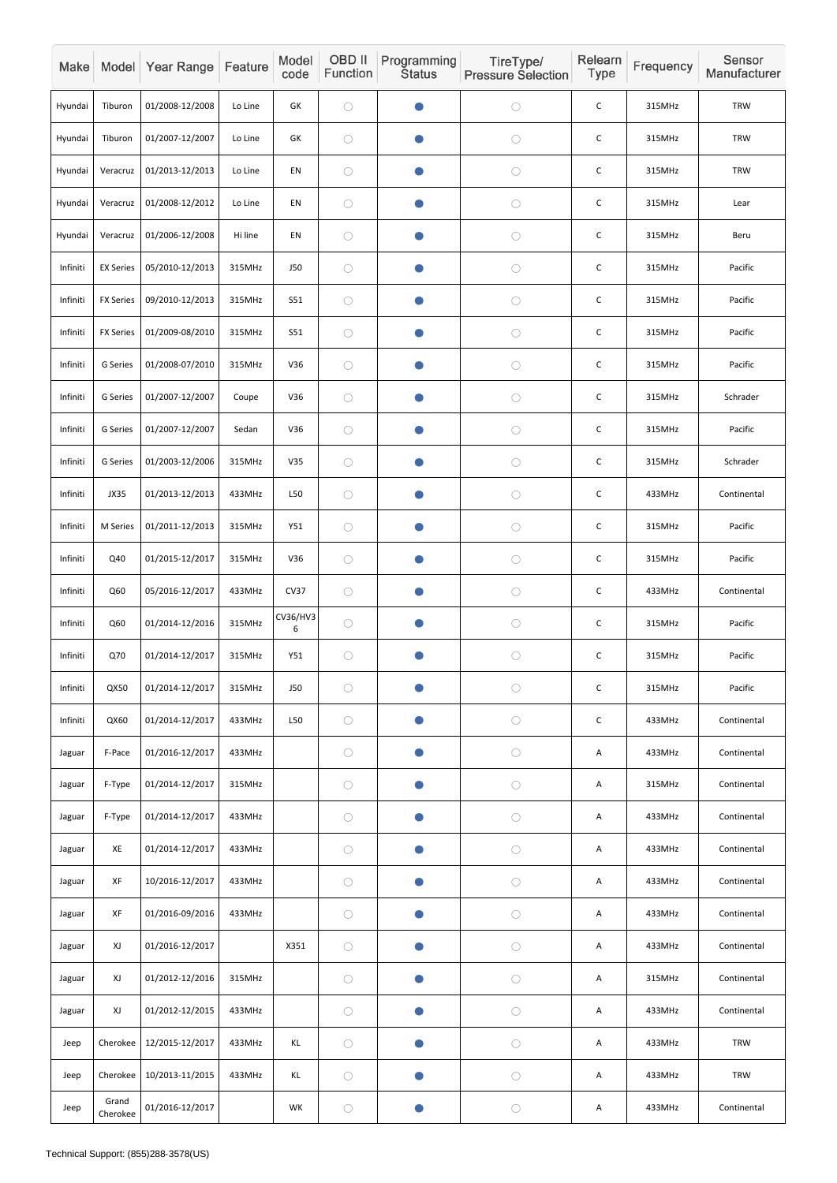| Make     |                   | Model Year Range | Feature | Model<br>code   | <b>OBD II</b><br>Function | Programming<br><b>Status</b> | TireType/<br><b>Pressure Selection</b> | Relearn<br>Type | Frequency | Sensor<br>Manufacturer |
|----------|-------------------|------------------|---------|-----------------|---------------------------|------------------------------|----------------------------------------|-----------------|-----------|------------------------|
| Hyundai  | Tiburon           | 01/2008-12/2008  | Lo Line | GK              | $\bigcirc$                |                              | $\bigcirc$                             | $\mathsf C$     | 315MHz    | <b>TRW</b>             |
| Hyundai  | Tiburon           | 01/2007-12/2007  | Lo Line | GK              | $\bigcirc$                | O                            | $\bigcirc$                             | $\mathsf{C}$    | 315MHz    | <b>TRW</b>             |
| Hyundai  | Veracruz          | 01/2013-12/2013  | Lo Line | EN              | $\bigcirc$                | $\bullet$                    | $\bigcirc$                             | $\mathsf C$     | 315MHz    | <b>TRW</b>             |
| Hyundai  | Veracruz          | 01/2008-12/2012  | Lo Line | EN              | $\bigcirc$                | O                            | $\bigcirc$                             | $\mathsf C$     | 315MHz    | Lear                   |
| Hyundai  | Veracruz          | 01/2006-12/2008  | Hi line | EN              | $\bigcirc$                | $\bullet$                    | $\bigcirc$                             | $\mathsf C$     | 315MHz    | Beru                   |
| Infiniti | <b>EX Series</b>  | 05/2010-12/2013  | 315MHz  | <b>J50</b>      | $\bigcirc$                | O                            | $\bigcirc$                             | $\mathsf C$     | 315MHz    | Pacific                |
| Infiniti | <b>FX Series</b>  | 09/2010-12/2013  | 315MHz  | <b>S51</b>      | $\bigcirc$                | $\bullet$                    | $\bigcirc$                             | $\mathsf C$     | 315MHz    | Pacific                |
| Infiniti | <b>FX Series</b>  | 01/2009-08/2010  | 315MHz  | S51             | $\bigcirc$                |                              | $\bigcirc$                             | $\mathsf C$     | 315MHz    | Pacific                |
| Infiniti | G Series          | 01/2008-07/2010  | 315MHz  | V36             | $\bigcirc$                | $\bullet$                    | $\bigcirc$                             | $\mathsf{C}$    | 315MHz    | Pacific                |
| Infiniti | G Series          | 01/2007-12/2007  | Coupe   | V36             | $\bigcirc$                | $\bullet$                    | $\bigcirc$                             | $\mathsf C$     | 315MHz    | Schrader               |
| Infiniti | G Series          | 01/2007-12/2007  | Sedan   | V36             | $\bigcirc$                | O                            | $\bigcirc$                             | $\mathsf C$     | 315MHz    | Pacific                |
| Infiniti | G Series          | 01/2003-12/2006  | 315MHz  | V35             | $\bigcirc$                | $\bullet$                    | $\bigcirc$                             | C               | 315MHz    | Schrader               |
| Infiniti | JX35              | 01/2013-12/2013  | 433MHz  | L50             | $\bigcirc$                |                              | $\bigcirc$                             | $\mathsf C$     | 433MHz    | Continental            |
| Infiniti | M Series          | 01/2011-12/2013  | 315MHz  | Y51             | $\bigcirc$                | $\bullet$                    | $\bigcirc$                             | $\mathsf C$     | 315MHz    | Pacific                |
| Infiniti | Q40               | 01/2015-12/2017  | 315MHz  | V36             | $\bigcirc$                | $\bullet$                    | $\bigcirc$                             | $\mathsf C$     | 315MHz    | Pacific                |
| Infiniti | Q60               | 05/2016-12/2017  | 433MHz  | <b>CV37</b>     | $\bigcirc$                | $\bullet$                    | $\bigcirc$                             | $\mathsf C$     | 433MHz    | Continental            |
| Infiniti | Q60               | 01/2014-12/2016  | 315MHz  | CV36/HV3<br>6   | $\bigcirc$                | $\bullet$                    | $\bigcirc$                             | $\mathsf C$     | 315MHz    | Pacific                |
| Infiniti | Q70               | 01/2014-12/2017  | 315MHz  | Y51             | $\bigcirc$                | $\bullet$                    | $\bigcirc$                             | $\mathsf C$     | 315MHz    | Pacific                |
| Infiniti | QX50              | 01/2014-12/2017  | 315MHz  | J50             | $\bigcirc$                | $\bullet$                    | $\bigcirc$                             | $\mathsf{C}$    | 315MHz    | Pacific                |
| Infiniti | QX60              | 01/2014-12/2017  | 433MHz  | L <sub>50</sub> | $\bigcirc$                |                              | $\bigcirc$                             | $\mathsf C$     | 433MHz    | Continental            |
| Jaguar   | F-Pace            | 01/2016-12/2017  | 433MHz  |                 | $\bigcirc$                | $\bullet$                    | $\bigcirc$                             | Α               | 433MHz    | Continental            |
| Jaguar   | F-Type            | 01/2014-12/2017  | 315MHz  |                 | $\bigcirc$                | $\bullet$                    | $\bigcirc$                             | Α               | 315MHz    | Continental            |
| Jaguar   | F-Type            | 01/2014-12/2017  | 433MHz  |                 | $\bigcirc$                | O                            | $\bigcirc$                             | A               | 433MHz    | Continental            |
| Jaguar   | XE                | 01/2014-12/2017  | 433MHz  |                 | $\bigcirc$                | $\bullet$                    | $\bigcirc$                             | A               | 433MHz    | Continental            |
| Jaguar   | XF                | 10/2016-12/2017  | 433MHz  |                 | $\bigcirc$                | $\bullet$                    | $\bigcirc$                             | Α               | 433MHz    | Continental            |
| Jaguar   | XF                | 01/2016-09/2016  | 433MHz  |                 | $\bigcirc$                | $\bullet$                    | $\bigcirc$                             | Α               | 433MHz    | Continental            |
| Jaguar   | XJ                | 01/2016-12/2017  |         | X351            | $\bigcirc$                | $\bullet$                    | $\bigcirc$                             | A               | 433MHz    | Continental            |
| Jaguar   | XJ                | 01/2012-12/2016  | 315MHz  |                 | $\bigcirc$                | $\bullet$                    | $\bigcirc$                             | Α               | 315MHz    | Continental            |
| Jaguar   | XJ                | 01/2012-12/2015  | 433MHz  |                 | $\bigcirc$                | $\bullet$                    | $\bigcirc$                             | Α               | 433MHz    | Continental            |
| Jeep     | Cherokee          | 12/2015-12/2017  | 433MHz  | KL              | $\bigcirc$                | $\bullet$                    | $\bigcirc$                             | A               | 433MHz    | <b>TRW</b>             |
| Jeep     | Cherokee          | 10/2013-11/2015  | 433MHz  | KL              | $\bigcirc$                | $\bullet$                    | $\bigcirc$                             | A               | 433MHz    | <b>TRW</b>             |
| Jeep     | Grand<br>Cherokee | 01/2016-12/2017  |         | WK              | $\bigcirc$                |                              | $\bigcirc$                             | Α               | 433MHz    | Continental            |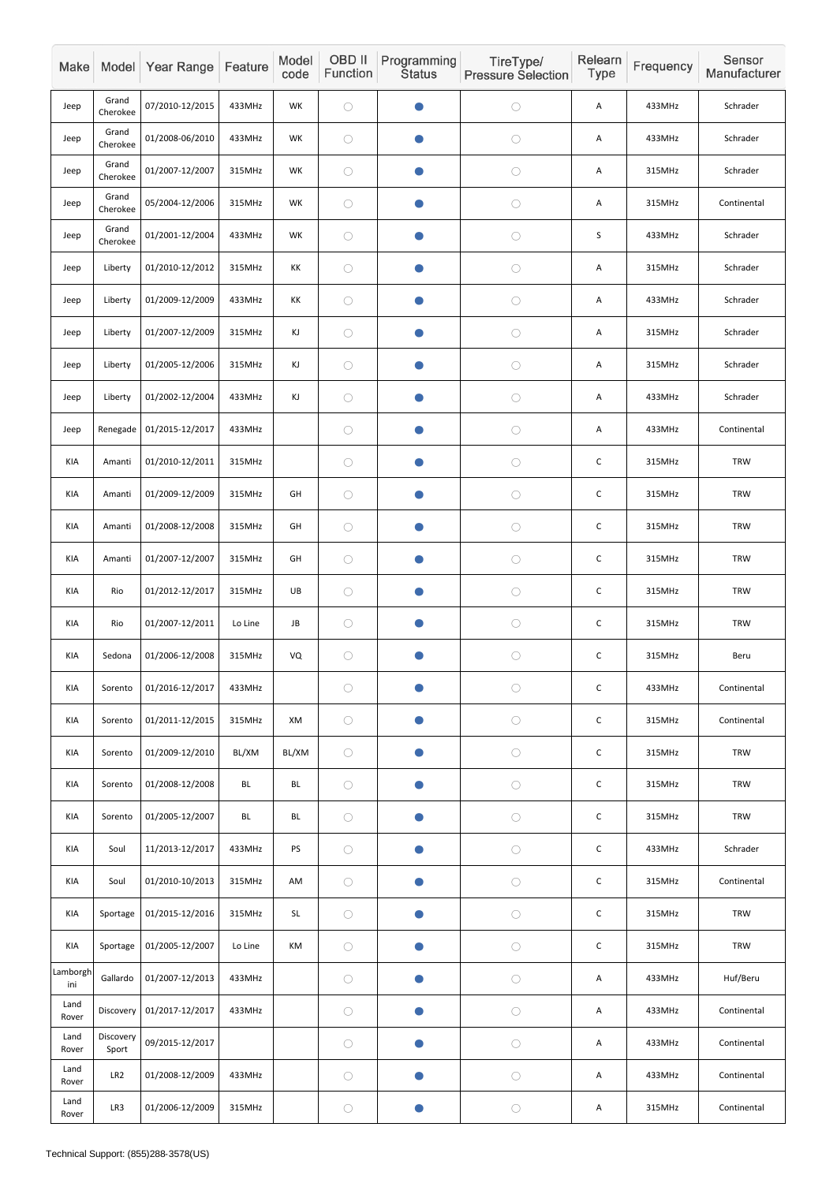| Make            |                    | Model Year Range | Feature   | Model<br>code | OBD II<br>Function | Programming<br><b>Status</b> | TireType/<br><b>Pressure Selection</b> | Relearn<br>Type | Frequency | Sensor<br>Manufacturer |
|-----------------|--------------------|------------------|-----------|---------------|--------------------|------------------------------|----------------------------------------|-----------------|-----------|------------------------|
| Jeep            | Grand<br>Cherokee  | 07/2010-12/2015  | 433MHz    | WK            | $\bigcirc$         |                              | $\bigcirc$                             | Α               | 433MHz    | Schrader               |
| Jeep            | Grand<br>Cherokee  | 01/2008-06/2010  | 433MHz    | WK            | $\bigcirc$         | $\bullet$                    | $\bigcirc$                             | A               | 433MHz    | Schrader               |
| Jeep            | Grand<br>Cherokee  | 01/2007-12/2007  | 315MHz    | <b>WK</b>     | $\bigcirc$         | $\bullet$                    | $\bigcirc$                             | Α               | 315MHz    | Schrader               |
| Jeep            | Grand<br>Cherokee  | 05/2004-12/2006  | 315MHz    | WK            | $\bigcirc$         | $\bullet$                    | $\bigcirc$                             | A               | 315MHz    | Continental            |
| Jeep            | Grand<br>Cherokee  | 01/2001-12/2004  | 433MHz    | WK            | $\bigcirc$         | $\bullet$                    | $\bigcirc$                             | $\sf S$         | 433MHz    | Schrader               |
| Jeep            | Liberty            | 01/2010-12/2012  | 315MHz    | KK            | $\bigcirc$         | $\bullet$                    | $\bigcirc$                             | Α               | 315MHz    | Schrader               |
| Jeep            | Liberty            | 01/2009-12/2009  | 433MHz    | КK            | $\bigcirc$         | O                            | $\bigcirc$                             | A               | 433MHz    | Schrader               |
| Jeep            | Liberty            | 01/2007-12/2009  | 315MHz    | KJ            | $\bigcirc$         | $\bullet$                    | $\bigcirc$                             | Α               | 315MHz    | Schrader               |
| Jeep            | Liberty            | 01/2005-12/2006  | 315MHz    | KJ            | $\bigcirc$         | $\bullet$                    | $\bigcirc$                             | A               | 315MHz    | Schrader               |
| Jeep            | Liberty            | 01/2002-12/2004  | 433MHz    | KJ            | $\bigcirc$         | $\bullet$                    | $\bigcirc$                             | Α               | 433MHz    | Schrader               |
| Jeep            | Renegade           | 01/2015-12/2017  | 433MHz    |               | $\bigcirc$         | O                            | $\bigcirc$                             | Α               | 433MHz    | Continental            |
| KIA             | Amanti             | 01/2010-12/2011  | 315MHz    |               | $\bigcirc$         | $\bullet$                    | $\bigcirc$                             | $\mathsf C$     | 315MHz    | <b>TRW</b>             |
| KIA             | Amanti             | 01/2009-12/2009  | 315MHz    | GH            | $\bigcirc$         | $\bullet$                    | $\bigcirc$                             | $\mathsf C$     | 315MHz    | <b>TRW</b>             |
| KIA             | Amanti             | 01/2008-12/2008  | 315MHz    | GH            | $\bigcirc$         | $\bullet$                    | $\bigcirc$                             | $\mathsf C$     | 315MHz    | <b>TRW</b>             |
| KIA             | Amanti             | 01/2007-12/2007  | 315MHz    | GH            | $\bigcirc$         | $\bullet$                    | $\bigcirc$                             | $\mathsf C$     | 315MHz    | TRW                    |
| KIA             | Rio                | 01/2012-12/2017  | 315MHz    | UB            | $\bigcirc$         | $\bullet$                    | $\bigcirc$                             | $\mathsf C$     | 315MHz    | <b>TRW</b>             |
| KIA             | Rio                | 01/2007-12/2011  | Lo Line   | JB            | $\bigcirc$         | $\bullet$                    | $\bigcirc$                             | $\mathsf C$     | 315MHz    | <b>TRW</b>             |
| KIA             | Sedona             | 01/2006-12/2008  | 315MHz    | VQ            | $\bigcirc$         | $\bullet$                    | $\bigcirc$                             | $\mathsf C$     | 315MHz    | Beru                   |
| KIA             | Sorento            | 01/2016-12/2017  | 433MHz    |               | $\bigcirc$         | $\bullet$                    | $\bigcirc$                             | $\mathsf C$     | 433MHz    | Continental            |
| KIA             | Sorento            | 01/2011-12/2015  | 315MHz    | XM            | $\bigcirc$         | $\bullet$                    | $\bigcirc$                             | $\mathsf C$     | 315MHz    | Continental            |
| KIA             | Sorento            | 01/2009-12/2010  | BL/XM     | BL/XM         | $\bigcirc$         | $\bullet$                    | $\bigcirc$                             | $\mathsf C$     | 315MHz    | TRW                    |
| KIA             | Sorento            | 01/2008-12/2008  | <b>BL</b> | BL            | $\bigcirc$         | $\bullet$                    | $\bigcirc$                             | $\mathsf C$     | 315MHz    | TRW                    |
| KIA             | Sorento            | 01/2005-12/2007  | BL        | BL            | $\bigcirc$         | $\bullet$                    | $\bigcirc$                             | $\mathsf C$     | 315MHz    | <b>TRW</b>             |
| KIA             | Soul               | 11/2013-12/2017  | 433MHz    | PS            | $\bigcirc$         | $\bullet$                    | $\bigcirc$                             | $\mathsf C$     | 433MHz    | Schrader               |
| KIA             | Soul               | 01/2010-10/2013  | 315MHz    | AM            | $\bigcirc$         | $\bullet$                    | $\bigcirc$                             | $\mathsf C$     | 315MHz    | Continental            |
| KIA             | Sportage           | 01/2015-12/2016  | 315MHz    | SL            | $\bigcirc$         | $\bullet$                    | $\bigcirc$                             | $\mathsf C$     | 315MHz    | <b>TRW</b>             |
| KIA             | Sportage           | 01/2005-12/2007  | Lo Line   | KM            | $\bigcirc$         | $\bullet$                    | $\bigcirc$                             | $\mathsf C$     | 315MHz    | TRW                    |
| Lamborgh<br>ini | Gallardo           | 01/2007-12/2013  | 433MHz    |               | $\bigcirc$         | $\bullet$                    | $\bigcirc$                             | A               | 433MHz    | Huf/Beru               |
| Land<br>Rover   | Discovery          | 01/2017-12/2017  | 433MHz    |               | $\bigcirc$         | $\bullet$                    | $\bigcirc$                             | A               | 433MHz    | Continental            |
| Land<br>Rover   | Discovery<br>Sport | 09/2015-12/2017  |           |               | $\bigcirc$         | $\bullet$                    | $\bigcirc$                             | A               | 433MHz    | Continental            |
| Land<br>Rover   | LR <sub>2</sub>    | 01/2008-12/2009  | 433MHz    |               | $\bigcirc$         | $\bullet$                    | $\bigcirc$                             | A               | 433MHz    | Continental            |
| Land<br>Rover   | LR3                | 01/2006-12/2009  | 315MHz    |               | $\bigcirc$         | $\bullet$                    | $\bigcirc$                             | Α               | 315MHz    | Continental            |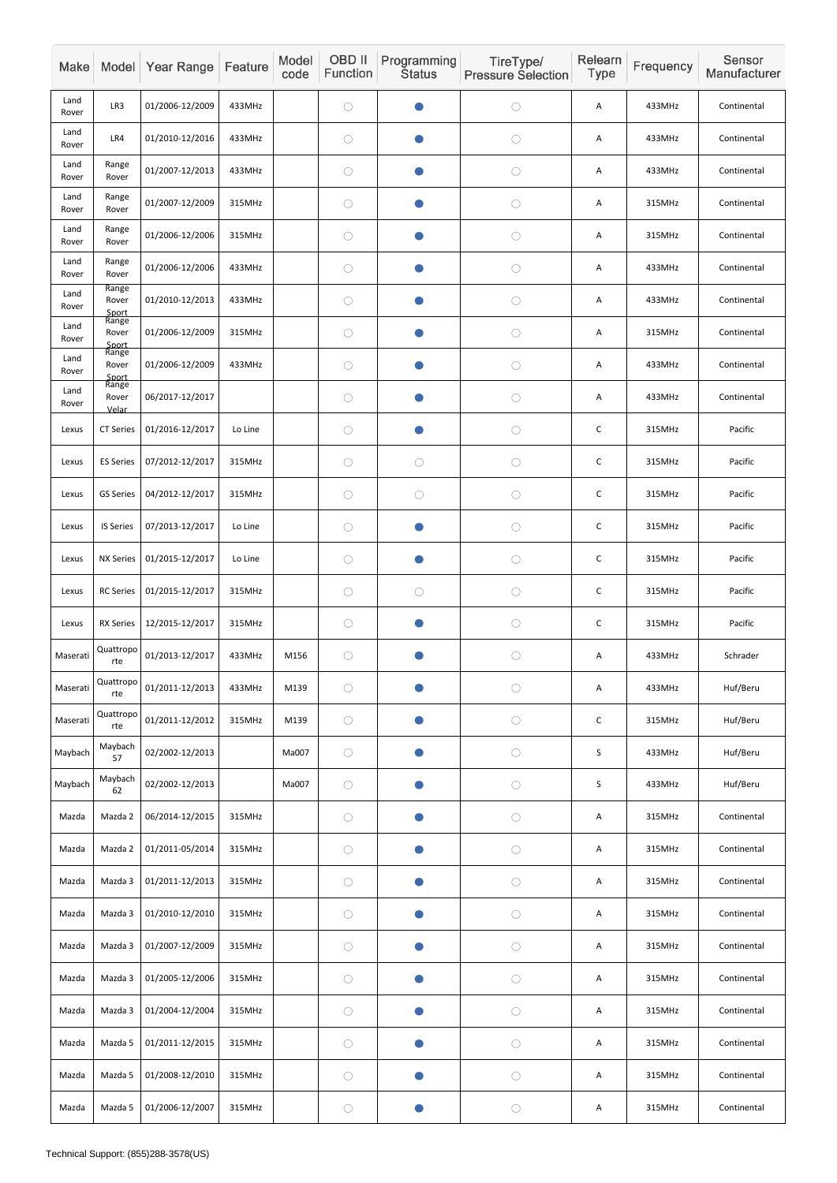| Make          |                         | Model Year Range | Feature | Model<br>code | OBD II<br>Function | Programming<br><b>Status</b> | TireType/<br><b>Pressure Selection</b> | Relearn<br>Type | Frequency | Sensor<br>Manufacturer |
|---------------|-------------------------|------------------|---------|---------------|--------------------|------------------------------|----------------------------------------|-----------------|-----------|------------------------|
| Land<br>Rover | LR3                     | 01/2006-12/2009  | 433MHz  |               | $\bigcirc$         | O                            | $\bigcirc$                             | Α               | 433MHz    | Continental            |
| Land<br>Rover | LR4                     | 01/2010-12/2016  | 433MHz  |               | $\bigcirc$         | O                            | $\bigcirc$                             | A               | 433MHz    | Continental            |
| Land<br>Rover | Range<br>Rover          | 01/2007-12/2013  | 433MHz  |               | $\bigcirc$         | $\bullet$                    | $\bigcirc$                             | Α               | 433MHz    | Continental            |
| Land<br>Rover | Range<br>Rover          | 01/2007-12/2009  | 315MHz  |               | $\bigcirc$         | $\blacksquare$               | $\bigcirc$                             | Α               | 315MHz    | Continental            |
| Land<br>Rover | Range<br>Rover          | 01/2006-12/2006  | 315MHz  |               | $\bigcirc$         | $\bullet$                    | $\bigcirc$                             | A               | 315MHz    | Continental            |
| Land<br>Rover | Range<br>Rover          | 01/2006-12/2006  | 433MHz  |               | $\bigcirc$         | O                            | $\bigcirc$                             | Α               | 433MHz    | Continental            |
| Land<br>Rover | Range<br>Rover<br>Sport | 01/2010-12/2013  | 433MHz  |               | $\bigcirc$         | O                            | $\bigcirc$                             | Α               | 433MHz    | Continental            |
| Land<br>Rover | Range<br>Rover<br>Sport | 01/2006-12/2009  | 315MHz  |               | $\bigcirc$         | $\bullet$                    | $\bigcirc$                             | A               | 315MHz    | Continental            |
| Land<br>Rover | Range<br>Rover<br>Sport | 01/2006-12/2009  | 433MHz  |               | $\bigcirc$         | $\bullet$                    | $\bigcirc$                             | A               | 433MHz    | Continental            |
| Land<br>Rover | Range<br>Rover<br>Velar | 06/2017-12/2017  |         |               | $\bigcirc$         | $\bullet$                    | $\bigcirc$                             | Α               | 433MHz    | Continental            |
| Lexus         | <b>CT Series</b>        | 01/2016-12/2017  | Lo Line |               | $\bigcirc$         | $\blacksquare$               | $\bigcirc$                             | $\mathsf C$     | 315MHz    | Pacific                |
| Lexus         | <b>ES Series</b>        | 07/2012-12/2017  | 315MHz  |               | $\bigcirc$         | $\bigcirc$                   | $\bigcirc$                             | $\mathsf C$     | 315MHz    | Pacific                |
| Lexus         | <b>GS Series</b>        | 04/2012-12/2017  | 315MHz  |               | $\bigcirc$         | $\bigcirc$                   | $\bigcirc$                             | $\mathsf C$     | 315MHz    | Pacific                |
| Lexus         | <b>IS Series</b>        | 07/2013-12/2017  | Lo Line |               | $\bigcirc$         | $\bullet$                    | $\bigcirc$                             | $\mathsf C$     | 315MHz    | Pacific                |
| Lexus         | <b>NX Series</b>        | 01/2015-12/2017  | Lo Line |               | $\bigcirc$         | $\bullet$                    | $\bigcirc$                             | $\mathsf C$     | 315MHz    | Pacific                |
| Lexus         | <b>RC Series</b>        | 01/2015-12/2017  | 315MHz  |               | $\bigcirc$         | $\bigcirc$                   | $\bigcirc$                             | $\mathsf C$     | 315MHz    | Pacific                |
| Lexus         | <b>RX Series</b>        | 12/2015-12/2017  | 315MHz  |               | $\bigcirc$         | $\bullet$                    | $\bigcirc$                             | $\mathsf C$     | 315MHz    | Pacific                |
| Maserati      | Quattropo<br>rte        | 01/2013-12/2017  | 433MHz  | M156          | $\bigcirc$         | $\bullet$                    | $\bigcirc$                             | A               | 433MHz    | Schrader               |
| Maserati      | Quattropo<br>rte        | 01/2011-12/2013  | 433MHz  | M139          | $\bigcirc$         | $\bullet$                    | $\bigcirc$                             | Α               | 433MHz    | Huf/Beru               |
| Maserati      | Quattropo<br>rte        | 01/2011-12/2012  | 315MHz  | M139          | $\bigcirc$         | $\bullet$                    | $\bigcirc$                             | $\mathsf C$     | 315MHz    | Huf/Beru               |
| Maybach       | Maybach<br>57           | 02/2002-12/2013  |         | Ma007         | $\bigcirc$         | $\bullet$                    | $\bigcirc$                             | $\mathsf S$     | 433MHz    | Huf/Beru               |
| Maybach       | Maybach<br>62           | 02/2002-12/2013  |         | Ma007         | $\bigcirc$         | $\bullet$                    | $\bigcirc$                             | S               | 433MHz    | Huf/Beru               |
| Mazda         | Mazda 2                 | 06/2014-12/2015  | 315MHz  |               | $\bigcirc$         | $\bullet$                    | $\bigcirc$                             | Α               | 315MHz    | Continental            |
| Mazda         | Mazda 2                 | 01/2011-05/2014  | 315MHz  |               | $\bigcirc$         | $\bullet$                    | $\bigcirc$                             | Α               | 315MHz    | Continental            |
| Mazda         | Mazda 3                 | 01/2011-12/2013  | 315MHz  |               | $\bigcirc$         | $\bullet$                    | $\bigcirc$                             | A               | 315MHz    | Continental            |
| Mazda         | Mazda 3                 | 01/2010-12/2010  | 315MHz  |               | $\bigcirc$         | $\bullet$                    | $\bigcirc$                             | Α               | 315MHz    | Continental            |
| Mazda         | Mazda 3                 | 01/2007-12/2009  | 315MHz  |               | $\bigcirc$         | $\bullet$                    | $\bigcirc$                             | A               | 315MHz    | Continental            |
| Mazda         | Mazda 3                 | 01/2005-12/2006  | 315MHz  |               | $\bigcirc$         | $\bullet$                    | $\bigcirc$                             | A               | 315MHz    | Continental            |
| Mazda         | Mazda 3                 | 01/2004-12/2004  | 315MHz  |               | $\bigcirc$         | $\bullet$                    | $\bigcirc$                             | A               | 315MHz    | Continental            |
| Mazda         | Mazda 5                 | 01/2011-12/2015  | 315MHz  |               | $\bigcirc$         | $\bullet$                    | $\bigcirc$                             | A               | 315MHz    | Continental            |
| Mazda         | Mazda 5                 | 01/2008-12/2010  | 315MHz  |               | $\bigcirc$         | $\bullet$                    | $\bigcirc$                             | A               | 315MHz    | Continental            |
| Mazda         | Mazda 5                 | 01/2006-12/2007  | 315MHz  |               | $\bigcirc$         | $\bullet$                    | $\bigcirc$                             | A               | 315MHz    | Continental            |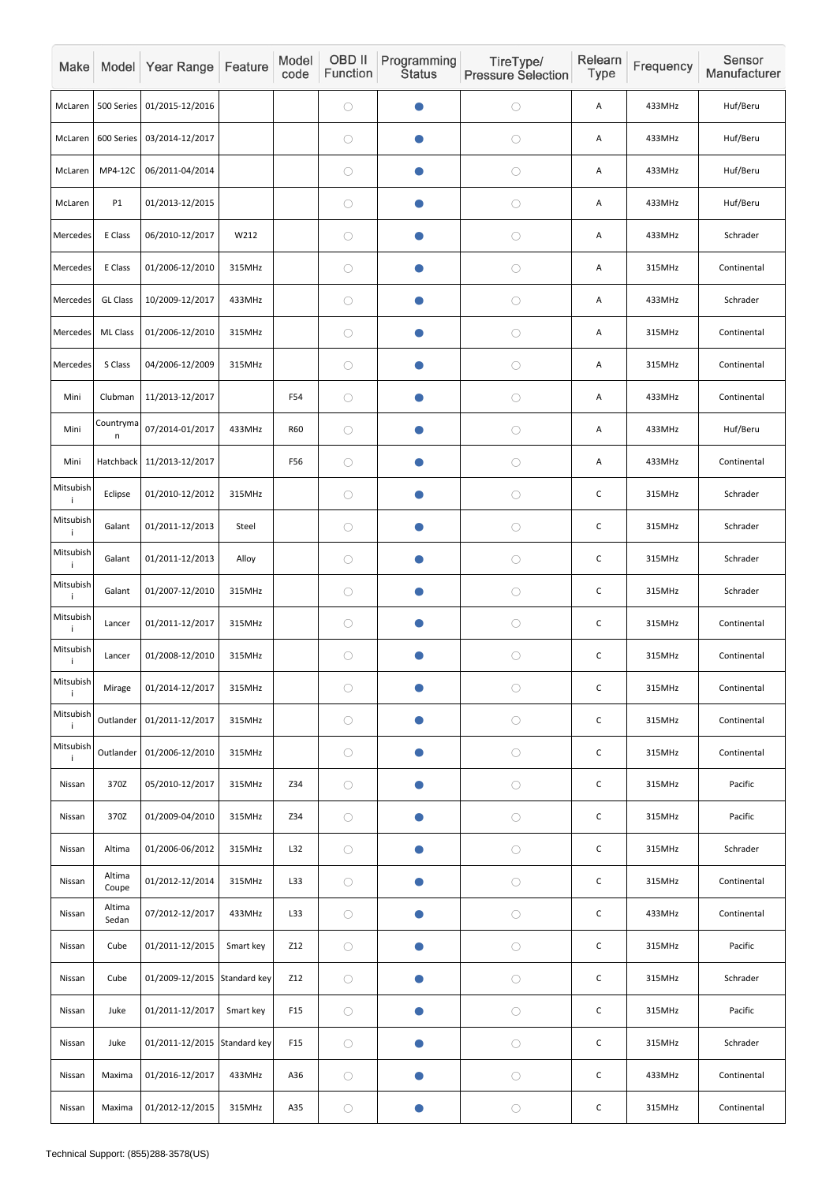| Make            |                 | Model Year Range             | Feature   | Model<br>code   | OBD II<br>Function | Programming<br><b>Status</b> | TireType/<br><b>Pressure Selection</b> | Relearn<br>Type | Frequency | Sensor<br>Manufacturer |
|-----------------|-----------------|------------------------------|-----------|-----------------|--------------------|------------------------------|----------------------------------------|-----------------|-----------|------------------------|
| McLaren         | 500 Series      | 01/2015-12/2016              |           |                 | $\bigcirc$         |                              | $\bigcirc$                             | A               | 433MHz    | Huf/Beru               |
| McLaren         | 600 Series      | 03/2014-12/2017              |           |                 | $\bigcirc$         | O                            | $\bigcirc$                             | Α               | 433MHz    | Huf/Beru               |
| McLaren         | MP4-12C         | 06/2011-04/2014              |           |                 | $\bigcirc$         | $\bullet$                    | $\bigcirc$                             | A               | 433MHz    | Huf/Beru               |
| McLaren         | P1              | 01/2013-12/2015              |           |                 | $\bigcirc$         |                              | $\bigcirc$                             | A               | 433MHz    | Huf/Beru               |
| Mercedes        | E Class         | 06/2010-12/2017              | W212      |                 | $\bigcirc$         | $\bullet$                    | $\bigcirc$                             | A               | 433MHz    | Schrader               |
| Mercedes        | E Class         | 01/2006-12/2010              | 315MHz    |                 | $\bigcirc$         |                              | $\bigcirc$                             | A               | 315MHz    | Continental            |
| Mercedes        | <b>GL Class</b> | 10/2009-12/2017              | 433MHz    |                 | $\bigcirc$         |                              | $\bigcirc$                             | Α               | 433MHz    | Schrader               |
| Mercedes        | <b>ML Class</b> | 01/2006-12/2010              | 315MHz    |                 | $\bigcirc$         |                              | $\bigcirc$                             | A               | 315MHz    | Continental            |
| Mercedes        | S Class         | 04/2006-12/2009              | 315MHz    |                 | $\bigcirc$         | $\bullet$                    | $\bigcirc$                             | A               | 315MHz    | Continental            |
| Mini            | Clubman         | 11/2013-12/2017              |           | F54             | $\bigcirc$         | $\bullet$                    | $\bigcirc$                             | Α               | 433MHz    | Continental            |
| Mini            | Countryma<br>n  | 07/2014-01/2017              | 433MHz    | <b>R60</b>      | $\bigcirc$         |                              | $\bigcirc$                             | A               | 433MHz    | Huf/Beru               |
| Mini            | Hatchback       | 11/2013-12/2017              |           | F56             | $\bigcirc$         | $\bullet$                    | $\bigcirc$                             | Α               | 433MHz    | Continental            |
| Mitsubish<br>i. | Eclipse         | 01/2010-12/2012              | 315MHz    |                 | $\bigcirc$         |                              | $\bigcirc$                             | $\mathsf C$     | 315MHz    | Schrader               |
| Mitsubish<br>j. | Galant          | 01/2011-12/2013              | Steel     |                 | $\bigcirc$         | $\bullet$                    | $\bigcirc$                             | $\mathsf C$     | 315MHz    | Schrader               |
| Mitsubish<br>i. | Galant          | 01/2011-12/2013              | Alloy     |                 | $\bigcirc$         | $\bullet$                    | $\bigcirc$                             | $\mathsf C$     | 315MHz    | Schrader               |
| Mitsubish<br>j. | Galant          | 01/2007-12/2010              | 315MHz    |                 | $\bigcirc$         |                              | $\bigcirc$                             | $\mathsf C$     | 315MHz    | Schrader               |
| Mitsubish<br>i. | Lancer          | 01/2011-12/2017              | 315MHz    |                 | $\bigcirc$         | $\bullet$                    | $\bigcirc$                             | $\mathsf C$     | 315MHz    | Continental            |
| Mitsubish<br>i. | Lancer          | 01/2008-12/2010              | 315MHz    |                 | $\bigcirc$         | O                            | $\bigcirc$                             | $\mathsf C$     | 315MHz    | Continental            |
| Mitsubish<br>j. | Mirage          | 01/2014-12/2017              | 315MHz    |                 | $\bigcirc$         |                              | $\bigcirc$                             | $\mathsf{C}$    | 315MHz    | Continental            |
| Mitsubish<br>i. | Outlander       | 01/2011-12/2017              | 315MHz    |                 | $\bigcirc$         | $\bullet$                    | $\bigcirc$                             | $\mathsf C$     | 315MHz    | Continental            |
| Mitsubish<br>j. | Outlander       | 01/2006-12/2010              | 315MHz    |                 | $\bigcirc$         | $\bullet$                    | $\bigcirc$                             | $\mathsf C$     | 315MHz    | Continental            |
| Nissan          | 370Z            | 05/2010-12/2017              | 315MHz    | Z34             | $\bigcirc$         | $\bullet$                    | $\bigcirc$                             | $\mathsf{C}$    | 315MHz    | Pacific                |
| Nissan          | 370Z            | 01/2009-04/2010              | 315MHz    | Z34             | $\bigcirc$         |                              | $\bigcirc$                             | $\mathsf C$     | 315MHz    | Pacific                |
| Nissan          | Altima          | 01/2006-06/2012              | 315MHz    | L32             | $\bigcirc$         | O                            | $\bigcirc$                             | $\mathsf C$     | 315MHz    | Schrader               |
| Nissan          | Altima<br>Coupe | 01/2012-12/2014              | 315MHz    | L33             | $\bigcirc$         | $\bullet$                    | $\bigcirc$                             | $\mathsf C$     | 315MHz    | Continental            |
| Nissan          | Altima<br>Sedan | 07/2012-12/2017              | 433MHz    | L33             | $\bigcirc$         | $\bullet$                    | $\bigcirc$                             | $\mathsf C$     | 433MHz    | Continental            |
| Nissan          | Cube            | 01/2011-12/2015              | Smart key | Z12             | $\bigcirc$         | $\bullet$                    | $\bigcirc$                             | $\mathsf C$     | 315MHz    | Pacific                |
| Nissan          | Cube            | 01/2009-12/2015 Standard key |           | Z12             | $\bigcirc$         | $\bullet$                    | $\bigcirc$                             | $\mathsf C$     | 315MHz    | Schrader               |
| Nissan          | Juke            | 01/2011-12/2017              | Smart key | F <sub>15</sub> | $\bigcirc$         | $\bullet$                    | $\bigcirc$                             | $\mathsf C$     | 315MHz    | Pacific                |
| Nissan          | Juke            | 01/2011-12/2015 Standard key |           | F15             | $\bigcirc$         | $\bullet$                    | $\bigcirc$                             | $\mathsf C$     | 315MHz    | Schrader               |
| Nissan          | Maxima          | 01/2016-12/2017              | 433MHz    | A36             | $\bigcirc$         | $\bullet$                    | $\bigcirc$                             | $\mathsf C$     | 433MHz    | Continental            |
| Nissan          | Maxima          | 01/2012-12/2015              | 315MHz    | A35             | $\bigcirc$         |                              | $\bigcirc$                             | $\mathsf C$     | 315MHz    | Continental            |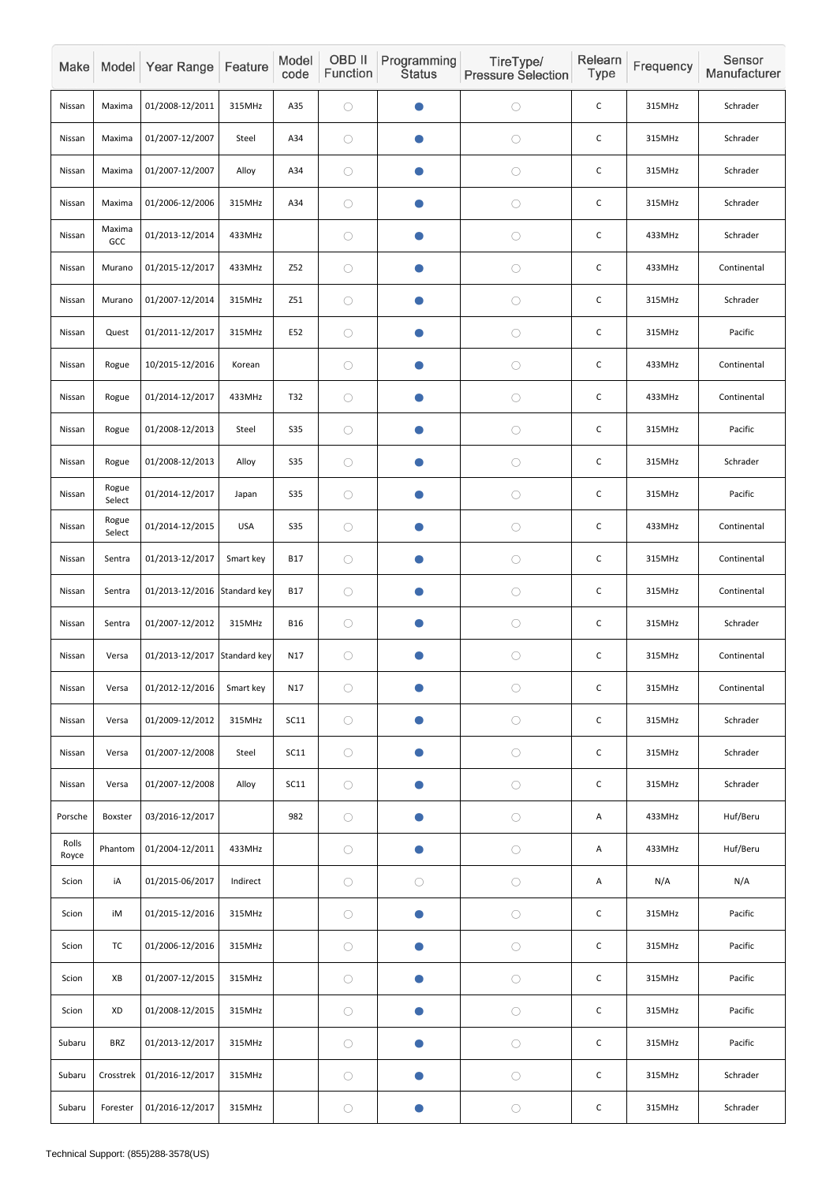| Make           |                 | Model Year Range             | Feature    | Model<br>code | OBD II<br>Function | Programming<br><b>Status</b> | TireType/<br><b>Pressure Selection</b> | Relearn<br><b>Type</b> | Frequency | Sensor<br>Manufacturer |
|----------------|-----------------|------------------------------|------------|---------------|--------------------|------------------------------|----------------------------------------|------------------------|-----------|------------------------|
| Nissan         | Maxima          | 01/2008-12/2011              | 315MHz     | A35           | $\bigcirc$         |                              | $\bigcirc$                             | $\mathsf C$            | 315MHz    | Schrader               |
| Nissan         | Maxima          | 01/2007-12/2007              | Steel      | A34           | $\bigcirc$         | O                            | $\bigcirc$                             | $\mathsf C$            | 315MHz    | Schrader               |
| Nissan         | Maxima          | 01/2007-12/2007              | Alloy      | A34           | $\bigcirc$         | $\bullet$                    | $\bigcirc$                             | $\mathsf C$            | 315MHz    | Schrader               |
| Nissan         | Maxima          | 01/2006-12/2006              | 315MHz     | A34           | $\bigcirc$         |                              | $\bigcirc$                             | C                      | 315MHz    | Schrader               |
| Nissan         | Maxima<br>GCC   | 01/2013-12/2014              | 433MHz     |               | $\bigcirc$         | $\bullet$                    | $\bigcirc$                             | $\mathsf C$            | 433MHz    | Schrader               |
| Nissan         | Murano          | 01/2015-12/2017              | 433MHz     | <b>Z52</b>    | $\bigcirc$         |                              | $\bigcirc$                             | $\mathsf C$            | 433MHz    | Continental            |
| Nissan         | Murano          | 01/2007-12/2014              | 315MHz     | Z51           | $\bigcirc$         |                              | $\bigcirc$                             | C                      | 315MHz    | Schrader               |
| Nissan         | Quest           | 01/2011-12/2017              | 315MHz     | E52           | $\bigcirc$         |                              | $\bigcirc$                             | $\mathsf C$            | 315MHz    | Pacific                |
| Nissan         | Rogue           | 10/2015-12/2016              | Korean     |               | $\bigcirc$         | $\blacksquare$               | $\bigcirc$                             | $\mathsf C$            | 433MHz    | Continental            |
| Nissan         | Rogue           | 01/2014-12/2017              | 433MHz     | <b>T32</b>    | $\bigcirc$         | O                            | $\bigcirc$                             | $\mathsf C$            | 433MHz    | Continental            |
| Nissan         | Rogue           | 01/2008-12/2013              | Steel      | <b>S35</b>    | $\bigcirc$         | $\blacksquare$               | $\bigcirc$                             | $\mathsf C$            | 315MHz    | Pacific                |
| Nissan         | Rogue           | 01/2008-12/2013              | Alloy      | <b>S35</b>    | $\bigcirc$         | $\bullet$                    | $\bigcirc$                             | $\mathsf C$            | 315MHz    | Schrader               |
| Nissan         | Rogue<br>Select | 01/2014-12/2017              | Japan      | <b>S35</b>    | $\bigcirc$         |                              | $\bigcirc$                             | $\mathsf C$            | 315MHz    | Pacific                |
| Nissan         | Rogue<br>Select | 01/2014-12/2015              | <b>USA</b> | <b>S35</b>    | $\bigcirc$         | $\bullet$                    | $\bigcirc$                             | $\mathsf C$            | 433MHz    | Continental            |
| Nissan         | Sentra          | 01/2013-12/2017              | Smart key  | <b>B17</b>    | $\bigcirc$         | $\bullet$                    | $\bigcirc$                             | $\mathsf C$            | 315MHz    | Continental            |
| Nissan         | Sentra          | 01/2013-12/2016 Standard key |            | <b>B17</b>    | $\bigcirc$         | O                            | $\bigcirc$                             | $\mathsf C$            | 315MHz    | Continental            |
| Nissan         | Sentra          | 01/2007-12/2012              | 315MHz     | <b>B16</b>    | $\bigcirc$         | $\bullet$                    | $\bigcirc$                             | $\mathsf C$            | 315MHz    | Schrader               |
| Nissan         | Versa           | 01/2013-12/2017 Standard key |            | N17           | $\bigcirc$         | $\bullet$                    | $\bigcirc$                             | $\mathsf C$            | 315MHz    | Continental            |
| Nissan         | Versa           | 01/2012-12/2016              | Smart key  | N17           | $\bigcirc$         | $\bullet$                    | $\bigcirc$                             | $\mathsf C$            | 315MHz    | Continental            |
| Nissan         | Versa           | 01/2009-12/2012              | 315MHz     | SC11          | $\bigcirc$         | $\bullet$                    | $\bigcirc$                             | $\mathsf C$            | 315MHz    | Schrader               |
| Nissan         | Versa           | 01/2007-12/2008              | Steel      | SC11          | $\bigcirc$         | $\bullet$                    | $\bigcirc$                             | $\mathsf C$            | 315MHz    | Schrader               |
| Nissan         | Versa           | 01/2007-12/2008              | Alloy      | <b>SC11</b>   | $\bigcirc$         | $\bullet$                    | $\bigcirc$                             | $\mathsf C$            | 315MHz    | Schrader               |
| Porsche        | Boxster         | 03/2016-12/2017              |            | 982           | $\bigcirc$         | $\bullet$                    | $\bigcirc$                             | A                      | 433MHz    | Huf/Beru               |
| Rolls<br>Royce | Phantom         | 01/2004-12/2011              | 433MHz     |               | $\bigcirc$         | $\bullet$                    | $\bigcirc$                             | A                      | 433MHz    | Huf/Beru               |
| Scion          | iA              | 01/2015-06/2017              | Indirect   |               | $\bigcirc$         | $\bigcirc$                   | $\bigcirc$                             | A                      | N/A       | N/A                    |
| Scion          | iM              | 01/2015-12/2016              | 315MHz     |               | $\bigcirc$         | $\bullet$                    | $\bigcirc$                             | $\mathsf{C}$           | 315MHz    | Pacific                |
| Scion          | <b>TC</b>       | 01/2006-12/2016              | 315MHz     |               | $\bigcirc$         | $\bullet$                    | $\bigcirc$                             | $\mathsf C$            | 315MHz    | Pacific                |
| Scion          | XB              | 01/2007-12/2015              | 315MHz     |               | $\bigcirc$         | $\bullet$                    | $\bigcirc$                             | $\mathsf C$            | 315MHz    | Pacific                |
| Scion          | XD              | 01/2008-12/2015              | 315MHz     |               | $\bigcirc$         | $\bullet$                    | $\bigcirc$                             | $\mathsf C$            | 315MHz    | Pacific                |
| Subaru         | <b>BRZ</b>      | 01/2013-12/2017              | 315MHz     |               | $\bigcirc$         | O                            | $\bigcirc$                             | $\mathsf C$            | 315MHz    | Pacific                |
| Subaru         | Crosstrek       | 01/2016-12/2017              | 315MHz     |               | $\bigcirc$         | $\bullet$                    | $\bigcirc$                             | $\mathsf C$            | 315MHz    | Schrader               |
| Subaru         | Forester        | 01/2016-12/2017              | 315MHz     |               | $\bigcirc$         |                              | $\bigcirc$                             | $\mathsf C$            | 315MHz    | Schrader               |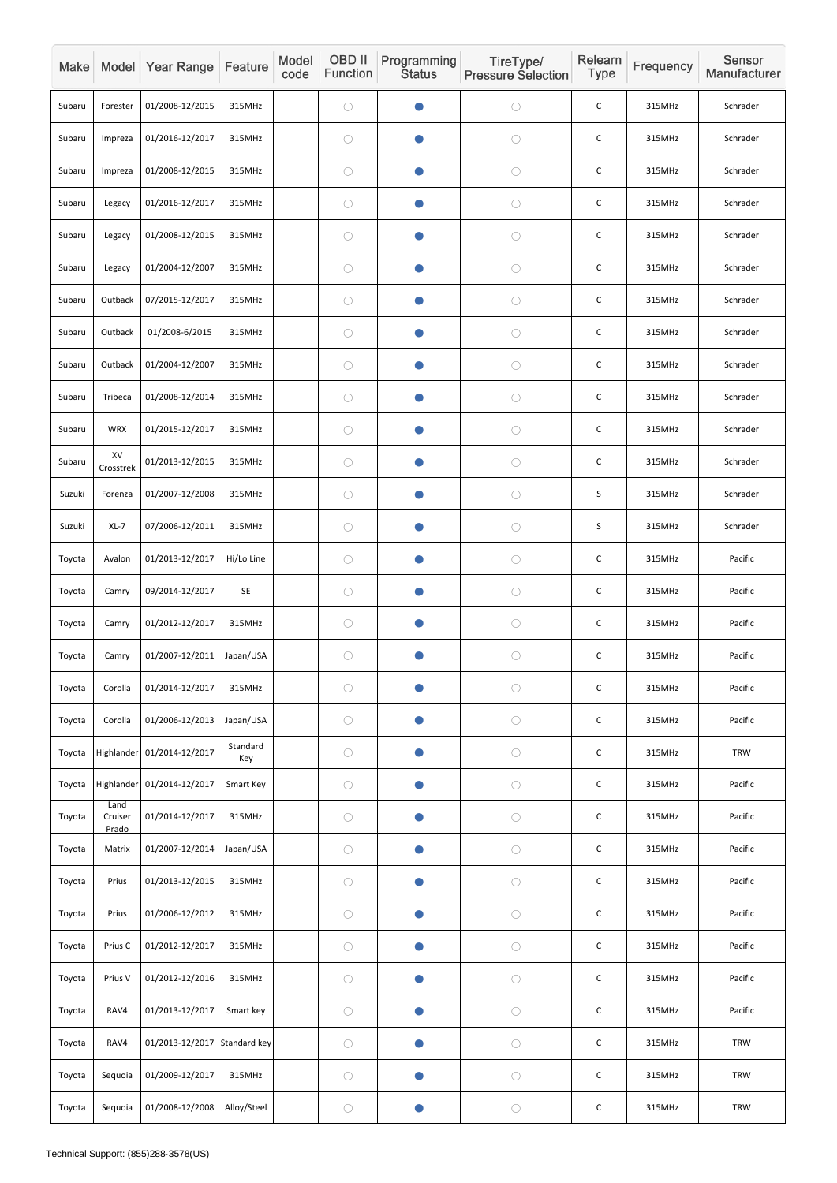| Make   |                          | Model Year Range           | Feature         | Model<br>code | OBD II<br>Function | Programming<br><b>Status</b> | TireType/<br><b>Pressure Selection</b> | Relearn<br><b>Type</b> | Frequency | Sensor<br>Manufacturer |
|--------|--------------------------|----------------------------|-----------------|---------------|--------------------|------------------------------|----------------------------------------|------------------------|-----------|------------------------|
| Subaru | Forester                 | 01/2008-12/2015            | 315MHz          |               | $\bigcirc$         | $\bullet$                    | $\bigcirc$                             | $\mathsf{C}$           | 315MHz    | Schrader               |
| Subaru | Impreza                  | 01/2016-12/2017            | 315MHz          |               | $\bigcirc$         | $\bullet$                    | $\bigcirc$                             | $\mathsf C$            | 315MHz    | Schrader               |
| Subaru | Impreza                  | 01/2008-12/2015            | 315MHz          |               | $\bigcirc$         | $\bullet$                    | $\bigcirc$                             | $\mathsf C$            | 315MHz    | Schrader               |
| Subaru | Legacy                   | 01/2016-12/2017            | 315MHz          |               | $\bigcirc$         | $\bullet$                    | $\bigcirc$                             | $\mathsf C$            | 315MHz    | Schrader               |
| Subaru | Legacy                   | 01/2008-12/2015            | 315MHz          |               | $\bigcirc$         | $\bullet$                    | $\bigcirc$                             | $\mathsf C$            | 315MHz    | Schrader               |
| Subaru | Legacy                   | 01/2004-12/2007            | 315MHz          |               | $\bigcirc$         | $\bullet$                    | $\bigcirc$                             | $\mathsf C$            | 315MHz    | Schrader               |
| Subaru | Outback                  | 07/2015-12/2017            | 315MHz          |               | $\bigcirc$         | $\bullet$                    | $\bigcirc$                             | $\mathsf C$            | 315MHz    | Schrader               |
| Subaru | Outback                  | 01/2008-6/2015             | 315MHz          |               | $\bigcirc$         | $\bullet$                    | $\bigcirc$                             | $\mathsf C$            | 315MHz    | Schrader               |
| Subaru | Outback                  | 01/2004-12/2007            | 315MHz          |               | $\bigcirc$         | $\bullet$                    | $\bigcirc$                             | $\mathsf C$            | 315MHz    | Schrader               |
| Subaru | Tribeca                  | 01/2008-12/2014            | 315MHz          |               | $\bigcirc$         | $\bullet$                    | $\bigcirc$                             | $\mathsf C$            | 315MHz    | Schrader               |
| Subaru | <b>WRX</b>               | 01/2015-12/2017            | 315MHz          |               | $\bigcirc$         | $\bullet$                    | $\bigcirc$                             | $\mathsf C$            | 315MHz    | Schrader               |
| Subaru | XV<br>Crosstrek          | 01/2013-12/2015            | 315MHz          |               | $\bigcirc$         | $\bullet$                    | $\bigcirc$                             | $\mathsf C$            | 315MHz    | Schrader               |
| Suzuki | Forenza                  | 01/2007-12/2008            | 315MHz          |               | $\bigcirc$         |                              | $\bigcirc$                             | $\mathsf S$            | 315MHz    | Schrader               |
| Suzuki | $XL-7$                   | 07/2006-12/2011            | 315MHz          |               | $\bigcirc$         | $\bullet$                    | $\bigcirc$                             | $\sf S$                | 315MHz    | Schrader               |
| Toyota | Avalon                   | 01/2013-12/2017            | Hi/Lo Line      |               | $\bigcirc$         | $\bullet$                    | $\bigcirc$                             | $\mathsf C$            | 315MHz    | Pacific                |
| Toyota | Camry                    | 09/2014-12/2017            | SE              |               | $\bigcirc$         | $\bullet$                    | $\bigcirc$                             | $\mathsf C$            | 315MHz    | Pacific                |
| Toyota | Camry                    | 01/2012-12/2017            | 315MHz          |               | $\bigcirc$         | $\bullet$                    | $\bigcirc$                             | $\mathsf C$            | 315MHz    | Pacific                |
| Toyota | Camry                    | 01/2007-12/2011            | Japan/USA       |               | $\bigcirc$         | $\bullet$                    | $\bigcirc$                             | $\mathsf C$            | 315MHz    | Pacific                |
| Toyota | Corolla                  | 01/2014-12/2017            | 315MHz          |               | $\bigcirc$         | $\bullet$                    | $\bigcirc$                             | $\mathsf C$            | 315MHz    | Pacific                |
| Toyota | Corolla                  | 01/2006-12/2013            | Japan/USA       |               | $\bigcirc$         | $\bullet$                    | $\bigcirc$                             | $\mathsf C$            | 315MHz    | Pacific                |
| Toyota |                          | Highlander 01/2014-12/2017 | Standard<br>Key |               | $\bigcirc$         | $\bullet$                    | $\bigcirc$                             | $\mathsf{C}$           | 315MHz    | TRW                    |
| Toyota |                          | Highlander 01/2014-12/2017 | Smart Key       |               | $\bigcirc$         | $\bullet$                    | $\bigcirc$                             | $\mathsf C$            | 315MHz    | Pacific                |
| Toyota | Land<br>Cruiser<br>Prado | 01/2014-12/2017            | 315MHz          |               | $\bigcirc$         | $\bullet$                    | $\bigcirc$                             | $\mathsf C$            | 315MHz    | Pacific                |
| Toyota | Matrix                   | 01/2007-12/2014            | Japan/USA       |               | $\bigcirc$         | $\bullet$                    | $\bigcirc$                             | $\mathsf C$            | 315MHz    | Pacific                |
| Toyota | Prius                    | 01/2013-12/2015            | 315MHz          |               | $\bigcirc$         | $\bullet$                    | $\bigcirc$                             | $\mathsf C$            | 315MHz    | Pacific                |
| Toyota | Prius                    | 01/2006-12/2012            | 315MHz          |               | $\bigcirc$         | $\bullet$                    | $\bigcirc$                             | $\mathsf C$            | 315MHz    | Pacific                |
| Toyota | Prius C                  | 01/2012-12/2017            | 315MHz          |               | $\bigcirc$         | $\bullet$                    | $\bigcirc$                             | $\mathsf C$            | 315MHz    | Pacific                |
| Toyota | Prius V                  | 01/2012-12/2016            | 315MHz          |               | $\bigcirc$         | $\bullet$                    | $\bigcirc$                             | $\mathsf C$            | 315MHz    | Pacific                |
| Toyota | RAV4                     | 01/2013-12/2017            | Smart key       |               | $\bigcirc$         | $\bullet$                    | $\bigcirc$                             | $\mathsf C$            | 315MHz    | Pacific                |
| Toyota | RAV4                     | 01/2013-12/2017            | Standard key    |               | $\bigcirc$         | $\bullet$                    | $\bigcirc$                             | $\mathsf C$            | 315MHz    | <b>TRW</b>             |
| Toyota | Sequoia                  | 01/2009-12/2017            | 315MHz          |               | $\bigcirc$         | $\bullet$                    | $\bigcirc$                             | $\mathsf C$            | 315MHz    | <b>TRW</b>             |
| Toyota | Sequoia                  | 01/2008-12/2008            | Alloy/Steel     |               | $\bigcirc$         | $\bullet$                    | $\bigcirc$                             | $\mathsf C$            | 315MHz    | <b>TRW</b>             |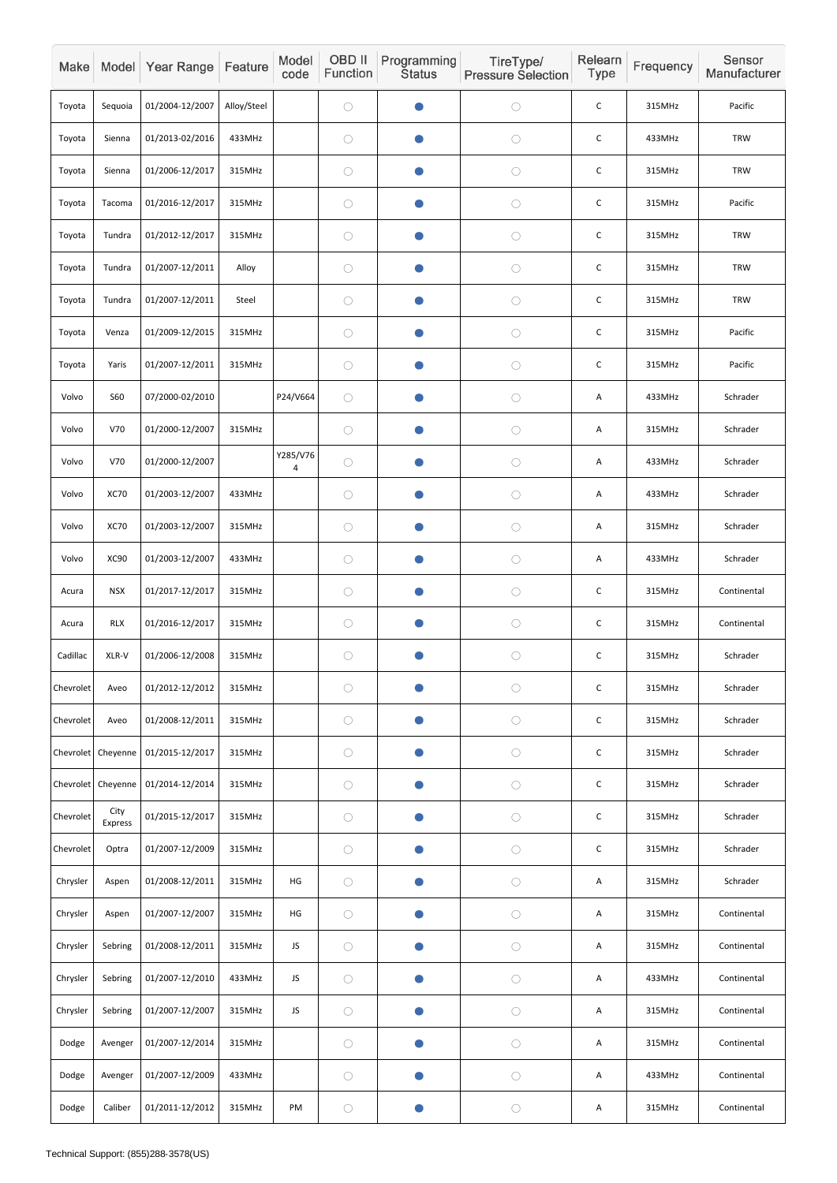| Make      |                 | Model Year Range | Feature     | Model<br>code | OBD II<br>Function | Programming<br><b>Status</b> | TireType/<br><b>Pressure Selection</b> | Relearn<br>Type | Frequency | Sensor<br>Manufacturer |
|-----------|-----------------|------------------|-------------|---------------|--------------------|------------------------------|----------------------------------------|-----------------|-----------|------------------------|
| Toyota    | Sequoia         | 01/2004-12/2007  | Alloy/Steel |               | $\bigcirc$         |                              | $\bigcirc$                             | $\mathsf C$     | 315MHz    | Pacific                |
| Toyota    | Sienna          | 01/2013-02/2016  | 433MHz      |               | $\bigcirc$         | $\bullet$                    | $\bigcirc$                             | $\mathsf C$     | 433MHz    | <b>TRW</b>             |
| Toyota    | Sienna          | 01/2006-12/2017  | 315MHz      |               | $\bigcirc$         | $\bullet$                    | $\bigcirc$                             | $\mathsf C$     | 315MHz    | <b>TRW</b>             |
| Toyota    | Tacoma          | 01/2016-12/2017  | 315MHz      |               | $\bigcirc$         | $\bullet$                    | $\bigcirc$                             | $\mathsf C$     | 315MHz    | Pacific                |
| Toyota    | Tundra          | 01/2012-12/2017  | 315MHz      |               | $\bigcirc$         | $\bullet$                    | $\bigcirc$                             | $\mathsf C$     | 315MHz    | <b>TRW</b>             |
| Toyota    | Tundra          | 01/2007-12/2011  | Alloy       |               | $\bigcirc$         | O                            | $\bigcirc$                             | $\mathsf C$     | 315MHz    | <b>TRW</b>             |
| Toyota    | Tundra          | 01/2007-12/2011  | Steel       |               | $\bigcirc$         | $\bullet$                    | $\bigcirc$                             | $\mathsf C$     | 315MHz    | <b>TRW</b>             |
| Toyota    | Venza           | 01/2009-12/2015  | 315MHz      |               | $\bigcirc$         | $\bullet$                    | $\bigcirc$                             | $\mathsf C$     | 315MHz    | Pacific                |
| Toyota    | Yaris           | 01/2007-12/2011  | 315MHz      |               | $\bigcirc$         | $\bullet$                    | $\bigcirc$                             | $\mathsf C$     | 315MHz    | Pacific                |
| Volvo     | <b>S60</b>      | 07/2000-02/2010  |             | P24/V664      | $\bigcirc$         | $\bullet$                    | $\bigcirc$                             | A               | 433MHz    | Schrader               |
| Volvo     | V70             | 01/2000-12/2007  | 315MHz      |               | $\bigcirc$         | $\bullet$                    | $\bigcirc$                             | A               | 315MHz    | Schrader               |
| Volvo     | V70             | 01/2000-12/2007  |             | Y285/V76<br>4 | $\bigcirc$         | $\bullet$                    | $\bigcirc$                             | A               | 433MHz    | Schrader               |
| Volvo     | <b>XC70</b>     | 01/2003-12/2007  | 433MHz      |               | $\bigcirc$         |                              | $\bigcirc$                             | A               | 433MHz    | Schrader               |
| Volvo     | <b>XC70</b>     | 01/2003-12/2007  | 315MHz      |               | $\bigcirc$         | $\bullet$                    | $\bigcirc$                             | A               | 315MHz    | Schrader               |
| Volvo     | <b>XC90</b>     | 01/2003-12/2007  | 433MHz      |               | $\bigcirc$         | $\bullet$                    | $\bigcirc$                             | A               | 433MHz    | Schrader               |
| Acura     | <b>NSX</b>      | 01/2017-12/2017  | 315MHz      |               | $\bigcirc$         | $\bullet$                    | $\bigcirc$                             | $\mathsf C$     | 315MHz    | Continental            |
| Acura     | <b>RLX</b>      | 01/2016-12/2017  | 315MHz      |               | $\bigcirc$         | $\bullet$                    | $\bigcirc$                             | $\mathsf C$     | 315MHz    | Continental            |
| Cadillac  | XLR-V           | 01/2006-12/2008  | 315MHz      |               | $\bigcirc$         | $\bullet$                    | $\bigcirc$                             | $\mathsf C$     | 315MHz    | Schrader               |
| Chevrolet | Aveo            | 01/2012-12/2012  | 315MHz      |               | $\bigcirc$         | $\bullet$                    | $\bigcirc$                             | $\mathsf C$     | 315MHz    | Schrader               |
| Chevrolet | Aveo            | 01/2008-12/2011  | 315MHz      |               | $\bigcirc$         | $\bullet$                    | $\bigcirc$                             | $\mathsf C$     | 315MHz    | Schrader               |
| Chevrolet | Cheyenne        | 01/2015-12/2017  | 315MHz      |               | $\bigcirc$         | $\bullet$                    | $\bigcirc$                             | $\mathsf C$     | 315MHz    | Schrader               |
| Chevrolet | Cheyenne        | 01/2014-12/2014  | 315MHz      |               | $\bigcirc$         | $\bullet$                    | $\bigcirc$                             | $\mathsf C$     | 315MHz    | Schrader               |
| Chevrolet | City<br>Express | 01/2015-12/2017  | 315MHz      |               | $\bigcirc$         | $\bullet$                    | $\bigcirc$                             | $\mathsf C$     | 315MHz    | Schrader               |
| Chevrolet | Optra           | 01/2007-12/2009  | 315MHz      |               | $\bigcirc$         | $\bullet$                    | $\bigcirc$                             | $\mathsf C$     | 315MHz    | Schrader               |
| Chrysler  | Aspen           | 01/2008-12/2011  | 315MHz      | HG            | $\bigcirc$         | $\bullet$                    | $\bigcirc$                             | Α               | 315MHz    | Schrader               |
| Chrysler  | Aspen           | 01/2007-12/2007  | 315MHz      | HG            | $\bigcirc$         | $\bullet$                    | $\bigcirc$                             | Α               | 315MHz    | Continental            |
| Chrysler  | Sebring         | 01/2008-12/2011  | 315MHz      | JS            | $\bigcirc$         | $\bullet$                    | $\bigcirc$                             | A               | 315MHz    | Continental            |
| Chrysler  | Sebring         | 01/2007-12/2010  | 433MHz      | JS            | $\bigcirc$         | $\bullet$                    | $\bigcirc$                             | Α               | 433MHz    | Continental            |
| Chrysler  | Sebring         | 01/2007-12/2007  | 315MHz      | JS            | $\bigcirc$         | $\bullet$                    | $\bigcirc$                             | Α               | 315MHz    | Continental            |
| Dodge     | Avenger         | 01/2007-12/2014  | 315MHz      |               | $\bigcirc$         | $\bullet$                    | $\bigcirc$                             | Α               | 315MHz    | Continental            |
| Dodge     | Avenger         | 01/2007-12/2009  | 433MHz      |               | $\bigcirc$         | $\bullet$                    | $\bigcirc$                             | Α               | 433MHz    | Continental            |
| Dodge     | Caliber         | 01/2011-12/2012  | 315MHz      | PM            | $\bigcirc$         | $\bullet$                    | $\bigcirc$                             | Α               | 315MHz    | Continental            |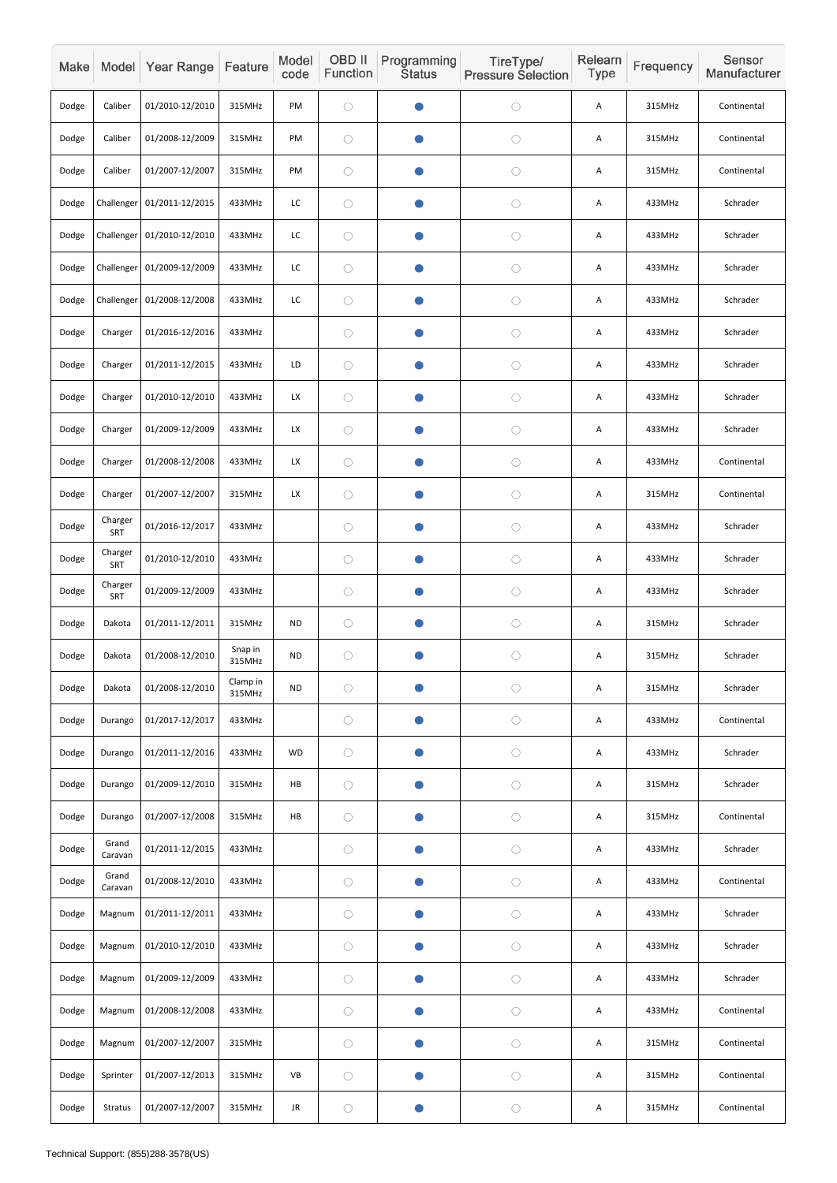| Make  |                  | Model Year Range           | Feature            | Model<br>code | OBD II<br>Function | Programming<br><b>Status</b> | TireType/<br><b>Pressure Selection</b> | Relearn<br>Type | Frequency | Sensor<br>Manufacturer |
|-------|------------------|----------------------------|--------------------|---------------|--------------------|------------------------------|----------------------------------------|-----------------|-----------|------------------------|
| Dodge | Caliber          | 01/2010-12/2010            | 315MHz             | PM            | $\bigcirc$         | $\bullet$                    | $\bigcirc$                             | Α               | 315MHz    | Continental            |
| Dodge | Caliber          | 01/2008-12/2009            | 315MHz             | PM            | $\bigcirc$         | $\bullet$                    | $\bigcirc$                             | A               | 315MHz    | Continental            |
| Dodge | Caliber          | 01/2007-12/2007            | 315MHz             | PM            | $\bigcirc$         | $\bullet$                    | $\bigcirc$                             | Α               | 315MHz    | Continental            |
| Dodge |                  | Challenger 01/2011-12/2015 | 433MHz             | LC            | $\bigcirc$         | $\bullet$                    | $\bigcirc$                             | Α               | 433MHz    | Schrader               |
| Dodge |                  | Challenger 01/2010-12/2010 | 433MHz             | LC            | $\bigcirc$         | $\bullet$                    | $\bigcirc$                             | Α               | 433MHz    | Schrader               |
| Dodge |                  | Challenger 01/2009-12/2009 | 433MHz             | LC            | $\bigcirc$         | $\bullet$                    | $\bigcirc$                             | Α               | 433MHz    | Schrader               |
| Dodge | Challenger       | 01/2008-12/2008            | 433MHz             | LC            | $\bigcirc$         | $\bullet$                    | $\bigcirc$                             | Α               | 433MHz    | Schrader               |
| Dodge | Charger          | 01/2016-12/2016            | 433MHz             |               | $\bigcirc$         | $\bullet$                    | $\bigcirc$                             | Α               | 433MHz    | Schrader               |
| Dodge | Charger          | 01/2011-12/2015            | 433MHz             | LD            | $\bigcirc$         | $\bullet$                    | $\bigcirc$                             | Α               | 433MHz    | Schrader               |
| Dodge | Charger          | 01/2010-12/2010            | 433MHz             | <b>LX</b>     | $\bigcirc$         | $\bullet$                    | $\bigcirc$                             | Α               | 433MHz    | Schrader               |
| Dodge | Charger          | 01/2009-12/2009            | 433MHz             | LX            | $\bigcirc$         | $\bullet$                    | $\bigcirc$                             | Α               | 433MHz    | Schrader               |
| Dodge | Charger          | 01/2008-12/2008            | 433MHz             | LX            | $\bigcirc$         | $\bullet$                    | $\bigcirc$                             | Α               | 433MHz    | Continental            |
| Dodge | Charger          | 01/2007-12/2007            | 315MHz             | <b>LX</b>     | $\bigcirc$         | $\bullet$                    | $\bigcirc$                             | A               | 315MHz    | Continental            |
| Dodge | Charger<br>SRT   | 01/2016-12/2017            | 433MHz             |               | $\bigcirc$         | $\bullet$                    | $\bigcirc$                             | Α               | 433MHz    | Schrader               |
| Dodge | Charger<br>SRT   | 01/2010-12/2010            | 433MHz             |               | $\bigcirc$         | $\bullet$                    | $\bigcirc$                             | А               | 433MHz    | Schrader               |
| Dodge | Charger<br>SRT   | 01/2009-12/2009            | 433MHz             |               | $\bigcirc$         | $\bullet$                    | $\bigcirc$                             | Α               | 433MHz    | Schrader               |
| Dodge | Dakota           | 01/2011-12/2011            | 315MHz             | <b>ND</b>     | $\bigcirc$         | $\bullet$                    | $\bigcirc$                             | A               | 315MHz    | Schrader               |
| Dodge | Dakota           | 01/2008-12/2010            | Snap in<br>315MHz  | <b>ND</b>     | $\bigcirc$         | $\bullet$                    | $\bigcirc$                             | Α               | 315MHz    | Schrader               |
| Dodge | Dakota           | 01/2008-12/2010            | Clamp in<br>315MHz | <b>ND</b>     | $\bigcirc$         | $\bullet$                    | $\bigcirc$                             | А               | 315MHz    | Schrader               |
| Dodge | Durango          | 01/2017-12/2017            | 433MHz             |               | $\bigcirc$         | $\bullet$                    | $\bigcirc$                             | А               | 433MHz    | Continental            |
| Dodge | Durango          | 01/2011-12/2016            | 433MHz             | WD            | $\bigcirc$         | $\bullet$                    | $\bigcirc$                             | Α               | 433MHz    | Schrader               |
| Dodge | Durango          | 01/2009-12/2010            | 315MHz             | HB            | $\bigcirc$         | $\bullet$                    | $\bigcirc$                             | А               | 315MHz    | Schrader               |
| Dodge | Durango          | 01/2007-12/2008            | 315MHz             | ${\sf HB}$    | $\bigcirc$         | $\bullet$                    | $\bigcirc$                             | A               | 315MHz    | Continental            |
| Dodge | Grand<br>Caravan | 01/2011-12/2015            | 433MHz             |               | $\bigcirc$         | $\bullet$                    | $\bigcirc$                             | A               | 433MHz    | Schrader               |
| Dodge | Grand<br>Caravan | 01/2008-12/2010            | 433MHz             |               | $\bigcirc$         | $\bullet$                    | $\bigcirc$                             | А               | 433MHz    | Continental            |
| Dodge | Magnum           | 01/2011-12/2011            | 433MHz             |               | $\bigcirc$         | $\bullet$                    | $\bigcirc$                             | А               | 433MHz    | Schrader               |
| Dodge | Magnum           | 01/2010-12/2010            | 433MHz             |               | $\bigcirc$         | $\bullet$                    | $\bigcirc$                             | Α               | 433MHz    | Schrader               |
| Dodge | Magnum           | 01/2009-12/2009            | 433MHz             |               | $\bigcirc$         | $\bullet$                    | $\bigcirc$                             | A               | 433MHz    | Schrader               |
| Dodge | Magnum           | 01/2008-12/2008            | 433MHz             |               | $\bigcirc$         | $\bullet$                    | $\bigcirc$                             | A               | 433MHz    | Continental            |
| Dodge | Magnum           | 01/2007-12/2007            | 315MHz             |               | $\bigcirc$         | $\bullet$                    | $\bigcirc$                             | Α               | 315MHz    | Continental            |
| Dodge | Sprinter         | 01/2007-12/2013            | 315MHz             | VB            | $\bigcirc$         | $\bullet$                    | $\bigcirc$                             | А               | 315MHz    | Continental            |
| Dodge | Stratus          | 01/2007-12/2007            | 315MHz             | JR            | $\bigcirc$         | $\bullet$                    | $\bigcirc$                             | A               | 315MHz    | Continental            |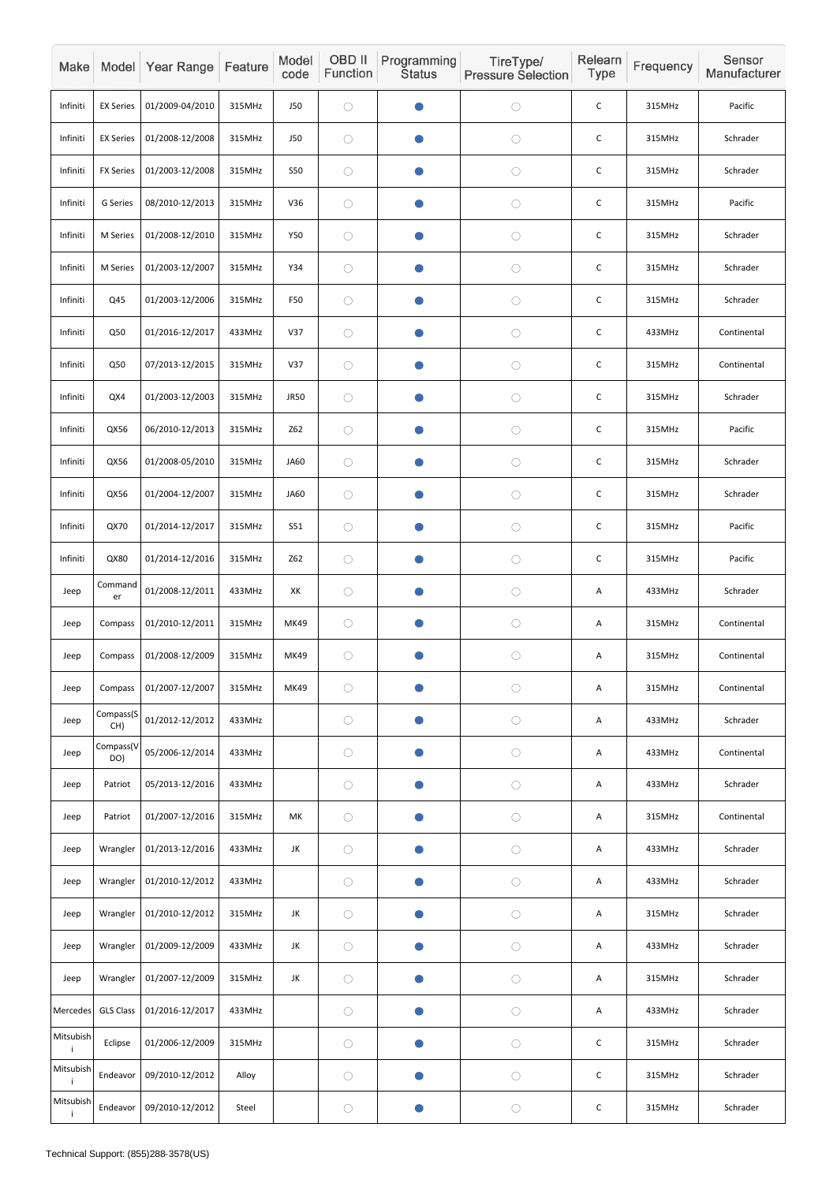| Make            |                  | Model Year Range | Feature | Model<br>code | OBD II<br>Function | Programming<br><b>Status</b> | TireType/<br><b>Pressure Selection</b> | Relearn<br>Type | Frequency | Sensor<br>Manufacturer |
|-----------------|------------------|------------------|---------|---------------|--------------------|------------------------------|----------------------------------------|-----------------|-----------|------------------------|
| Infiniti        | <b>EX Series</b> | 01/2009-04/2010  | 315MHz  | <b>J50</b>    | $\bigcirc$         |                              | $\bigcirc$                             | $\mathsf C$     | 315MHz    | Pacific                |
| Infiniti        | <b>EX Series</b> | 01/2008-12/2008  | 315MHz  | <b>J50</b>    | $\bigcirc$         | O                            | $\bigcirc$                             | $\mathsf{C}$    | 315MHz    | Schrader               |
| Infiniti        | <b>FX Series</b> | 01/2003-12/2008  | 315MHz  | <b>S50</b>    | $\bigcirc$         | $\bullet$                    | $\bigcirc$                             | $\mathsf C$     | 315MHz    | Schrader               |
| Infiniti        | G Series         | 08/2010-12/2013  | 315MHz  | V36           | $\bigcirc$         |                              | $\bigcirc$                             | C               | 315MHz    | Pacific                |
| Infiniti        | M Series         | 01/2008-12/2010  | 315MHz  | Y50           | $\bigcirc$         | $\bullet$                    | $\bigcirc$                             | C               | 315MHz    | Schrader               |
| Infiniti        | M Series         | 01/2003-12/2007  | 315MHz  | Y34           | $\bigcirc$         |                              | $\bigcirc$                             | $\mathsf C$     | 315MHz    | Schrader               |
| Infiniti        | Q45              | 01/2003-12/2006  | 315MHz  | F50           | $\bigcirc$         |                              | $\bigcirc$                             | $\mathsf C$     | 315MHz    | Schrader               |
| Infiniti        | Q50              | 01/2016-12/2017  | 433MHz  | V37           | $\bigcirc$         |                              | $\bigcirc$                             | $\mathsf C$     | 433MHz    | Continental            |
| Infiniti        | Q50              | 07/2013-12/2015  | 315MHz  | V37           | $\bigcirc$         | $\blacksquare$               | $\bigcirc$                             | $\mathsf C$     | 315MHz    | Continental            |
| Infiniti        | QX4              | 01/2003-12/2003  | 315MHz  | <b>JR50</b>   | $\bigcirc$         | $\bullet$                    | $\bigcirc$                             | $\mathsf{C}$    | 315MHz    | Schrader               |
| Infiniti        | QX56             | 06/2010-12/2013  | 315MHz  | Z62           | $\bigcirc$         |                              | $\bigcirc$                             | C               | 315MHz    | Pacific                |
| Infiniti        | QX56             | 01/2008-05/2010  | 315MHz  | JA60          | $\bigcirc$         | $\bullet$                    | $\bigcirc$                             | C               | 315MHz    | Schrader               |
| Infiniti        | QX56             | 01/2004-12/2007  | 315MHz  | <b>JA60</b>   | $\bigcirc$         |                              | $\bigcirc$                             | $\mathsf C$     | 315MHz    | Schrader               |
| Infiniti        | QX70             | 01/2014-12/2017  | 315MHz  | S51           | $\bigcirc$         | $\bullet$                    | $\bigcirc$                             | $\mathsf{C}$    | 315MHz    | Pacific                |
| Infiniti        | QX80             | 01/2014-12/2016  | 315MHz  | Z62           | $\bigcirc$         | $\bullet$                    | $\bigcirc$                             | $\mathsf C$     | 315MHz    | Pacific                |
| Jeep            | Command<br>er    | 01/2008-12/2011  | 433MHz  | XK            | $\bigcirc$         | O                            | $\bigcirc$                             | Α               | 433MHz    | Schrader               |
| Jeep            | Compass          | 01/2010-12/2011  | 315MHz  | <b>MK49</b>   | $\bigcirc$         | $\bullet$                    | $\bigcirc$                             | A               | 315MHz    | Continental            |
| Jeep            | Compass          | 01/2008-12/2009  | 315MHz  | MK49          | $\bigcirc$         | $\bullet$                    | $\bigcirc$                             | A               | 315MHz    | Continental            |
| Jeep            | Compass          | 01/2007-12/2007  | 315MHz  | MK49          | $\bigcirc$         | $\bullet$                    | $\bigcirc$                             | Α               | 315MHz    | Continental            |
| Jeep            | Compass(S<br>CH) | 01/2012-12/2012  | 433MHz  |               | $\bigcirc$         | $\bullet$                    | $\bigcirc$                             | A               | 433MHz    | Schrader               |
| Jeep            | Compass(V<br>DO) | 05/2006-12/2014  | 433MHz  |               | $\bigcirc$         | $\bullet$                    | $\bigcirc$                             | A               | 433MHz    | Continental            |
| Jeep            | Patriot          | 05/2013-12/2016  | 433MHz  |               | $\bigcirc$         | $\bullet$                    | $\bigcirc$                             | A               | 433MHz    | Schrader               |
| Jeep            | Patriot          | 01/2007-12/2016  | 315MHz  | МK            | $\bigcirc$         |                              | $\bigcirc$                             | Α               | 315MHz    | Continental            |
| Jeep            | Wrangler         | 01/2013-12/2016  | 433MHz  | JK            | $\bigcirc$         | $\bullet$                    | $\bigcirc$                             | A               | 433MHz    | Schrader               |
| Jeep            | Wrangler         | 01/2010-12/2012  | 433MHz  |               | $\bigcirc$         | $\bullet$                    | $\bigcirc$                             | A               | 433MHz    | Schrader               |
| Jeep            | Wrangler         | 01/2010-12/2012  | 315MHz  | JK            | $\bigcirc$         | $\bullet$                    | $\bigcirc$                             | A               | 315MHz    | Schrader               |
| Jeep            | Wrangler         | 01/2009-12/2009  | 433MHz  | JK            | $\bigcirc$         | $\bullet$                    | $\bigcirc$                             | A               | 433MHz    | Schrader               |
| Jeep            | Wrangler         | 01/2007-12/2009  | 315MHz  | JK            | $\bigcirc$         | $\bullet$                    | $\bigcirc$                             | A               | 315MHz    | Schrader               |
| Mercedes        | <b>GLS Class</b> | 01/2016-12/2017  | 433MHz  |               | $\bigcirc$         | $\bullet$                    | $\bigcirc$                             | A               | 433MHz    | Schrader               |
| Mitsubish<br>j. | Eclipse          | 01/2006-12/2009  | 315MHz  |               | $\bigcirc$         | $\bullet$                    | $\bigcirc$                             | $\mathsf C$     | 315MHz    | Schrader               |
| Mitsubish       | Endeavor         | 09/2010-12/2012  | Alloy   |               | $\bigcirc$         | $\bullet$                    | $\bigcirc$                             | $\mathsf C$     | 315MHz    | Schrader               |
| Mitsubish<br>j. | Endeavor         | 09/2010-12/2012  | Steel   |               | $\bigcirc$         | $\bullet$                    | $\bigcirc$                             | $\mathsf C$     | 315MHz    | Schrader               |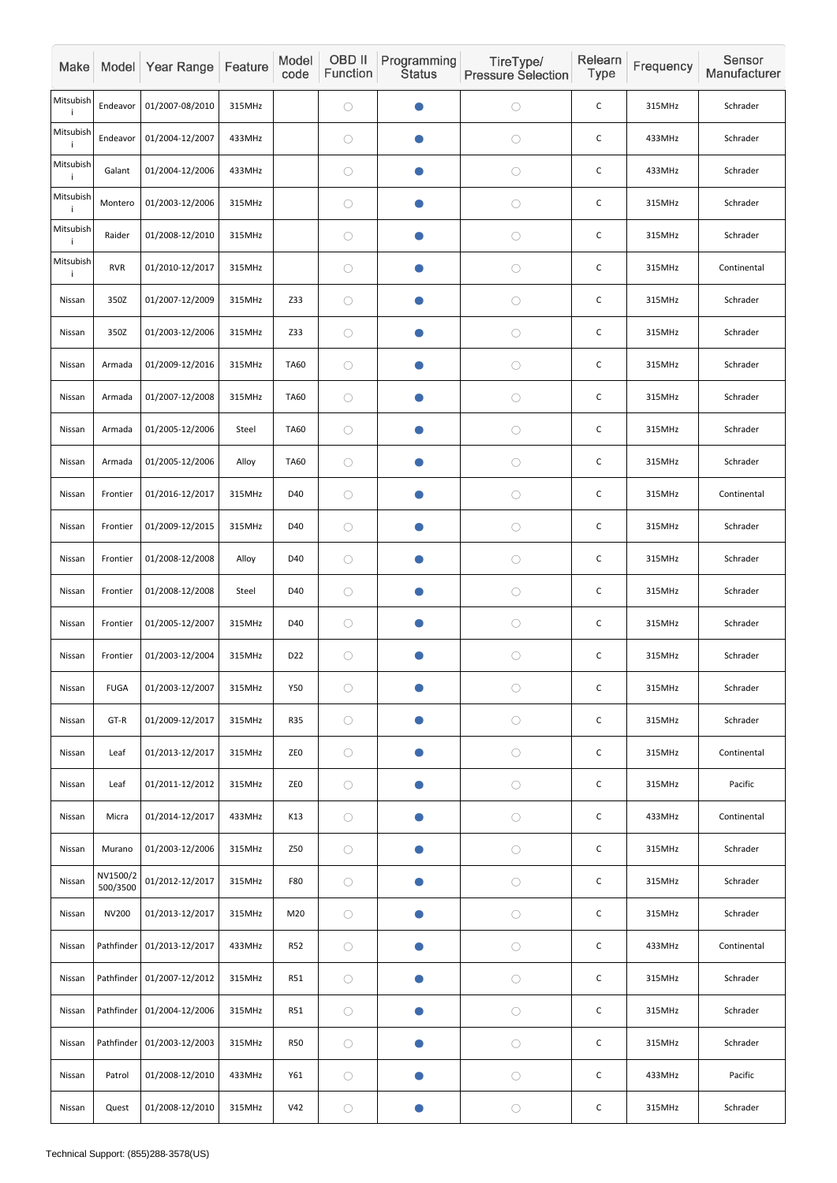| Make            |                      | Model Year Range           | Feature | Model<br>code   | OBD II<br>Function | Programming<br><b>Status</b> | TireType/<br><b>Pressure Selection</b> | Relearn<br>Type | Frequency | Sensor<br>Manufacturer |
|-----------------|----------------------|----------------------------|---------|-----------------|--------------------|------------------------------|----------------------------------------|-----------------|-----------|------------------------|
| Mitsubish<br>÷  | Endeavor             | 01/2007-08/2010            | 315MHz  |                 | $\bigcirc$         |                              | $\bigcirc$                             | $\mathsf C$     | 315MHz    | Schrader               |
| Mitsubish<br>j  | Endeavor             | 01/2004-12/2007            | 433MHz  |                 | $\bigcirc$         | O                            | $\bigcirc$                             | $\mathsf C$     | 433MHz    | Schrader               |
| Mitsubish       | Galant               | 01/2004-12/2006            | 433MHz  |                 | $\bigcirc$         | $\bullet$                    | $\bigcirc$                             | $\mathsf C$     | 433MHz    | Schrader               |
| Mitsubish<br>j. | Montero              | 01/2003-12/2006            | 315MHz  |                 | $\bigcirc$         |                              | $\bigcirc$                             | C               | 315MHz    | Schrader               |
| Mitsubish       | Raider               | 01/2008-12/2010            | 315MHz  |                 | $\bigcirc$         | $\bullet$                    | $\bigcirc$                             | $\mathsf C$     | 315MHz    | Schrader               |
| Mitsubish<br>-i | <b>RVR</b>           | 01/2010-12/2017            | 315MHz  |                 | $\bigcirc$         |                              | $\bigcirc$                             | $\mathsf C$     | 315MHz    | Continental            |
| Nissan          | 350Z                 | 01/2007-12/2009            | 315MHz  | Z33             | $\bigcirc$         |                              | $\bigcirc$                             | C               | 315MHz    | Schrader               |
| Nissan          | 350Z                 | 01/2003-12/2006            | 315MHz  | Z33             | $\bigcirc$         |                              | $\bigcirc$                             | $\mathsf C$     | 315MHz    | Schrader               |
| Nissan          | Armada               | 01/2009-12/2016            | 315MHz  | <b>TA60</b>     | $\bigcirc$         | $\bullet$                    | $\bigcirc$                             | $\mathsf C$     | 315MHz    | Schrader               |
| Nissan          | Armada               | 01/2007-12/2008            | 315MHz  | <b>TA60</b>     | $\bigcirc$         | $\bullet$                    | $\bigcirc$                             | $\mathsf C$     | 315MHz    | Schrader               |
| Nissan          | Armada               | 01/2005-12/2006            | Steel   | <b>TA60</b>     | $\bigcirc$         |                              | $\bigcirc$                             | $\mathsf C$     | 315MHz    | Schrader               |
| Nissan          | Armada               | 01/2005-12/2006            | Alloy   | <b>TA60</b>     | $\bigcirc$         | $\bullet$                    | $\bigcirc$                             | $\mathsf C$     | 315MHz    | Schrader               |
| Nissan          | Frontier             | 01/2016-12/2017            | 315MHz  | D40             | $\bigcirc$         |                              | $\bigcirc$                             | $\mathsf C$     | 315MHz    | Continental            |
| Nissan          | Frontier             | 01/2009-12/2015            | 315MHz  | D40             | $\bigcirc$         | $\bullet$                    | $\bigcirc$                             | $\mathsf C$     | 315MHz    | Schrader               |
| Nissan          | Frontier             | 01/2008-12/2008            | Alloy   | D40             | $\bigcirc$         | $\bullet$                    | $\bigcirc$                             | $\mathsf C$     | 315MHz    | Schrader               |
| Nissan          | Frontier             | 01/2008-12/2008            | Steel   | D40             | $\bigcirc$         | O                            | $\bigcirc$                             | $\mathsf C$     | 315MHz    | Schrader               |
| Nissan          | Frontier             | 01/2005-12/2007            | 315MHz  | D40             | $\bigcirc$         | $\bullet$                    | $\bigcirc$                             | $\mathsf C$     | 315MHz    | Schrader               |
| Nissan          | Frontier             | 01/2003-12/2004            | 315MHz  | D <sub>22</sub> | $\bigcirc$         | $\bullet$                    | $\bigcirc$                             | $\mathsf C$     | 315MHz    | Schrader               |
| Nissan          | <b>FUGA</b>          | 01/2003-12/2007            | 315MHz  | Y50             | $\bigcirc$         | O                            | $\bigcirc$                             | $\mathsf C$     | 315MHz    | Schrader               |
| Nissan          | GT-R                 | 01/2009-12/2017            | 315MHz  | <b>R35</b>      | $\bigcirc$         | $\bullet$                    | $\bigcirc$                             | $\mathsf C$     | 315MHz    | Schrader               |
| Nissan          | Leaf                 | 01/2013-12/2017            | 315MHz  | ZE <sub>0</sub> | $\bigcirc$         | $\bullet$                    | $\bigcirc$                             | $\mathsf C$     | 315MHz    | Continental            |
| Nissan          | Leaf                 | 01/2011-12/2012            | 315MHz  | ZE <sub>0</sub> | $\bigcirc$         | $\bullet$                    | $\bigcirc$                             | $\mathsf C$     | 315MHz    | Pacific                |
| Nissan          | Micra                | 01/2014-12/2017            | 433MHz  | K13             | $\bigcirc$         | O                            | $\bigcirc$                             | $\mathsf C$     | 433MHz    | Continental            |
| Nissan          | Murano               | 01/2003-12/2006            | 315MHz  | Z50             | $\bigcirc$         | $\bullet$                    | $\bigcirc$                             | $\mathsf{C}$    | 315MHz    | Schrader               |
| Nissan          | NV1500/2<br>500/3500 | 01/2012-12/2017            | 315MHz  | <b>F80</b>      | $\bigcirc$         | $\bullet$                    | $\bigcirc$                             | $\mathsf C$     | 315MHz    | Schrader               |
| Nissan          | <b>NV200</b>         | 01/2013-12/2017            | 315MHz  | M20             | $\bigcirc$         | $\bullet$                    | $\bigcirc$                             | $\mathsf C$     | 315MHz    | Schrader               |
| Nissan          |                      | Pathfinder 01/2013-12/2017 | 433MHz  | <b>R52</b>      | $\bigcirc$         | $\bullet$                    | $\bigcirc$                             | $\mathsf C$     | 433MHz    | Continental            |
| Nissan          |                      | Pathfinder 01/2007-12/2012 | 315MHz  | <b>R51</b>      | $\bigcirc$         | $\bullet$                    | $\bigcirc$                             | $\mathsf C$     | 315MHz    | Schrader               |
| Nissan          |                      | Pathfinder 01/2004-12/2006 | 315MHz  | <b>R51</b>      | $\bigcirc$         | $\bullet$                    | $\bigcirc$                             | $\mathsf C$     | 315MHz    | Schrader               |
| Nissan          | Pathfinder           | 01/2003-12/2003            | 315MHz  | <b>R50</b>      | $\bigcirc$         | $\bullet$                    | $\bigcirc$                             | $\mathsf C$     | 315MHz    | Schrader               |
| Nissan          | Patrol               | 01/2008-12/2010            | 433MHz  | Y61             | $\bigcirc$         | $\bullet$                    | $\bigcirc$                             | $\mathsf C$     | 433MHz    | Pacific                |
| Nissan          | Quest                | 01/2008-12/2010            | 315MHz  | V42             | $\bigcirc$         |                              | $\bigcirc$                             | $\mathsf C$     | 315MHz    | Schrader               |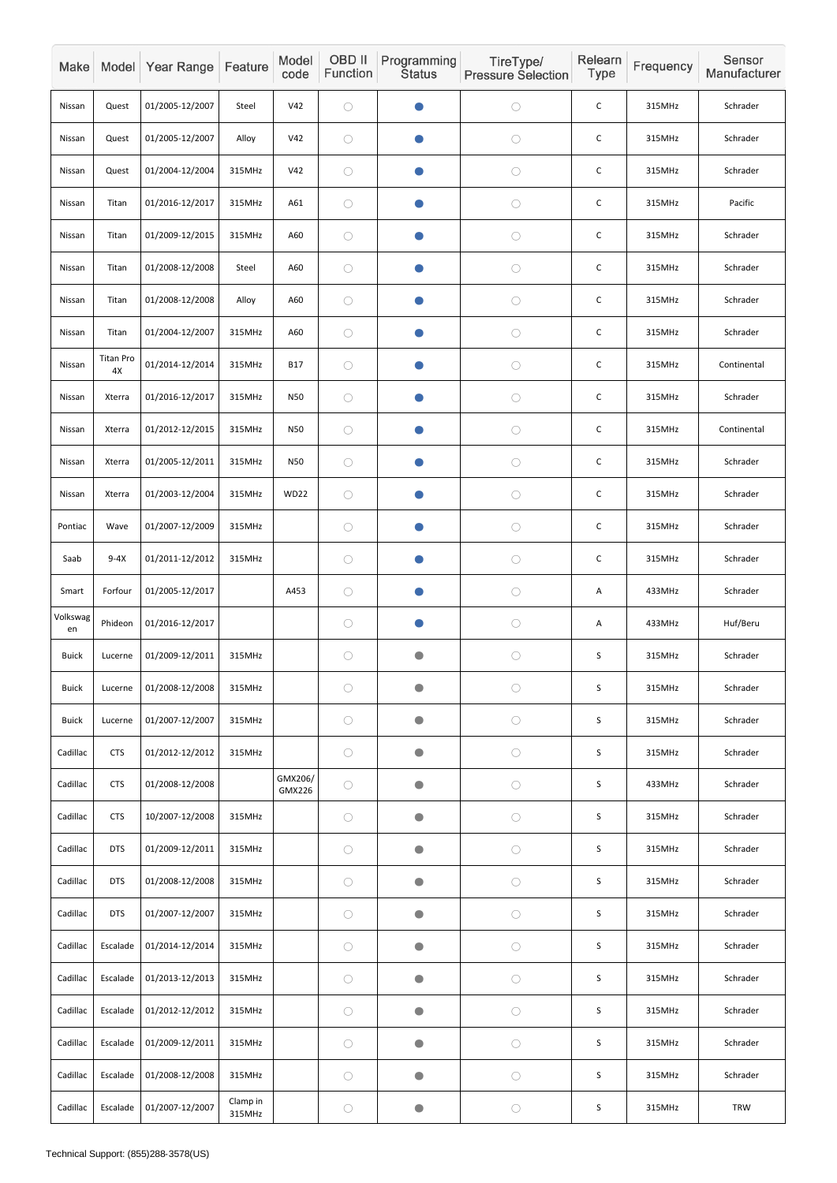| Make           |                        | Model Year Range | Feature            | Model<br>code     | OBD II<br>Function | Programming<br><b>Status</b> | TireType/<br><b>Pressure Selection</b> | Relearn<br><b>Type</b> | Frequency | Sensor<br>Manufacturer |
|----------------|------------------------|------------------|--------------------|-------------------|--------------------|------------------------------|----------------------------------------|------------------------|-----------|------------------------|
| Nissan         | Quest                  | 01/2005-12/2007  | Steel              | V42               | $\bigcirc$         |                              | $\bigcirc$                             | $\mathsf C$            | 315MHz    | Schrader               |
| Nissan         | Quest                  | 01/2005-12/2007  | Alloy              | V42               | $\bigcirc$         |                              | $\bigcirc$                             | $\mathsf{C}$           | 315MHz    | Schrader               |
| Nissan         | Quest                  | 01/2004-12/2004  | 315MHz             | V42               | $\bigcirc$         | $\bullet$                    | $\bigcirc$                             | $\mathsf C$            | 315MHz    | Schrader               |
| Nissan         | Titan                  | 01/2016-12/2017  | 315MHz             | A61               | $\bigcirc$         |                              | $\bigcirc$                             | $\mathsf C$            | 315MHz    | Pacific                |
| Nissan         | Titan                  | 01/2009-12/2015  | 315MHz             | A60               | $\bigcirc$         | $\bullet$                    | $\bigcirc$                             | C                      | 315MHz    | Schrader               |
| Nissan         | Titan                  | 01/2008-12/2008  | Steel              | A60               | $\bigcirc$         | $\bullet$                    | $\bigcirc$                             | $\mathsf C$            | 315MHz    | Schrader               |
| Nissan         | Titan                  | 01/2008-12/2008  | Alloy              | A60               | $\bigcirc$         |                              | $\bigcirc$                             | $\mathsf C$            | 315MHz    | Schrader               |
| Nissan         | Titan                  | 01/2004-12/2007  | 315MHz             | A60               | $\bigcirc$         |                              | $\bigcirc$                             | $\mathsf C$            | 315MHz    | Schrader               |
| Nissan         | <b>Titan Pro</b><br>4X | 01/2014-12/2014  | 315MHz             | <b>B17</b>        | $\bigcirc$         |                              | $\bigcirc$                             | $\mathsf C$            | 315MHz    | Continental            |
| Nissan         | Xterra                 | 01/2016-12/2017  | 315MHz             | N50               | $\bigcirc$         | $\bullet$                    | $\bigcirc$                             | $\mathsf{C}$           | 315MHz    | Schrader               |
| Nissan         | Xterra                 | 01/2012-12/2015  | 315MHz             | N50               | $\bigcirc$         |                              | $\bigcirc$                             | C                      | 315MHz    | Continental            |
| Nissan         | Xterra                 | 01/2005-12/2011  | 315MHz             | N50               | $\bigcirc$         | $\bullet$                    | $\bigcirc$                             | C                      | 315MHz    | Schrader               |
| Nissan         | Xterra                 | 01/2003-12/2004  | 315MHz             | WD22              | $\bigcirc$         |                              | $\bigcirc$                             | $\mathsf C$            | 315MHz    | Schrader               |
| Pontiac        | Wave                   | 01/2007-12/2009  | 315MHz             |                   | $\bigcirc$         |                              | $\bigcirc$                             | $\mathsf C$            | 315MHz    | Schrader               |
| Saab           | $9-4X$                 | 01/2011-12/2012  | 315MHz             |                   | $\bigcirc$         | $\bullet$                    | $\bigcirc$                             | $\mathsf C$            | 315MHz    | Schrader               |
| Smart          | Forfour                | 01/2005-12/2017  |                    | A453              | $\bigcirc$         |                              | $\bigcirc$                             | A                      | 433MHz    | Schrader               |
| Volkswag<br>en | Phideon                | 01/2016-12/2017  |                    |                   | $\bigcirc$         | $\bullet$                    | $\bigcirc$                             | A                      | 433MHz    | Huf/Beru               |
| <b>Buick</b>   | Lucerne                | 01/2009-12/2011  | 315MHz             |                   | $\bigcirc$         | $\bullet$                    | $\bigcirc$                             | S                      | 315MHz    | Schrader               |
| <b>Buick</b>   | Lucerne                | 01/2008-12/2008  | 315MHz             |                   | $\bigcirc$         | $\bullet$                    | $\bigcirc$                             | $\mathsf S$            | 315MHz    | Schrader               |
| <b>Buick</b>   | Lucerne                | 01/2007-12/2007  | 315MHz             |                   | $\bigcirc$         | $\bullet$                    | $\bigcirc$                             | $\sf S$                | 315MHz    | Schrader               |
| Cadillac       | <b>CTS</b>             | 01/2012-12/2012  | 315MHz             |                   | $\bigcirc$         | $\bullet$                    | $\bigcirc$                             | $\mathsf S$            | 315MHz    | Schrader               |
| Cadillac       | <b>CTS</b>             | 01/2008-12/2008  |                    | GMX206/<br>GMX226 | $\bigcirc$         | $\bullet$                    | $\bigcirc$                             | $\mathsf S$            | 433MHz    | Schrader               |
| Cadillac       | <b>CTS</b>             | 10/2007-12/2008  | 315MHz             |                   | $\bigcirc$         | $\bullet$                    | $\bigcirc$                             | $\sf S$                | 315MHz    | Schrader               |
| Cadillac       | <b>DTS</b>             | 01/2009-12/2011  | 315MHz             |                   | $\bigcirc$         | $\bullet$                    | $\bigcirc$                             | $\sf S$                | 315MHz    | Schrader               |
| Cadillac       | <b>DTS</b>             | 01/2008-12/2008  | 315MHz             |                   | $\bigcirc$         | $\bullet$                    | $\bigcirc$                             | $\mathsf S$            | 315MHz    | Schrader               |
| Cadillac       | <b>DTS</b>             | 01/2007-12/2007  | 315MHz             |                   | $\bigcirc$         | $\bullet$                    | $\bigcirc$                             | $\sf S$                | 315MHz    | Schrader               |
| Cadillac       | Escalade               | 01/2014-12/2014  | 315MHz             |                   | $\bigcirc$         | $\bullet$                    | $\bigcirc$                             | $\sf S$                | 315MHz    | Schrader               |
| Cadillac       | Escalade               | 01/2013-12/2013  | 315MHz             |                   | $\bigcirc$         | $\bullet$                    | $\bigcirc$                             | $\sf S$                | 315MHz    | Schrader               |
| Cadillac       | Escalade               | 01/2012-12/2012  | 315MHz             |                   | $\bigcirc$         | $\bigcirc$                   | $\bigcirc$                             | S                      | 315MHz    | Schrader               |
| Cadillac       | Escalade               | 01/2009-12/2011  | 315MHz             |                   | $\bigcirc$         | $\bullet$                    | $\bigcirc$                             | $\sf S$                | 315MHz    | Schrader               |
| Cadillac       | Escalade               | 01/2008-12/2008  | 315MHz             |                   | $\bigcirc$         | $\bullet$                    | $\bigcirc$                             | $\sf S$                | 315MHz    | Schrader               |
| Cadillac       | Escalade               | 01/2007-12/2007  | Clamp in<br>315MHz |                   | $\bigcirc$         | $\bullet$                    | $\bigcirc$                             | $\sf S$                | 315MHz    | <b>TRW</b>             |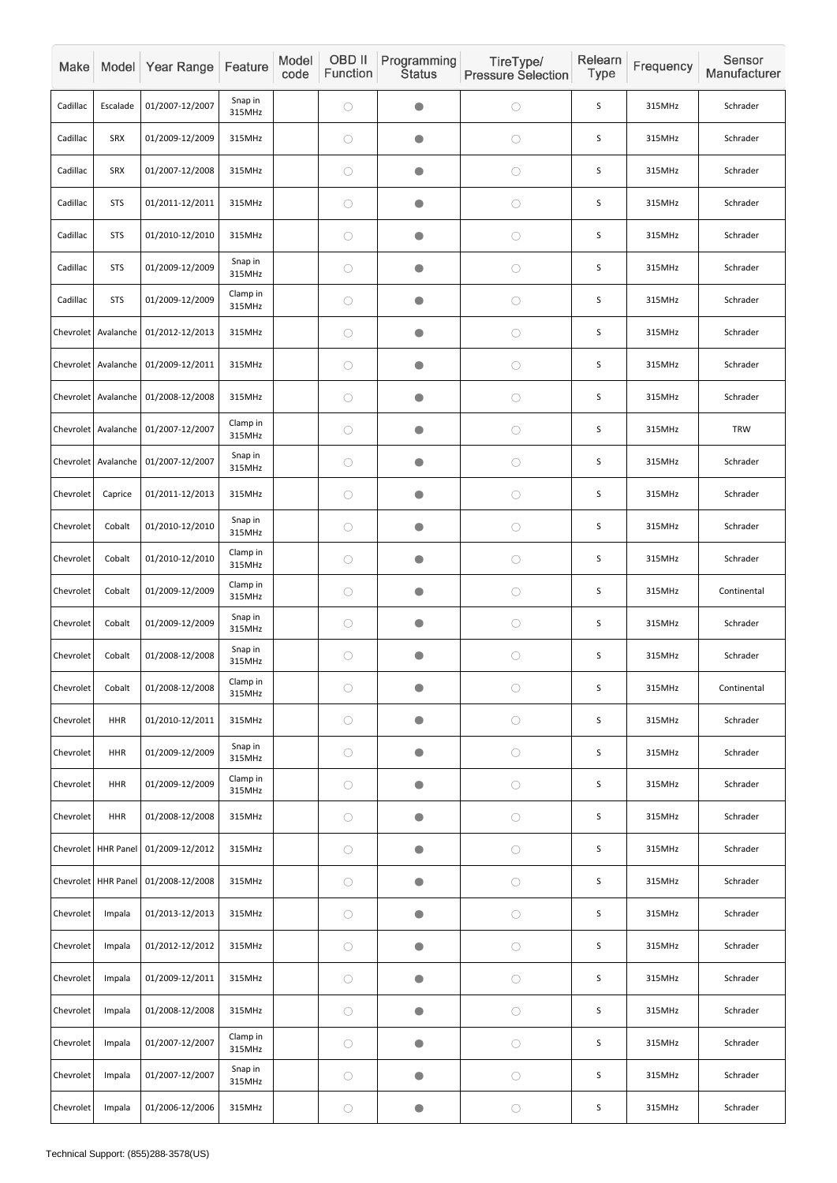| Make      |                       | Model Year Range                        | Feature            | Model<br>code | OBD II<br>Function | Programming<br><b>Status</b> | TireType/<br><b>Pressure Selection</b> | Relearn<br><b>Type</b> | Frequency | Sensor<br>Manufacturer |
|-----------|-----------------------|-----------------------------------------|--------------------|---------------|--------------------|------------------------------|----------------------------------------|------------------------|-----------|------------------------|
| Cadillac  | Escalade              | 01/2007-12/2007                         | Snap in<br>315MHz  |               | $\bigcirc$         | $\blacksquare$               | $\bigcirc$                             | S                      | 315MHz    | Schrader               |
| Cadillac  | <b>SRX</b>            | 01/2009-12/2009                         | 315MHz             |               | $\bigcirc$         | $\bullet$                    | $\bigcirc$                             | S                      | 315MHz    | Schrader               |
| Cadillac  | <b>SRX</b>            | 01/2007-12/2008                         | 315MHz             |               | $\bigcirc$         | $\blacksquare$               | $\bigcirc$                             | S                      | 315MHz    | Schrader               |
| Cadillac  | <b>STS</b>            | 01/2011-12/2011                         | 315MHz             |               | $\bigcirc$         | O                            | $\bigcirc$                             | S                      | 315MHz    | Schrader               |
| Cadillac  | <b>STS</b>            | 01/2010-12/2010                         | 315MHz             |               | $\bigcirc$         | $\bullet$                    | $\bigcirc$                             | S                      | 315MHz    | Schrader               |
| Cadillac  | <b>STS</b>            | 01/2009-12/2009                         | Snap in<br>315MHz  |               | $\bigcirc$         | $\bullet$                    | $\bigcirc$                             | $\mathsf S$            | 315MHz    | Schrader               |
| Cadillac  | <b>STS</b>            | 01/2009-12/2009                         | Clamp in<br>315MHz |               | $\bigcirc$         | O                            | $\bigcirc$                             | S                      | 315MHz    | Schrader               |
|           |                       | Chevrolet   Avalanche   01/2012-12/2013 | 315MHz             |               | $\bigcirc$         | $\blacksquare$               | $\bigcirc$                             | S                      | 315MHz    | Schrader               |
| Chevrolet | Avalanche             | 01/2009-12/2011                         | 315MHz             |               | $\bigcirc$         | $\bullet$                    | $\bigcirc$                             | S                      | 315MHz    | Schrader               |
|           | Chevrolet Avalanche   | 01/2008-12/2008                         | 315MHz             |               | $\bigcirc$         | $\bullet$                    | $\bigcirc$                             | S                      | 315MHz    | Schrader               |
|           |                       | Chevrolet   Avalanche   01/2007-12/2007 | Clamp in<br>315MHz |               | $\bigcirc$         | $\blacksquare$               | $\bigcirc$                             | $\sf S$                | 315MHz    | <b>TRW</b>             |
|           | Chevrolet Avalanche   | 01/2007-12/2007                         | Snap in<br>315MHz  |               | $\bigcirc$         | $\bullet$                    | $\bigcirc$                             | S                      | 315MHz    | Schrader               |
| Chevrolet | Caprice               | 01/2011-12/2013                         | 315MHz             |               | $\bigcirc$         |                              | $\bigcirc$                             | S                      | 315MHz    | Schrader               |
| Chevrolet | Cobalt                | 01/2010-12/2010                         | Snap in<br>315MHz  |               | $\bigcirc$         | $\bullet$                    | $\bigcirc$                             | S                      | 315MHz    | Schrader               |
| Chevrolet | Cobalt                | 01/2010-12/2010                         | Clamp in<br>315MHz |               | $\bigcirc$         | $\bullet$                    | $\bigcirc$                             | $\mathsf S$            | 315MHz    | Schrader               |
| Chevrolet | Cobalt                | 01/2009-12/2009                         | Clamp in<br>315MHz |               | $\bigcirc$         | $\bullet$                    | $\bigcirc$                             | S                      | 315MHz    | Continental            |
| Chevrolet | Cobalt                | 01/2009-12/2009                         | Snap in<br>315MHz  |               | $\bigcirc$         | $\bullet$                    | $\bigcirc$                             | S                      | 315MHz    | Schrader               |
| Chevrolet | Cobalt                | 01/2008-12/2008                         | Snap in<br>315MHz  |               | $\bigcirc$         | $\bullet$                    | $\bigcirc$                             | $\mathsf S$            | 315MHz    | Schrader               |
| Chevrolet | Cobalt                | 01/2008-12/2008                         | Clamp in<br>315MHz |               | $\bigcirc$         | $\bullet$                    | $\bigcirc$                             | S                      | 315MHz    | Continental            |
| Chevrolet | <b>HHR</b>            | 01/2010-12/2011                         | 315MHz             |               | $\bigcirc$         | $\bullet$                    | $\bigcirc$                             | $\sf S$                | 315MHz    | Schrader               |
| Chevrolet | <b>HHR</b>            | 01/2009-12/2009                         | Snap in<br>315MHz  |               | $\bigcirc$         | $\bullet$                    | $\bigcirc$                             | $\mathsf S$            | 315MHz    | Schrader               |
| Chevrolet | <b>HHR</b>            | 01/2009-12/2009                         | Clamp in<br>315MHz |               | $\bigcirc$         | $\bullet$                    | $\bigcirc$                             | S                      | 315MHz    | Schrader               |
| Chevrolet | <b>HHR</b>            | 01/2008-12/2008                         | 315MHz             |               | $\bigcirc$         | $\blacksquare$               | $\bigcirc$                             | S                      | 315MHz    | Schrader               |
|           | Chevrolet   HHR Panel | 01/2009-12/2012                         | 315MHz             |               | $\bigcirc$         | $\bullet$                    | $\bigcirc$                             | S                      | 315MHz    | Schrader               |
|           | Chevrolet   HHR Panel | 01/2008-12/2008                         | 315MHz             |               | $\bigcirc$         | $\bullet$                    | $\bigcirc$                             | $\sf S$                | 315MHz    | Schrader               |
| Chevrolet | Impala                | 01/2013-12/2013                         | 315MHz             |               | $\bigcirc$         | $\bullet$                    | $\bigcirc$                             | S                      | 315MHz    | Schrader               |
| Chevrolet | Impala                | 01/2012-12/2012                         | 315MHz             |               | $\bigcirc$         | $\bullet$                    | $\bigcirc$                             | $\sf S$                | 315MHz    | Schrader               |
| Chevrolet | Impala                | 01/2009-12/2011                         | 315MHz             |               | $\bigcirc$         | $\bullet$                    | $\bigcirc$                             | $\sf S$                | 315MHz    | Schrader               |
| Chevrolet | Impala                | 01/2008-12/2008                         | 315MHz             |               | $\bigcirc$         | $\bullet$                    | $\bigcirc$                             | S                      | 315MHz    | Schrader               |
| Chevrolet | Impala                | 01/2007-12/2007                         | Clamp in<br>315MHz |               | $\bigcirc$         | $\bullet$                    | $\bigcirc$                             | $\sf S$                | 315MHz    | Schrader               |
| Chevrolet | Impala                | 01/2007-12/2007                         | Snap in<br>315MHz  |               | $\bigcirc$         | $\bullet$                    | $\bigcirc$                             | S                      | 315MHz    | Schrader               |
| Chevrolet | Impala                | 01/2006-12/2006                         | 315MHz             |               | $\bigcirc$         | $\bullet$                    | $\bigcirc$                             | S                      | 315MHz    | Schrader               |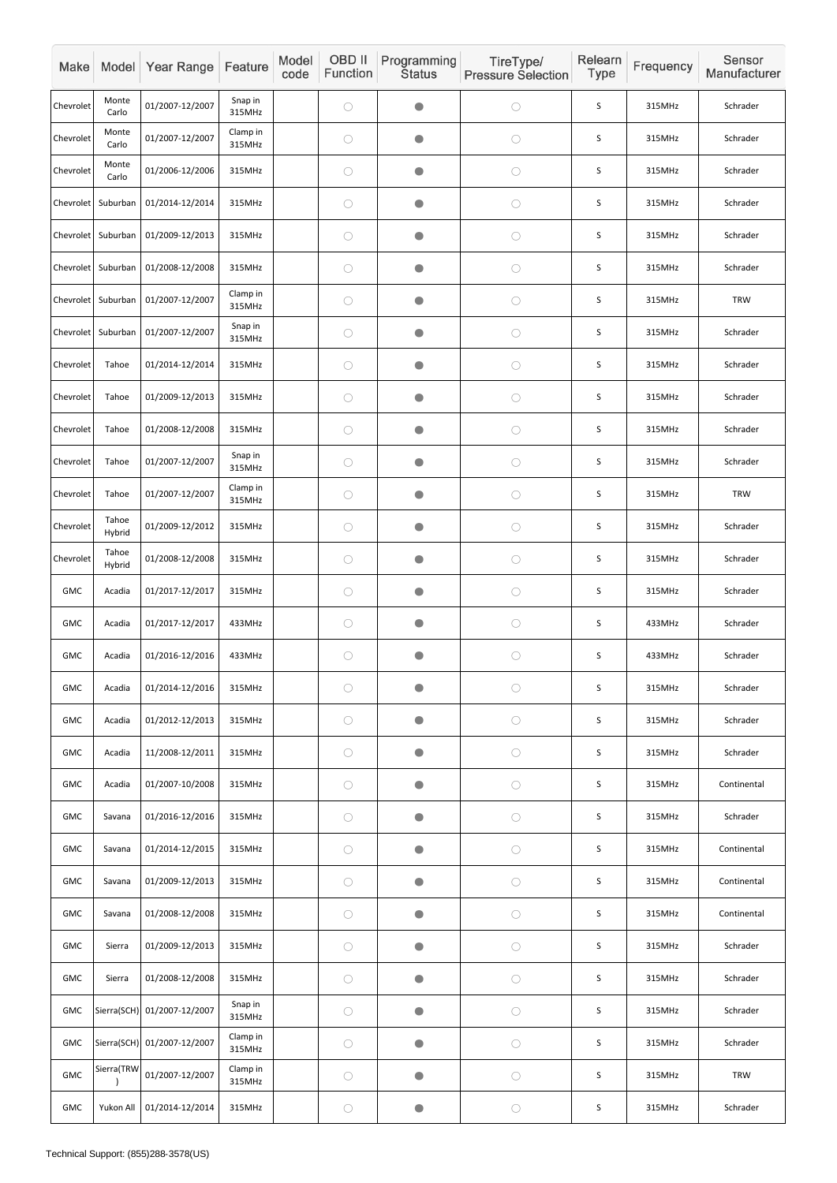| Make       |                 | Model Year Range            | Feature            | Model<br>code | OBD II<br>Function | Programming<br><b>Status</b> | TireType/<br><b>Pressure Selection</b> | Relearn<br>Type | Frequency | Sensor<br>Manufacturer |
|------------|-----------------|-----------------------------|--------------------|---------------|--------------------|------------------------------|----------------------------------------|-----------------|-----------|------------------------|
| Chevrolet  | Monte<br>Carlo  | 01/2007-12/2007             | Snap in<br>315MHz  |               | $\bigcirc$         | $\bullet$                    | $\bigcirc$                             | S               | 315MHz    | Schrader               |
| Chevrolet  | Monte<br>Carlo  | 01/2007-12/2007             | Clamp in<br>315MHz |               | $\bigcirc$         | $\bullet$                    | $\bigcirc$                             | $\mathsf S$     | 315MHz    | Schrader               |
| Chevrolet  | Monte<br>Carlo  | 01/2006-12/2006             | 315MHz             |               | $\bigcirc$         | $\bullet$                    | $\bigcirc$                             | S               | 315MHz    | Schrader               |
| Chevrolet  | Suburban        | 01/2014-12/2014             | 315MHz             |               | $\bigcirc$         | $\bullet$                    | $\bigcirc$                             | S               | 315MHz    | Schrader               |
| Chevrolet  | Suburban        | 01/2009-12/2013             | 315MHz             |               | $\bigcirc$         | $\bullet$                    | $\bigcirc$                             | $\sf S$         | 315MHz    | Schrader               |
| Chevrolet  | Suburban        | 01/2008-12/2008             | 315MHz             |               | $\bigcirc$         | $\bullet$                    | $\bigcirc$                             | S               | 315MHz    | Schrader               |
| Chevrolet  | Suburban        | 01/2007-12/2007             | Clamp in<br>315MHz |               | $\bigcirc$         | $\bullet$                    | $\bigcirc$                             | S               | 315MHz    | <b>TRW</b>             |
| Chevrolet  | Suburban        | 01/2007-12/2007             | Snap in<br>315MHz  |               | $\bigcirc$         | $\bullet$                    | $\bigcirc$                             | $\sf S$         | 315MHz    | Schrader               |
| Chevrolet  | Tahoe           | 01/2014-12/2014             | 315MHz             |               | $\bigcirc$         | $\bullet$                    | $\bigcirc$                             | S               | 315MHz    | Schrader               |
| Chevrolet  | Tahoe           | 01/2009-12/2013             | 315MHz             |               | $\bigcirc$         | $\bullet$                    | $\bigcirc$                             | S               | 315MHz    | Schrader               |
| Chevrolet  | Tahoe           | 01/2008-12/2008             | 315MHz             |               | $\bigcirc$         | $\bullet$                    | $\bigcirc$                             | S               | 315MHz    | Schrader               |
| Chevrolet  | Tahoe           | 01/2007-12/2007             | Snap in<br>315MHz  |               | $\bigcirc$         | $\bullet$                    | $\bigcirc$                             | $\mathsf S$     | 315MHz    | Schrader               |
| Chevrolet  | Tahoe           | 01/2007-12/2007             | Clamp in<br>315MHz |               | $\bigcirc$         | $\bullet$                    | $\bigcirc$                             | $\sf S$         | 315MHz    | <b>TRW</b>             |
| Chevrolet  | Tahoe<br>Hybrid | 01/2009-12/2012             | 315MHz             |               | $\bigcirc$         | $\bigcirc$                   | $\bigcirc$                             | S               | 315MHz    | Schrader               |
| Chevrolet  | Tahoe<br>Hybrid | 01/2008-12/2008             | 315MHz             |               | $\bigcirc$         | $\bullet$                    | $\bigcirc$                             | $\mathsf S$     | 315MHz    | Schrader               |
| GMC        | Acadia          | 01/2017-12/2017             | 315MHz             |               | $\bigcirc$         | $\bullet$                    | $\bigcirc$                             | S               | 315MHz    | Schrader               |
| GMC        | Acadia          | 01/2017-12/2017             | 433MHz             |               | $\bigcirc$         | $\bullet$                    | $\bigcirc$                             | $\mathsf S$     | 433MHz    | Schrader               |
| GMC        | Acadia          | 01/2016-12/2016             | 433MHz             |               | $\bigcirc$         | $\bullet$                    | $\bigcirc$                             | $\mathsf S$     | 433MHz    | Schrader               |
| GMC        | Acadia          | 01/2014-12/2016             | 315MHz             |               | $\bigcirc$         | $\bigcirc$                   | $\bigcirc$                             | S               | 315MHz    | Schrader               |
| <b>GMC</b> | Acadia          | 01/2012-12/2013             | 315MHz             |               | $\bigcirc$         | $\bigcirc$                   | $\bigcirc$                             | $\mathsf S$     | 315MHz    | Schrader               |
| GMC        | Acadia          | 11/2008-12/2011             | 315MHz             |               | $\bigcirc$         | $\bullet$                    | $\bigcirc$                             | $\mathsf S$     | 315MHz    | Schrader               |
| <b>GMC</b> | Acadia          | 01/2007-10/2008             | 315MHz             |               | $\bigcirc$         | $\bullet$                    | $\bigcirc$                             | S               | 315MHz    | Continental            |
| <b>GMC</b> | Savana          | 01/2016-12/2016             | 315MHz             |               | $\bigcirc$         | $\bullet$                    | $\bigcirc$                             | $\mathsf S$     | 315MHz    | Schrader               |
| <b>GMC</b> | Savana          | 01/2014-12/2015             | 315MHz             |               | $\bigcirc$         | $\bullet$                    | $\bigcirc$                             | $\mathsf S$     | 315MHz    | Continental            |
| GMC        | Savana          | 01/2009-12/2013             | 315MHz             |               | $\bigcirc$         | $\bullet$                    | $\bigcirc$                             | $\mathsf S$     | 315MHz    | Continental            |
| GMC        | Savana          | 01/2008-12/2008             | 315MHz             |               | $\bigcirc$         | $\bigcirc$                   | $\bigcirc$                             | S               | 315MHz    | Continental            |
| GMC        | Sierra          | 01/2009-12/2013             | 315MHz             |               | $\bigcirc$         | $\bullet$                    | $\bigcirc$                             | $\sf S$         | 315MHz    | Schrader               |
| <b>GMC</b> | Sierra          | 01/2008-12/2008             | 315MHz             |               | $\bigcirc$         | $\bullet$                    | $\bigcirc$                             | $\mathsf S$     | 315MHz    | Schrader               |
| GMC        |                 | Sierra(SCH) 01/2007-12/2007 | Snap in<br>315MHz  |               | $\bigcirc$         | $\bullet$                    | $\bigcirc$                             | $\mathsf S$     | 315MHz    | Schrader               |
| GMC        |                 | Sierra(SCH) 01/2007-12/2007 | Clamp in<br>315MHz |               | $\bigcirc$         | $\bullet$                    | $\bigcirc$                             | $\mathsf S$     | 315MHz    | Schrader               |
| GMC        | Sierra(TRW      | 01/2007-12/2007             | Clamp in<br>315MHz |               | $\bigcirc$         | $\bullet$                    | $\bigcirc$                             | $\mathsf S$     | 315MHz    | TRW                    |
| <b>GMC</b> | Yukon All       | 01/2014-12/2014             | 315MHz             |               | $\bigcirc$         | $\bullet$                    | $\bigcirc$                             | $\mathsf S$     | 315MHz    | Schrader               |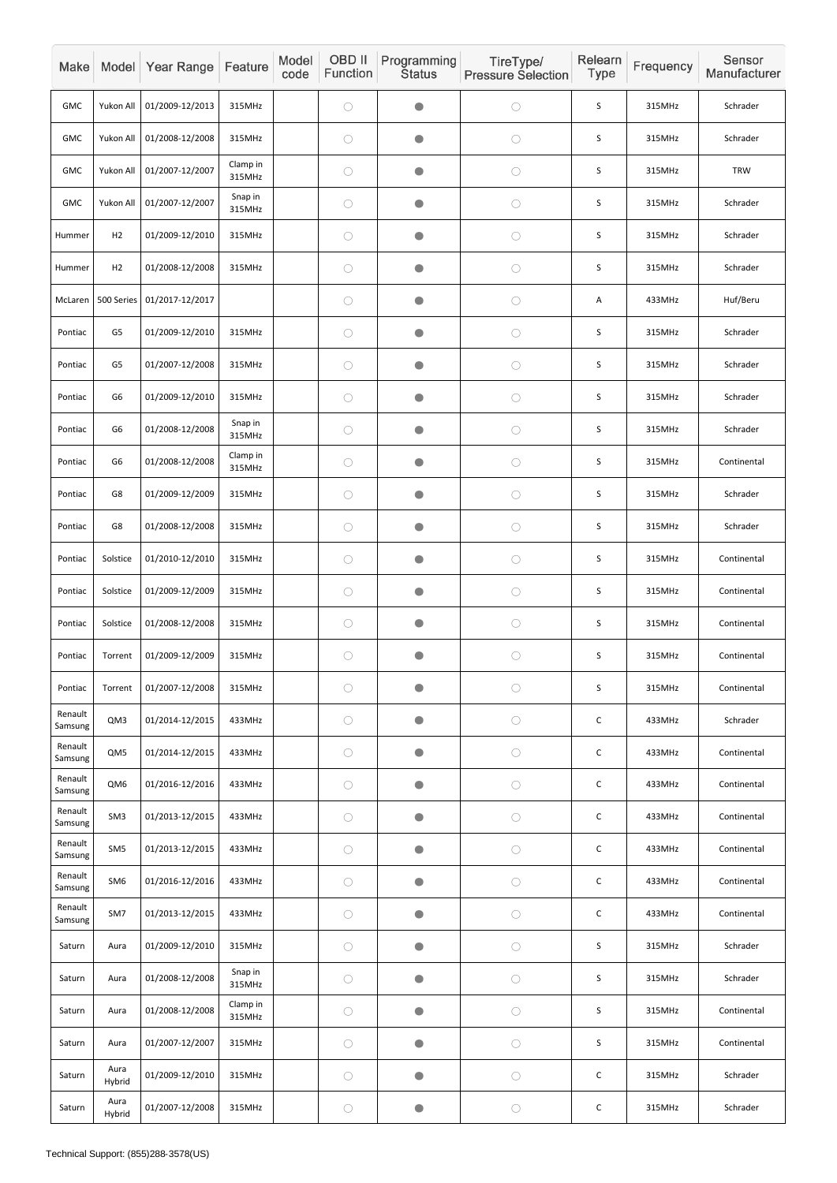| Make               |                 | Model Year Range | Feature            | Model<br>code | OBD II<br>Function | Programming<br><b>Status</b> | TireType/<br><b>Pressure Selection</b> | Relearn<br>Type | Frequency | Sensor<br>Manufacturer |
|--------------------|-----------------|------------------|--------------------|---------------|--------------------|------------------------------|----------------------------------------|-----------------|-----------|------------------------|
| <b>GMC</b>         | Yukon All       | 01/2009-12/2013  | 315MHz             |               | $\bigcirc$         | $\bullet$                    | $\bigcirc$                             | S               | 315MHz    | Schrader               |
| <b>GMC</b>         | Yukon All       | 01/2008-12/2008  | 315MHz             |               | $\bigcirc$         | $\bullet$                    | $\bigcirc$                             | S               | 315MHz    | Schrader               |
| <b>GMC</b>         | Yukon All       | 01/2007-12/2007  | Clamp in<br>315MHz |               | $\bigcirc$         | $\bullet$                    | $\bigcirc$                             | $\sf S$         | 315MHz    | <b>TRW</b>             |
| <b>GMC</b>         | Yukon All       | 01/2007-12/2007  | Snap in<br>315MHz  |               | $\bigcirc$         | $\bullet$                    | $\bigcirc$                             | $\mathsf S$     | 315MHz    | Schrader               |
| Hummer             | H <sub>2</sub>  | 01/2009-12/2010  | 315MHz             |               | $\bigcirc$         | $\bullet$                    | $\bigcirc$                             | S               | 315MHz    | Schrader               |
| Hummer             | H <sub>2</sub>  | 01/2008-12/2008  | 315MHz             |               | $\bigcirc$         | $\bullet$                    | $\bigcirc$                             | $\mathsf S$     | 315MHz    | Schrader               |
| McLaren            | 500 Series      | 01/2017-12/2017  |                    |               | $\bigcirc$         | $\bullet$                    | $\bigcirc$                             | Α               | 433MHz    | Huf/Beru               |
| Pontiac            | G <sub>5</sub>  | 01/2009-12/2010  | 315MHz             |               | $\bigcirc$         | $\bullet$                    | $\bigcirc$                             | S               | 315MHz    | Schrader               |
| Pontiac            | G <sub>5</sub>  | 01/2007-12/2008  | 315MHz             |               | $\bigcirc$         | $\bullet$                    | $\bigcirc$                             | S               | 315MHz    | Schrader               |
| Pontiac            | G <sub>6</sub>  | 01/2009-12/2010  | 315MHz             |               | $\bigcirc$         | $\bullet$                    | $\bigcirc$                             | S               | 315MHz    | Schrader               |
| Pontiac            | G6              | 01/2008-12/2008  | Snap in<br>315MHz  |               | $\bigcirc$         | $\bullet$                    | $\bigcirc$                             | S               | 315MHz    | Schrader               |
| Pontiac            | G6              | 01/2008-12/2008  | Clamp in<br>315MHz |               | $\bigcirc$         | $\bullet$                    | $\bigcirc$                             | S               | 315MHz    | Continental            |
| Pontiac            | G8              | 01/2009-12/2009  | 315MHz             |               | $\bigcirc$         | $\bullet$                    | $\bigcirc$                             | $\sf S$         | 315MHz    | Schrader               |
| Pontiac            | G8              | 01/2008-12/2008  | 315MHz             |               | $\bigcirc$         | $\bigcirc$                   | $\bigcirc$                             | $\mathsf S$     | 315MHz    | Schrader               |
| Pontiac            | Solstice        | 01/2010-12/2010  | 315MHz             |               | $\bigcirc$         | $\bullet$                    | $\bigcirc$                             | S               | 315MHz    | Continental            |
| Pontiac            | Solstice        | 01/2009-12/2009  | 315MHz             |               | $\bigcirc$         | $\bullet$                    | $\bigcirc$                             | $\sf S$         | 315MHz    | Continental            |
| Pontiac            | Solstice        | 01/2008-12/2008  | 315MHz             |               | $\bigcirc$         | $\bullet$                    | $\bigcirc$                             | $\sf S$         | 315MHz    | Continental            |
| Pontiac            | Torrent         | 01/2009-12/2009  | 315MHz             |               | $\bigcirc$         | $\bullet$                    | $\bigcirc$                             | S               | 315MHz    | Continental            |
| Pontiac            | Torrent         | 01/2007-12/2008  | 315MHz             |               | $\bigcirc$         | $\bigcirc$                   | $\bigcirc$                             | $\sf S$         | 315MHz    | Continental            |
| Renault<br>Samsung | QM3             | 01/2014-12/2015  | 433MHz             |               | $\bigcirc$         | $\bullet$                    | $\bigcirc$                             | $\mathsf C$     | 433MHz    | Schrader               |
| Renault<br>Samsung | QM5             | 01/2014-12/2015  | 433MHz             |               | $\bigcirc$         | $\bullet$                    | $\bigcirc$                             | $\mathsf C$     | 433MHz    | Continental            |
| Renault<br>Samsung | QM6             | 01/2016-12/2016  | 433MHz             |               | $\bigcirc$         | $\bullet$                    | $\bigcirc$                             | $\mathsf{C}$    | 433MHz    | Continental            |
| Renault<br>Samsung | SM <sub>3</sub> | 01/2013-12/2015  | 433MHz             |               | $\bigcirc$         | $\bullet$                    | $\bigcirc$                             | $\mathsf C$     | 433MHz    | Continental            |
| Renault<br>Samsung | SM <sub>5</sub> | 01/2013-12/2015  | 433MHz             |               | $\bigcirc$         | $\bullet$                    | $\bigcirc$                             | $\mathsf C$     | 433MHz    | Continental            |
| Renault<br>Samsung | SM <sub>6</sub> | 01/2016-12/2016  | 433MHz             |               | $\bigcirc$         | $\bullet$                    | $\bigcirc$                             | $\mathsf C$     | 433MHz    | Continental            |
| Renault<br>Samsung | SM7             | 01/2013-12/2015  | 433MHz             |               | $\bigcirc$         | $\bullet$                    | $\bigcirc$                             | $\mathsf C$     | 433MHz    | Continental            |
| Saturn             | Aura            | 01/2009-12/2010  | 315MHz             |               | $\bigcirc$         | $\bullet$                    | $\bigcirc$                             | $\mathsf S$     | 315MHz    | Schrader               |
| Saturn             | Aura            | 01/2008-12/2008  | Snap in<br>315MHz  |               | $\bigcirc$         | $\bullet$                    | $\bigcirc$                             | $\sf S$         | 315MHz    | Schrader               |
| Saturn             | Aura            | 01/2008-12/2008  | Clamp in<br>315MHz |               | $\bigcirc$         | $\bullet$                    | $\bigcirc$                             | $\mathsf S$     | 315MHz    | Continental            |
| Saturn             | Aura            | 01/2007-12/2007  | 315MHz             |               | $\bigcirc$         | $\bullet$                    | $\bigcirc$                             | $\mathsf S$     | 315MHz    | Continental            |
| Saturn             | Aura<br>Hybrid  | 01/2009-12/2010  | 315MHz             |               | $\bigcirc$         | $\bullet$                    | $\bigcirc$                             | $\mathsf C$     | 315MHz    | Schrader               |
| Saturn             | Aura<br>Hybrid  | 01/2007-12/2008  | 315MHz             |               | $\bigcirc$         | $\bullet$                    | $\bigcirc$                             | ${\mathsf C}$   | 315MHz    | Schrader               |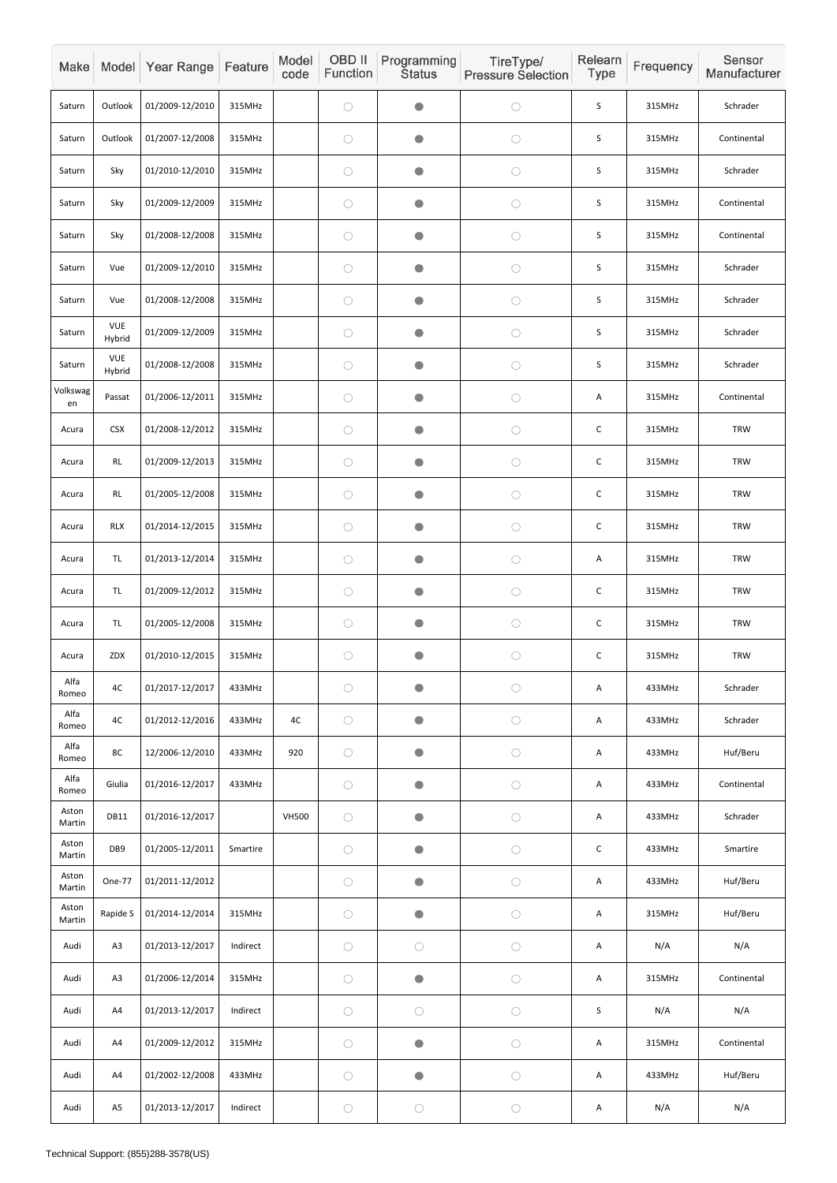| Make            |                      | Model Year Range | Feature  | Model<br>code | OBD II<br>Function | Programming<br><b>Status</b> | TireType/<br><b>Pressure Selection</b> | Relearn<br><b>Type</b> | Frequency | Sensor<br>Manufacturer |
|-----------------|----------------------|------------------|----------|---------------|--------------------|------------------------------|----------------------------------------|------------------------|-----------|------------------------|
| Saturn          | Outlook              | 01/2009-12/2010  | 315MHz   |               | $\bigcirc$         | $\bullet$                    | $\bigcirc$                             | $\mathsf S$            | 315MHz    | Schrader               |
| Saturn          | Outlook              | 01/2007-12/2008  | 315MHz   |               | $\bigcirc$         | $\bullet$                    | $\bigcirc$                             | S                      | 315MHz    | Continental            |
| Saturn          | Sky                  | 01/2010-12/2010  | 315MHz   |               | $\bigcirc$         | $\bullet$                    | $\bigcirc$                             | S                      | 315MHz    | Schrader               |
| Saturn          | Sky                  | 01/2009-12/2009  | 315MHz   |               | $\bigcirc$         | $\bullet$                    | $\bigcirc$                             | $\sf S$                | 315MHz    | Continental            |
| Saturn          | Sky                  | 01/2008-12/2008  | 315MHz   |               | $\bigcirc$         | $\bullet$                    | $\bigcirc$                             | S                      | 315MHz    | Continental            |
| Saturn          | Vue                  | 01/2009-12/2010  | 315MHz   |               | $\bigcirc$         | $\bullet$                    | $\bigcirc$                             | $\mathsf S$            | 315MHz    | Schrader               |
| Saturn          | Vue                  | 01/2008-12/2008  | 315MHz   |               | $\bigcirc$         | $\bullet$                    | $\bigcirc$                             | $\sf S$                | 315MHz    | Schrader               |
| Saturn          | <b>VUE</b><br>Hybrid | 01/2009-12/2009  | 315MHz   |               | $\bigcirc$         | $\bullet$                    | $\bigcirc$                             | S                      | 315MHz    | Schrader               |
| Saturn          | <b>VUE</b><br>Hybrid | 01/2008-12/2008  | 315MHz   |               | $\bigcirc$         | $\bullet$                    | $\bigcirc$                             | $\sf S$                | 315MHz    | Schrader               |
| Volkswag<br>en  | Passat               | 01/2006-12/2011  | 315MHz   |               | $\bigcirc$         | $\bullet$                    | $\bigcirc$                             | A                      | 315MHz    | Continental            |
| Acura           | <b>CSX</b>           | 01/2008-12/2012  | 315MHz   |               | $\bigcirc$         | $\bullet$                    | $\bigcirc$                             | $\mathsf C$            | 315MHz    | <b>TRW</b>             |
| Acura           | <b>RL</b>            | 01/2009-12/2013  | 315MHz   |               | $\bigcirc$         | $\bullet$                    | $\bigcirc$                             | $\mathsf C$            | 315MHz    | <b>TRW</b>             |
| Acura           | RL                   | 01/2005-12/2008  | 315MHz   |               | $\bigcirc$         | $\bullet$                    | $\bigcirc$                             | $\mathsf C$            | 315MHz    | <b>TRW</b>             |
| Acura           | <b>RLX</b>           | 01/2014-12/2015  | 315MHz   |               | $\bigcirc$         | $\bullet$                    | $\bigcirc$                             | $\mathsf C$            | 315MHz    | <b>TRW</b>             |
| Acura           | TL.                  | 01/2013-12/2014  | 315MHz   |               | $\bigcirc$         | $\bullet$                    | $\bigcirc$                             | A                      | 315MHz    | <b>TRW</b>             |
| Acura           | TL.                  | 01/2009-12/2012  | 315MHz   |               | $\bigcirc$         | $\bullet$                    | $\bigcirc$                             | $\mathsf C$            | 315MHz    | <b>TRW</b>             |
| Acura           | TL.                  | 01/2005-12/2008  | 315MHz   |               | $\bigcirc$         | $\bullet$                    | $\bigcirc$                             | $\mathsf C$            | 315MHz    | <b>TRW</b>             |
| Acura           | ZDX                  | 01/2010-12/2015  | 315MHz   |               | $\bigcirc$         | $\bullet$                    | $\bigcirc$                             | $\mathsf C$            | 315MHz    | <b>TRW</b>             |
| Alfa<br>Romeo   | 4C                   | 01/2017-12/2017  | 433MHz   |               | $\bigcirc$         | $\bullet$                    | $\bigcirc$                             | A                      | 433MHz    | Schrader               |
| Alfa<br>Romeo   | 4C                   | 01/2012-12/2016  | 433MHz   | 4C            | $\bigcirc$         | $\bullet$                    | $\bigcirc$                             | A                      | 433MHz    | Schrader               |
| Alfa<br>Romeo   | 8C                   | 12/2006-12/2010  | 433MHz   | 920           | $\bigcirc$         | $\bullet$                    | $\bigcirc$                             | A                      | 433MHz    | Huf/Beru               |
| Alfa<br>Romeo   | Giulia               | 01/2016-12/2017  | 433MHz   |               | $\bigcirc$         | $\bullet$                    | $\bigcirc$                             | A                      | 433MHz    | Continental            |
| Aston<br>Martin | <b>DB11</b>          | 01/2016-12/2017  |          | <b>VH500</b>  | $\bigcirc$         | $\bullet$                    | $\bigcirc$                             | Α                      | 433MHz    | Schrader               |
| Aston<br>Martin | DB9                  | 01/2005-12/2011  | Smartire |               | $\bigcirc$         | $\bullet$                    | $\bigcirc$                             | $\mathsf C$            | 433MHz    | Smartire               |
| Aston<br>Martin | One-77               | 01/2011-12/2012  |          |               | $\bigcirc$         | $\bullet$                    | $\bigcirc$                             | A                      | 433MHz    | Huf/Beru               |
| Aston<br>Martin | Rapide S             | 01/2014-12/2014  | 315MHz   |               | $\bigcirc$         | $\bullet$                    | $\bigcirc$                             | A                      | 315MHz    | Huf/Beru               |
| Audi            | A3                   | 01/2013-12/2017  | Indirect |               | $\bigcirc$         | $\bigcirc$                   | $\bigcirc$                             | $\mathsf{A}$           | N/A       | N/A                    |
| Audi            | A <sub>3</sub>       | 01/2006-12/2014  | 315MHz   |               | $\bigcirc$         | $\bigcirc$                   | $\bigcirc$                             | Α                      | 315MHz    | Continental            |
| Audi            | A4                   | 01/2013-12/2017  | Indirect |               | $\bigcirc$         | $\bigcirc$                   | $\bigcirc$                             | $\sf S$                | N/A       | N/A                    |
| Audi            | A4                   | 01/2009-12/2012  | 315MHz   |               | $\bigcirc$         | $\bullet$                    | $\bigcirc$                             | Α                      | 315MHz    | Continental            |
| Audi            | A4                   | 01/2002-12/2008  | 433MHz   |               | $\bigcirc$         | $\bullet$                    | $\bigcirc$                             | Α                      | 433MHz    | Huf/Beru               |
| Audi            | A <sub>5</sub>       | 01/2013-12/2017  | Indirect |               | $\bigcirc$         | $\bigcirc$                   | $\bigcirc$                             | A                      | N/A       | N/A                    |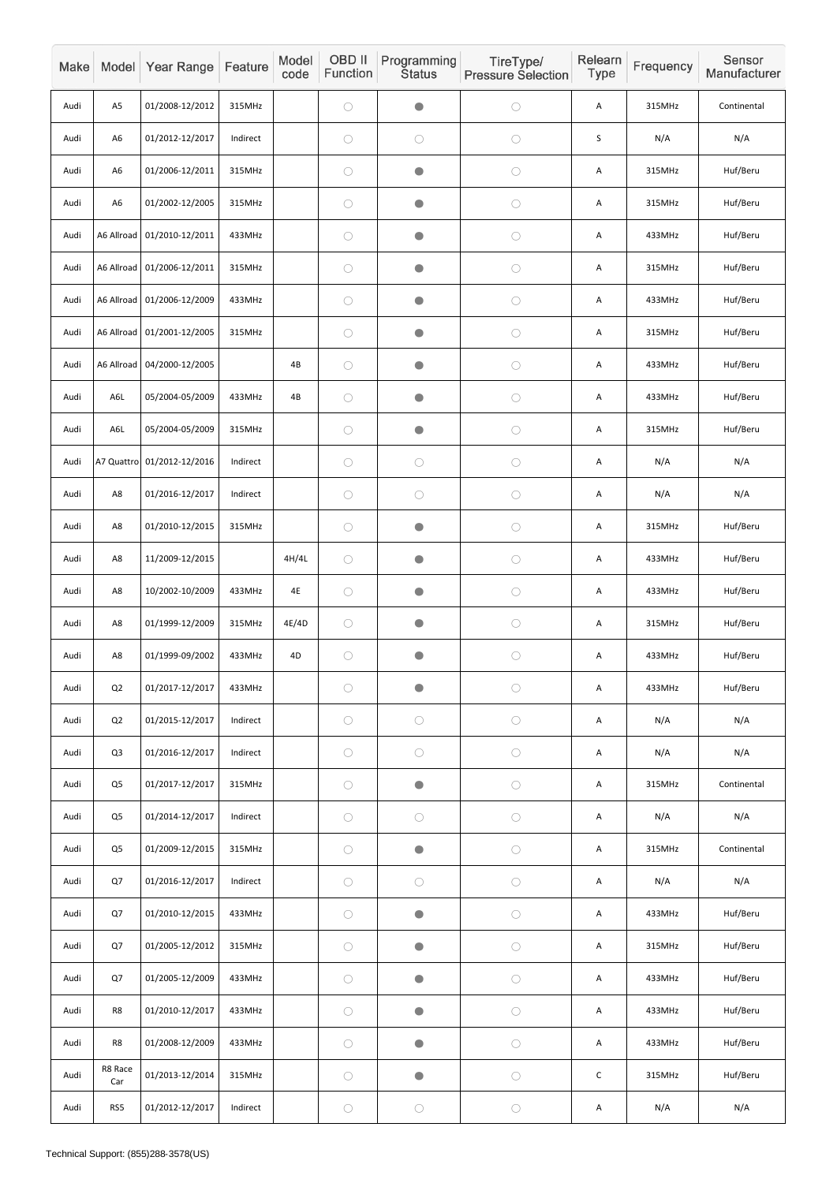| Make |                | Model Year Range           | Feature  | Model<br>code | OBD II<br>Function | Programming<br><b>Status</b> | TireType/<br><b>Pressure Selection</b> | Relearn<br>Type | Frequency | Sensor<br>Manufacturer |
|------|----------------|----------------------------|----------|---------------|--------------------|------------------------------|----------------------------------------|-----------------|-----------|------------------------|
| Audi | A <sub>5</sub> | 01/2008-12/2012            | 315MHz   |               | $\bigcirc$         | $\bullet$                    | $\bigcirc$                             | Α               | 315MHz    | Continental            |
| Audi | A <sub>6</sub> | 01/2012-12/2017            | Indirect |               | $\bigcirc$         | $\bigcirc$                   | $\bigcirc$                             | $\sf S$         | N/A       | N/A                    |
| Audi | A <sub>6</sub> | 01/2006-12/2011            | 315MHz   |               | $\bigcirc$         | $\bullet$                    | $\bigcirc$                             | A               | 315MHz    | Huf/Beru               |
| Audi | A <sub>6</sub> | 01/2002-12/2005            | 315MHz   |               | $\bigcirc$         | $\bullet$                    | $\bigcirc$                             | A               | 315MHz    | Huf/Beru               |
| Audi | A6 Allroad     | 01/2010-12/2011            | 433MHz   |               | $\bigcirc$         | $\bullet$                    | $\bigcirc$                             | A               | 433MHz    | Huf/Beru               |
| Audi | A6 Allroad     | 01/2006-12/2011            | 315MHz   |               | $\bigcirc$         | $\bullet$                    | $\bigcirc$                             | A               | 315MHz    | Huf/Beru               |
| Audi | A6 Allroad     | 01/2006-12/2009            | 433MHz   |               | $\bigcirc$         | $\bullet$                    | $\bigcirc$                             | Α               | 433MHz    | Huf/Beru               |
| Audi |                | A6 Allroad 01/2001-12/2005 | 315MHz   |               | $\bigcirc$         | $\bullet$                    | $\bigcirc$                             | Α               | 315MHz    | Huf/Beru               |
| Audi | A6 Allroad     | 04/2000-12/2005            |          | 4B            | $\bigcirc$         | $\bullet$                    | $\bigcirc$                             | A               | 433MHz    | Huf/Beru               |
| Audi | A6L            | 05/2004-05/2009            | 433MHz   | 4B            | $\bigcirc$         | $\bullet$                    | $\bigcirc$                             | A               | 433MHz    | Huf/Beru               |
| Audi | A6L            | 05/2004-05/2009            | 315MHz   |               | $\bigcirc$         | $\bullet$                    | $\bigcirc$                             | A               | 315MHz    | Huf/Beru               |
| Audi |                | A7 Quattro 01/2012-12/2016 | Indirect |               | $\bigcirc$         | $\bigcirc$                   | $\bigcirc$                             | A               | N/A       | N/A                    |
| Audi | A8             | 01/2016-12/2017            | Indirect |               | $\bigcirc$         | $\bigcirc$                   | $\bigcirc$                             | $\mathsf A$     | N/A       | N/A                    |
| Audi | A8             | 01/2010-12/2015            | 315MHz   |               | $\bigcirc$         | $\bullet$                    | $\bigcirc$                             | A               | 315MHz    | Huf/Beru               |
| Audi | A8             | 11/2009-12/2015            |          | 4H/4L         | $\bigcirc$         | $\bullet$                    | $\bigcirc$                             | A               | 433MHz    | Huf/Beru               |
| Audi | A8             | 10/2002-10/2009            | 433MHz   | 4E            | $\bigcirc$         | $\bullet$                    | $\bigcirc$                             | A               | 433MHz    | Huf/Beru               |
| Audi | A8             | 01/1999-12/2009            | 315MHz   | 4E/4D         | $\bigcirc$         | $\bigcirc$                   | $\bigcirc$                             | A               | 315MHz    | Huf/Beru               |
| Audi | A8             | 01/1999-09/2002            | 433MHz   | 4D            | $\bigcirc$         | $\bullet$                    | $\bigcirc$                             | A               | 433MHz    | Huf/Beru               |
| Audi | Q2             | 01/2017-12/2017            | 433MHz   |               | $\bigcirc$         | $\bullet$                    | $\bigcirc$                             | A               | 433MHz    | Huf/Beru               |
| Audi | Q2             | 01/2015-12/2017            | Indirect |               | $\bigcirc$         | $\bigcirc$                   | $\bigcirc$                             | A               | N/A       | N/A                    |
| Audi | Q <sub>3</sub> | 01/2016-12/2017            | Indirect |               | $\bigcirc$         | $\bigcirc$                   | $\bigcirc$                             | A               | N/A       | N/A                    |
| Audi | Q <sub>5</sub> | 01/2017-12/2017            | 315MHz   |               | $\bigcirc$         | $\bullet$                    | $\bigcirc$                             | A               | 315MHz    | Continental            |
| Audi | Q <sub>5</sub> | 01/2014-12/2017            | Indirect |               | $\bigcirc$         | $\bigcirc$                   | $\bigcirc$                             | Α               | N/A       | N/A                    |
| Audi | Q <sub>5</sub> | 01/2009-12/2015            | 315MHz   |               | $\bigcirc$         | $\bigcirc$                   | $\bigcirc$                             | A               | 315MHz    | Continental            |
| Audi | Q7             | 01/2016-12/2017            | Indirect |               | $\bigcirc$         | $\bigcirc$                   | $\bigcirc$                             | A               | N/A       | N/A                    |
| Audi | Q7             | 01/2010-12/2015            | 433MHz   |               | $\bigcirc$         | $\bullet$                    | $\bigcirc$                             | A               | 433MHz    | Huf/Beru               |
| Audi | Q7             | 01/2005-12/2012            | 315MHz   |               | $\bigcirc$         | $\bullet$                    | $\bigcirc$                             | A               | 315MHz    | Huf/Beru               |
| Audi | Q7             | 01/2005-12/2009            | 433MHz   |               | $\bigcirc$         | $\bullet$                    | $\bigcirc$                             | A               | 433MHz    | Huf/Beru               |
| Audi | R8             | 01/2010-12/2017            | 433MHz   |               | $\bigcirc$         | $\bullet$                    | $\bigcirc$                             | Α               | 433MHz    | Huf/Beru               |
| Audi | R8             | 01/2008-12/2009            | 433MHz   |               | $\bigcirc$         | $\bullet$                    | $\bigcirc$                             | A               | 433MHz    | Huf/Beru               |
| Audi | R8 Race<br>Car | 01/2013-12/2014            | 315MHz   |               | $\bigcirc$         | $\bullet$                    | $\bigcirc$                             | $\mathsf C$     | 315MHz    | Huf/Beru               |
| Audi | RS5            | 01/2012-12/2017            | Indirect |               | $\bigcirc$         | $\bigcirc$                   | $\bigcirc$                             | Α               | N/A       | N/A                    |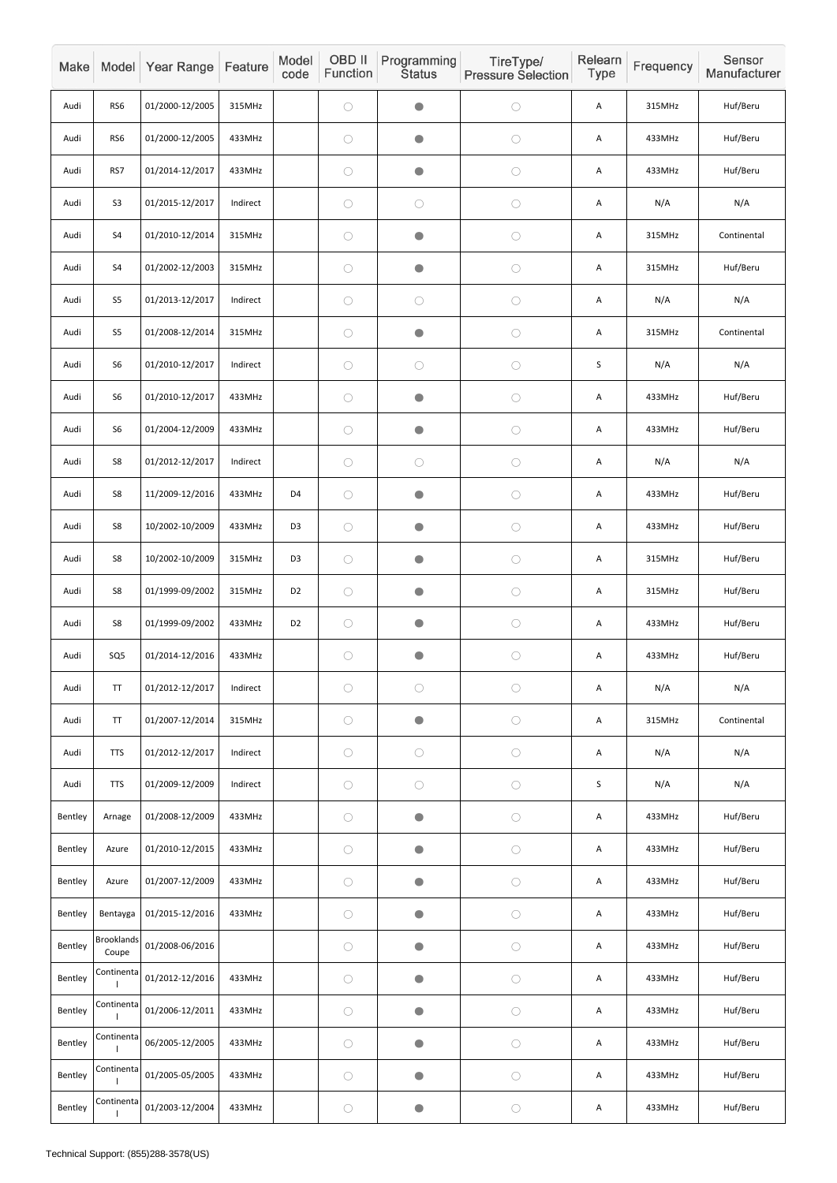| Make    |                            | Model Year Range | Feature  | Model<br>code  | <b>OBD II</b><br>Function | Programming<br><b>Status</b> | TireType/<br><b>Pressure Selection</b> | Relearn<br>Type | Frequency | Sensor<br>Manufacturer |
|---------|----------------------------|------------------|----------|----------------|---------------------------|------------------------------|----------------------------------------|-----------------|-----------|------------------------|
| Audi    | RS6                        | 01/2000-12/2005  | 315MHz   |                | $\bigcirc$                | $\bullet$                    | $\bigcirc$                             | Α               | 315MHz    | Huf/Beru               |
| Audi    | RS6                        | 01/2000-12/2005  | 433MHz   |                | $\bigcirc$                | $\bullet$                    | $\bigcirc$                             | A               | 433MHz    | Huf/Beru               |
| Audi    | RS7                        | 01/2014-12/2017  | 433MHz   |                | $\bigcirc$                | $\bullet$                    | $\bigcirc$                             | A               | 433MHz    | Huf/Beru               |
| Audi    | S <sub>3</sub>             | 01/2015-12/2017  | Indirect |                | $\bigcirc$                | $\bigcirc$                   | $\bigcirc$                             | A               | N/A       | N/A                    |
| Audi    | S <sub>4</sub>             | 01/2010-12/2014  | 315MHz   |                | $\bigcirc$                | $\bullet$                    | $\bigcirc$                             | A               | 315MHz    | Continental            |
| Audi    | S4                         | 01/2002-12/2003  | 315MHz   |                | $\bigcirc$                | $\bullet$                    | $\bigcirc$                             | Α               | 315MHz    | Huf/Beru               |
| Audi    | S <sub>5</sub>             | 01/2013-12/2017  | Indirect |                | $\bigcirc$                | $\bigcirc$                   | $\bigcirc$                             | A               | N/A       | N/A                    |
| Audi    | S <sub>5</sub>             | 01/2008-12/2014  | 315MHz   |                | $\bigcirc$                | $\bullet$                    | $\bigcirc$                             | A               | 315MHz    | Continental            |
| Audi    | S <sub>6</sub>             | 01/2010-12/2017  | Indirect |                | $\bigcirc$                | $\bigcirc$                   | $\bigcirc$                             | S               | N/A       | N/A                    |
| Audi    | S <sub>6</sub>             | 01/2010-12/2017  | 433MHz   |                | $\bigcirc$                | $\bullet$                    | $\bigcirc$                             | A               | 433MHz    | Huf/Beru               |
| Audi    | S <sub>6</sub>             | 01/2004-12/2009  | 433MHz   |                | $\bigcirc$                | $\bullet$                    | $\bigcirc$                             | Α               | 433MHz    | Huf/Beru               |
| Audi    | S8                         | 01/2012-12/2017  | Indirect |                | $\bigcirc$                | $\bigcirc$                   | $\bigcirc$                             | Α               | N/A       | N/A                    |
| Audi    | S8                         | 11/2009-12/2016  | 433MHz   | D <sub>4</sub> | $\bigcirc$                | $\bullet$                    | $\bigcirc$                             | Α               | 433MHz    | Huf/Beru               |
| Audi    | S8                         | 10/2002-10/2009  | 433MHz   | D <sub>3</sub> | $\bigcirc$                | $\bullet$                    | $\bigcirc$                             | A               | 433MHz    | Huf/Beru               |
| Audi    | S8                         | 10/2002-10/2009  | 315MHz   | D <sub>3</sub> | $\bigcirc$                | $\bullet$                    | $\bigcirc$                             | A               | 315MHz    | Huf/Beru               |
| Audi    | S8                         | 01/1999-09/2002  | 315MHz   | D <sub>2</sub> | $\bigcirc$                | $\bullet$                    | $\bigcirc$                             | A               | 315MHz    | Huf/Beru               |
| Audi    | S8                         | 01/1999-09/2002  | 433MHz   | D <sub>2</sub> | $\bigcirc$                | $\bullet$                    | $\bigcirc$                             | A               | 433MHz    | Huf/Beru               |
| Audi    | SQ <sub>5</sub>            | 01/2014-12/2016  | 433MHz   |                | $\bigcirc$                | $\bullet$                    | $\bigcirc$                             | A               | 433MHz    | Huf/Beru               |
| Audi    | TT                         | 01/2012-12/2017  | Indirect |                | $\bigcirc$                | $\bigcirc$                   | $\bigcirc$                             | A               | N/A       | N/A                    |
| Audi    | <b>TT</b>                  | 01/2007-12/2014  | 315MHz   |                | $\bigcirc$                | $\bullet$                    | $\bigcirc$                             | A               | 315MHz    | Continental            |
| Audi    | <b>TTS</b>                 | 01/2012-12/2017  | Indirect |                | $\bigcirc$                | $\bigcirc$                   | $\bigcirc$                             | A               | N/A       | N/A                    |
| Audi    | <b>TTS</b>                 | 01/2009-12/2009  | Indirect |                | $\bigcirc$                | $\bigcirc$                   | $\bigcirc$                             | $\mathsf S$     | N/A       | N/A                    |
| Bentley | Arnage                     | 01/2008-12/2009  | 433MHz   |                | $\bigcirc$                | $\bullet$                    | $\bigcirc$                             | Α               | 433MHz    | Huf/Beru               |
| Bentley | Azure                      | 01/2010-12/2015  | 433MHz   |                | $\bigcirc$                | $\bullet$                    | $\bigcirc$                             | A               | 433MHz    | Huf/Beru               |
| Bentley | Azure                      | 01/2007-12/2009  | 433MHz   |                | $\bigcirc$                | $\bullet$                    | $\bigcirc$                             | A               | 433MHz    | Huf/Beru               |
| Bentley | Bentayga                   | 01/2015-12/2016  | 433MHz   |                | $\bigcirc$                | $\bullet$                    | $\bigcirc$                             | A               | 433MHz    | Huf/Beru               |
| Bentley | <b>Brooklands</b><br>Coupe | 01/2008-06/2016  |          |                | $\bigcirc$                | $\bullet$                    | $\bigcirc$                             | A               | 433MHz    | Huf/Beru               |
| Bentley | Continenta                 | 01/2012-12/2016  | 433MHz   |                | $\bigcirc$                | $\bullet$                    | $\bigcirc$                             | A               | 433MHz    | Huf/Beru               |
| Bentley | Continenta                 | 01/2006-12/2011  | 433MHz   |                | $\bigcirc$                | $\bullet$                    | $\bigcirc$                             | Α               | 433MHz    | Huf/Beru               |
| Bentley | Continenta                 | 06/2005-12/2005  | 433MHz   |                | $\bigcirc$                | $\bullet$                    | $\bigcirc$                             | A               | 433MHz    | Huf/Beru               |
| Bentley | Continenta                 | 01/2005-05/2005  | 433MHz   |                | $\bigcirc$                | $\bullet$                    | $\bigcirc$                             | Α               | 433MHz    | Huf/Beru               |
| Bentley | Continenta                 | 01/2003-12/2004  | 433MHz   |                | $\bigcirc$                | $\bullet$                    | $\bigcirc$                             | Α               | 433MHz    | Huf/Beru               |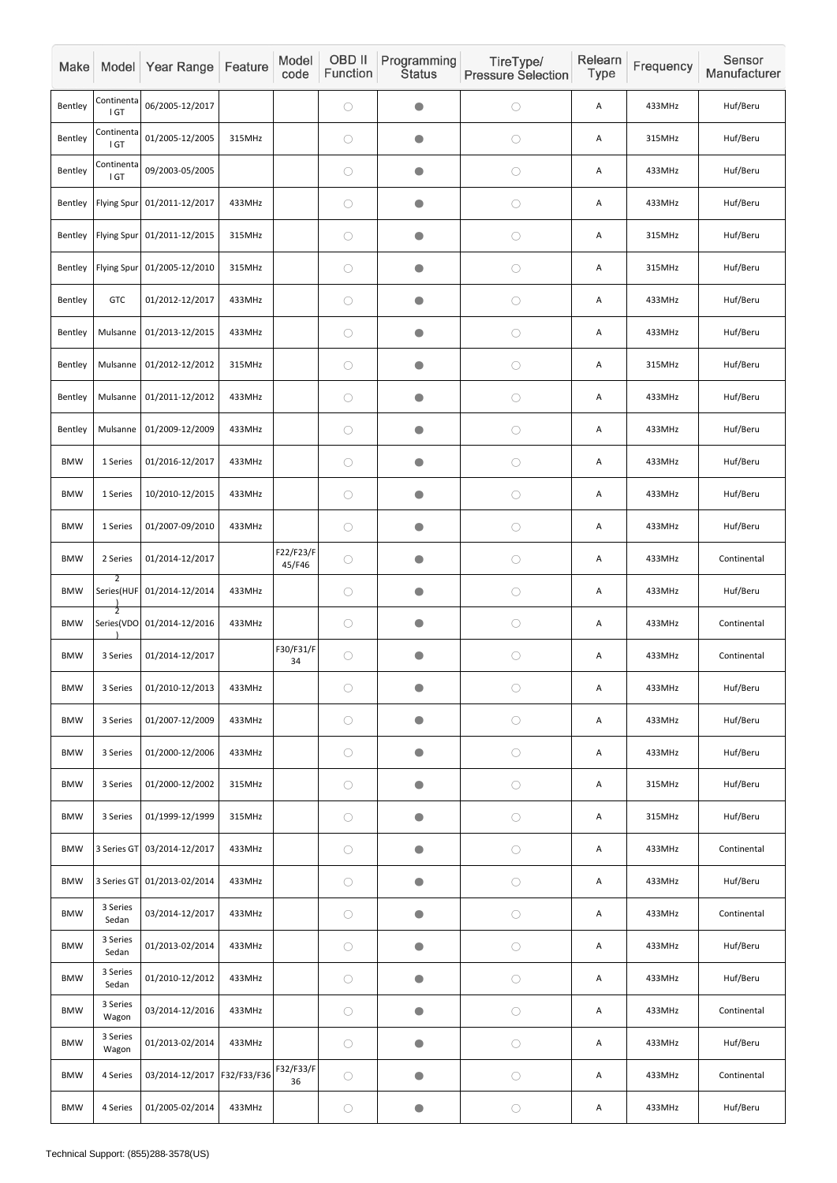| Make       |                    | Model Year Range            | Feature     | Model<br>code       | OBD II<br>Function | Programming<br><b>Status</b> | TireType/<br><b>Pressure Selection</b> | Relearn<br>Type | Frequency | Sensor<br>Manufacturer |
|------------|--------------------|-----------------------------|-------------|---------------------|--------------------|------------------------------|----------------------------------------|-----------------|-----------|------------------------|
| Bentley    | Continenta<br>IGT  | 06/2005-12/2017             |             |                     | $\bigcirc$         | $\bullet$                    | $\bigcirc$                             | Α               | 433MHz    | Huf/Beru               |
| Bentley    | Continenta<br>IGT  | 01/2005-12/2005             | 315MHz      |                     | $\bigcirc$         | $\bullet$                    | $\bigcirc$                             | Α               | 315MHz    | Huf/Beru               |
| Bentley    | Continenta<br>IGT  | 09/2003-05/2005             |             |                     | $\bigcirc$         | $\bullet$                    | $\bigcirc$                             | Α               | 433MHz    | Huf/Beru               |
| Bentley    | <b>Flying Spur</b> | 01/2011-12/2017             | 433MHz      |                     | $\bigcirc$         | $\bullet$                    | $\bigcirc$                             | Α               | 433MHz    | Huf/Beru               |
| Bentley    | <b>Flying Spur</b> | 01/2011-12/2015             | 315MHz      |                     | $\bigcirc$         | $\bullet$                    | $\bigcirc$                             | Α               | 315MHz    | Huf/Beru               |
| Bentley    | Flying Spur        | 01/2005-12/2010             | 315MHz      |                     | $\bigcirc$         | $\bullet$                    | $\bigcirc$                             | Α               | 315MHz    | Huf/Beru               |
| Bentley    | <b>GTC</b>         | 01/2012-12/2017             | 433MHz      |                     | $\bigcirc$         | $\bullet$                    | $\bigcirc$                             | Α               | 433MHz    | Huf/Beru               |
| Bentley    | Mulsanne           | 01/2013-12/2015             | 433MHz      |                     | $\bigcirc$         | $\bullet$                    | $\bigcirc$                             | Α               | 433MHz    | Huf/Beru               |
| Bentley    | Mulsanne           | 01/2012-12/2012             | 315MHz      |                     | $\bigcirc$         | $\bullet$                    | $\bigcirc$                             | Α               | 315MHz    | Huf/Beru               |
| Bentley    | Mulsanne           | 01/2011-12/2012             | 433MHz      |                     | $\bigcirc$         | $\bullet$                    | $\bigcirc$                             | Α               | 433MHz    | Huf/Beru               |
| Bentley    | Mulsanne           | 01/2009-12/2009             | 433MHz      |                     | $\bigcirc$         | $\bullet$                    | $\bigcirc$                             | Α               | 433MHz    | Huf/Beru               |
| <b>BMW</b> | 1 Series           | 01/2016-12/2017             | 433MHz      |                     | $\bigcirc$         | $\bullet$                    | $\bigcirc$                             | Α               | 433MHz    | Huf/Beru               |
| <b>BMW</b> | 1 Series           | 10/2010-12/2015             | 433MHz      |                     | $\bigcirc$         | $\bullet$                    | $\bigcirc$                             | Α               | 433MHz    | Huf/Beru               |
| <b>BMW</b> | 1 Series           | 01/2007-09/2010             | 433MHz      |                     | $\bigcirc$         | $\bullet$                    | $\bigcirc$                             | Α               | 433MHz    | Huf/Beru               |
| <b>BMW</b> | 2 Series           | 01/2014-12/2017             |             | F22/F23/F<br>45/F46 | $\bigcirc$         | $\bullet$                    | $\bigcirc$                             | Α               | 433MHz    | Continental            |
| <b>BMW</b> | $\mathcal{P}$      | Series(HUF 01/2014-12/2014  | 433MHz      |                     | $\bigcirc$         | $\bullet$                    | $\bigcirc$                             | Α               | 433MHz    | Huf/Beru               |
| <b>BMW</b> | $\overline{2}$     | Series(VDO 01/2014-12/2016  | 433MHz      |                     | $\bigcirc$         | $\bullet$                    | $\bigcirc$                             | Α               | 433MHz    | Continental            |
| <b>BMW</b> | 3 Series           | 01/2014-12/2017             |             | F30/F31/F<br>34     | $\bigcirc$         | $\bullet$                    | $\bigcirc$                             | A               | 433MHz    | Continental            |
| <b>BMW</b> | 3 Series           | 01/2010-12/2013             | 433MHz      |                     | $\bigcirc$         | $\bullet$                    | $\bigcirc$                             | Α               | 433MHz    | Huf/Beru               |
| <b>BMW</b> | 3 Series           | 01/2007-12/2009             | 433MHz      |                     | $\bigcirc$         | $\bullet$                    | $\bigcirc$                             | Α               | 433MHz    | Huf/Beru               |
| <b>BMW</b> | 3 Series           | 01/2000-12/2006             | 433MHz      |                     | $\bigcirc$         | $\bullet$                    | $\bigcirc$                             | Α               | 433MHz    | Huf/Beru               |
| <b>BMW</b> | 3 Series           | 01/2000-12/2002             | 315MHz      |                     | $\bigcirc$         | $\bullet$                    | $\bigcirc$                             | Α               | 315MHz    | Huf/Beru               |
| <b>BMW</b> | 3 Series           | 01/1999-12/1999             | 315MHz      |                     | $\bigcirc$         | $\bullet$                    | $\bigcirc$                             | Α               | 315MHz    | Huf/Beru               |
| <b>BMW</b> |                    | 3 Series GT 03/2014-12/2017 | 433MHz      |                     | $\bigcirc$         | $\bullet$                    | $\bigcirc$                             | Α               | 433MHz    | Continental            |
| <b>BMW</b> |                    | 3 Series GT 01/2013-02/2014 | 433MHz      |                     | $\bigcirc$         | $\bullet$                    | $\bigcirc$                             | A               | 433MHz    | Huf/Beru               |
| <b>BMW</b> | 3 Series<br>Sedan  | 03/2014-12/2017             | 433MHz      |                     | $\bigcirc$         | $\bullet$                    | $\bigcirc$                             | А               | 433MHz    | Continental            |
| <b>BMW</b> | 3 Series<br>Sedan  | 01/2013-02/2014             | 433MHz      |                     | $\bigcirc$         | $\bullet$                    | $\bigcirc$                             | Α               | 433MHz    | Huf/Beru               |
| <b>BMW</b> | 3 Series<br>Sedan  | 01/2010-12/2012             | 433MHz      |                     | $\bigcirc$         | $\bullet$                    | $\bigcirc$                             | Α               | 433MHz    | Huf/Beru               |
| <b>BMW</b> | 3 Series<br>Wagon  | 03/2014-12/2016             | 433MHz      |                     | $\bigcirc$         | $\bigcirc$                   | $\bigcirc$                             | A               | 433MHz    | Continental            |
| <b>BMW</b> | 3 Series<br>Wagon  | 01/2013-02/2014             | 433MHz      |                     | $\bigcirc$         | $\bullet$                    | $\bigcirc$                             | Α               | 433MHz    | Huf/Beru               |
| <b>BMW</b> | 4 Series           | 03/2014-12/2017             | F32/F33/F36 | F32/F33/F<br>36     | $\bigcirc$         | $\bullet$                    | $\bigcirc$                             | А               | 433MHz    | Continental            |
| <b>BMW</b> | 4 Series           | 01/2005-02/2014             | 433MHz      |                     | $\bigcirc$         | $\bullet$                    | $\bigcirc$                             | A               | 433MHz    | Huf/Beru               |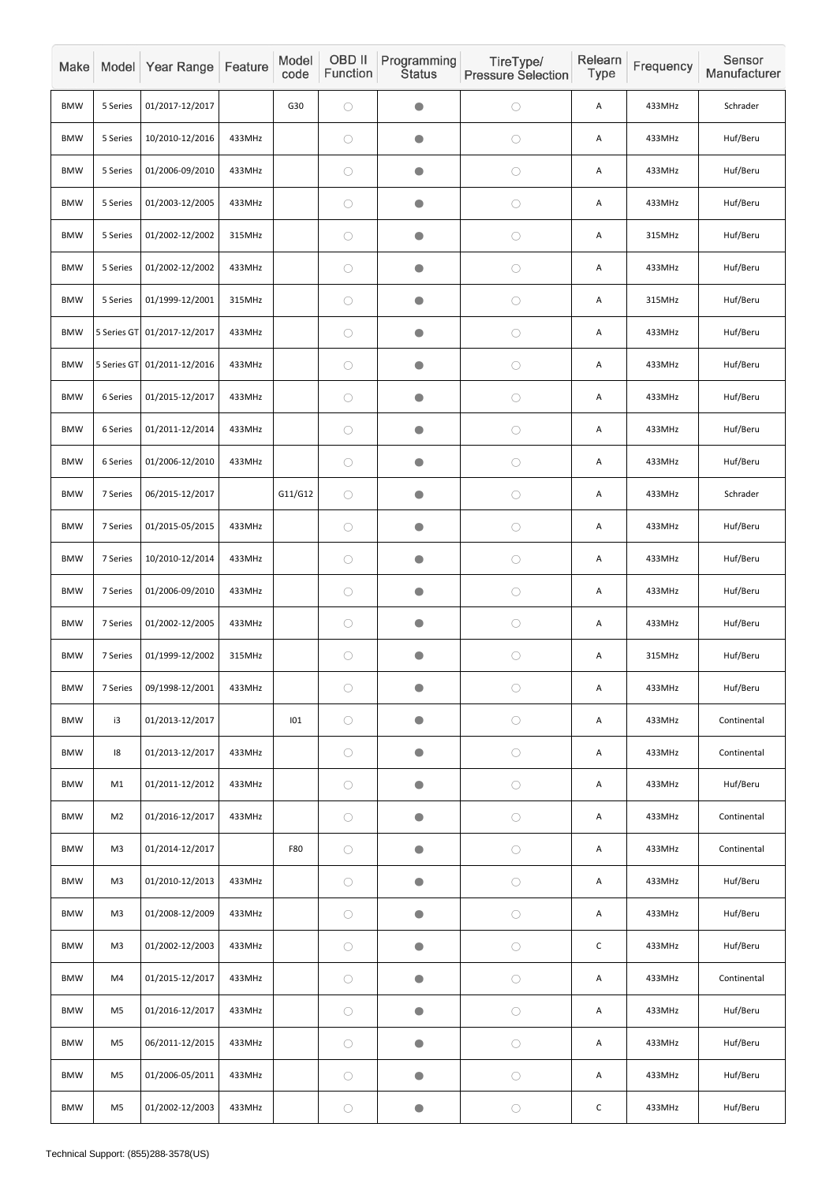| Make       |                | Model Year Range            | Feature | Model<br>code | <b>OBD II</b><br>Function | Programming<br><b>Status</b> | TireType/<br><b>Pressure Selection</b> | Relearn<br>Type | Frequency | Sensor<br>Manufacturer |
|------------|----------------|-----------------------------|---------|---------------|---------------------------|------------------------------|----------------------------------------|-----------------|-----------|------------------------|
| <b>BMW</b> | 5 Series       | 01/2017-12/2017             |         | G30           | $\bigcirc$                | $\bullet$                    | $\bigcirc$                             | Α               | 433MHz    | Schrader               |
| <b>BMW</b> | 5 Series       | 10/2010-12/2016             | 433MHz  |               | $\bigcirc$                | $\bullet$                    | $\bigcirc$                             | A               | 433MHz    | Huf/Beru               |
| <b>BMW</b> | 5 Series       | 01/2006-09/2010             | 433MHz  |               | $\bigcirc$                | $\bigcirc$                   | $\bigcirc$                             | Α               | 433MHz    | Huf/Beru               |
| <b>BMW</b> | 5 Series       | 01/2003-12/2005             | 433MHz  |               | $\bigcirc$                | $\bullet$                    | $\bigcirc$                             | A               | 433MHz    | Huf/Beru               |
| <b>BMW</b> | 5 Series       | 01/2002-12/2002             | 315MHz  |               | $\bigcirc$                | $\bullet$                    | $\bigcirc$                             | A               | 315MHz    | Huf/Beru               |
| <b>BMW</b> | 5 Series       | 01/2002-12/2002             | 433MHz  |               | $\bigcirc$                | $\bullet$                    | $\bigcirc$                             | Α               | 433MHz    | Huf/Beru               |
| <b>BMW</b> | 5 Series       | 01/1999-12/2001             | 315MHz  |               | $\bigcirc$                | $\bigcirc$                   | $\bigcirc$                             | A               | 315MHz    | Huf/Beru               |
| <b>BMW</b> |                | 5 Series GT 01/2017-12/2017 | 433MHz  |               | $\bigcirc$                | $\bullet$                    | $\bigcirc$                             | A               | 433MHz    | Huf/Beru               |
| <b>BMW</b> | 5 Series GT    | 01/2011-12/2016             | 433MHz  |               | $\bigcirc$                | $\bullet$                    | $\bigcirc$                             | A               | 433MHz    | Huf/Beru               |
| <b>BMW</b> | 6 Series       | 01/2015-12/2017             | 433MHz  |               | $\bigcirc$                | $\bullet$                    | $\bigcirc$                             | Α               | 433MHz    | Huf/Beru               |
| <b>BMW</b> | 6 Series       | 01/2011-12/2014             | 433MHz  |               | $\bigcirc$                | $\bullet$                    | $\bigcirc$                             | Α               | 433MHz    | Huf/Beru               |
| <b>BMW</b> | 6 Series       | 01/2006-12/2010             | 433MHz  |               | $\bigcirc$                | $\bullet$                    | $\bigcirc$                             | A               | 433MHz    | Huf/Beru               |
| <b>BMW</b> | 7 Series       | 06/2015-12/2017             |         | G11/G12       | $\bigcirc$                | $\bigcirc$                   | $\bigcirc$                             | Α               | 433MHz    | Schrader               |
| <b>BMW</b> | 7 Series       | 01/2015-05/2015             | 433MHz  |               | $\bigcirc$                | $\bullet$                    | $\bigcirc$                             | Α               | 433MHz    | Huf/Beru               |
| <b>BMW</b> | 7 Series       | 10/2010-12/2014             | 433MHz  |               | $\bigcirc$                | $\bullet$                    | $\bigcirc$                             | A               | 433MHz    | Huf/Beru               |
| <b>BMW</b> | 7 Series       | 01/2006-09/2010             | 433MHz  |               | $\bigcirc$                | $\bullet$                    | $\bigcirc$                             | A               | 433MHz    | Huf/Beru               |
| <b>BMW</b> | 7 Series       | 01/2002-12/2005             | 433MHz  |               | $\bigcirc$                | $\bigcirc$                   | $\bigcirc$                             | Α               | 433MHz    | Huf/Beru               |
| <b>BMW</b> | 7 Series       | 01/1999-12/2002             | 315MHz  |               | $\bigcirc$                | $\bullet$                    | $\bigcirc$                             | A               | 315MHz    | Huf/Beru               |
| <b>BMW</b> | 7 Series       | 09/1998-12/2001             | 433MHz  |               | $\bigcirc$                | $\bullet$                    | $\bigcirc$                             | A               | 433MHz    | Huf/Beru               |
| <b>BMW</b> | i3             | 01/2013-12/2017             |         | 101           | $\bigcirc$                | $\bigcirc$                   | $\bigcirc$                             | A               | 433MHz    | Continental            |
| <b>BMW</b> | 18             | 01/2013-12/2017             | 433MHz  |               | $\bigcirc$                | $\bullet$                    | $\bigcirc$                             | Α               | 433MHz    | Continental            |
| <b>BMW</b> | M1             | 01/2011-12/2012             | 433MHz  |               | $\bigcirc$                | $\bullet$                    | $\bigcirc$                             | A               | 433MHz    | Huf/Beru               |
| <b>BMW</b> | M <sub>2</sub> | 01/2016-12/2017             | 433MHz  |               | $\bigcirc$                | $\bullet$                    | $\bigcirc$                             | Α               | 433MHz    | Continental            |
| <b>BMW</b> | M <sub>3</sub> | 01/2014-12/2017             |         | <b>F80</b>    | $\bigcirc$                | $\bullet$                    | $\bigcirc$                             | A               | 433MHz    | Continental            |
| <b>BMW</b> | M <sub>3</sub> | 01/2010-12/2013             | 433MHz  |               | $\bigcirc$                | $\bigcirc$                   | $\bigcirc$                             | A               | 433MHz    | Huf/Beru               |
| <b>BMW</b> | M <sub>3</sub> | 01/2008-12/2009             | 433MHz  |               | $\bigcirc$                | $\bullet$                    | $\bigcirc$                             | A               | 433MHz    | Huf/Beru               |
| <b>BMW</b> | M <sub>3</sub> | 01/2002-12/2003             | 433MHz  |               | $\bigcirc$                | $\bullet$                    | $\bigcirc$                             | $\mathsf C$     | 433MHz    | Huf/Beru               |
| <b>BMW</b> | M4             | 01/2015-12/2017             | 433MHz  |               | $\bigcirc$                | $\bullet$                    | $\bigcirc$                             | A               | 433MHz    | Continental            |
| <b>BMW</b> | M <sub>5</sub> | 01/2016-12/2017             | 433MHz  |               | $\bigcirc$                | $\bullet$                    | $\bigcirc$                             | Α               | 433MHz    | Huf/Beru               |
| <b>BMW</b> | M <sub>5</sub> | 06/2011-12/2015             | 433MHz  |               | $\bigcirc$                | $\bullet$                    | $\bigcirc$                             | A               | 433MHz    | Huf/Beru               |
| <b>BMW</b> | M <sub>5</sub> | 01/2006-05/2011             | 433MHz  |               | $\bigcirc$                | $\bullet$                    | $\bigcirc$                             | A               | 433MHz    | Huf/Beru               |
| <b>BMW</b> | M <sub>5</sub> | 01/2002-12/2003             | 433MHz  |               | $\bigcirc$                | $\bullet$                    | $\bigcirc$                             | $\mathsf C$     | 433MHz    | Huf/Beru               |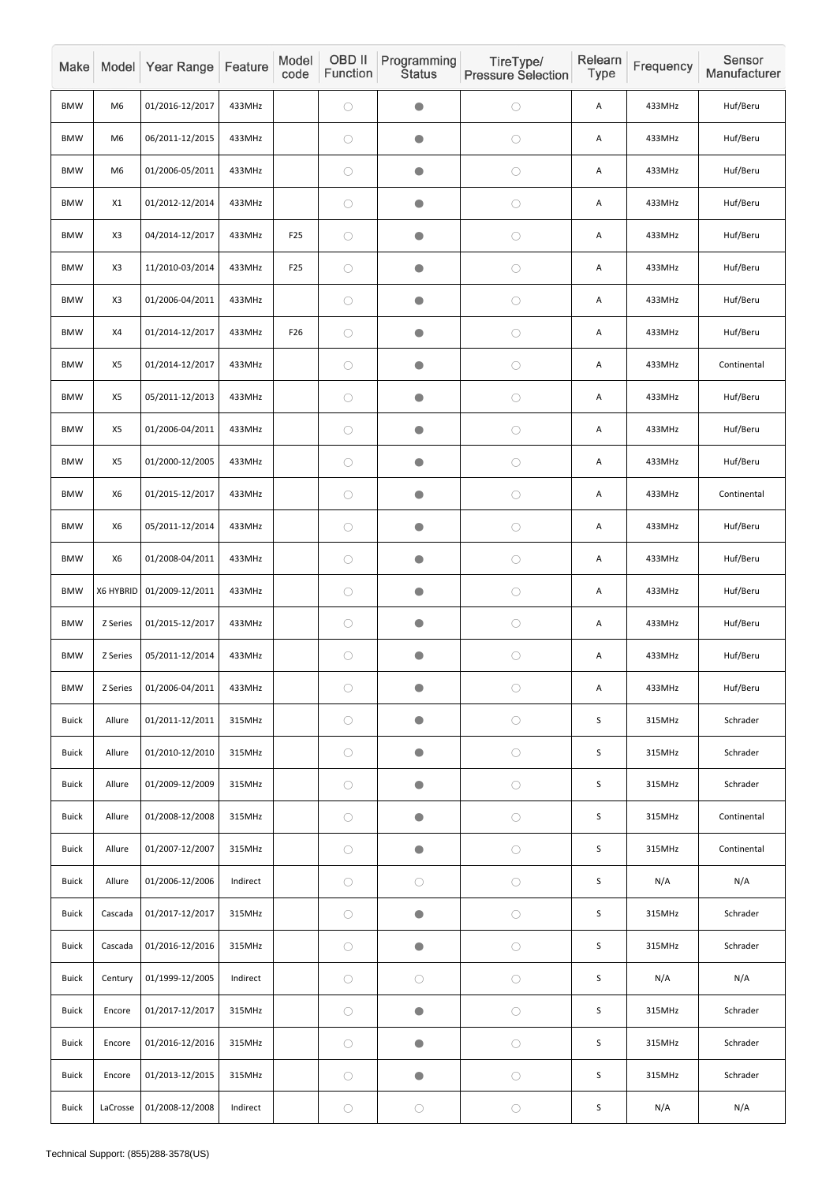| Make         |                | Model Year Range | Feature  | Model<br>code   | OBD II<br>Function | Programming<br><b>Status</b> | TireType/<br><b>Pressure Selection</b> | Relearn<br>Type | Frequency | Sensor<br>Manufacturer |
|--------------|----------------|------------------|----------|-----------------|--------------------|------------------------------|----------------------------------------|-----------------|-----------|------------------------|
| <b>BMW</b>   | M6             | 01/2016-12/2017  | 433MHz   |                 | $\bigcirc$         | $\bullet$                    | $\bigcirc$                             | Α               | 433MHz    | Huf/Beru               |
| <b>BMW</b>   | M <sub>6</sub> | 06/2011-12/2015  | 433MHz   |                 | $\bigcirc$         | $\bullet$                    | $\bigcirc$                             | Α               | 433MHz    | Huf/Beru               |
| <b>BMW</b>   | M <sub>6</sub> | 01/2006-05/2011  | 433MHz   |                 | $\bigcirc$         | $\bullet$                    | $\bigcirc$                             | Α               | 433MHz    | Huf/Beru               |
| <b>BMW</b>   | X1             | 01/2012-12/2014  | 433MHz   |                 | $\bigcirc$         | $\bullet$                    | $\bigcirc$                             | Α               | 433MHz    | Huf/Beru               |
| <b>BMW</b>   | X <sub>3</sub> | 04/2014-12/2017  | 433MHz   | F <sub>25</sub> | $\bigcirc$         | $\bullet$                    | $\bigcirc$                             | Α               | 433MHz    | Huf/Beru               |
| <b>BMW</b>   | X <sub>3</sub> | 11/2010-03/2014  | 433MHz   | F <sub>25</sub> | $\bigcirc$         | $\bullet$                    | $\bigcirc$                             | Α               | 433MHz    | Huf/Beru               |
| <b>BMW</b>   | X <sub>3</sub> | 01/2006-04/2011  | 433MHz   |                 | $\bigcirc$         | $\bullet$                    | $\bigcirc$                             | Α               | 433MHz    | Huf/Beru               |
| <b>BMW</b>   | X4             | 01/2014-12/2017  | 433MHz   | F26             | $\bigcirc$         | $\bullet$                    | $\bigcirc$                             | Α               | 433MHz    | Huf/Beru               |
| <b>BMW</b>   | X5             | 01/2014-12/2017  | 433MHz   |                 | $\bigcirc$         | $\bullet$                    | $\bigcirc$                             | Α               | 433MHz    | Continental            |
| <b>BMW</b>   | X5             | 05/2011-12/2013  | 433MHz   |                 | $\bigcirc$         | $\bullet$                    | $\bigcirc$                             | Α               | 433MHz    | Huf/Beru               |
| <b>BMW</b>   | X5             | 01/2006-04/2011  | 433MHz   |                 | $\bigcirc$         | $\bullet$                    | $\bigcirc$                             | Α               | 433MHz    | Huf/Beru               |
| <b>BMW</b>   | X5             | 01/2000-12/2005  | 433MHz   |                 | $\bigcirc$         | $\bullet$                    | $\bigcirc$                             | Α               | 433MHz    | Huf/Beru               |
| <b>BMW</b>   | X6             | 01/2015-12/2017  | 433MHz   |                 | $\bigcirc$         | $\bullet$                    | $\bigcirc$                             | A               | 433MHz    | Continental            |
| <b>BMW</b>   | X6             | 05/2011-12/2014  | 433MHz   |                 | $\bigcirc$         | $\bullet$                    | $\bigcirc$                             | Α               | 433MHz    | Huf/Beru               |
| <b>BMW</b>   | X6             | 01/2008-04/2011  | 433MHz   |                 | $\bigcirc$         | $\bullet$                    | $\bigcirc$                             | A               | 433MHz    | Huf/Beru               |
| <b>BMW</b>   | X6 HYBRID      | 01/2009-12/2011  | 433MHz   |                 | $\bigcirc$         | $\bullet$                    | $\bigcirc$                             | A               | 433MHz    | Huf/Beru               |
| <b>BMW</b>   | Z Series       | 01/2015-12/2017  | 433MHz   |                 | $\bigcirc$         | $\bullet$                    | $\bigcirc$                             | Α               | 433MHz    | Huf/Beru               |
| <b>BMW</b>   | Z Series       | 05/2011-12/2014  | 433MHz   |                 | $\bigcirc$         | $\bullet$                    | $\bigcirc$                             | A               | 433MHz    | Huf/Beru               |
| <b>BMW</b>   | Z Series       | 01/2006-04/2011  | 433MHz   |                 | $\bigcirc$         | $\bullet$                    | $\bigcirc$                             | А               | 433MHz    | Huf/Beru               |
| <b>Buick</b> | Allure         | 01/2011-12/2011  | 315MHz   |                 | $\bigcirc$         | $\bullet$                    | $\bigcirc$                             | $\sf S$         | 315MHz    | Schrader               |
| <b>Buick</b> | Allure         | 01/2010-12/2010  | 315MHz   |                 | $\bigcirc$         | $\bullet$                    | $\bigcirc$                             | $\mathsf S$     | 315MHz    | Schrader               |
| <b>Buick</b> | Allure         | 01/2009-12/2009  | 315MHz   |                 | $\bigcirc$         | $\bullet$                    | $\bigcirc$                             | $\sf S$         | 315MHz    | Schrader               |
| <b>Buick</b> | Allure         | 01/2008-12/2008  | 315MHz   |                 | $\bigcirc$         | $\bullet$                    | $\bigcirc$                             | $\sf S$         | 315MHz    | Continental            |
| <b>Buick</b> | Allure         | 01/2007-12/2007  | 315MHz   |                 | $\bigcirc$         | $\bigcirc$                   | $\bigcirc$                             | $\mathsf S$     | 315MHz    | Continental            |
| <b>Buick</b> | Allure         | 01/2006-12/2006  | Indirect |                 | $\bigcirc$         | $\bigcirc$                   | $\bigcirc$                             | $\sf S$         | N/A       | N/A                    |
| <b>Buick</b> | Cascada        | 01/2017-12/2017  | 315MHz   |                 | $\bigcirc$         | $\bullet$                    | $\bigcirc$                             | $\sf S$         | 315MHz    | Schrader               |
| <b>Buick</b> | Cascada        | 01/2016-12/2016  | 315MHz   |                 | $\bigcirc$         | $\bullet$                    | $\bigcirc$                             | $\mathsf S$     | 315MHz    | Schrader               |
| <b>Buick</b> | Century        | 01/1999-12/2005  | Indirect |                 | $\bigcirc$         | $\bigcirc$                   | $\bigcirc$                             | $\sf S$         | N/A       | N/A                    |
| <b>Buick</b> | Encore         | 01/2017-12/2017  | 315MHz   |                 | $\bigcirc$         | $\bigcirc$                   | $\bigcirc$                             | $\sf S$         | 315MHz    | Schrader               |
| <b>Buick</b> | Encore         | 01/2016-12/2016  | 315MHz   |                 | $\bigcirc$         | $\bullet$                    | $\bigcirc$                             | $\sf S$         | 315MHz    | Schrader               |
| <b>Buick</b> | Encore         | 01/2013-12/2015  | 315MHz   |                 | $\bigcirc$         | $\bullet$                    | $\bigcirc$                             | $\sf S$         | 315MHz    | Schrader               |
| <b>Buick</b> | LaCrosse       | 01/2008-12/2008  | Indirect |                 | $\bigcirc$         | $\bigcirc$                   | $\bigcirc$                             | $\sf S$         | N/A       | N/A                    |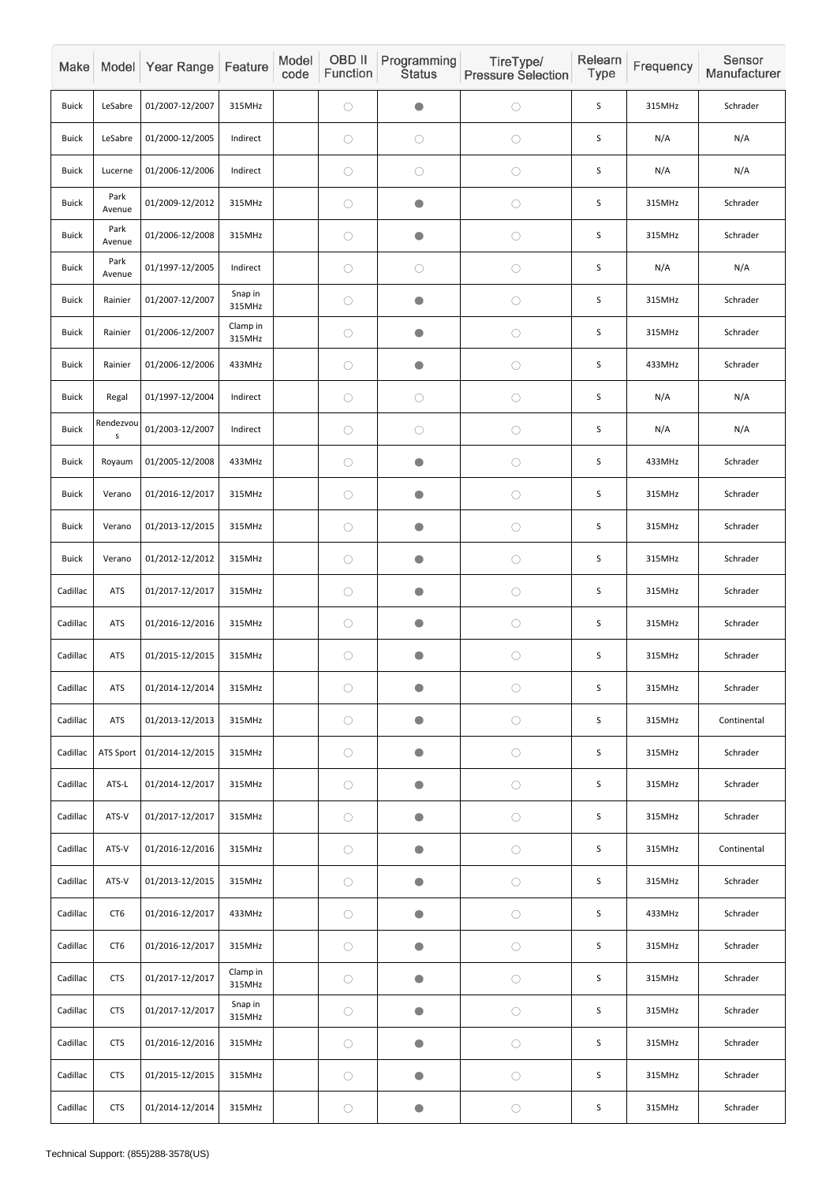| Make         |                 | Model Year Range | Feature            | Model<br>code | OBD II<br>Function | Programming<br><b>Status</b> | TireType/<br><b>Pressure Selection</b> | Relearn<br><b>Type</b> | Frequency | Sensor<br>Manufacturer |
|--------------|-----------------|------------------|--------------------|---------------|--------------------|------------------------------|----------------------------------------|------------------------|-----------|------------------------|
| <b>Buick</b> | LeSabre         | 01/2007-12/2007  | 315MHz             |               | $\bigcirc$         | $\bullet$                    | $\bigcirc$                             | S                      | 315MHz    | Schrader               |
| <b>Buick</b> | LeSabre         | 01/2000-12/2005  | Indirect           |               | $\bigcirc$         | $\bigcirc$                   | $\bigcirc$                             | $\sf S$                | N/A       | N/A                    |
| <b>Buick</b> | Lucerne         | 01/2006-12/2006  | Indirect           |               | $\bigcirc$         | $\bigcirc$                   | $\bigcirc$                             | S                      | N/A       | N/A                    |
| <b>Buick</b> | Park<br>Avenue  | 01/2009-12/2012  | 315MHz             |               | $\bigcirc$         | $\bullet$                    | $\bigcirc$                             | S                      | 315MHz    | Schrader               |
| <b>Buick</b> | Park<br>Avenue  | 01/2006-12/2008  | 315MHz             |               | $\bigcirc$         | $\bullet$                    | $\bigcirc$                             | S                      | 315MHz    | Schrader               |
| <b>Buick</b> | Park<br>Avenue  | 01/1997-12/2005  | Indirect           |               | $\bigcirc$         | $\bigcirc$                   | $\bigcirc$                             | $\sf S$                | N/A       | N/A                    |
| <b>Buick</b> | Rainier         | 01/2007-12/2007  | Snap in<br>315MHz  |               | $\bigcirc$         | $\bullet$                    | $\bigcirc$                             | S                      | 315MHz    | Schrader               |
| <b>Buick</b> | Rainier         | 01/2006-12/2007  | Clamp in<br>315MHz |               | $\bigcirc$         | $\bullet$                    | $\bigcirc$                             | $\mathsf S$            | 315MHz    | Schrader               |
| <b>Buick</b> | Rainier         | 01/2006-12/2006  | 433MHz             |               | $\bigcirc$         | $\bullet$                    | $\bigcirc$                             | S                      | 433MHz    | Schrader               |
| <b>Buick</b> | Regal           | 01/1997-12/2004  | Indirect           |               | $\bigcirc$         | $\bigcirc$                   | $\bigcirc$                             | S                      | N/A       | N/A                    |
| <b>Buick</b> | Rendezvou<br>s  | 01/2003-12/2007  | Indirect           |               | $\bigcirc$         | $\bigcirc$                   | $\bigcirc$                             | $\mathsf S$            | N/A       | N/A                    |
| <b>Buick</b> | Royaum          | 01/2005-12/2008  | 433MHz             |               | $\bigcirc$         | $\bullet$                    | $\bigcirc$                             | S                      | 433MHz    | Schrader               |
| <b>Buick</b> | Verano          | 01/2016-12/2017  | 315MHz             |               | $\bigcirc$         | $\bullet$                    | $\bigcirc$                             | $\mathsf S$            | 315MHz    | Schrader               |
| <b>Buick</b> | Verano          | 01/2013-12/2015  | 315MHz             |               | $\bigcirc$         | $\bullet$                    | $\bigcirc$                             | S                      | 315MHz    | Schrader               |
| <b>Buick</b> | Verano          | 01/2012-12/2012  | 315MHz             |               | $\bigcirc$         | $\bullet$                    | $\bigcirc$                             | $\sf S$                | 315MHz    | Schrader               |
| Cadillac     | <b>ATS</b>      | 01/2017-12/2017  | 315MHz             |               | $\bigcirc$         | $\bullet$                    | $\bigcirc$                             | $\sf S$                | 315MHz    | Schrader               |
| Cadillac     | <b>ATS</b>      | 01/2016-12/2016  | 315MHz             |               | $\bigcirc$         | $\bullet$                    | $\bigcirc$                             | $\sf S$                | 315MHz    | Schrader               |
| Cadillac     | <b>ATS</b>      | 01/2015-12/2015  | 315MHz             |               | $\bigcirc$         | $\bullet$                    | $\bigcirc$                             | $\sf S$                | 315MHz    | Schrader               |
| Cadillac     | <b>ATS</b>      | 01/2014-12/2014  | 315MHz             |               | $\bigcirc$         | $\bullet$                    | $\bigcirc$                             | $\mathsf S$            | 315MHz    | Schrader               |
| Cadillac     | <b>ATS</b>      | 01/2013-12/2013  | 315MHz             |               | $\bigcirc$         | $\bullet$                    | $\bigcirc$                             | $\sf S$                | 315MHz    | Continental            |
| Cadillac     | ATS Sport       | 01/2014-12/2015  | 315MHz             |               | $\bigcirc$         | $\bullet$                    | $\bigcirc$                             | S                      | 315MHz    | Schrader               |
| Cadillac     | ATS-L           | 01/2014-12/2017  | 315MHz             |               | $\bigcirc$         | $\bullet$                    | $\bigcirc$                             | $\mathsf S$            | 315MHz    | Schrader               |
| Cadillac     | ATS-V           | 01/2017-12/2017  | 315MHz             |               | $\bigcirc$         | $\bullet$                    | $\bigcirc$                             | $\sf S$                | 315MHz    | Schrader               |
| Cadillac     | ATS-V           | 01/2016-12/2016  | 315MHz             |               | $\bigcirc$         | $\bullet$                    | $\bigcirc$                             | $\sf S$                | 315MHz    | Continental            |
| Cadillac     | ATS-V           | 01/2013-12/2015  | 315MHz             |               | $\bigcirc$         | $\bullet$                    | $\bigcirc$                             | $\sf S$                | 315MHz    | Schrader               |
| Cadillac     | CT <sub>6</sub> | 01/2016-12/2017  | 433MHz             |               | $\bigcirc$         | $\bullet$                    | $\bigcirc$                             | S                      | 433MHz    | Schrader               |
| Cadillac     | CT <sub>6</sub> | 01/2016-12/2017  | 315MHz             |               | $\bigcirc$         | $\bullet$                    | $\bigcirc$                             | $\sf S$                | 315MHz    | Schrader               |
| Cadillac     | <b>CTS</b>      | 01/2017-12/2017  | Clamp in<br>315MHz |               | $\bigcirc$         | $\bullet$                    | $\bigcirc$                             | $\mathsf S$            | 315MHz    | Schrader               |
| Cadillac     | <b>CTS</b>      | 01/2017-12/2017  | Snap in<br>315MHz  |               | $\bigcirc$         | $\bullet$                    | $\bigcirc$                             | $\sf S$                | 315MHz    | Schrader               |
| Cadillac     | <b>CTS</b>      | 01/2016-12/2016  | 315MHz             |               | $\bigcirc$         | $\bullet$                    | $\bigcirc$                             | $\sf S$                | 315MHz    | Schrader               |
| Cadillac     | <b>CTS</b>      | 01/2015-12/2015  | 315MHz             |               | $\bigcirc$         | $\bullet$                    | $\bigcirc$                             | $\mathsf S$            | 315MHz    | Schrader               |
| Cadillac     | <b>CTS</b>      | 01/2014-12/2014  | 315MHz             |               | $\bigcirc$         | $\bullet$                    | $\bigcirc$                             | $\mathsf S$            | 315MHz    | Schrader               |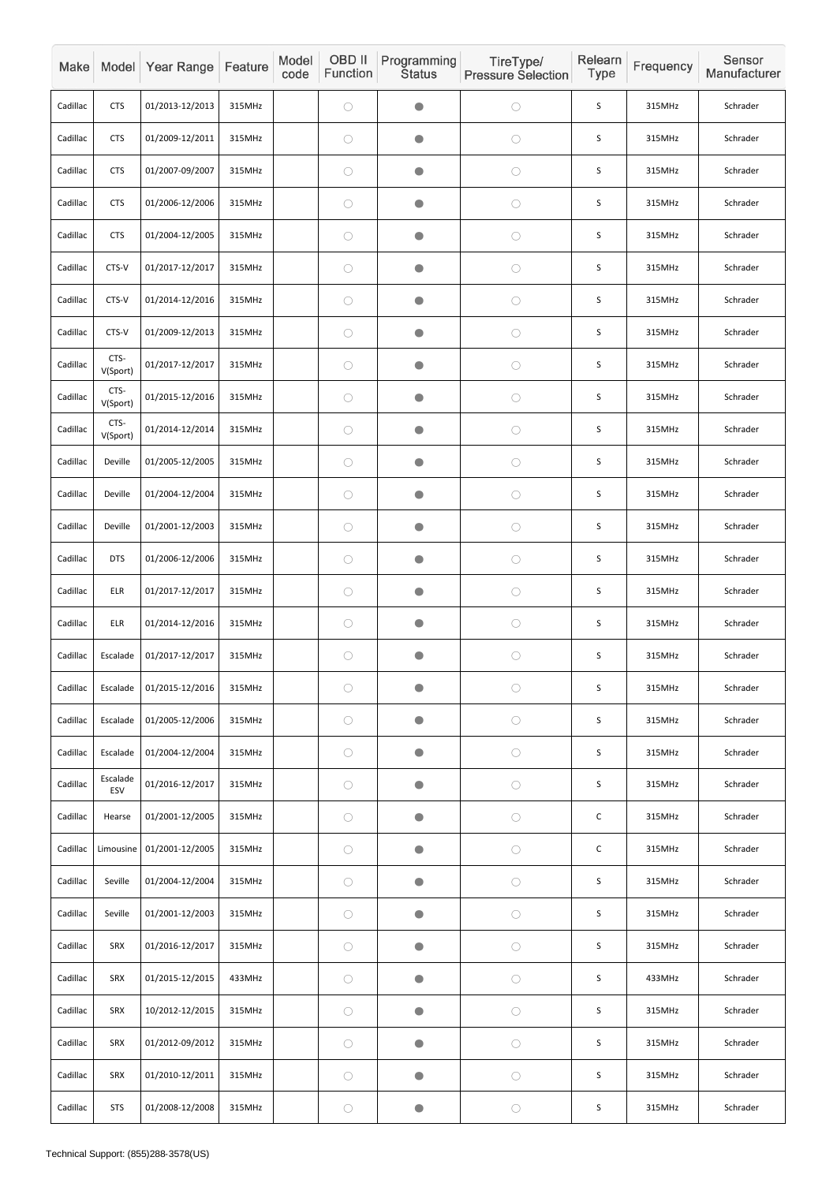| Make     |                  | Model Year Range | Feature | Model<br>code | OBD II<br>Function | Programming<br><b>Status</b> | TireType/<br><b>Pressure Selection</b> | Relearn<br><b>Type</b> | Frequency | Sensor<br>Manufacturer |
|----------|------------------|------------------|---------|---------------|--------------------|------------------------------|----------------------------------------|------------------------|-----------|------------------------|
| Cadillac | <b>CTS</b>       | 01/2013-12/2013  | 315MHz  |               | $\bigcirc$         | $\bullet$                    | $\bigcirc$                             | $\mathsf S$            | 315MHz    | Schrader               |
| Cadillac | <b>CTS</b>       | 01/2009-12/2011  | 315MHz  |               | $\bigcirc$         | $\bullet$                    | $\bigcirc$                             | S                      | 315MHz    | Schrader               |
| Cadillac | <b>CTS</b>       | 01/2007-09/2007  | 315MHz  |               | $\bigcirc$         | $\bullet$                    | $\bigcirc$                             | S                      | 315MHz    | Schrader               |
| Cadillac | <b>CTS</b>       | 01/2006-12/2006  | 315MHz  |               | $\bigcirc$         | $\bullet$                    | $\bigcirc$                             | $\mathsf S$            | 315MHz    | Schrader               |
| Cadillac | <b>CTS</b>       | 01/2004-12/2005  | 315MHz  |               | $\bigcirc$         | $\bullet$                    | $\bigcirc$                             | S                      | 315MHz    | Schrader               |
| Cadillac | CTS-V            | 01/2017-12/2017  | 315MHz  |               | $\bigcirc$         | $\bullet$                    | $\bigcirc$                             | $\mathsf S$            | 315MHz    | Schrader               |
| Cadillac | CTS-V            | 01/2014-12/2016  | 315MHz  |               | $\bigcirc$         | $\bullet$                    | $\bigcirc$                             | S                      | 315MHz    | Schrader               |
| Cadillac | CTS-V            | 01/2009-12/2013  | 315MHz  |               | $\bigcirc$         | $\bullet$                    | $\bigcirc$                             | S                      | 315MHz    | Schrader               |
| Cadillac | CTS-<br>V(Sport) | 01/2017-12/2017  | 315MHz  |               | $\bigcirc$         | $\bullet$                    | $\bigcirc$                             | S                      | 315MHz    | Schrader               |
| Cadillac | CTS-<br>V(Sport) | 01/2015-12/2016  | 315MHz  |               | $\bigcirc$         | $\bullet$                    | $\bigcirc$                             | S                      | 315MHz    | Schrader               |
| Cadillac | CTS-<br>V(Sport) | 01/2014-12/2014  | 315MHz  |               | $\bigcirc$         | $\bullet$                    | $\bigcirc$                             | $\mathsf S$            | 315MHz    | Schrader               |
| Cadillac | Deville          | 01/2005-12/2005  | 315MHz  |               | $\bigcirc$         | $\bullet$                    | $\bigcirc$                             | S                      | 315MHz    | Schrader               |
| Cadillac | Deville          | 01/2004-12/2004  | 315MHz  |               | $\bigcirc$         | $\bullet$                    | $\bigcirc$                             | $\mathsf S$            | 315MHz    | Schrader               |
| Cadillac | Deville          | 01/2001-12/2003  | 315MHz  |               | $\bigcirc$         | $\bullet$                    | $\bigcirc$                             | $\mathsf S$            | 315MHz    | Schrader               |
| Cadillac | <b>DTS</b>       | 01/2006-12/2006  | 315MHz  |               | $\bigcirc$         | $\bullet$                    | $\bigcirc$                             | $\mathsf S$            | 315MHz    | Schrader               |
| Cadillac | ELR              | 01/2017-12/2017  | 315MHz  |               | $\bigcirc$         | $\bullet$                    | $\bigcirc$                             | $\sf S$                | 315MHz    | Schrader               |
| Cadillac | ELR              | 01/2014-12/2016  | 315MHz  |               | $\bigcirc$         | $\bullet$                    | $\bigcirc$                             | $\mathsf S$            | 315MHz    | Schrader               |
| Cadillac | Escalade         | 01/2017-12/2017  | 315MHz  |               | $\bigcirc$         | $\bullet$                    | $\bigcirc$                             | $\mathsf S$            | 315MHz    | Schrader               |
| Cadillac | Escalade         | 01/2015-12/2016  | 315MHz  |               | $\bigcirc$         | $\bullet$                    | $\bigcirc$                             | S                      | 315MHz    | Schrader               |
| Cadillac | Escalade         | 01/2005-12/2006  | 315MHz  |               | $\bigcirc$         | $\bullet$                    | $\bigcirc$                             | $\sf S$                | 315MHz    | Schrader               |
| Cadillac | Escalade         | 01/2004-12/2004  | 315MHz  |               | $\bigcirc$         | $\bullet$                    | $\bigcirc$                             | $\sf S$                | 315MHz    | Schrader               |
| Cadillac | Escalade<br>ESV  | 01/2016-12/2017  | 315MHz  |               | $\bigcirc$         | $\bullet$                    | $\bigcirc$                             | S                      | 315MHz    | Schrader               |
| Cadillac | Hearse           | 01/2001-12/2005  | 315MHz  |               | $\bigcirc$         | $\bullet$                    | $\bigcirc$                             | $\mathsf C$            | 315MHz    | Schrader               |
| Cadillac | Limousine        | 01/2001-12/2005  | 315MHz  |               | $\bigcirc$         | $\bullet$                    | $\bigcirc$                             | $\mathsf C$            | 315MHz    | Schrader               |
| Cadillac | Seville          | 01/2004-12/2004  | 315MHz  |               | $\bigcirc$         | $\bullet$                    | $\bigcirc$                             | $\sf S$                | 315MHz    | Schrader               |
| Cadillac | Seville          | 01/2001-12/2003  | 315MHz  |               | $\bigcirc$         | $\bullet$                    | $\bigcirc$                             | $\mathsf S$            | 315MHz    | Schrader               |
| Cadillac | SRX              | 01/2016-12/2017  | 315MHz  |               | $\bigcirc$         | $\bullet$                    | $\bigcirc$                             | $\sf S$                | 315MHz    | Schrader               |
| Cadillac | SRX              | 01/2015-12/2015  | 433MHz  |               | $\bigcirc$         | $\bullet$                    | $\bigcirc$                             | $\sf S$                | 433MHz    | Schrader               |
| Cadillac | SRX              | 10/2012-12/2015  | 315MHz  |               | $\bigcirc$         | $\bullet$                    | $\bigcirc$                             | $\sf S$                | 315MHz    | Schrader               |
| Cadillac | SRX              | 01/2012-09/2012  | 315MHz  |               | $\bigcirc$         | $\bullet$                    | $\bigcirc$                             | $\sf S$                | 315MHz    | Schrader               |
| Cadillac | SRX              | 01/2010-12/2011  | 315MHz  |               | $\bigcirc$         | $\bullet$                    | $\bigcirc$                             | S                      | 315MHz    | Schrader               |
| Cadillac | <b>STS</b>       | 01/2008-12/2008  | 315MHz  |               | $\bigcirc$         | $\bigcirc$                   | $\bigcirc$                             | $\sf S$                | 315MHz    | Schrader               |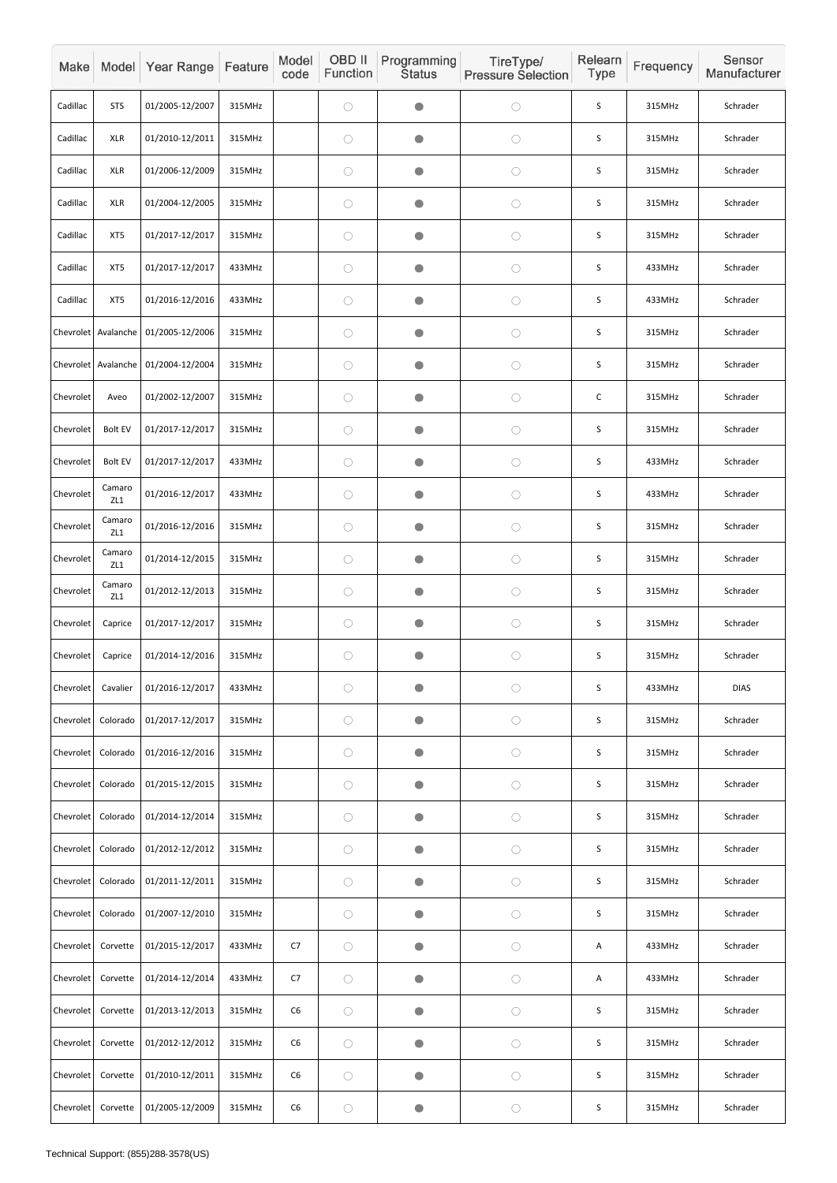| Make      |                     | Model Year Range | Feature | Model<br>code  | OBD II<br>Function | Programming<br><b>Status</b> | TireType/<br><b>Pressure Selection</b> | Relearn<br>Type | Frequency | Sensor<br>Manufacturer |
|-----------|---------------------|------------------|---------|----------------|--------------------|------------------------------|----------------------------------------|-----------------|-----------|------------------------|
| Cadillac  | <b>STS</b>          | 01/2005-12/2007  | 315MHz  |                | $\bigcirc$         | $\blacksquare$               | $\bigcirc$                             | S               | 315MHz    | Schrader               |
| Cadillac  | <b>XLR</b>          | 01/2010-12/2011  | 315MHz  |                | $\bigcirc$         | $\bullet$                    | $\bigcirc$                             | $\sf S$         | 315MHz    | Schrader               |
| Cadillac  | <b>XLR</b>          | 01/2006-12/2009  | 315MHz  |                | $\bigcirc$         | $\bullet$                    | $\bigcirc$                             | $\mathsf S$     | 315MHz    | Schrader               |
| Cadillac  | <b>XLR</b>          | 01/2004-12/2005  | 315MHz  |                | $\bigcirc$         |                              | $\bigcirc$                             | S               | 315MHz    | Schrader               |
| Cadillac  | XT5                 | 01/2017-12/2017  | 315MHz  |                | $\bigcirc$         | $\bullet$                    | $\bigcirc$                             | $\sf S$         | 315MHz    | Schrader               |
| Cadillac  | XT5                 | 01/2017-12/2017  | 433MHz  |                | $\bigcirc$         | $\bullet$                    | $\bigcirc$                             | $\mathsf S$     | 433MHz    | Schrader               |
| Cadillac  | XT5                 | 01/2016-12/2016  | 433MHz  |                | $\bigcirc$         | O                            | $\bigcirc$                             | S               | 433MHz    | Schrader               |
|           | Chevrolet Avalanche | 01/2005-12/2006  | 315MHz  |                | $\bigcirc$         |                              | $\bigcirc$                             | S               | 315MHz    | Schrader               |
| Chevrolet | Avalanche           | 01/2004-12/2004  | 315MHz  |                | $\bigcirc$         | $\bullet$                    | $\bigcirc$                             | $\sf S$         | 315MHz    | Schrader               |
| Chevrolet | Aveo                | 01/2002-12/2007  | 315MHz  |                | $\bigcirc$         | $\bullet$                    | $\bigcirc$                             | $\mathsf C$     | 315MHz    | Schrader               |
| Chevrolet | <b>Bolt EV</b>      | 01/2017-12/2017  | 315MHz  |                | $\bigcirc$         | $\blacksquare$               | $\bigcirc$                             | $\sf S$         | 315MHz    | Schrader               |
| Chevrolet | <b>Bolt EV</b>      | 01/2017-12/2017  | 433MHz  |                | $\bigcirc$         | $\bullet$                    | $\bigcirc$                             | $\mathsf S$     | 433MHz    | Schrader               |
| Chevrolet | Camaro<br>ZL1       | 01/2016-12/2017  | 433MHz  |                | $\bigcirc$         |                              | $\bigcirc$                             | S               | 433MHz    | Schrader               |
| Chevrolet | Camaro<br>ZL1       | 01/2016-12/2016  | 315MHz  |                | $\bigcirc$         | $\bullet$                    | $\bigcirc$                             | S               | 315MHz    | Schrader               |
| Chevrolet | Camaro<br>ZL1       | 01/2014-12/2015  | 315MHz  |                | $\bigcirc$         | $\bullet$                    | $\bigcirc$                             | $\sf S$         | 315MHz    | Schrader               |
| Chevrolet | Camaro<br>ZL1       | 01/2012-12/2013  | 315MHz  |                | $\bigcirc$         |                              | $\bigcirc$                             | S               | 315MHz    | Schrader               |
| Chevrolet | Caprice             | 01/2017-12/2017  | 315MHz  |                | $\bigcirc$         | $\bullet$                    | $\bigcirc$                             | S               | 315MHz    | Schrader               |
| Chevrolet | Caprice             | 01/2014-12/2016  | 315MHz  |                | $\bigcirc$         | $\bullet$                    | $\bigcirc$                             | $\sf S$         | 315MHz    | Schrader               |
| Chevrolet | Cavalier            | 01/2016-12/2017  | 433MHz  |                | $\bigcirc$         | $\bullet$                    | $\bigcirc$                             | S               | 433MHz    | <b>DIAS</b>            |
| Chevrolet | Colorado            | 01/2017-12/2017  | 315MHz  |                | $\bigcirc$         | $\bullet$                    | $\bigcirc$                             | S               | 315MHz    | Schrader               |
| Chevrolet | Colorado            | 01/2016-12/2016  | 315MHz  |                | $\bigcirc$         | $\bullet$                    | $\bigcirc$                             | $\mathsf S$     | 315MHz    | Schrader               |
| Chevrolet | Colorado            | 01/2015-12/2015  | 315MHz  |                | $\bigcirc$         | $\bullet$                    | $\bigcirc$                             | S               | 315MHz    | Schrader               |
| Chevrolet | Colorado            | 01/2014-12/2014  | 315MHz  |                | $\bigcirc$         |                              | $\bigcirc$                             | S               | 315MHz    | Schrader               |
| Chevrolet | Colorado            | 01/2012-12/2012  | 315MHz  |                | $\bigcirc$         | $\bullet$                    | $\bigcirc$                             | S               | 315MHz    | Schrader               |
| Chevrolet | Colorado            | 01/2011-12/2011  | 315MHz  |                | $\bigcirc$         | $\bullet$                    | $\bigcirc$                             | $\sf S$         | 315MHz    | Schrader               |
| Chevrolet | Colorado            | 01/2007-12/2010  | 315MHz  |                | $\bigcirc$         | O                            | $\bigcirc$                             | S               | 315MHz    | Schrader               |
| Chevrolet | Corvette            | 01/2015-12/2017  | 433MHz  | C7             | $\bigcirc$         | $\bullet$                    | $\bigcirc$                             | Α               | 433MHz    | Schrader               |
| Chevrolet | Corvette            | 01/2014-12/2014  | 433MHz  | C7             | $\bigcirc$         | $\bullet$                    | $\bigcirc$                             | Α               | 433MHz    | Schrader               |
| Chevrolet | Corvette            | 01/2013-12/2013  | 315MHz  | C <sub>6</sub> | $\bigcirc$         | $\bullet$                    | $\bigcirc$                             | S               | 315MHz    | Schrader               |
| Chevrolet | Corvette            | 01/2012-12/2012  | 315MHz  | C6             | $\bigcirc$         | $\bullet$                    | $\bigcirc$                             | $\sf S$         | 315MHz    | Schrader               |
| Chevrolet | Corvette            | 01/2010-12/2011  | 315MHz  | C6             | $\bigcirc$         | $\bullet$                    | $\bigcirc$                             | S               | 315MHz    | Schrader               |
| Chevrolet | Corvette            | 01/2005-12/2009  | 315MHz  | ${\sf C6}$     | $\bigcirc$         | $\bullet$                    | $\bigcirc$                             | S               | 315MHz    | Schrader               |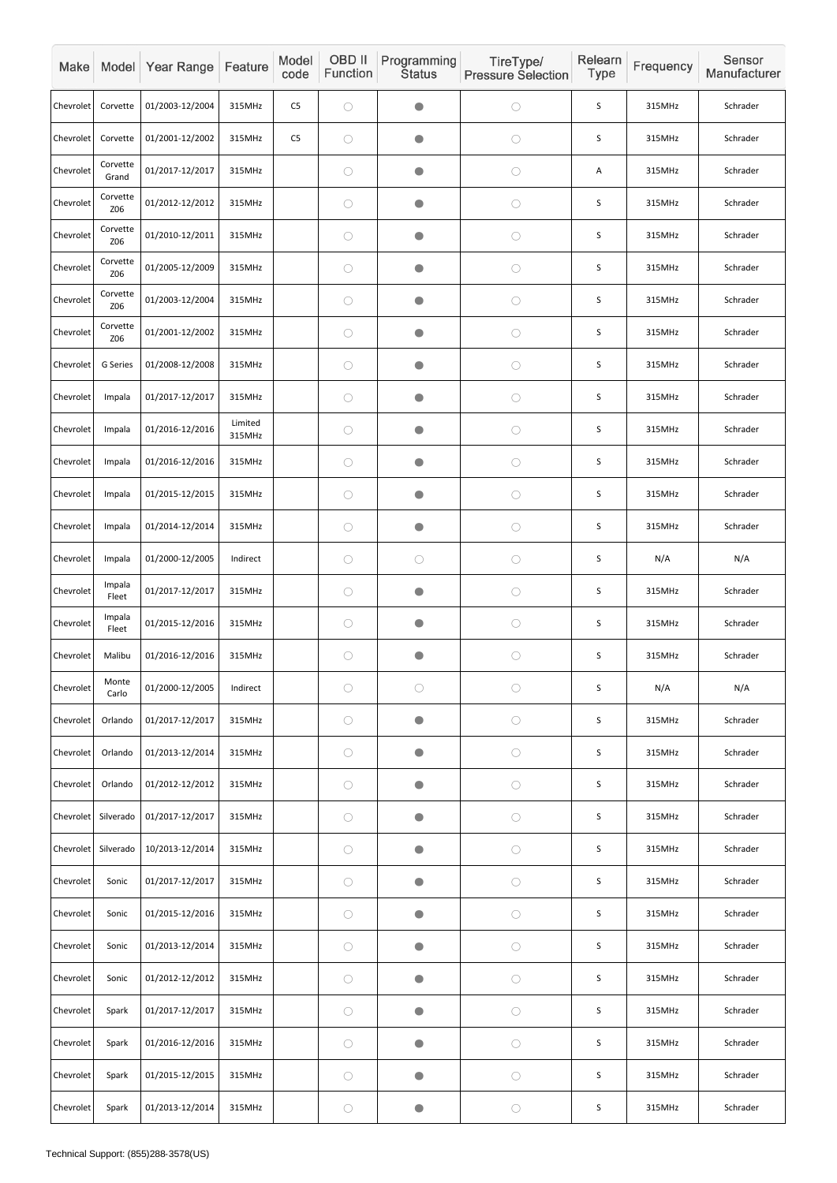| Make      |                        | Model Year Range | Feature           | Model<br>code  | OBD II<br>Function | Programming<br><b>Status</b> | TireType/<br><b>Pressure Selection</b> | Relearn<br>Type | Frequency | Sensor<br>Manufacturer |
|-----------|------------------------|------------------|-------------------|----------------|--------------------|------------------------------|----------------------------------------|-----------------|-----------|------------------------|
| Chevrolet | Corvette               | 01/2003-12/2004  | 315MHz            | C <sub>5</sub> | $\bigcirc$         | $\blacksquare$               | $\bigcirc$                             | S               | 315MHz    | Schrader               |
| Chevrolet | Corvette               | 01/2001-12/2002  | 315MHz            | C <sub>5</sub> | $\bigcirc$         | O                            | $\bigcirc$                             | S               | 315MHz    | Schrader               |
| Chevrolet | Corvette<br>Grand      | 01/2017-12/2017  | 315MHz            |                | $\bigcirc$         | O                            | $\bigcirc$                             | Α               | 315MHz    | Schrader               |
| Chevrolet | Corvette<br>Z06        | 01/2012-12/2012  | 315MHz            |                | $\bigcirc$         |                              | $\bigcirc$                             | S               | 315MHz    | Schrader               |
| Chevrolet | Corvette<br><b>Z06</b> | 01/2010-12/2011  | 315MHz            |                | $\bigcirc$         | $\bullet$                    | $\bigcirc$                             | S               | 315MHz    | Schrader               |
| Chevrolet | Corvette<br><b>Z06</b> | 01/2005-12/2009  | 315MHz            |                | $\bigcirc$         | $\bullet$                    | $\bigcirc$                             | $\sf S$         | 315MHz    | Schrader               |
| Chevrolet | Corvette<br>Z06        | 01/2003-12/2004  | 315MHz            |                | $\bigcirc$         | O                            | $\bigcirc$                             | S               | 315MHz    | Schrader               |
| Chevrolet | Corvette<br><b>Z06</b> | 01/2001-12/2002  | 315MHz            |                | $\bigcirc$         | $\blacksquare$               | $\bigcirc$                             | S               | 315MHz    | Schrader               |
| Chevrolet | G Series               | 01/2008-12/2008  | 315MHz            |                | $\bigcirc$         | $\bullet$                    | $\bigcirc$                             | $\sf S$         | 315MHz    | Schrader               |
| Chevrolet | Impala                 | 01/2017-12/2017  | 315MHz            |                | $\bigcirc$         | $\bullet$                    | $\bigcirc$                             | S               | 315MHz    | Schrader               |
| Chevrolet | Impala                 | 01/2016-12/2016  | Limited<br>315MHz |                | $\bigcirc$         | O                            | $\bigcirc$                             | S               | 315MHz    | Schrader               |
| Chevrolet | Impala                 | 01/2016-12/2016  | 315MHz            |                | $\bigcirc$         | $\bullet$                    | $\bigcirc$                             | $\mathsf S$     | 315MHz    | Schrader               |
| Chevrolet | Impala                 | 01/2015-12/2015  | 315MHz            |                | $\bigcirc$         |                              | $\bigcirc$                             | $\mathsf S$     | 315MHz    | Schrader               |
| Chevrolet | Impala                 | 01/2014-12/2014  | 315MHz            |                | $\bigcirc$         | $\bullet$                    | $\bigcirc$                             | S               | 315MHz    | Schrader               |
| Chevrolet | Impala                 | 01/2000-12/2005  | Indirect          |                | $\bigcirc$         | $\bigcirc$                   | $\bigcirc$                             | $\sf S$         | N/A       | N/A                    |
| Chevrolet | Impala<br>Fleet        | 01/2017-12/2017  | 315MHz            |                | $\bigcirc$         |                              | $\bigcirc$                             | $\sf S$         | 315MHz    | Schrader               |
| Chevrolet | Impala<br>Fleet        | 01/2015-12/2016  | 315MHz            |                | $\bigcirc$         | $\bullet$                    | $\bigcirc$                             | S               | 315MHz    | Schrader               |
| Chevrolet | Malibu                 | 01/2016-12/2016  | 315MHz            |                | $\bigcirc$         | $\bullet$                    | $\bigcirc$                             | $\sf S$         | 315MHz    | Schrader               |
| Chevrolet | Monte<br>Carlo         | 01/2000-12/2005  | Indirect          |                | $\bigcirc$         | $\bigcirc$                   | $\bigcirc$                             | $\mathsf S$     | N/A       | N/A                    |
| Chevrolet | Orlando                | 01/2017-12/2017  | 315MHz            |                | $\bigcirc$         | $\bullet$                    | $\bigcirc$                             | S               | 315MHz    | Schrader               |
| Chevrolet | Orlando                | 01/2013-12/2014  | 315MHz            |                | $\bigcirc$         | $\bullet$                    | $\bigcirc$                             | $\sf S$         | 315MHz    | Schrader               |
| Chevrolet | Orlando                | 01/2012-12/2012  | 315MHz            |                | $\bigcirc$         | $\bullet$                    | $\bigcirc$                             | $\sf S$         | 315MHz    | Schrader               |
| Chevrolet | Silverado              | 01/2017-12/2017  | 315MHz            |                | $\bigcirc$         |                              | $\bigcirc$                             | $\sf S$         | 315MHz    | Schrader               |
| Chevrolet | Silverado              | 10/2013-12/2014  | 315MHz            |                | $\bigcirc$         | $\bullet$                    | $\bigcirc$                             | S               | 315MHz    | Schrader               |
| Chevrolet | Sonic                  | 01/2017-12/2017  | 315MHz            |                | $\bigcirc$         | $\bullet$                    | $\bigcirc$                             | $\sf S$         | 315MHz    | Schrader               |
| Chevrolet | Sonic                  | 01/2015-12/2016  | 315MHz            |                | $\bigcirc$         | $\bullet$                    | $\bigcirc$                             | $\sf S$         | 315MHz    | Schrader               |
| Chevrolet | Sonic                  | 01/2013-12/2014  | 315MHz            |                | $\bigcirc$         | $\bullet$                    | $\bigcirc$                             | $\sf S$         | 315MHz    | Schrader               |
| Chevrolet | Sonic                  | 01/2012-12/2012  | 315MHz            |                | $\bigcirc$         | $\bullet$                    | $\bigcirc$                             | S               | 315MHz    | Schrader               |
| Chevrolet | Spark                  | 01/2017-12/2017  | 315MHz            |                | $\bigcirc$         | $\bullet$                    | $\bigcirc$                             | S               | 315MHz    | Schrader               |
| Chevrolet | Spark                  | 01/2016-12/2016  | 315MHz            |                | $\bigcirc$         | $\bullet$                    | $\bigcirc$                             | $\sf S$         | 315MHz    | Schrader               |
| Chevrolet | Spark                  | 01/2015-12/2015  | 315MHz            |                | $\bigcirc$         | $\bullet$                    | $\bigcirc$                             | S               | 315MHz    | Schrader               |
| Chevrolet | Spark                  | 01/2013-12/2014  | 315MHz            |                | $\bigcirc$         | $\bullet$                    | $\bigcirc$                             | $\sf S$         | 315MHz    | Schrader               |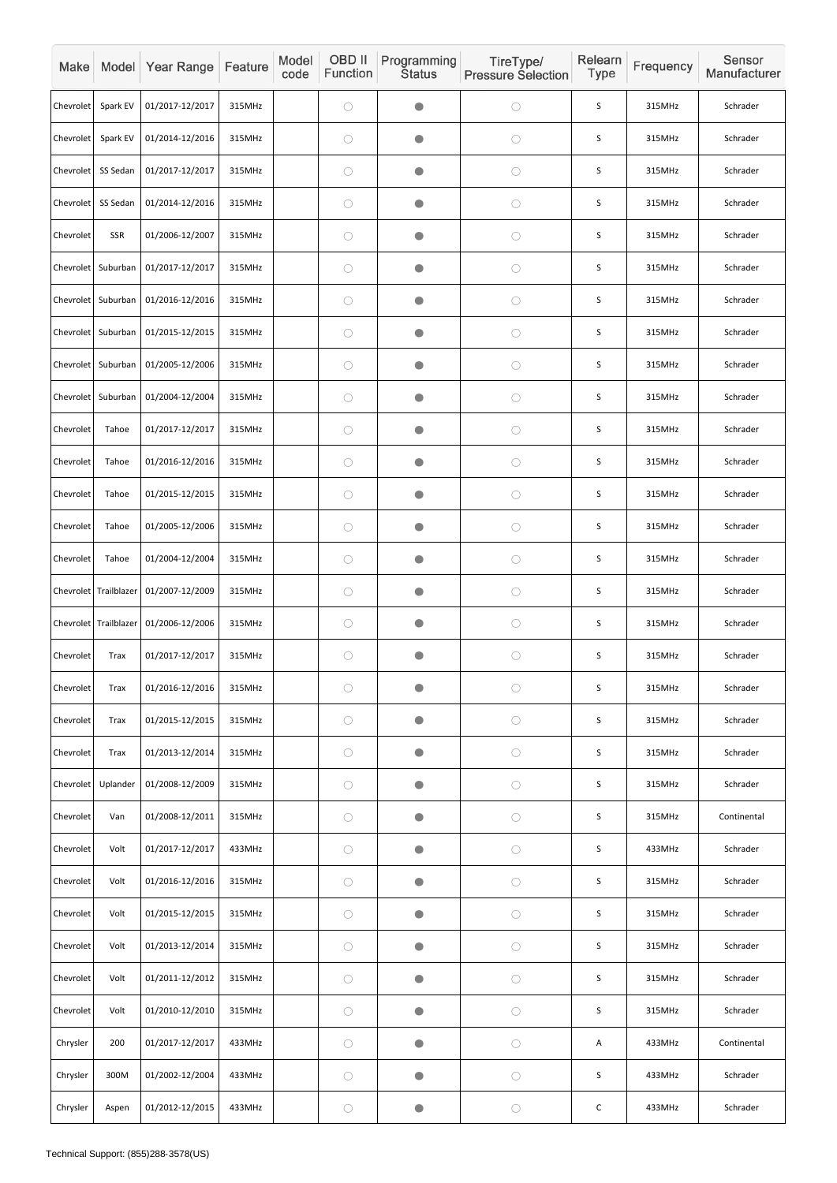| Make             |                         | Model Year Range                        | Feature | Model<br>code | OBD II<br>Function | Programming<br><b>Status</b> | TireType/<br><b>Pressure Selection</b> | Relearn<br><b>Type</b> | Frequency | Sensor<br>Manufacturer |
|------------------|-------------------------|-----------------------------------------|---------|---------------|--------------------|------------------------------|----------------------------------------|------------------------|-----------|------------------------|
| Chevrolet        | Spark EV                | 01/2017-12/2017                         | 315MHz  |               | $\bigcirc$         | $\Box$                       | $\bigcirc$                             | S                      | 315MHz    | Schrader               |
| Chevrolet        | Spark EV                | 01/2014-12/2016                         | 315MHz  |               | $\bigcirc$         | O                            | $\bigcirc$                             | S                      | 315MHz    | Schrader               |
| <b>Chevrolet</b> | SS Sedan                | 01/2017-12/2017                         | 315MHz  |               | $\bigcirc$         | $\bullet$                    | $\bigcirc$                             | S                      | 315MHz    | Schrader               |
| Chevrolet        | SS Sedan                | 01/2014-12/2016                         | 315MHz  |               | $\bigcirc$         | $\Box$                       | $\bigcirc$                             | S                      | 315MHz    | Schrader               |
| <b>Chevrolet</b> | <b>SSR</b>              | 01/2006-12/2007                         | 315MHz  |               | $\bigcirc$         | $\bullet$                    | $\bigcirc$                             | S                      | 315MHz    | Schrader               |
| Chevrolet        | Suburban                | 01/2017-12/2017                         | 315MHz  |               | $\bigcirc$         | $\bullet$                    | $\bigcirc$                             | S                      | 315MHz    | Schrader               |
| Chevrolet        | Suburban                | 01/2016-12/2016                         | 315MHz  |               | $\bigcirc$         | O                            | $\bigcirc$                             | S                      | 315MHz    | Schrader               |
| <b>Chevrolet</b> | Suburban                | 01/2015-12/2015                         | 315MHz  |               | $\bigcirc$         | $\blacksquare$               | $\bigcirc$                             | S                      | 315MHz    | Schrader               |
| Chevrolet        | Suburban                | 01/2005-12/2006                         | 315MHz  |               | $\bigcirc$         | $\bullet$                    | $\bigcirc$                             | $\sf S$                | 315MHz    | Schrader               |
| Chevrolet        | Suburban                | 01/2004-12/2004                         | 315MHz  |               | $\bigcirc$         | $\bullet$                    | $\bigcirc$                             | S                      | 315MHz    | Schrader               |
| Chevrolet        | Tahoe                   | 01/2017-12/2017                         | 315MHz  |               | $\bigcirc$         | $\Box$                       | $\bigcirc$                             | $\sf S$                | 315MHz    | Schrader               |
| Chevrolet        | Tahoe                   | 01/2016-12/2016                         | 315MHz  |               | $\bigcirc$         | $\bullet$                    | $\bigcirc$                             | S                      | 315MHz    | Schrader               |
| Chevrolet        | Tahoe                   | 01/2015-12/2015                         | 315MHz  |               | $\bigcirc$         |                              | $\bigcirc$                             | $\mathsf S$            | 315MHz    | Schrader               |
| Chevrolet        | Tahoe                   | 01/2005-12/2006                         | 315MHz  |               | $\bigcirc$         | $\bullet$                    | $\bigcirc$                             | $\mathsf S$            | 315MHz    | Schrader               |
| Chevrolet        | Tahoe                   | 01/2004-12/2004                         | 315MHz  |               | $\bigcirc$         | $\bullet$                    | $\bigcirc$                             | S                      | 315MHz    | Schrader               |
|                  |                         | Chevrolet Trailblazer   01/2007-12/2009 | 315MHz  |               | $\bigcirc$         | $\blacksquare$               | $\bigcirc$                             | S                      | 315MHz    | Schrader               |
|                  | Chevrolet   Trailblazer | 01/2006-12/2006                         | 315MHz  |               | $\bigcirc$         | $\bullet$                    | $\bigcirc$                             | $\sf S$                | 315MHz    | Schrader               |
| Chevrolet        | <b>Trax</b>             | 01/2017-12/2017                         | 315MHz  |               | $\bigcirc$         | $\bullet$                    | $\bigcirc$                             | $\sf S$                | 315MHz    | Schrader               |
| Chevrolet        | Trax                    | 01/2016-12/2016                         | 315MHz  |               | $\bigcirc$         | O                            | $\bigcirc$                             | S                      | 315MHz    | Schrader               |
| Chevrolet        | <b>Trax</b>             | 01/2015-12/2015                         | 315MHz  |               | $\bigcirc$         | $\bullet$                    | $\bigcirc$                             | $\sf S$                | 315MHz    | Schrader               |
| Chevrolet        | <b>Trax</b>             | 01/2013-12/2014                         | 315MHz  |               | $\bigcirc$         | $\bullet$                    | $\bigcirc$                             | $\mathsf S$            | 315MHz    | Schrader               |
| Chevrolet        | Uplander                | 01/2008-12/2009                         | 315MHz  |               | $\bigcirc$         | $\bullet$                    | $\bigcirc$                             | S                      | 315MHz    | Schrader               |
| Chevrolet        | Van                     | 01/2008-12/2011                         | 315MHz  |               | $\bigcirc$         | $\bullet$                    | $\bigcirc$                             | $\sf S$                | 315MHz    | Continental            |
| Chevrolet        | Volt                    | 01/2017-12/2017                         | 433MHz  |               | $\bigcirc$         | $\bullet$                    | $\bigcirc$                             | $\sf S$                | 433MHz    | Schrader               |
| Chevrolet        | Volt                    | 01/2016-12/2016                         | 315MHz  |               | $\bigcirc$         | $\bullet$                    | $\bigcirc$                             | S                      | 315MHz    | Schrader               |
| Chevrolet        | Volt                    | 01/2015-12/2015                         | 315MHz  |               | $\bigcirc$         | $\bullet$                    | $\bigcirc$                             | $\sf S$                | 315MHz    | Schrader               |
| Chevrolet        | Volt                    | 01/2013-12/2014                         | 315MHz  |               | $\bigcirc$         | $\bullet$                    | $\bigcirc$                             | $\sf S$                | 315MHz    | Schrader               |
| Chevrolet        | Volt                    | 01/2011-12/2012                         | 315MHz  |               | $\bigcirc$         | $\bullet$                    | $\bigcirc$                             | S                      | 315MHz    | Schrader               |
| Chevrolet        | Volt                    | 01/2010-12/2010                         | 315MHz  |               | $\bigcirc$         | $\bullet$                    | $\bigcirc$                             | S                      | 315MHz    | Schrader               |
| Chrysler         | 200                     | 01/2017-12/2017                         | 433MHz  |               | $\bigcirc$         | $\bullet$                    | $\bigcirc$                             | A                      | 433MHz    | Continental            |
| Chrysler         | 300M                    | 01/2002-12/2004                         | 433MHz  |               | $\bigcirc$         | $\bullet$                    | $\bigcirc$                             | S                      | 433MHz    | Schrader               |
| Chrysler         | Aspen                   | 01/2012-12/2015                         | 433MHz  |               | $\bigcirc$         | $\bullet$                    | $\bigcirc$                             | $\mathsf C$            | 433MHz    | Schrader               |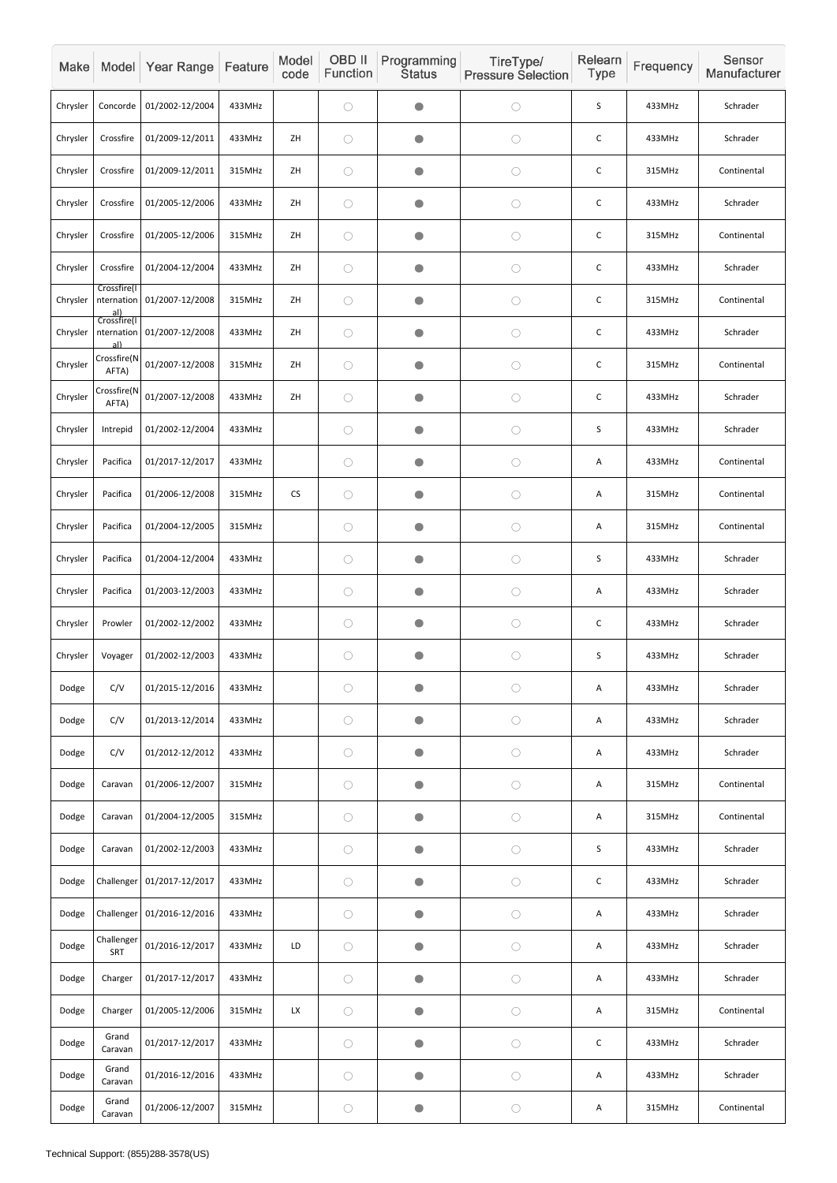| Make     |                                                 | Model Year Range | Feature | Model<br>code | OBD II<br>Function | Programming<br><b>Status</b> | TireType/<br><b>Pressure Selection</b> | Relearn<br><b>Type</b> | Frequency | Sensor<br>Manufacturer |
|----------|-------------------------------------------------|------------------|---------|---------------|--------------------|------------------------------|----------------------------------------|------------------------|-----------|------------------------|
| Chrysler | Concorde                                        | 01/2002-12/2004  | 433MHz  |               | $\bigcirc$         | $\bullet$                    | $\bigcirc$                             | S                      | 433MHz    | Schrader               |
| Chrysler | Crossfire                                       | 01/2009-12/2011  | 433MHz  | ZH            | $\bigcirc$         | $\bullet$                    | $\bigcirc$                             | $\mathsf C$            | 433MHz    | Schrader               |
| Chrysler | Crossfire                                       | 01/2009-12/2011  | 315MHz  | ZH            | $\bigcirc$         | $\bullet$                    | $\bigcirc$                             | $\mathsf{C}$           | 315MHz    | Continental            |
| Chrysler | Crossfire                                       | 01/2005-12/2006  | 433MHz  | ZH            | $\bigcirc$         | O                            | $\bigcirc$                             | C                      | 433MHz    | Schrader               |
| Chrysler | Crossfire                                       | 01/2005-12/2006  | 315MHz  | ZH            | $\bigcirc$         | $\bullet$                    | $\bigcirc$                             | C                      | 315MHz    | Continental            |
| Chrysler | Crossfire                                       | 01/2004-12/2004  | 433MHz  | ZH            | $\bigcirc$         | $\bullet$                    | $\bigcirc$                             | $\mathsf C$            | 433MHz    | Schrader               |
| Chrysler | Crossfire(I<br>nternation<br>al)<br>Crossfire(I | 01/2007-12/2008  | 315MHz  | ZH            | $\bigcirc$         | O                            | $\bigcirc$                             | C                      | 315MHz    | Continental            |
| Chrysler | nternation<br>al)                               | 01/2007-12/2008  | 433MHz  | ZH            | $\bigcirc$         | $\bullet$                    | $\bigcirc$                             | $\mathsf C$            | 433MHz    | Schrader               |
| Chrysler | Crossfire(N<br>AFTA)                            | 01/2007-12/2008  | 315MHz  | ZH            | $\bigcirc$         | $\bullet$                    | $\bigcirc$                             | $\mathsf{C}$           | 315MHz    | Continental            |
| Chrysler | Crossfire(N<br>AFTA)                            | 01/2007-12/2008  | 433MHz  | ZH            | $\bigcirc$         | $\bullet$                    | $\bigcirc$                             | C                      | 433MHz    | Schrader               |
| Chrysler | Intrepid                                        | 01/2002-12/2004  | 433MHz  |               | $\bigcirc$         | $\bullet$                    | $\bigcirc$                             | S                      | 433MHz    | Schrader               |
| Chrysler | Pacifica                                        | 01/2017-12/2017  | 433MHz  |               | $\bigcirc$         | $\bullet$                    | $\bigcirc$                             | A                      | 433MHz    | Continental            |
| Chrysler | Pacifica                                        | 01/2006-12/2008  | 315MHz  | ${\sf CS}$    | $\bigcirc$         | $\bullet$                    | $\bigcirc$                             | A                      | 315MHz    | Continental            |
| Chrysler | Pacifica                                        | 01/2004-12/2005  | 315MHz  |               | $\bigcirc$         | $\bigcirc$                   | $\bigcirc$                             | A                      | 315MHz    | Continental            |
| Chrysler | Pacifica                                        | 01/2004-12/2004  | 433MHz  |               | $\bigcirc$         | $\bullet$                    | $\bigcirc$                             | $\mathsf S$            | 433MHz    | Schrader               |
| Chrysler | Pacifica                                        | 01/2003-12/2003  | 433MHz  |               | $\bigcirc$         | $\bullet$                    | $\bigcirc$                             | A                      | 433MHz    | Schrader               |
| Chrysler | Prowler                                         | 01/2002-12/2002  | 433MHz  |               | $\bigcirc$         | $\bullet$                    | $\bigcirc$                             | $\mathsf C$            | 433MHz    | Schrader               |
| Chrysler | Voyager                                         | 01/2002-12/2003  | 433MHz  |               | $\bigcirc$         | $\bullet$                    | $\bigcirc$                             | $\mathsf S$            | 433MHz    | Schrader               |
| Dodge    | C/V                                             | 01/2015-12/2016  | 433MHz  |               | $\bigcirc$         | $\bullet$                    | $\bigcirc$                             | A                      | 433MHz    | Schrader               |
| Dodge    | C/V                                             | 01/2013-12/2014  | 433MHz  |               | $\bigcirc$         | $\bullet$                    | $\bigcirc$                             | Α                      | 433MHz    | Schrader               |
| Dodge    | C/V                                             | 01/2012-12/2012  | 433MHz  |               | $\bigcirc$         | $\bullet$                    | $\bigcirc$                             | A                      | 433MHz    | Schrader               |
| Dodge    | Caravan                                         | 01/2006-12/2007  | 315MHz  |               | $\bigcirc$         | $\bullet$                    | $\bigcirc$                             | A                      | 315MHz    | Continental            |
| Dodge    | Caravan                                         | 01/2004-12/2005  | 315MHz  |               | $\bigcirc$         | $\bullet$                    | $\bigcirc$                             | A                      | 315MHz    | Continental            |
| Dodge    | Caravan                                         | 01/2002-12/2003  | 433MHz  |               | $\bigcirc$         | $\bullet$                    | $\bigcirc$                             | $\mathsf S$            | 433MHz    | Schrader               |
| Dodge    | Challenger                                      | 01/2017-12/2017  | 433MHz  |               | $\bigcirc$         | $\bullet$                    | $\bigcirc$                             | $\mathsf C$            | 433MHz    | Schrader               |
| Dodge    | Challenger                                      | 01/2016-12/2016  | 433MHz  |               | $\bigcirc$         | $\bullet$                    | $\bigcirc$                             | Α                      | 433MHz    | Schrader               |
| Dodge    | Challenger<br>SRT                               | 01/2016-12/2017  | 433MHz  | LD            | $\bigcirc$         | $\bullet$                    | $\bigcirc$                             | A                      | 433MHz    | Schrader               |
| Dodge    | Charger                                         | 01/2017-12/2017  | 433MHz  |               | $\bigcirc$         | $\bullet$                    | $\bigcirc$                             | Α                      | 433MHz    | Schrader               |
| Dodge    | Charger                                         | 01/2005-12/2006  | 315MHz  | <b>LX</b>     | $\bigcirc$         | $\bullet$                    | $\bigcirc$                             | A                      | 315MHz    | Continental            |
| Dodge    | Grand<br>Caravan                                | 01/2017-12/2017  | 433MHz  |               | $\bigcirc$         | $\bullet$                    | $\bigcirc$                             | $\mathsf C$            | 433MHz    | Schrader               |
| Dodge    | Grand<br>Caravan                                | 01/2016-12/2016  | 433MHz  |               | $\bigcirc$         | $\bullet$                    | $\bigcirc$                             | A                      | 433MHz    | Schrader               |
| Dodge    | Grand<br>Caravan                                | 01/2006-12/2007  | 315MHz  |               | $\bigcirc$         | $\bullet$                    | $\bigcirc$                             | Α                      | 315MHz    | Continental            |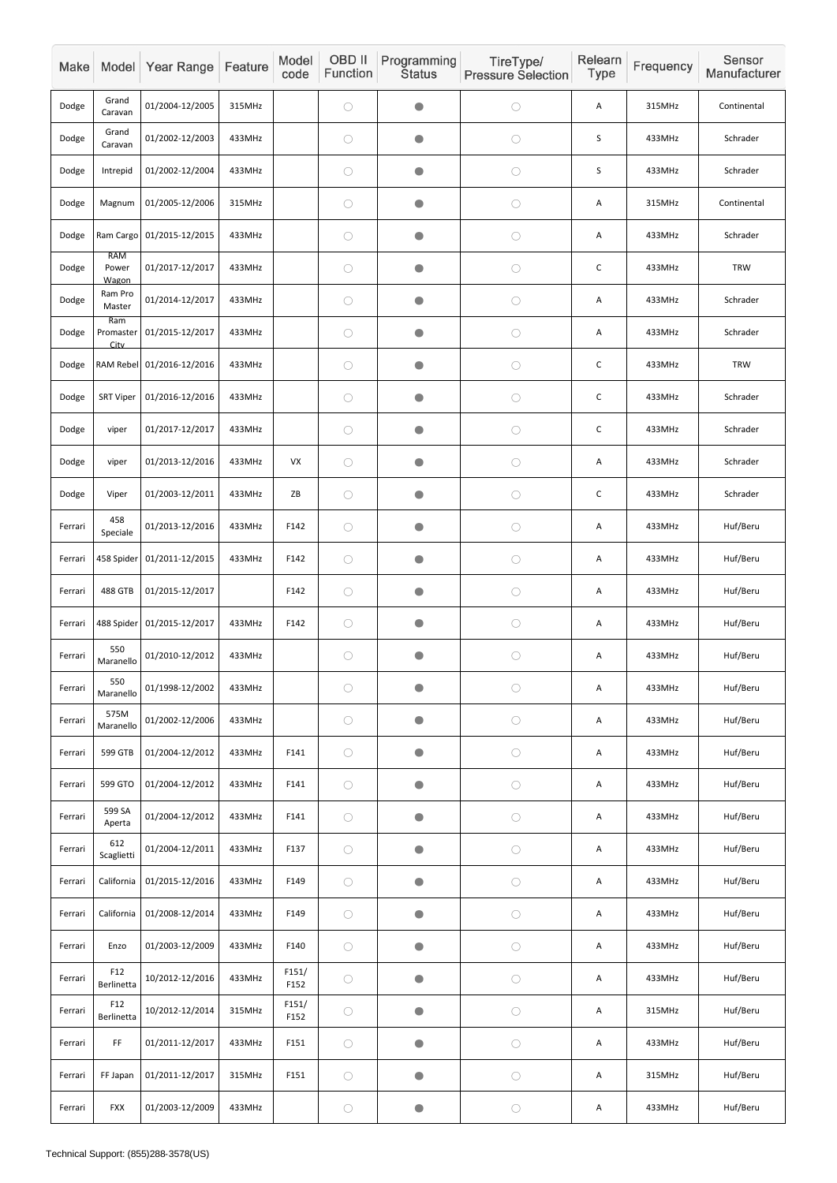| Make    |                              | Model Year Range           | Feature | Model<br>code          | OBD II<br>Function | Programming<br><b>Status</b> | TireType/<br><b>Pressure Selection</b> | Relearn<br>Type           | Frequency | Sensor<br>Manufacturer |
|---------|------------------------------|----------------------------|---------|------------------------|--------------------|------------------------------|----------------------------------------|---------------------------|-----------|------------------------|
| Dodge   | Grand<br>Caravan             | 01/2004-12/2005            | 315MHz  |                        | $\bigcirc$         | $\bullet$                    | $\bigcirc$                             | Α                         | 315MHz    | Continental            |
| Dodge   | Grand<br>Caravan             | 01/2002-12/2003            | 433MHz  |                        | $\bigcirc$         | $\bullet$                    | $\bigcirc$                             | S                         | 433MHz    | Schrader               |
| Dodge   | Intrepid                     | 01/2002-12/2004            | 433MHz  |                        | $\bigcirc$         | $\bullet$                    | $\bigcirc$                             | $\mathsf S$               | 433MHz    | Schrader               |
| Dodge   | Magnum                       | 01/2005-12/2006            | 315MHz  |                        | $\bigcirc$         | $\bullet$                    | $\bigcirc$                             | Α                         | 315MHz    | Continental            |
| Dodge   |                              | Ram Cargo 01/2015-12/2015  | 433MHz  |                        | $\bigcirc$         | $\bullet$                    | $\bigcirc$                             | Α                         | 433MHz    | Schrader               |
| Dodge   | <b>RAM</b><br>Power<br>Wagon | 01/2017-12/2017            | 433MHz  |                        | $\bigcirc$         | $\bullet$                    | $\bigcirc$                             | $\mathsf C$               | 433MHz    | <b>TRW</b>             |
| Dodge   | Ram Pro<br>Master            | 01/2014-12/2017            | 433MHz  |                        | $\bigcirc$         | $\bullet$                    | $\bigcirc$                             | Α                         | 433MHz    | Schrader               |
| Dodge   | Ram<br>Promaster<br>City     | 01/2015-12/2017            | 433MHz  |                        | $\bigcirc$         | $\bullet$                    | $\bigcirc$                             | Α                         | 433MHz    | Schrader               |
| Dodge   |                              | RAM Rebel 01/2016-12/2016  | 433MHz  |                        | $\bigcirc$         | $\bullet$                    | $\bigcirc$                             | $\mathsf C$               | 433MHz    | <b>TRW</b>             |
| Dodge   | <b>SRT Viper</b>             | 01/2016-12/2016            | 433MHz  |                        | $\bigcirc$         | $\bullet$                    | $\bigcirc$                             | C                         | 433MHz    | Schrader               |
| Dodge   | viper                        | 01/2017-12/2017            | 433MHz  |                        | $\bigcirc$         | $\bullet$                    | $\bigcirc$                             | $\mathsf C$               | 433MHz    | Schrader               |
| Dodge   | viper                        | 01/2013-12/2016            | 433MHz  | VX                     | $\bigcirc$         | $\bullet$                    | $\bigcirc$                             | Α                         | 433MHz    | Schrader               |
| Dodge   | Viper                        | 01/2003-12/2011            | 433MHz  | $\mathsf{Z}\mathsf{B}$ | $\bigcirc$         | $\bullet$                    | $\bigcirc$                             | $\mathsf C$               | 433MHz    | Schrader               |
| Ferrari | 458<br>Speciale              | 01/2013-12/2016            | 433MHz  | F142                   | $\bigcirc$         | $\bullet$                    | $\bigcirc$                             | Α                         | 433MHz    | Huf/Beru               |
| Ferrari |                              | 458 Spider 01/2011-12/2015 | 433MHz  | F142                   | $\bigcirc$         | $\bullet$                    | $\bigcirc$                             | Α                         | 433MHz    | Huf/Beru               |
| Ferrari | 488 GTB                      | 01/2015-12/2017            |         | F142                   | $\bigcirc$         | $\bullet$                    | $\bigcirc$                             | Α                         | 433MHz    | Huf/Beru               |
| Ferrari | 488 Spider                   | 01/2015-12/2017            | 433MHz  | F142                   | $\bigcirc$         | $\bullet$                    | $\bigcirc$                             | Α                         | 433MHz    | Huf/Beru               |
| Ferrari | 550<br>Maranello             | 01/2010-12/2012            | 433MHz  |                        | $\bigcirc$         | $\bullet$                    | $\bigcirc$                             | Α                         | 433MHz    | Huf/Beru               |
| Ferrari | 550<br>Maranello             | 01/1998-12/2002            | 433MHz  |                        | $\bigcirc$         | $\bullet$                    | $\bigcirc$                             | А                         | 433MHz    | Huf/Beru               |
| Ferrari | 575M<br>Maranello            | 01/2002-12/2006            | 433MHz  |                        | $\bigcirc$         | $\bullet$                    | $\bigcirc$                             | Α                         | 433MHz    | Huf/Beru               |
| Ferrari | 599 GTB                      | 01/2004-12/2012            | 433MHz  | F141                   | $\bigcirc$         | $\bullet$                    | $\bigcirc$                             | Α                         | 433MHz    | Huf/Beru               |
| Ferrari | 599 GTO                      | 01/2004-12/2012            | 433MHz  | F141                   | $\bigcirc$         | $\bullet$                    | $\bigcirc$                             | Α                         | 433MHz    | Huf/Beru               |
| Ferrari | 599 SA<br>Aperta             | 01/2004-12/2012            | 433MHz  | F141                   | $\bigcirc$         | $\bullet$                    | $\bigcirc$                             | Α                         | 433MHz    | Huf/Beru               |
| Ferrari | 612<br>Scaglietti            | 01/2004-12/2011            | 433MHz  | F137                   | $\bigcirc$         | $\bullet$                    | $\bigcirc$                             | $\boldsymbol{\mathsf{A}}$ | 433MHz    | Huf/Beru               |
| Ferrari | California                   | 01/2015-12/2016            | 433MHz  | F149                   | $\bigcirc$         | $\bullet$                    | $\bigcirc$                             | Α                         | 433MHz    | Huf/Beru               |
| Ferrari | California                   | 01/2008-12/2014            | 433MHz  | F149                   | $\bigcirc$         | $\bullet$                    | $\bigcirc$                             | Α                         | 433MHz    | Huf/Beru               |
| Ferrari | Enzo                         | 01/2003-12/2009            | 433MHz  | F140                   | $\bigcirc$         | $\bullet$                    | $\bigcirc$                             | A                         | 433MHz    | Huf/Beru               |
| Ferrari | F12<br>Berlinetta            | 10/2012-12/2016            | 433MHz  | F151/<br>F152          | $\bigcirc$         | $\bullet$                    | $\bigcirc$                             | A                         | 433MHz    | Huf/Beru               |
| Ferrari | F12<br>Berlinetta            | 10/2012-12/2014            | 315MHz  | F151/<br>F152          | $\bigcirc$         | $\bullet$                    | $\bigcirc$                             | Α                         | 315MHz    | Huf/Beru               |
| Ferrari | FF.                          | 01/2011-12/2017            | 433MHz  | F151                   | $\bigcirc$         | $\bullet$                    | $\bigcirc$                             | Α                         | 433MHz    | Huf/Beru               |
| Ferrari | FF Japan                     | 01/2011-12/2017            | 315MHz  | F151                   | $\bigcirc$         | $\bullet$                    | $\bigcirc$                             | А                         | 315MHz    | Huf/Beru               |
| Ferrari | <b>FXX</b>                   | 01/2003-12/2009            | 433MHz  |                        | $\bigcirc$         | $\bigcirc$                   | $\bigcirc$                             | A                         | 433MHz    | Huf/Beru               |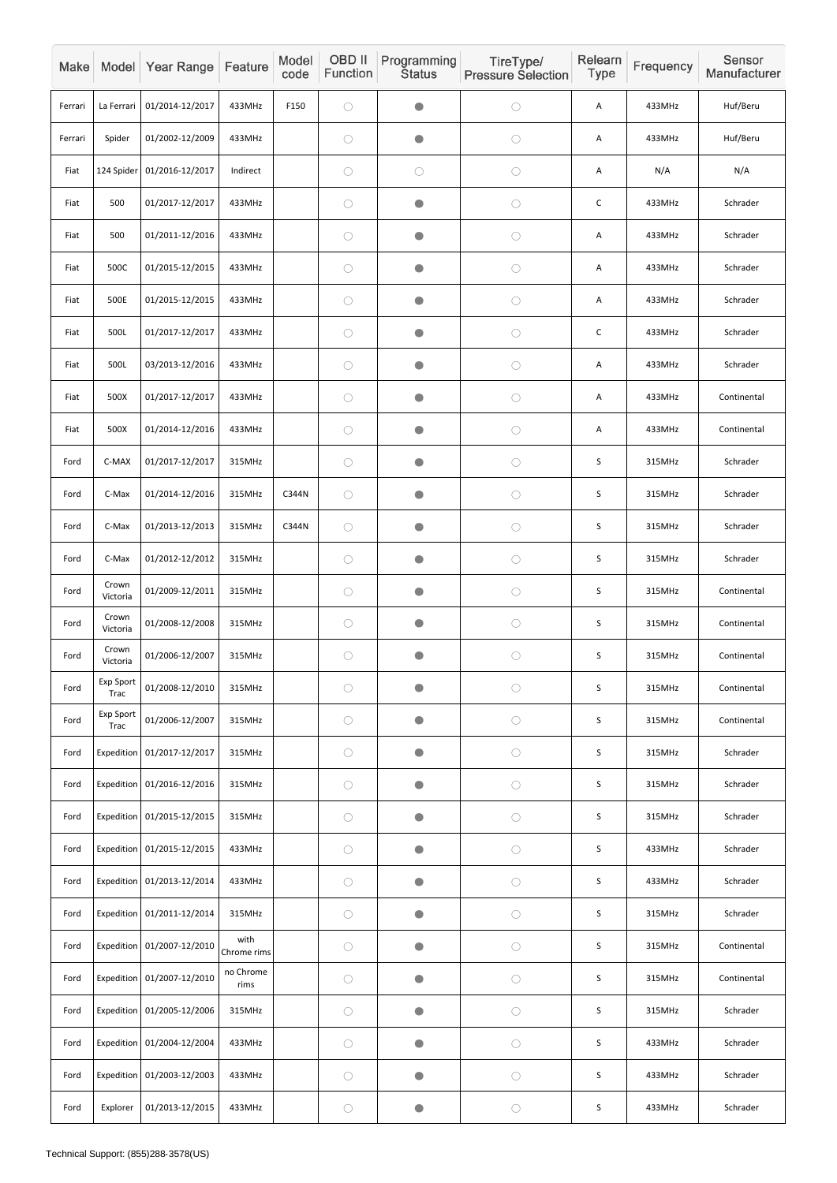| Make    |                          | Model Year Range           | Feature             | Model<br>code | OBD II<br>Function | Programming<br><b>Status</b> | TireType/<br><b>Pressure Selection</b> | Relearn<br>Type | Frequency | Sensor<br>Manufacturer |
|---------|--------------------------|----------------------------|---------------------|---------------|--------------------|------------------------------|----------------------------------------|-----------------|-----------|------------------------|
| Ferrari | La Ferrari               | 01/2014-12/2017            | 433MHz              | F150          | $\bigcirc$         | $\bullet$                    | $\bigcirc$                             | A               | 433MHz    | Huf/Beru               |
| Ferrari | Spider                   | 01/2002-12/2009            | 433MHz              |               | $\bigcirc$         | $\bullet$                    | $\bigcirc$                             | A               | 433MHz    | Huf/Beru               |
| Fiat    |                          | 124 Spider 01/2016-12/2017 | Indirect            |               | $\bigcirc$         | $\bigcirc$                   | $\bigcirc$                             | A               | N/A       | N/A                    |
| Fiat    | 500                      | 01/2017-12/2017            | 433MHz              |               | $\bigcirc$         | $\bullet$                    | $\bigcirc$                             | $\mathsf C$     | 433MHz    | Schrader               |
| Fiat    | 500                      | 01/2011-12/2016            | 433MHz              |               | $\bigcirc$         | $\bullet$                    | $\bigcirc$                             | A               | 433MHz    | Schrader               |
| Fiat    | 500C                     | 01/2015-12/2015            | 433MHz              |               | $\bigcirc$         | $\bullet$                    | $\bigcirc$                             | A               | 433MHz    | Schrader               |
| Fiat    | 500E                     | 01/2015-12/2015            | 433MHz              |               | $\bigcirc$         | $\bigcirc$                   | $\bigcirc$                             | A               | 433MHz    | Schrader               |
| Fiat    | 500L                     | 01/2017-12/2017            | 433MHz              |               | $\bigcirc$         | $\bullet$                    | $\bigcirc$                             | $\mathsf C$     | 433MHz    | Schrader               |
| Fiat    | 500L                     | 03/2013-12/2016            | 433MHz              |               | $\bigcirc$         | $\bullet$                    | $\bigcirc$                             | A               | 433MHz    | Schrader               |
| Fiat    | 500X                     | 01/2017-12/2017            | 433MHz              |               | $\bigcirc$         | $\bullet$                    | $\bigcirc$                             | A               | 433MHz    | Continental            |
| Fiat    | 500X                     | 01/2014-12/2016            | 433MHz              |               | $\bigcirc$         | $\bullet$                    | $\bigcirc$                             | A               | 433MHz    | Continental            |
| Ford    | C-MAX                    | 01/2017-12/2017            | 315MHz              |               | $\bigcirc$         | $\bullet$                    | $\bigcirc$                             | $\sf S$         | 315MHz    | Schrader               |
| Ford    | C-Max                    | 01/2014-12/2016            | 315MHz              | C344N         | $\bigcirc$         | $\bullet$                    | $\bigcirc$                             | $\sf S$         | 315MHz    | Schrader               |
| Ford    | C-Max                    | 01/2013-12/2013            | 315MHz              | C344N         | $\bigcirc$         | $\bigcirc$                   | $\bigcirc$                             | S               | 315MHz    | Schrader               |
| Ford    | C-Max                    | 01/2012-12/2012            | 315MHz              |               | $\bigcirc$         | $\bullet$                    | $\bigcirc$                             | S               | 315MHz    | Schrader               |
| Ford    | Crown<br>Victoria        | 01/2009-12/2011            | 315MHz              |               | $\bigcirc$         | $\bullet$                    | $\bigcirc$                             | $\mathsf S$     | 315MHz    | Continental            |
| Ford    | Crown<br>Victoria        | 01/2008-12/2008            | 315MHz              |               | $\bigcirc$         | $\bigcirc$                   | $\bigcirc$                             | $\sf S$         | 315MHz    | Continental            |
| Ford    | Crown<br>Victoria        | 01/2006-12/2007            | 315MHz              |               | $\bigcirc$         | $\bullet$                    | $\bigcirc$                             | S               | 315MHz    | Continental            |
| Ford    | Exp Sport<br><b>Trac</b> | 01/2008-12/2010            | 315MHz              |               | $\bigcirc$         | $\bullet$                    | $\bigcirc$                             | S               | 315MHz    | Continental            |
| Ford    | Exp Sport<br><b>Trac</b> | 01/2006-12/2007            | 315MHz              |               | $\bigcirc$         | $\bullet$                    | $\bigcirc$                             | $\mathsf S$     | 315MHz    | Continental            |
| Ford    | Expedition               | 01/2017-12/2017            | 315MHz              |               | $\bigcirc$         | $\bullet$                    | $\bigcirc$                             | S               | 315MHz    | Schrader               |
| Ford    |                          | Expedition 01/2016-12/2016 | 315MHz              |               | $\bigcirc$         | $\bullet$                    | $\bigcirc$                             | $\sf S$         | 315MHz    | Schrader               |
| Ford    |                          | Expedition 01/2015-12/2015 | 315MHz              |               | $\bigcirc$         | $\bullet$                    | $\bigcirc$                             | S               | 315MHz    | Schrader               |
| Ford    |                          | Expedition 01/2015-12/2015 | 433MHz              |               | $\bigcirc$         | $\bullet$                    | $\bigcirc$                             | S               | 433MHz    | Schrader               |
| Ford    |                          | Expedition 01/2013-12/2014 | 433MHz              |               | $\bigcirc$         | $\bigcirc$                   | $\bigcirc$                             | $\sf S$         | 433MHz    | Schrader               |
| Ford    |                          | Expedition 01/2011-12/2014 | 315MHz              |               | $\bigcirc$         | $\bigcirc$                   | $\bigcirc$                             | $\mathsf S$     | 315MHz    | Schrader               |
| Ford    |                          | Expedition 01/2007-12/2010 | with<br>Chrome rims |               | $\bigcirc$         | $\bullet$                    | $\bigcirc$                             | S               | 315MHz    | Continental            |
| Ford    | Expedition               | 01/2007-12/2010            | no Chrome<br>rims   |               | $\bigcirc$         | $\bullet$                    | $\bigcirc$                             | $\mathsf S$     | 315MHz    | Continental            |
| Ford    | Expedition               | 01/2005-12/2006            | 315MHz              |               | $\bigcirc$         | $\bullet$                    | $\bigcirc$                             | $\mathsf S$     | 315MHz    | Schrader               |
| Ford    | Expedition               | 01/2004-12/2004            | 433MHz              |               | $\bigcirc$         | $\bullet$                    | $\bigcirc$                             | $\mathsf S$     | 433MHz    | Schrader               |
| Ford    | Expedition               | 01/2003-12/2003            | 433MHz              |               | $\bigcirc$         | $\bullet$                    | $\bigcirc$                             | $\mathsf S$     | 433MHz    | Schrader               |
| Ford    | Explorer                 | 01/2013-12/2015            | 433MHz              |               | $\bigcirc$         | $\bullet$                    | $\bigcirc$                             | $\sf S$         | 433MHz    | Schrader               |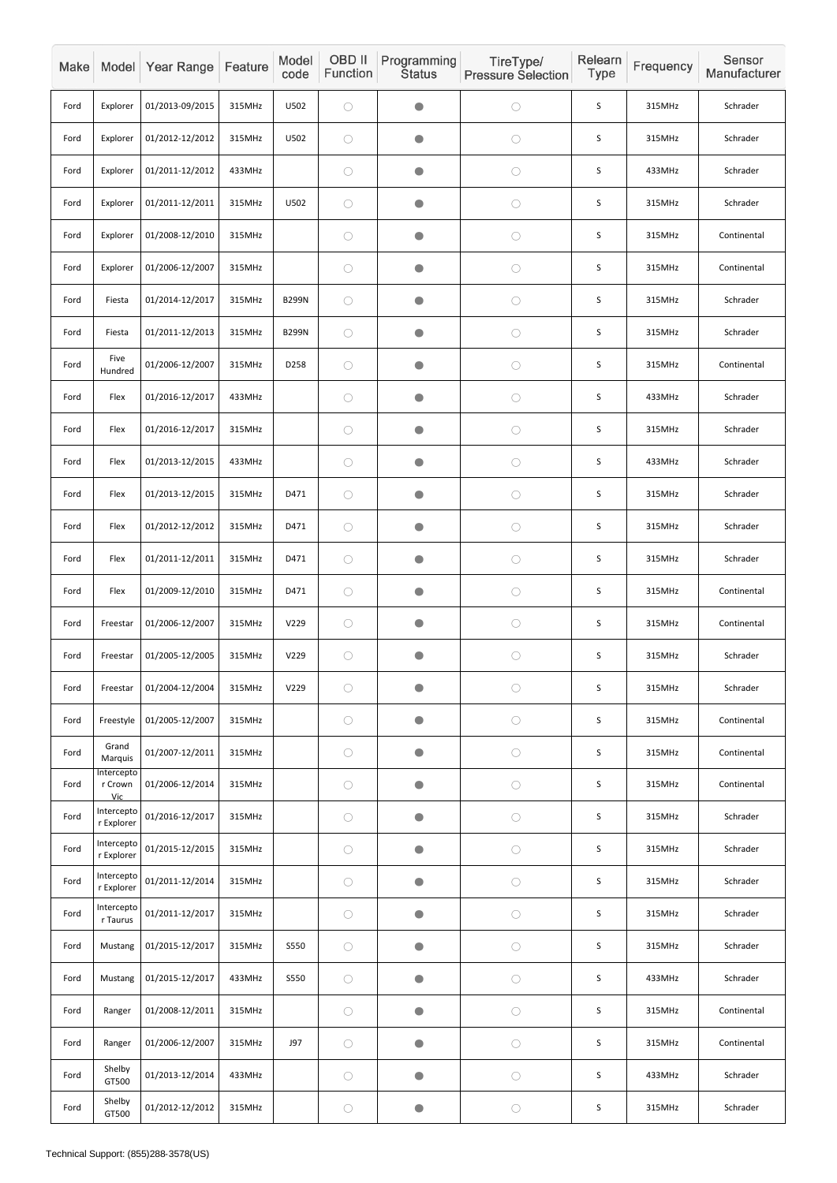| Make |                              | Model Year Range | Feature | Model<br>code | OBD II<br>Function | Programming<br><b>Status</b> | TireType/<br><b>Pressure Selection</b> | Relearn<br><b>Type</b> | Frequency | Sensor<br>Manufacturer |
|------|------------------------------|------------------|---------|---------------|--------------------|------------------------------|----------------------------------------|------------------------|-----------|------------------------|
| Ford | Explorer                     | 01/2013-09/2015  | 315MHz  | U502          | $\bigcirc$         | $\bullet$                    | $\bigcirc$                             | S                      | 315MHz    | Schrader               |
| Ford | Explorer                     | 01/2012-12/2012  | 315MHz  | U502          | $\bigcirc$         | $\bullet$                    | $\bigcirc$                             | S                      | 315MHz    | Schrader               |
| Ford | Explorer                     | 01/2011-12/2012  | 433MHz  |               | $\bigcirc$         | $\bullet$                    | $\bigcirc$                             | S                      | 433MHz    | Schrader               |
| Ford | Explorer                     | 01/2011-12/2011  | 315MHz  | U502          | $\bigcirc$         | $\bullet$                    | $\bigcirc$                             | S                      | 315MHz    | Schrader               |
| Ford | Explorer                     | 01/2008-12/2010  | 315MHz  |               | $\bigcirc$         | $\bullet$                    | $\bigcirc$                             | S                      | 315MHz    | Continental            |
| Ford | Explorer                     | 01/2006-12/2007  | 315MHz  |               | $\bigcirc$         | $\bullet$                    | $\bigcirc$                             | S                      | 315MHz    | Continental            |
| Ford | Fiesta                       | 01/2014-12/2017  | 315MHz  | <b>B299N</b>  | $\bigcirc$         | $\bullet$                    | $\bigcirc$                             | S                      | 315MHz    | Schrader               |
| Ford | Fiesta                       | 01/2011-12/2013  | 315MHz  | <b>B299N</b>  | $\bigcirc$         | $\bullet$                    | $\bigcirc$                             | S                      | 315MHz    | Schrader               |
| Ford | Five<br>Hundred              | 01/2006-12/2007  | 315MHz  | D258          | $\bigcirc$         | $\bullet$                    | $\bigcirc$                             | S                      | 315MHz    | Continental            |
| Ford | Flex                         | 01/2016-12/2017  | 433MHz  |               | $\bigcirc$         | $\bullet$                    | $\bigcirc$                             | S                      | 433MHz    | Schrader               |
| Ford | Flex                         | 01/2016-12/2017  | 315MHz  |               | $\bigcirc$         | $\bullet$                    | $\bigcirc$                             | $\mathsf S$            | 315MHz    | Schrader               |
| Ford | Flex                         | 01/2013-12/2015  | 433MHz  |               | $\bigcirc$         | $\bullet$                    | $\bigcirc$                             | S                      | 433MHz    | Schrader               |
| Ford | Flex                         | 01/2013-12/2015  | 315MHz  | D471          | $\bigcirc$         | $\bullet$                    | $\bigcirc$                             | $\mathsf S$            | 315MHz    | Schrader               |
| Ford | Flex                         | 01/2012-12/2012  | 315MHz  | D471          | $\bigcirc$         | $\bigcirc$                   | $\bigcirc$                             | S                      | 315MHz    | Schrader               |
| Ford | Flex                         | 01/2011-12/2011  | 315MHz  | D471          | $\bigcirc$         | $\bullet$                    | $\bigcirc$                             | S                      | 315MHz    | Schrader               |
| Ford | Flex                         | 01/2009-12/2010  | 315MHz  | D471          | $\bigcirc$         | $\bullet$                    | $\bigcirc$                             | S                      | 315MHz    | Continental            |
| Ford | Freestar                     | 01/2006-12/2007  | 315MHz  | V229          | $\bigcirc$         | $\bullet$                    | $\bigcirc$                             | $\mathsf S$            | 315MHz    | Continental            |
| Ford | Freestar                     | 01/2005-12/2005  | 315MHz  | V229          | $\bigcirc$         | $\bullet$                    | $\bigcirc$                             | $\sf S$                | 315MHz    | Schrader               |
| Ford | Freestar                     | 01/2004-12/2004  | 315MHz  | V229          | $\bigcirc$         | $\bullet$                    | $\bigcirc$                             | S                      | 315MHz    | Schrader               |
| Ford | Freestyle                    | 01/2005-12/2007  | 315MHz  |               | $\bigcirc$         | $\bullet$                    | $\bigcirc$                             | $\sf S$                | 315MHz    | Continental            |
| Ford | Grand<br>Marquis             | 01/2007-12/2011  | 315MHz  |               | $\bigcirc$         | $\bullet$                    | $\bigcirc$                             | $\mathsf S$            | 315MHz    | Continental            |
| Ford | Intercepto<br>r Crown<br>Vic | 01/2006-12/2014  | 315MHz  |               | $\bigcirc$         | $\bullet$                    | $\bigcirc$                             | S                      | 315MHz    | Continental            |
| Ford | Intercepto<br>r Explorer     | 01/2016-12/2017  | 315MHz  |               | $\bigcirc$         | $\bullet$                    | $\bigcirc$                             | S                      | 315MHz    | Schrader               |
| Ford | Intercepto<br>r Explorer     | 01/2015-12/2015  | 315MHz  |               | $\bigcirc$         | $\bullet$                    | $\bigcirc$                             | S                      | 315MHz    | Schrader               |
| Ford | Intercepto<br>r Explorer     | 01/2011-12/2014  | 315MHz  |               | $\bigcirc$         | $\bullet$                    | $\bigcirc$                             | S                      | 315MHz    | Schrader               |
| Ford | Intercepto<br>r Taurus       | 01/2011-12/2017  | 315MHz  |               | $\bigcirc$         | $\bullet$                    | $\bigcirc$                             | $\mathsf S$            | 315MHz    | Schrader               |
| Ford | Mustang                      | 01/2015-12/2017  | 315MHz  | S550          | $\bigcirc$         | $\bullet$                    | $\bigcirc$                             | $\sf S$                | 315MHz    | Schrader               |
| Ford | Mustang                      | 01/2015-12/2017  | 433MHz  | S550          | $\bigcirc$         | $\bullet$                    | $\bigcirc$                             | $\mathsf S$            | 433MHz    | Schrader               |
| Ford | Ranger                       | 01/2008-12/2011  | 315MHz  |               | $\bigcirc$         | $\bullet$                    | $\bigcirc$                             | $\mathsf S$            | 315MHz    | Continental            |
| Ford | Ranger                       | 01/2006-12/2007  | 315MHz  | J97           | $\bigcirc$         | $\bullet$                    | $\bigcirc$                             | $\sf S$                | 315MHz    | Continental            |
| Ford | Shelby<br>GT500              | 01/2013-12/2014  | 433MHz  |               | $\bigcirc$         | $\bullet$                    | $\bigcirc$                             | $\mathsf S$            | 433MHz    | Schrader               |
| Ford | Shelby<br>GT500              | 01/2012-12/2012  | 315MHz  |               | $\bigcirc$         | $\bullet$                    | $\bigcirc$                             | S                      | 315MHz    | Schrader               |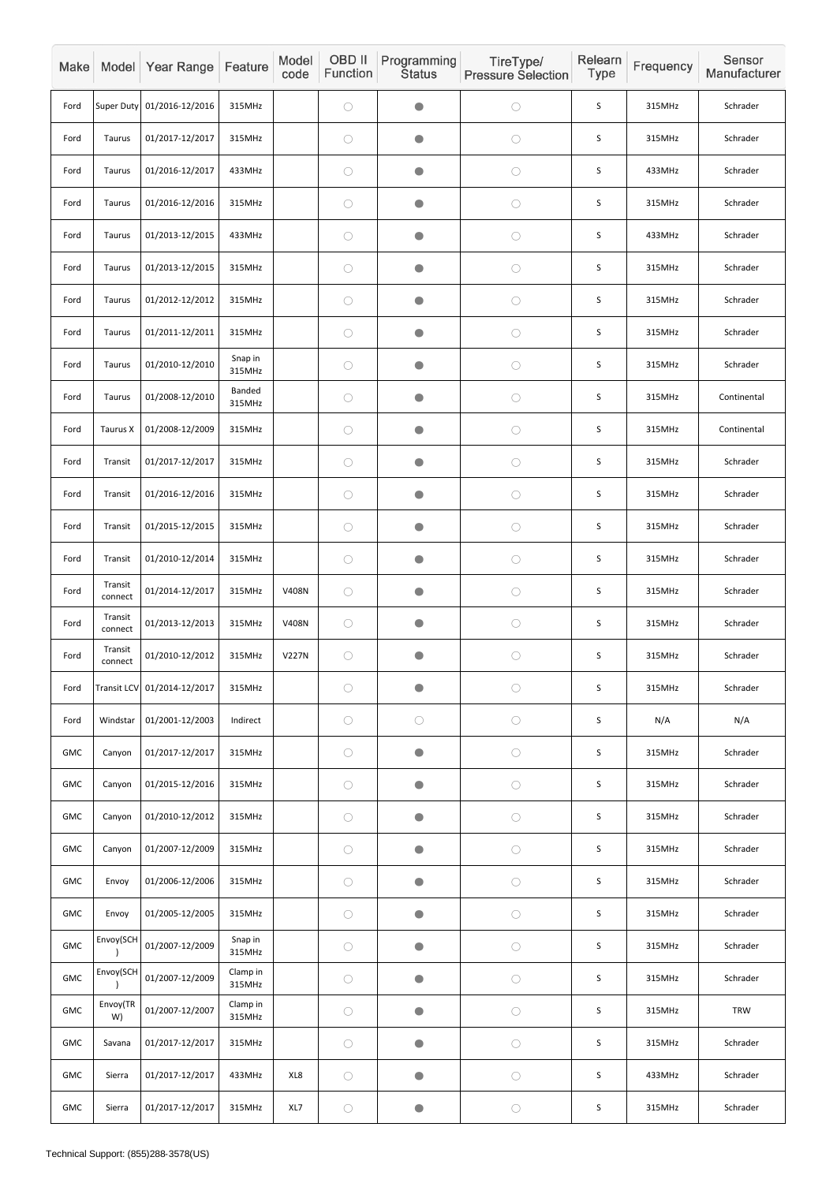| Make       |                    | Model Year Range            | Feature                 | Model<br>code | OBD II<br>Function | Programming<br><b>Status</b> | TireType/<br><b>Pressure Selection</b> | Relearn<br>Type | Frequency | Sensor<br>Manufacturer |
|------------|--------------------|-----------------------------|-------------------------|---------------|--------------------|------------------------------|----------------------------------------|-----------------|-----------|------------------------|
| Ford       |                    | Super Duty 01/2016-12/2016  | 315MHz                  |               | $\bigcirc$         | $\bullet$                    | $\bigcirc$                             | S               | 315MHz    | Schrader               |
| Ford       | <b>Taurus</b>      | 01/2017-12/2017             | 315MHz                  |               | $\bigcirc$         | $\bullet$                    | $\bigcirc$                             | S               | 315MHz    | Schrader               |
| Ford       | Taurus             | 01/2016-12/2017             | 433MHz                  |               | $\bigcirc$         | $\bullet$                    | $\bigcirc$                             | S               | 433MHz    | Schrader               |
| Ford       | <b>Taurus</b>      | 01/2016-12/2016             | 315MHz                  |               | $\bigcirc$         | $\bullet$                    | $\bigcirc$                             | $\mathsf S$     | 315MHz    | Schrader               |
| Ford       | <b>Taurus</b>      | 01/2013-12/2015             | 433MHz                  |               | $\bigcirc$         | $\bullet$                    | $\bigcirc$                             | S               | 433MHz    | Schrader               |
| Ford       | <b>Taurus</b>      | 01/2013-12/2015             | 315MHz                  |               | $\bigcirc$         | $\bullet$                    | $\bigcirc$                             | $\mathsf S$     | 315MHz    | Schrader               |
| Ford       | <b>Taurus</b>      | 01/2012-12/2012             | 315MHz                  |               | $\bigcirc$         | $\bullet$                    | $\bigcirc$                             | S               | 315MHz    | Schrader               |
| Ford       | <b>Taurus</b>      | 01/2011-12/2011             | 315MHz                  |               | $\bigcirc$         | $\bullet$                    | $\bigcirc$                             | S               | 315MHz    | Schrader               |
| Ford       | Taurus             | 01/2010-12/2010             | Snap in<br>315MHz       |               | $\bigcirc$         | $\bullet$                    | $\bigcirc$                             | S               | 315MHz    | Schrader               |
| Ford       | Taurus             | 01/2008-12/2010             | <b>Banded</b><br>315MHz |               | $\bigcirc$         | $\bullet$                    | $\bigcirc$                             | S               | 315MHz    | Continental            |
| Ford       | Taurus X           | 01/2008-12/2009             | 315MHz                  |               | $\bigcirc$         | $\bullet$                    | $\bigcirc$                             | $\mathsf S$     | 315MHz    | Continental            |
| Ford       | Transit            | 01/2017-12/2017             | 315MHz                  |               | $\bigcirc$         | $\bullet$                    | $\bigcirc$                             | S               | 315MHz    | Schrader               |
| Ford       | Transit            | 01/2016-12/2016             | 315MHz                  |               | $\bigcirc$         | $\bullet$                    | $\bigcirc$                             | $\mathsf S$     | 315MHz    | Schrader               |
| Ford       | Transit            | 01/2015-12/2015             | 315MHz                  |               | $\bigcirc$         | $\bullet$                    | $\bigcirc$                             | $\mathsf S$     | 315MHz    | Schrader               |
| Ford       | Transit            | 01/2010-12/2014             | 315MHz                  |               | $\bigcirc$         | $\bigcirc$                   | $\bigcirc$                             | $\mathsf S$     | 315MHz    | Schrader               |
| Ford       | Transit<br>connect | 01/2014-12/2017             | 315MHz                  | V408N         | $\bigcirc$         | $\bullet$                    | $\bigcirc$                             | $\mathsf S$     | 315MHz    | Schrader               |
| Ford       | Transit<br>connect | 01/2013-12/2013             | 315MHz                  | V408N         | $\bigcirc$         | $\bullet$                    | $\bigcirc$                             | $\mathsf S$     | 315MHz    | Schrader               |
| Ford       | Transit<br>connect | 01/2010-12/2012             | 315MHz                  | <b>V227N</b>  | $\bigcirc$         | $\bullet$                    | $\bigcirc$                             | $\mathsf S$     | 315MHz    | Schrader               |
| Ford       |                    | Transit LCV 01/2014-12/2017 | 315MHz                  |               | $\bigcirc$         | $\bullet$                    | $\bigcirc$                             | $\mathsf S$     | 315MHz    | Schrader               |
| Ford       | Windstar           | 01/2001-12/2003             | Indirect                |               | $\bigcirc$         | $\bigcirc$                   | $\bigcirc$                             | $\mathsf S$     | N/A       | N/A                    |
| GMC        | Canyon             | 01/2017-12/2017             | 315MHz                  |               | $\bigcirc$         | $\bullet$                    | $\bigcirc$                             | $\sf S$         | 315MHz    | Schrader               |
| GMC        | Canyon             | 01/2015-12/2016             | 315MHz                  |               | $\bigcirc$         | $\bigcirc$                   | $\bigcirc$                             | S               | 315MHz    | Schrader               |
| GMC        | Canyon             | 01/2010-12/2012             | 315MHz                  |               | $\bigcirc$         | $\bullet$                    | $\bigcirc$                             | $\mathsf S$     | 315MHz    | Schrader               |
| GMC        | Canyon             | 01/2007-12/2009             | 315MHz                  |               | $\bigcirc$         | $\bullet$                    | $\bigcirc$                             | $\mathsf S$     | 315MHz    | Schrader               |
| GMC        | Envoy              | 01/2006-12/2006             | 315MHz                  |               | $\bigcirc$         | $\bullet$                    | $\bigcirc$                             | $\mathsf S$     | 315MHz    | Schrader               |
| GMC        | Envoy              | 01/2005-12/2005             | 315MHz                  |               | $\bigcirc$         | $\bullet$                    | $\bigcirc$                             | $\mathsf S$     | 315MHz    | Schrader               |
| GMC        | Envoy(SCH          | 01/2007-12/2009             | Snap in<br>315MHz       |               | $\bigcirc$         | $\bigcirc$                   | $\bigcirc$                             | $\sf S$         | 315MHz    | Schrader               |
| GMC        | Envoy(SCH          | 01/2007-12/2009             | Clamp in<br>315MHz      |               | $\bigcirc$         | $\bullet$                    | $\bigcirc$                             | $\mathsf S$     | 315MHz    | Schrader               |
| <b>GMC</b> | Envoy(TR<br>W)     | 01/2007-12/2007             | Clamp in<br>315MHz      |               | $\bigcirc$         | $\bigcirc$                   | $\bigcirc$                             | $\mathsf S$     | 315MHz    | <b>TRW</b>             |
| GMC        | Savana             | 01/2017-12/2017             | 315MHz                  |               | $\bigcirc$         | $\bullet$                    | $\bigcirc$                             | $\mathsf S$     | 315MHz    | Schrader               |
| <b>GMC</b> | Sierra             | 01/2017-12/2017             | 433MHz                  | XL8           | $\bigcirc$         | $\bullet$                    | $\bigcirc$                             | $\mathsf S$     | 433MHz    | Schrader               |
| GMC        | Sierra             | 01/2017-12/2017             | 315MHz                  | XL7           | $\bigcirc$         | $\bullet$                    | $\bigcirc$                             | $\mathsf S$     | 315MHz    | Schrader               |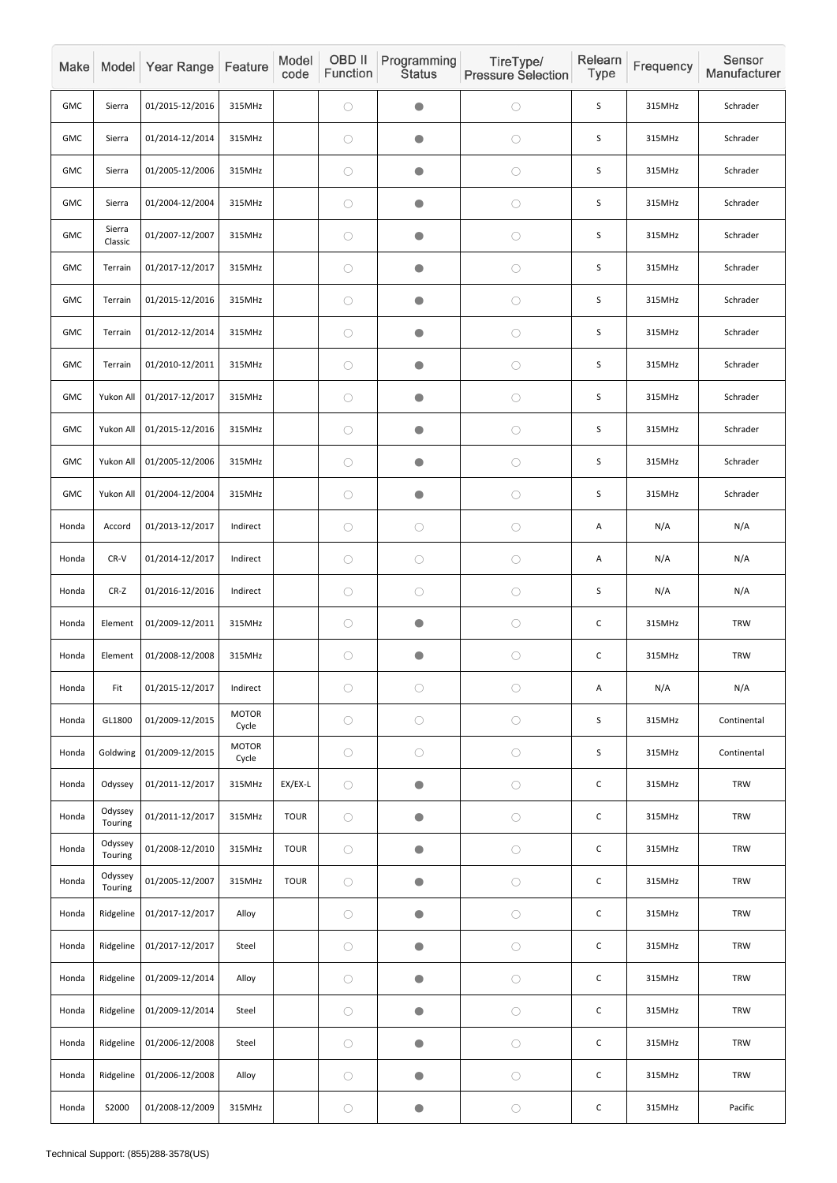| Make       |                    | Model Year Range | Feature               | Model<br>code | OBD II<br>Function | Programming<br><b>Status</b> | TireType/<br><b>Pressure Selection</b> | Relearn<br>Type | Frequency | Sensor<br>Manufacturer |
|------------|--------------------|------------------|-----------------------|---------------|--------------------|------------------------------|----------------------------------------|-----------------|-----------|------------------------|
| GMC        | Sierra             | 01/2015-12/2016  | 315MHz                |               | $\bigcirc$         | $\bullet$                    | $\bigcirc$                             | $\sf S$         | 315MHz    | Schrader               |
| GMC        | Sierra             | 01/2014-12/2014  | 315MHz                |               | $\bigcirc$         | $\bullet$                    | $\bigcirc$                             | S               | 315MHz    | Schrader               |
| GMC        | Sierra             | 01/2005-12/2006  | 315MHz                |               | $\bigcirc$         | $\bullet$                    | $\bigcirc$                             | $\sf S$         | 315MHz    | Schrader               |
| GMC        | Sierra             | 01/2004-12/2004  | 315MHz                |               | $\bigcirc$         | $\bullet$                    | $\bigcirc$                             | $\sf S$         | 315MHz    | Schrader               |
| GMC        | Sierra<br>Classic  | 01/2007-12/2007  | 315MHz                |               | $\bigcirc$         | $\bullet$                    | $\bigcirc$                             | S               | 315MHz    | Schrader               |
| <b>GMC</b> | Terrain            | 01/2017-12/2017  | 315MHz                |               | $\bigcirc$         | $\bullet$                    | $\bigcirc$                             | $\sf S$         | 315MHz    | Schrader               |
| <b>GMC</b> | Terrain            | 01/2015-12/2016  | 315MHz                |               | $\bigcirc$         | $\bullet$                    | $\bigcirc$                             | $\sf S$         | 315MHz    | Schrader               |
| <b>GMC</b> | Terrain            | 01/2012-12/2014  | 315MHz                |               | $\bigcirc$         | $\bullet$                    | $\bigcirc$                             | S               | 315MHz    | Schrader               |
| <b>GMC</b> | Terrain            | 01/2010-12/2011  | 315MHz                |               | $\bigcirc$         | $\bullet$                    | $\bigcirc$                             | S               | 315MHz    | Schrader               |
| <b>GMC</b> | Yukon All          | 01/2017-12/2017  | 315MHz                |               | $\bigcirc$         | $\bullet$                    | $\bigcirc$                             | S               | 315MHz    | Schrader               |
| <b>GMC</b> | Yukon All          | 01/2015-12/2016  | 315MHz                |               | $\bigcirc$         | $\bullet$                    | $\bigcirc$                             | $\sf S$         | 315MHz    | Schrader               |
| GMC        | Yukon All          | 01/2005-12/2006  | 315MHz                |               | $\bigcirc$         | $\bullet$                    | $\bigcirc$                             | S               | 315MHz    | Schrader               |
| GMC        | Yukon All          | 01/2004-12/2004  | 315MHz                |               | $\bigcirc$         | $\bullet$                    | $\bigcirc$                             | $\mathsf S$     | 315MHz    | Schrader               |
| Honda      | Accord             | 01/2013-12/2017  | Indirect              |               | $\bigcirc$         | $\bigcirc$                   | $\bigcirc$                             | A               | N/A       | N/A                    |
| Honda      | $CR-V$             | 01/2014-12/2017  | Indirect              |               | $\bigcirc$         | $\bigcirc$                   | $\bigcirc$                             | A               | N/A       | N/A                    |
| Honda      | $CR-Z$             | 01/2016-12/2016  | Indirect              |               | $\bigcirc$         | $\bigcirc$                   | $\bigcirc$                             | $\mathsf S$     | N/A       | N/A                    |
| Honda      | Element            | 01/2009-12/2011  | 315MHz                |               | $\bigcirc$         | $\bigcirc$                   | $\bigcirc$                             | $\mathsf C$     | 315MHz    | <b>TRW</b>             |
| Honda      | Element            | 01/2008-12/2008  | 315MHz                |               | $\bigcirc$         | $\bullet$                    | $\bigcirc$                             | $\mathsf C$     | 315MHz    | <b>TRW</b>             |
| Honda      | Fit                | 01/2015-12/2017  | Indirect              |               | $\bigcirc$         | $\bigcirc$                   | $\bigcirc$                             | Α               | N/A       | N/A                    |
| Honda      | GL1800             | 01/2009-12/2015  | <b>MOTOR</b><br>Cycle |               | $\bigcirc$         | $\bigcirc$                   | $\bigcirc$                             | $\mathsf S$     | 315MHz    | Continental            |
| Honda      | Goldwing           | 01/2009-12/2015  | <b>MOTOR</b><br>Cycle |               | $\bigcirc$         | $\bigcirc$                   | $\bigcirc$                             | S               | 315MHz    | Continental            |
| Honda      | Odyssey            | 01/2011-12/2017  | 315MHz                | EX/EX-L       | $\bigcirc$         | $\bullet$                    | $\bigcirc$                             | $\mathsf C$     | 315MHz    | TRW                    |
| Honda      | Odyssey<br>Touring | 01/2011-12/2017  | 315MHz                | <b>TOUR</b>   | $\bigcirc$         | $\bullet$                    | $\bigcirc$                             | $\mathsf C$     | 315MHz    | <b>TRW</b>             |
| Honda      | Odyssey<br>Touring | 01/2008-12/2010  | 315MHz                | <b>TOUR</b>   | $\bigcirc$         | $\bullet$                    | $\bigcirc$                             | $\mathsf C$     | 315MHz    | <b>TRW</b>             |
| Honda      | Odyssey<br>Touring | 01/2005-12/2007  | 315MHz                | <b>TOUR</b>   | $\bigcirc$         | $\bullet$                    | $\bigcirc$                             | $\mathsf C$     | 315MHz    | TRW                    |
| Honda      | Ridgeline          | 01/2017-12/2017  | Alloy                 |               | $\bigcirc$         | $\bullet$                    | $\bigcirc$                             | $\mathsf C$     | 315MHz    | <b>TRW</b>             |
| Honda      | Ridgeline          | 01/2017-12/2017  | Steel                 |               | $\bigcirc$         | $\bullet$                    | $\bigcirc$                             | $\mathsf C$     | 315MHz    | <b>TRW</b>             |
| Honda      | Ridgeline          | 01/2009-12/2014  | Alloy                 |               | $\bigcirc$         | $\bullet$                    | $\bigcirc$                             | $\mathsf C$     | 315MHz    | <b>TRW</b>             |
| Honda      | Ridgeline          | 01/2009-12/2014  | Steel                 |               | $\bigcirc$         | $\bullet$                    | $\bigcirc$                             | $\mathsf C$     | 315MHz    | <b>TRW</b>             |
| Honda      | Ridgeline          | 01/2006-12/2008  | Steel                 |               | $\bigcirc$         | $\bullet$                    | $\bigcirc$                             | $\mathsf C$     | 315MHz    | <b>TRW</b>             |
| Honda      | Ridgeline          | 01/2006-12/2008  | Alloy                 |               | $\bigcirc$         | $\bullet$                    | $\bigcirc$                             | $\mathsf C$     | 315MHz    | <b>TRW</b>             |
| Honda      | S2000              | 01/2008-12/2009  | 315MHz                |               | $\bigcirc$         | $\bullet$                    | $\bigcirc$                             | $\mathsf C$     | 315MHz    | Pacific                |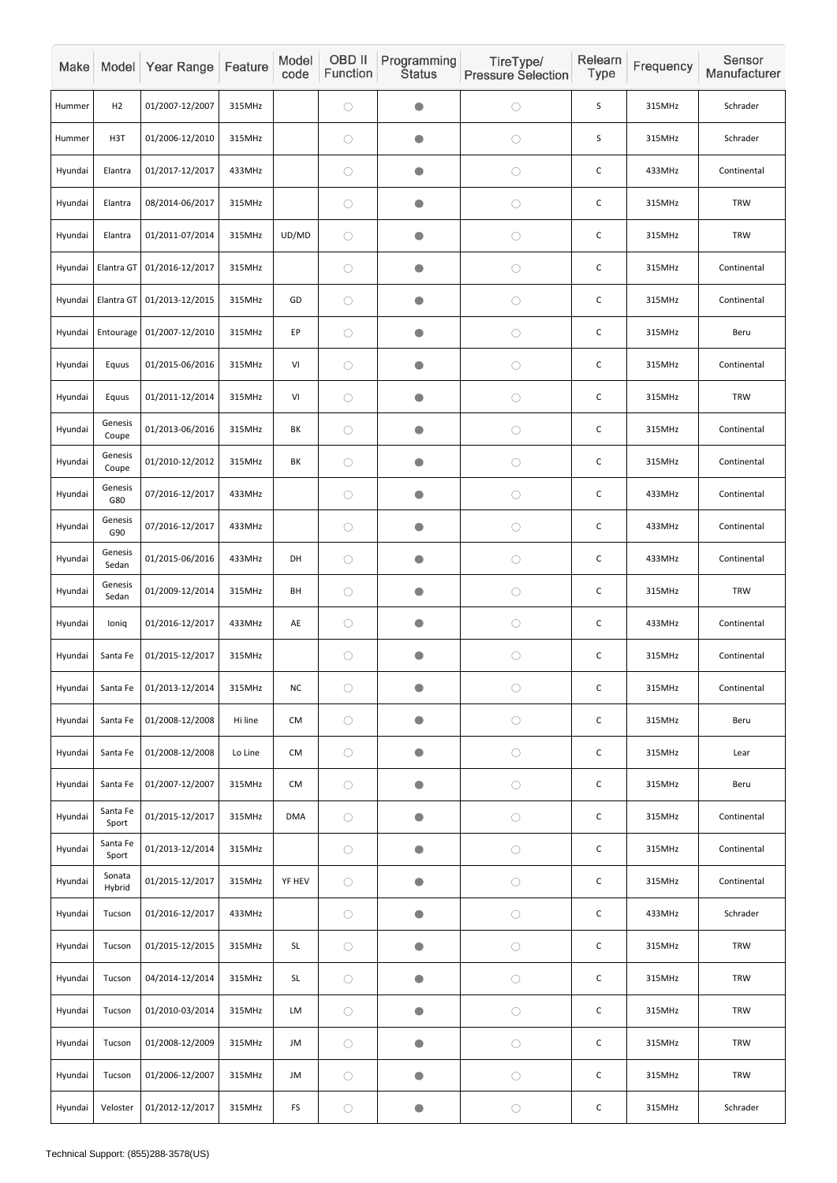| Make    |                   | Model Year Range | Feature | Model<br>code                               | OBD II<br>Function | Programming<br><b>Status</b> | TireType/<br><b>Pressure Selection</b> | Relearn<br><b>Type</b> | Frequency | Sensor<br>Manufacturer |
|---------|-------------------|------------------|---------|---------------------------------------------|--------------------|------------------------------|----------------------------------------|------------------------|-----------|------------------------|
| Hummer  | H2                | 01/2007-12/2007  | 315MHz  |                                             | $\bigcirc$         | $\bullet$                    | $\bigcirc$                             | $\mathsf S$            | 315MHz    | Schrader               |
| Hummer  | H <sub>3</sub> T  | 01/2006-12/2010  | 315MHz  |                                             | $\bigcirc$         | $\bullet$                    | $\bigcirc$                             | S                      | 315MHz    | Schrader               |
| Hyundai | Elantra           | 01/2017-12/2017  | 433MHz  |                                             | $\bigcirc$         | $\bullet$                    | $\bigcirc$                             | C                      | 433MHz    | Continental            |
| Hyundai | Elantra           | 08/2014-06/2017  | 315MHz  |                                             | $\bigcirc$         | $\bullet$                    | $\bigcirc$                             | C                      | 315MHz    | <b>TRW</b>             |
| Hyundai | Elantra           | 01/2011-07/2014  | 315MHz  | UD/MD                                       | $\bigcirc$         | $\bullet$                    | $\bigcirc$                             | $\mathsf C$            | 315MHz    | <b>TRW</b>             |
| Hyundai | Elantra GT        | 01/2016-12/2017  | 315MHz  |                                             | $\bigcirc$         | $\bullet$                    | $\bigcirc$                             | $\mathsf C$            | 315MHz    | Continental            |
| Hyundai | Elantra GT        | 01/2013-12/2015  | 315MHz  | GD                                          | $\bigcirc$         | $\bullet$                    | $\bigcirc$                             | C                      | 315MHz    | Continental            |
| Hyundai | Entourage         | 01/2007-12/2010  | 315MHz  | EP                                          | $\bigcirc$         | $\bullet$                    | $\bigcirc$                             | $\mathsf C$            | 315MHz    | Beru                   |
| Hyundai | Equus             | 01/2015-06/2016  | 315MHz  | VI                                          | $\bigcirc$         | $\bullet$                    | $\bigcirc$                             | $\mathsf C$            | 315MHz    | Continental            |
| Hyundai | Equus             | 01/2011-12/2014  | 315MHz  | VI                                          | $\bigcirc$         | $\bullet$                    | $\bigcirc$                             | C                      | 315MHz    | <b>TRW</b>             |
| Hyundai | Genesis<br>Coupe  | 01/2013-06/2016  | 315MHz  | BK                                          | $\bigcirc$         | $\bullet$                    | $\bigcirc$                             | $\mathsf C$            | 315MHz    | Continental            |
| Hyundai | Genesis<br>Coupe  | 01/2010-12/2012  | 315MHz  | BK                                          | $\bigcirc$         | $\bullet$                    | $\bigcirc$                             | $\mathsf C$            | 315MHz    | Continental            |
| Hyundai | Genesis<br>G80    | 07/2016-12/2017  | 433MHz  |                                             | $\bigcirc$         | $\bullet$                    | $\bigcirc$                             | $\mathsf C$            | 433MHz    | Continental            |
| Hyundai | Genesis<br>G90    | 07/2016-12/2017  | 433MHz  |                                             | $\bigcirc$         | $\bullet$                    | $\bigcirc$                             | $\mathsf C$            | 433MHz    | Continental            |
| Hyundai | Genesis<br>Sedan  | 01/2015-06/2016  | 433MHz  | DH                                          | $\bigcirc$         | $\bullet$                    | $\bigcirc$                             | $\mathsf{C}$           | 433MHz    | Continental            |
| Hyundai | Genesis<br>Sedan  | 01/2009-12/2014  | 315MHz  | BH                                          | $\bigcirc$         | $\bullet$                    | $\bigcirc$                             | $\mathsf C$            | 315MHz    | <b>TRW</b>             |
| Hyundai | loniq             | 01/2016-12/2017  | 433MHz  | AE                                          | $\bigcirc$         | $\bullet$                    | $\bigcirc$                             | $\mathsf{C}$           | 433MHz    | Continental            |
| Hyundai | Santa Fe          | 01/2015-12/2017  | 315MHz  |                                             | $\bigcirc$         | $\bullet$                    | $\bigcirc$                             | $\mathsf C$            | 315MHz    | Continental            |
| Hyundai | Santa Fe          | 01/2013-12/2014  | 315MHz  | ${\sf NC}$                                  | $\bigcirc$         | $\bullet$                    | $\bigcirc$                             | $\mathsf{C}$           | 315MHz    | Continental            |
| Hyundai | Santa Fe          | 01/2008-12/2008  | Hi line | <b>CM</b>                                   | $\bigcirc$         | $\bullet$                    | $\bigcirc$                             | $\mathsf C$            | 315MHz    | Beru                   |
| Hyundai | Santa Fe          | 01/2008-12/2008  | Lo Line | <b>CM</b>                                   | $\bigcirc$         | $\bullet$                    | $\bigcirc$                             | $\mathsf C$            | 315MHz    | Lear                   |
| Hyundai | Santa Fe          | 01/2007-12/2007  | 315MHz  | CM                                          | $\bigcirc$         | $\bullet$                    | $\bigcirc$                             | $\mathsf{C}$           | 315MHz    | Beru                   |
| Hyundai | Santa Fe<br>Sport | 01/2015-12/2017  | 315MHz  | <b>DMA</b>                                  | $\bigcirc$         | $\bullet$                    | $\bigcirc$                             | $\mathsf C$            | 315MHz    | Continental            |
| Hyundai | Santa Fe<br>Sport | 01/2013-12/2014  | 315MHz  |                                             | $\bigcirc$         | $\bullet$                    | $\bigcirc$                             | $\mathsf C$            | 315MHz    | Continental            |
| Hyundai | Sonata<br>Hybrid  | 01/2015-12/2017  | 315MHz  | YF HEV                                      | $\bigcirc$         | $\bullet$                    | $\bigcirc$                             | $\mathsf C$            | 315MHz    | Continental            |
| Hyundai | Tucson            | 01/2016-12/2017  | 433MHz  |                                             | $\bigcirc$         | $\bullet$                    | $\bigcirc$                             | $\mathsf{C}$           | 433MHz    | Schrader               |
| Hyundai | Tucson            | 01/2015-12/2015  | 315MHz  | <b>SL</b>                                   | $\bigcirc$         | $\bullet$                    | $\bigcirc$                             | $\mathsf C$            | 315MHz    | <b>TRW</b>             |
| Hyundai | Tucson            | 04/2014-12/2014  | 315MHz  | $\mathsf{SL}% _{2}\left( \mathbb{Z}\right)$ | $\bigcirc$         | $\bullet$                    | $\bigcirc$                             | $\mathsf C$            | 315MHz    | <b>TRW</b>             |
| Hyundai | Tucson            | 01/2010-03/2014  | 315MHz  | LM                                          | $\bigcirc$         | $\bullet$                    | $\bigcirc$                             | $\mathsf C$            | 315MHz    | <b>TRW</b>             |
| Hyundai | Tucson            | 01/2008-12/2009  | 315MHz  | JM                                          | $\bigcirc$         | $\bullet$                    | $\bigcirc$                             | $\mathsf C$            | 315MHz    | <b>TRW</b>             |
| Hyundai | Tucson            | 01/2006-12/2007  | 315MHz  | JM                                          | $\bigcirc$         | $\bullet$                    | $\bigcirc$                             | $\mathsf C$            | 315MHz    | <b>TRW</b>             |
| Hyundai | Veloster          | 01/2012-12/2017  | 315MHz  | ${\sf FS}$                                  | $\bigcirc$         | $\bullet$                    | $\bigcirc$                             | $\mathsf C$            | 315MHz    | Schrader               |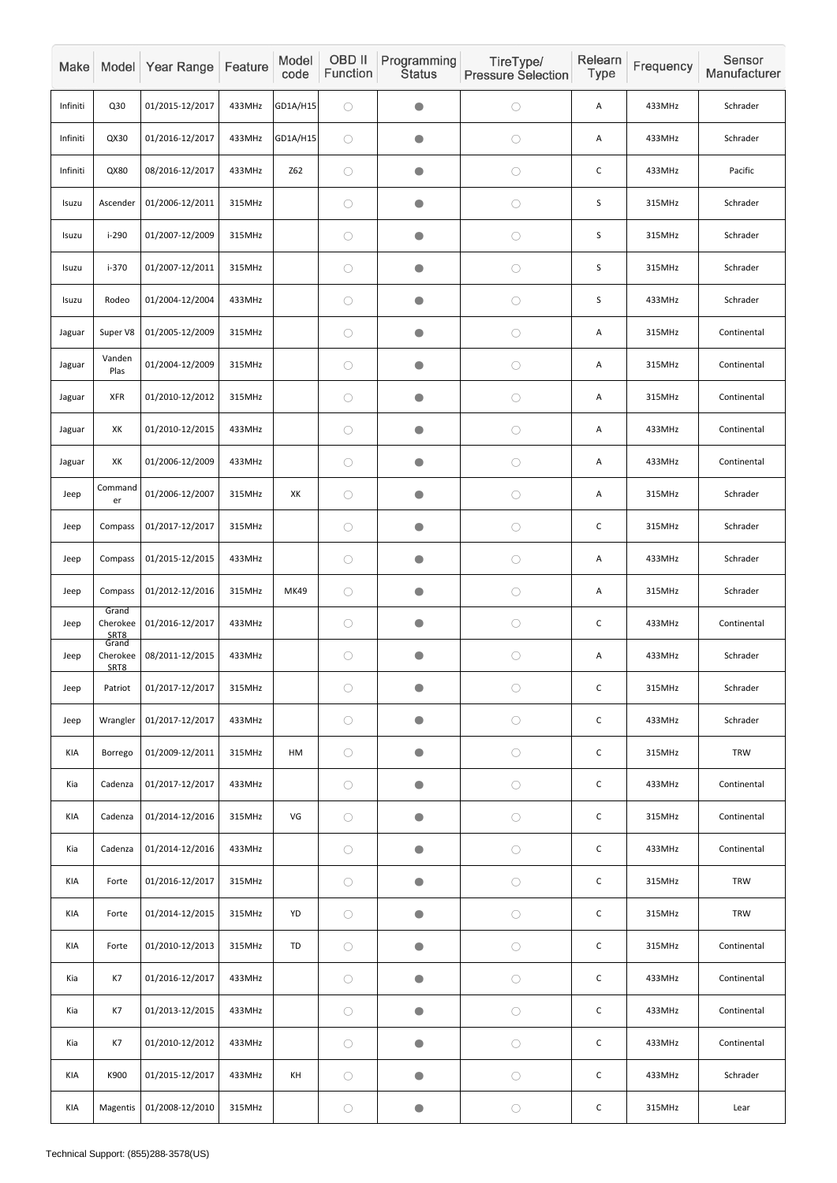| Make     |                                    | Model Year Range | Feature | Model<br>code | OBD II<br>Function | Programming<br><b>Status</b> | TireType/<br><b>Pressure Selection</b> | Relearn<br>Type | Frequency | Sensor<br>Manufacturer |
|----------|------------------------------------|------------------|---------|---------------|--------------------|------------------------------|----------------------------------------|-----------------|-----------|------------------------|
| Infiniti | Q30                                | 01/2015-12/2017  | 433MHz  | GD1A/H15      | $\bigcirc$         | $\bullet$                    | $\bigcirc$                             | Α               | 433MHz    | Schrader               |
| Infiniti | QX30                               | 01/2016-12/2017  | 433MHz  | GD1A/H15      | $\bigcirc$         | $\bullet$                    | $\bigcirc$                             | A               | 433MHz    | Schrader               |
| Infiniti | QX80                               | 08/2016-12/2017  | 433MHz  | <b>Z62</b>    | $\bigcirc$         | $\bullet$                    | $\bigcirc$                             | $\mathsf C$     | 433MHz    | Pacific                |
| Isuzu    | Ascender                           | 01/2006-12/2011  | 315MHz  |               | $\bigcirc$         | $\bullet$                    | $\bigcirc$                             | S               | 315MHz    | Schrader               |
| Isuzu    | $i-290$                            | 01/2007-12/2009  | 315MHz  |               | $\bigcirc$         | $\bullet$                    | $\bigcirc$                             | $\sf S$         | 315MHz    | Schrader               |
| Isuzu    | $i-370$                            | 01/2007-12/2011  | 315MHz  |               | $\bigcirc$         | $\bullet$                    | $\bigcirc$                             | $\sf S$         | 315MHz    | Schrader               |
| Isuzu    | Rodeo                              | 01/2004-12/2004  | 433MHz  |               | $\bigcirc$         | $\bullet$                    | $\bigcirc$                             | S               | 433MHz    | Schrader               |
| Jaguar   | Super V8                           | 01/2005-12/2009  | 315MHz  |               | $\bigcirc$         | $\bullet$                    | $\bigcirc$                             | A               | 315MHz    | Continental            |
| Jaguar   | Vanden<br>Plas                     | 01/2004-12/2009  | 315MHz  |               | $\bigcirc$         | $\bullet$                    | $\bigcirc$                             | A               | 315MHz    | Continental            |
| Jaguar   | <b>XFR</b>                         | 01/2010-12/2012  | 315MHz  |               | $\bigcirc$         | $\bullet$                    | $\bigcirc$                             | A               | 315MHz    | Continental            |
| Jaguar   | XK                                 | 01/2010-12/2015  | 433MHz  |               | $\bigcirc$         | $\bullet$                    | $\bigcirc$                             | A               | 433MHz    | Continental            |
| Jaguar   | XK                                 | 01/2006-12/2009  | 433MHz  |               | $\bigcirc$         | $\bullet$                    | $\bigcirc$                             | A               | 433MHz    | Continental            |
| Jeep     | Command<br>er                      | 01/2006-12/2007  | 315MHz  | XK            | $\bigcirc$         | $\bigcirc$                   | $\bigcirc$                             | Α               | 315MHz    | Schrader               |
| Jeep     | Compass                            | 01/2017-12/2017  | 315MHz  |               | $\bigcirc$         | $\bigcirc$                   | $\bigcirc$                             | $\mathsf{C}$    | 315MHz    | Schrader               |
| Jeep     | Compass                            | 01/2015-12/2015  | 433MHz  |               | $\bigcirc$         | $\bullet$                    | $\bigcirc$                             | A               | 433MHz    | Schrader               |
| Jeep     | Compass                            | 01/2012-12/2016  | 315MHz  | <b>MK49</b>   | $\bigcirc$         | $\bullet$                    | $\bigcirc$                             | A               | 315MHz    | Schrader               |
| Jeep     | Grand<br>Cherokee<br>SRT8<br>Grand | 01/2016-12/2017  | 433MHz  |               | $\bigcirc$         | $\bullet$                    | $\bigcirc$                             | $\mathsf C$     | 433MHz    | Continental            |
| Jeep     | Cherokee<br>SRT8                   | 08/2011-12/2015  | 433MHz  |               | $\bigcirc$         | $\bullet$                    | $\bigcirc$                             | A               | 433MHz    | Schrader               |
| Jeep     | Patriot                            | 01/2017-12/2017  | 315MHz  |               | $\bigcirc$         | $\bigcirc$                   | $\bigcirc$                             | $\mathsf C$     | 315MHz    | Schrader               |
| Jeep     | Wrangler                           | 01/2017-12/2017  | 433MHz  |               | $\bigcirc$         | $\bigcirc$                   | $\bigcirc$                             | $\mathsf C$     | 433MHz    | Schrader               |
| KIA      | Borrego                            | 01/2009-12/2011  | 315MHz  | HM            | $\bigcirc$         | $\bullet$                    | $\bigcirc$                             | $\mathsf C$     | 315MHz    | TRW                    |
| Kia      | Cadenza                            | 01/2017-12/2017  | 433MHz  |               | $\bigcirc$         | $\bullet$                    | $\bigcirc$                             | $\mathsf C$     | 433MHz    | Continental            |
| KIA      | Cadenza                            | 01/2014-12/2016  | 315MHz  | VG            | $\bigcirc$         | $\bullet$                    | $\bigcirc$                             | $\mathsf C$     | 315MHz    | Continental            |
| Kia      | Cadenza                            | 01/2014-12/2016  | 433MHz  |               | $\bigcirc$         | $\bullet$                    | $\bigcirc$                             | $\mathsf C$     | 433MHz    | Continental            |
| KIA      | Forte                              | 01/2016-12/2017  | 315MHz  |               | $\bigcirc$         | $\bigcirc$                   | $\bigcirc$                             | $\mathsf C$     | 315MHz    | <b>TRW</b>             |
| KIA      | Forte                              | 01/2014-12/2015  | 315MHz  | YD            | $\bigcirc$         | $\bigcirc$                   | $\bigcirc$                             | $\mathsf C$     | 315MHz    | <b>TRW</b>             |
| KIA      | Forte                              | 01/2010-12/2013  | 315MHz  | TD            | $\bigcirc$         | $\bullet$                    | $\bigcirc$                             | $\mathsf C$     | 315MHz    | Continental            |
| Kia      | K7                                 | 01/2016-12/2017  | 433MHz  |               | $\bigcirc$         | $\bullet$                    | $\bigcirc$                             | $\mathsf C$     | 433MHz    | Continental            |
| Kia      | K7                                 | 01/2013-12/2015  | 433MHz  |               | $\bigcirc$         | $\bullet$                    | $\bigcirc$                             | $\mathsf C$     | 433MHz    | Continental            |
| Kia      | K7                                 | 01/2010-12/2012  | 433MHz  |               | $\bigcirc$         | $\bullet$                    | $\bigcirc$                             | $\mathsf C$     | 433MHz    | Continental            |
| KIA      | K900                               | 01/2015-12/2017  | 433MHz  | KH            | $\bigcirc$         | $\bullet$                    | $\bigcirc$                             | $\mathsf C$     | 433MHz    | Schrader               |
| KIA      | Magentis                           | 01/2008-12/2010  | 315MHz  |               | $\bigcirc$         | $\bullet$                    | $\bigcirc$                             | $\mathsf C$     | 315MHz    | Lear                   |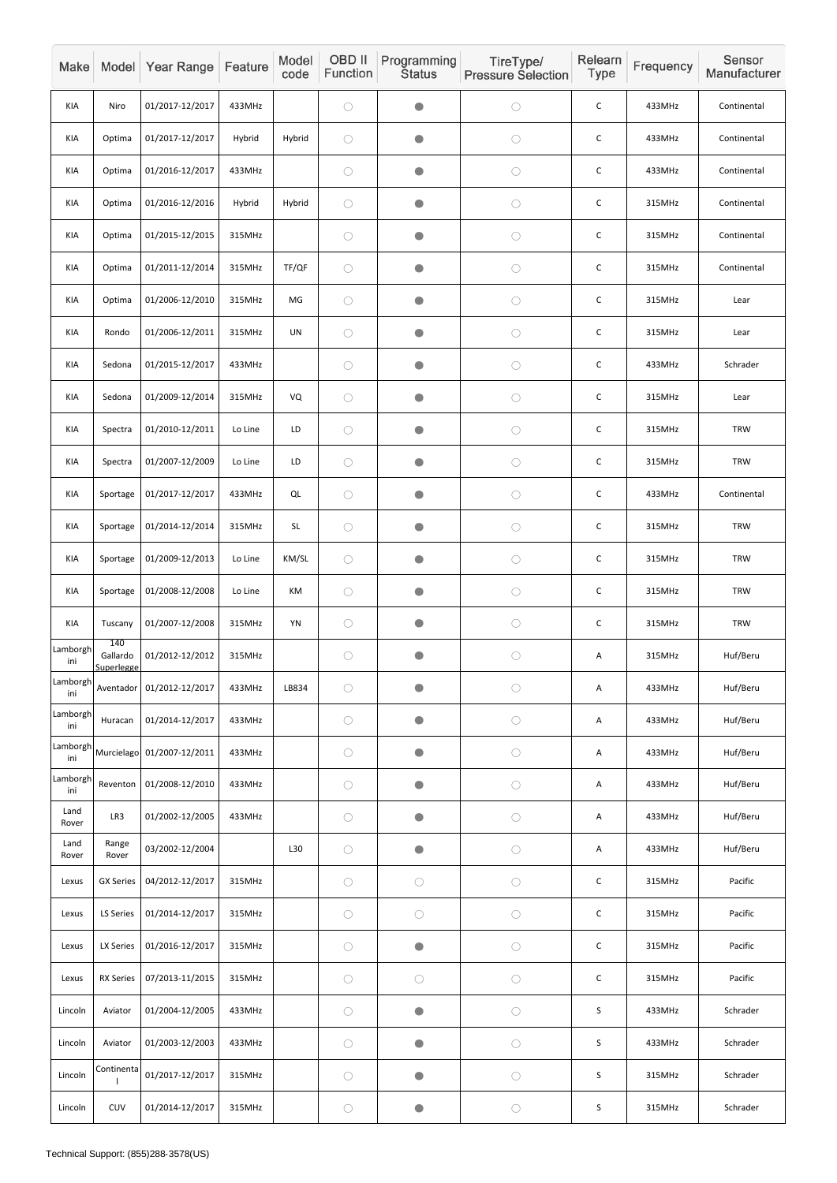| Make            |                               | Model Year Range           | Feature | Model<br>code                               | OBD II<br>Function | Programming<br><b>Status</b> | TireType/<br><b>Pressure Selection</b> | Relearn<br>Type | Frequency | Sensor<br>Manufacturer |
|-----------------|-------------------------------|----------------------------|---------|---------------------------------------------|--------------------|------------------------------|----------------------------------------|-----------------|-----------|------------------------|
| KIA             | Niro                          | 01/2017-12/2017            | 433MHz  |                                             | $\bigcirc$         | $\bullet$                    | $\bigcirc$                             | $\mathsf C$     | 433MHz    | Continental            |
| KIA             | Optima                        | 01/2017-12/2017            | Hybrid  | Hybrid                                      | $\bigcirc$         | $\bullet$                    | $\bigcirc$                             | $\mathsf C$     | 433MHz    | Continental            |
| KIA             | Optima                        | 01/2016-12/2017            | 433MHz  |                                             | $\bigcirc$         | $\bullet$                    | $\bigcirc$                             | $\mathsf C$     | 433MHz    | Continental            |
| KIA             | Optima                        | 01/2016-12/2016            | Hybrid  | Hybrid                                      | $\bigcirc$         | $\bullet$                    | $\bigcirc$                             | $\mathsf C$     | 315MHz    | Continental            |
| KIA             | Optima                        | 01/2015-12/2015            | 315MHz  |                                             | $\bigcirc$         | $\bullet$                    | $\bigcirc$                             | $\mathsf C$     | 315MHz    | Continental            |
| KIA             | Optima                        | 01/2011-12/2014            | 315MHz  | TF/QF                                       | $\bigcirc$         | $\bullet$                    | $\bigcirc$                             | $\mathsf C$     | 315MHz    | Continental            |
| KIA             | Optima                        | 01/2006-12/2010            | 315MHz  | MG                                          | $\bigcirc$         | $\bullet$                    | $\bigcirc$                             | $\mathsf C$     | 315MHz    | Lear                   |
| KIA             | Rondo                         | 01/2006-12/2011            | 315MHz  | <b>UN</b>                                   | $\bigcirc$         | $\bullet$                    | $\bigcirc$                             | $\mathsf C$     | 315MHz    | Lear                   |
| KIA             | Sedona                        | 01/2015-12/2017            | 433MHz  |                                             | $\bigcirc$         | $\bullet$                    | $\bigcirc$                             | $\mathsf C$     | 433MHz    | Schrader               |
| KIA             | Sedona                        | 01/2009-12/2014            | 315MHz  | VQ                                          | $\bigcirc$         | $\bullet$                    | $\bigcirc$                             | C               | 315MHz    | Lear                   |
| KIA             | Spectra                       | 01/2010-12/2011            | Lo Line | LD                                          | $\bigcirc$         | $\bullet$                    | $\bigcirc$                             | $\mathsf C$     | 315MHz    | <b>TRW</b>             |
| KIA             | Spectra                       | 01/2007-12/2009            | Lo Line | LD                                          | $\bigcirc$         | $\bullet$                    | $\bigcirc$                             | $\mathsf C$     | 315MHz    | <b>TRW</b>             |
| KIA             | Sportage                      | 01/2017-12/2017            | 433MHz  | $\mathsf{QL}$                               | $\bigcirc$         | $\bullet$                    | $\bigcirc$                             | $\mathsf C$     | 433MHz    | Continental            |
| KIA             | Sportage                      | 01/2014-12/2014            | 315MHz  | $\mathsf{SL}% _{2}\left( \mathbb{Z}\right)$ | $\bigcirc$         | $\bullet$                    | $\bigcirc$                             | $\mathsf{C}$    | 315MHz    | TRW                    |
| KIA             | Sportage                      | 01/2009-12/2013            | Lo Line | KM/SL                                       | $\bigcirc$         | $\bigcirc$                   | $\bigcirc$                             | $\mathsf C$     | 315MHz    | TRW                    |
| KIA             | Sportage                      | 01/2008-12/2008            | Lo Line | KM                                          | $\bigcirc$         | $\bullet$                    | $\bigcirc$                             | $\mathsf C$     | 315MHz    | <b>TRW</b>             |
| KIA             | Tuscany                       | 01/2007-12/2008            | 315MHz  | YN                                          | $\bigcirc$         | $\bullet$                    | $\bigcirc$                             | $\mathsf C$     | 315MHz    | <b>TRW</b>             |
| Lamborgh<br>ini | 140<br>Gallardo<br>Superlegge | 01/2012-12/2012            | 315MHz  |                                             | $\bigcirc$         | $\bullet$                    | $\bigcirc$                             | Α               | 315MHz    | Huf/Beru               |
| Lamborgh<br>ini | Aventador                     | 01/2012-12/2017            | 433MHz  | LB834                                       | $\bigcirc$         | $\bullet$                    | $\bigcirc$                             | А               | 433MHz    | Huf/Beru               |
| Lamborgh<br>ini | Huracan                       | 01/2014-12/2017            | 433MHz  |                                             | $\bigcirc$         | $\bullet$                    | $\bigcirc$                             | Α               | 433MHz    | Huf/Beru               |
| Lamborgh<br>ini |                               | Murcielago 01/2007-12/2011 | 433MHz  |                                             | $\bigcirc$         | $\bullet$                    | $\bigcirc$                             | Α               | 433MHz    | Huf/Beru               |
| Lamborgh<br>ini | Reventon                      | 01/2008-12/2010            | 433MHz  |                                             | $\bigcirc$         | $\bullet$                    | $\bigcirc$                             | Α               | 433MHz    | Huf/Beru               |
| Land<br>Rover   | LR3                           | 01/2002-12/2005            | 433MHz  |                                             | $\bigcirc$         | $\bullet$                    | $\bigcirc$                             | А               | 433MHz    | Huf/Beru               |
| Land<br>Rover   | Range<br>Rover                | 03/2002-12/2004            |         | L30                                         | $\bigcirc$         | $\bullet$                    | $\bigcirc$                             | A               | 433MHz    | Huf/Beru               |
| Lexus           | <b>GX Series</b>              | 04/2012-12/2017            | 315MHz  |                                             | $\bigcirc$         | $\bigcirc$                   | $\bigcirc$                             | $\mathsf C$     | 315MHz    | Pacific                |
| Lexus           | LS Series                     | 01/2014-12/2017            | 315MHz  |                                             | $\bigcirc$         | $\bigcirc$                   | $\bigcirc$                             | $\mathsf{C}$    | 315MHz    | Pacific                |
| Lexus           | LX Series                     | 01/2016-12/2017            | 315MHz  |                                             | $\bigcirc$         | $\bullet$                    | $\bigcirc$                             | $\mathsf C$     | 315MHz    | Pacific                |
| Lexus           | <b>RX Series</b>              | 07/2013-11/2015            | 315MHz  |                                             | $\bigcirc$         | $\bigcirc$                   | $\bigcirc$                             | $\mathsf C$     | 315MHz    | Pacific                |
| Lincoln         | Aviator                       | 01/2004-12/2005            | 433MHz  |                                             | $\bigcirc$         | $\bullet$                    | $\bigcirc$                             | $\sf S$         | 433MHz    | Schrader               |
| Lincoln         | Aviator                       | 01/2003-12/2003            | 433MHz  |                                             | $\bigcirc$         | $\bullet$                    | $\bigcirc$                             | $\sf S$         | 433MHz    | Schrader               |
| Lincoln         | Continenta                    | 01/2017-12/2017            | 315MHz  |                                             | $\bigcirc$         | $\bullet$                    | $\bigcirc$                             | $\sf S$         | 315MHz    | Schrader               |
| Lincoln         | CUV                           | 01/2014-12/2017            | 315MHz  |                                             | $\bigcirc$         | $\bullet$                    | $\bigcirc$                             | $\sf S$         | 315MHz    | Schrader               |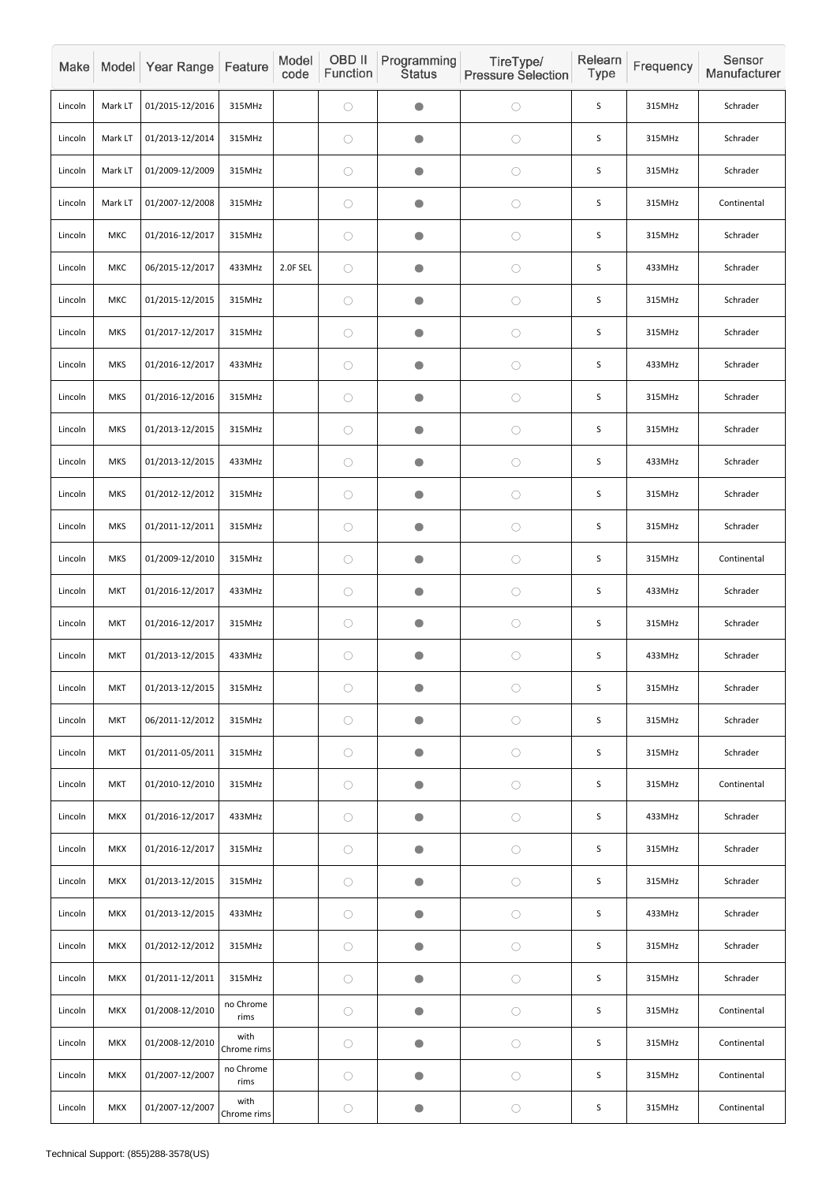| Make    |            | Model Year Range | Feature             | Model<br>code | OBD II<br>Function | Programming<br><b>Status</b> | TireType/<br><b>Pressure Selection</b> | Relearn<br><b>Type</b> | Frequency | Sensor<br>Manufacturer |
|---------|------------|------------------|---------------------|---------------|--------------------|------------------------------|----------------------------------------|------------------------|-----------|------------------------|
| Lincoln | Mark LT    | 01/2015-12/2016  | 315MHz              |               | $\bigcirc$         | $\bullet$                    | $\bigcirc$                             | S                      | 315MHz    | Schrader               |
| Lincoln | Mark LT    | 01/2013-12/2014  | 315MHz              |               | $\bigcirc$         | $\bullet$                    | $\bigcirc$                             | $\mathsf S$            | 315MHz    | Schrader               |
| Lincoln | Mark LT    | 01/2009-12/2009  | 315MHz              |               | $\bigcirc$         | $\bullet$                    | $\bigcirc$                             | S                      | 315MHz    | Schrader               |
| Lincoln | Mark LT    | 01/2007-12/2008  | 315MHz              |               | $\bigcirc$         | O                            | $\bigcirc$                             | S                      | 315MHz    | Continental            |
| Lincoln | MKC        | 01/2016-12/2017  | 315MHz              |               | $\bigcirc$         | $\bullet$                    | $\bigcirc$                             | $\mathsf S$            | 315MHz    | Schrader               |
| Lincoln | MKC        | 06/2015-12/2017  | 433MHz              | 2.0F SEL      | $\bigcirc$         | $\bullet$                    | $\bigcirc$                             | S                      | 433MHz    | Schrader               |
| Lincoln | MKC        | 01/2015-12/2015  | 315MHz              |               | $\bigcirc$         | $\bullet$                    | $\bigcirc$                             | S                      | 315MHz    | Schrader               |
| Lincoln | <b>MKS</b> | 01/2017-12/2017  | 315MHz              |               | $\bigcirc$         | $\bullet$                    | $\bigcirc$                             | $\mathsf S$            | 315MHz    | Schrader               |
| Lincoln | <b>MKS</b> | 01/2016-12/2017  | 433MHz              |               | $\bigcirc$         | $\bullet$                    | $\bigcirc$                             | S                      | 433MHz    | Schrader               |
| Lincoln | <b>MKS</b> | 01/2016-12/2016  | 315MHz              |               | $\bigcirc$         | $\bullet$                    | $\bigcirc$                             | S                      | 315MHz    | Schrader               |
| Lincoln | <b>MKS</b> | 01/2013-12/2015  | 315MHz              |               | $\bigcirc$         | $\bullet$                    | $\bigcirc$                             | $\mathsf S$            | 315MHz    | Schrader               |
| Lincoln | <b>MKS</b> | 01/2013-12/2015  | 433MHz              |               | $\bigcirc$         | $\bullet$                    | $\bigcirc$                             | S                      | 433MHz    | Schrader               |
| Lincoln | <b>MKS</b> | 01/2012-12/2012  | 315MHz              |               | $\bigcirc$         | $\bullet$                    | $\bigcirc$                             | $\sf S$                | 315MHz    | Schrader               |
| Lincoln | <b>MKS</b> | 01/2011-12/2011  | 315MHz              |               | $\bigcirc$         | $\bullet$                    | $\bigcirc$                             | S                      | 315MHz    | Schrader               |
| Lincoln | <b>MKS</b> | 01/2009-12/2010  | 315MHz              |               | $\bigcirc$         | $\bullet$                    | $\bigcirc$                             | S                      | 315MHz    | Continental            |
| Lincoln | <b>MKT</b> | 01/2016-12/2017  | 433MHz              |               | $\bigcirc$         | $\bullet$                    | $\bigcirc$                             | S                      | 433MHz    | Schrader               |
| Lincoln | <b>MKT</b> | 01/2016-12/2017  | 315MHz              |               | $\bigcirc$         | $\bullet$                    | $\bigcirc$                             | $\mathsf S$            | 315MHz    | Schrader               |
| Lincoln | <b>MKT</b> | 01/2013-12/2015  | 433MHz              |               | $\bigcirc$         | $\bullet$                    | $\bigcirc$                             | $\mathsf S$            | 433MHz    | Schrader               |
| Lincoln | <b>MKT</b> | 01/2013-12/2015  | 315MHz              |               | $\bigcirc$         | $\bullet$                    | $\bigcirc$                             | S                      | 315MHz    | Schrader               |
| Lincoln | <b>MKT</b> | 06/2011-12/2012  | 315MHz              |               | $\bigcirc$         | $\bullet$                    | $\bigcirc$                             | $\sf S$                | 315MHz    | Schrader               |
| Lincoln | <b>MKT</b> | 01/2011-05/2011  | 315MHz              |               | $\bigcirc$         | $\bullet$                    | $\bigcirc$                             | $\mathsf S$            | 315MHz    | Schrader               |
| Lincoln | <b>MKT</b> | 01/2010-12/2010  | 315MHz              |               | $\bigcirc$         | $\bullet$                    | $\bigcirc$                             | S                      | 315MHz    | Continental            |
| Lincoln | <b>MKX</b> | 01/2016-12/2017  | 433MHz              |               | $\bigcirc$         | $\bullet$                    | $\bigcirc$                             | S                      | 433MHz    | Schrader               |
| Lincoln | <b>MKX</b> | 01/2016-12/2017  | 315MHz              |               | $\bigcirc$         | $\bullet$                    | $\bigcirc$                             | S                      | 315MHz    | Schrader               |
| Lincoln | <b>MKX</b> | 01/2013-12/2015  | 315MHz              |               | $\bigcirc$         | $\bullet$                    | $\bigcirc$                             | S                      | 315MHz    | Schrader               |
| Lincoln | <b>MKX</b> | 01/2013-12/2015  | 433MHz              |               | $\bigcirc$         | $\bullet$                    | $\bigcirc$                             | S                      | 433MHz    | Schrader               |
| Lincoln | <b>MKX</b> | 01/2012-12/2012  | 315MHz              |               | $\bigcirc$         | $\bullet$                    | $\bigcirc$                             | $\sf S$                | 315MHz    | Schrader               |
| Lincoln | <b>MKX</b> | 01/2011-12/2011  | 315MHz              |               | $\bigcirc$         | $\bullet$                    | $\bigcirc$                             | $\mathsf S$            | 315MHz    | Schrader               |
| Lincoln | <b>MKX</b> | 01/2008-12/2010  | no Chrome<br>rims   |               | $\bigcirc$         | $\bullet$                    | $\bigcirc$                             | $\mathsf S$            | 315MHz    | Continental            |
| Lincoln | <b>MKX</b> | 01/2008-12/2010  | with<br>Chrome rims |               | $\bigcirc$         | $\bullet$                    | $\bigcirc$                             | $\mathsf S$            | 315MHz    | Continental            |
| Lincoln | <b>MKX</b> | 01/2007-12/2007  | no Chrome<br>rims   |               | $\bigcirc$         | $\bullet$                    | $\bigcirc$                             | $\mathsf S$            | 315MHz    | Continental            |
| Lincoln | <b>MKX</b> | 01/2007-12/2007  | with<br>Chrome rims |               | $\bigcirc$         | $\bullet$                    | $\bigcirc$                             | $\mathsf S$            | 315MHz    | Continental            |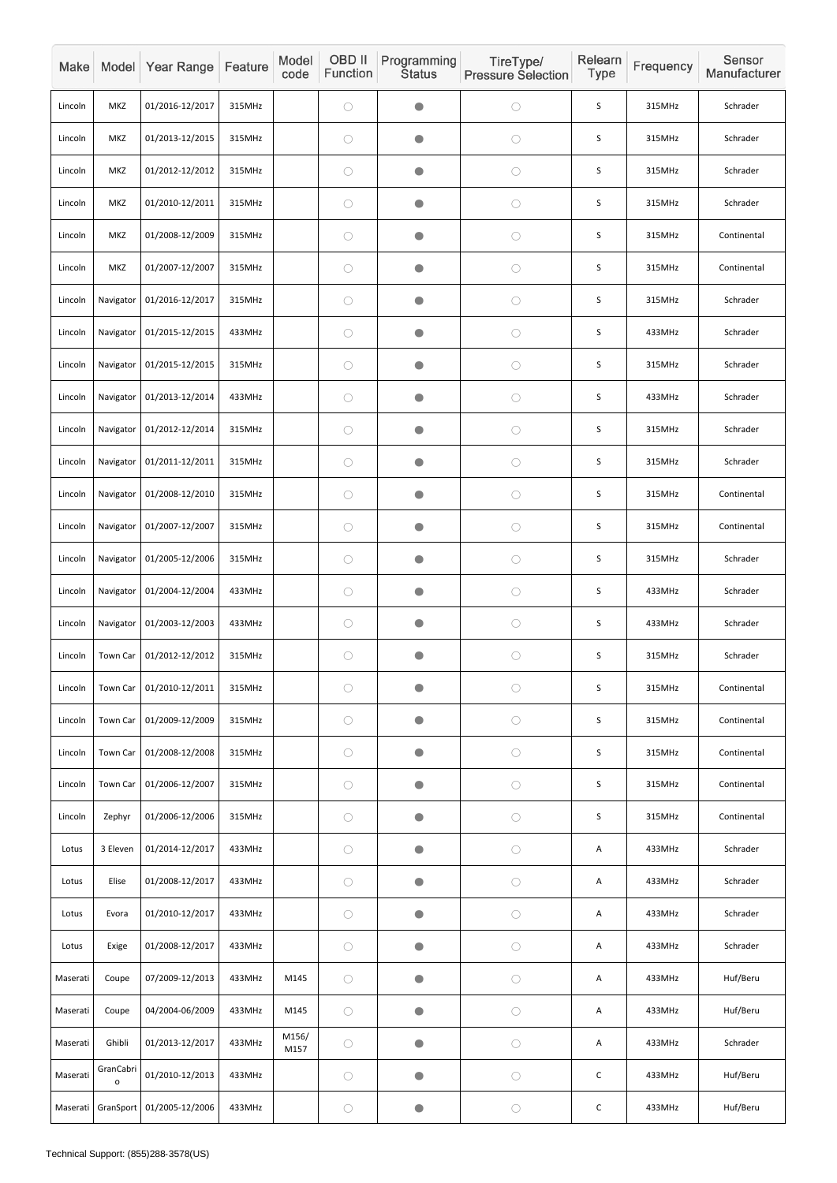| Make     |                           | Model Year Range          | Feature | Model<br>code | OBD II<br>Function | Programming<br><b>Status</b> | TireType/<br><b>Pressure Selection</b> | Relearn<br><b>Type</b> | Frequency | Sensor<br>Manufacturer |
|----------|---------------------------|---------------------------|---------|---------------|--------------------|------------------------------|----------------------------------------|------------------------|-----------|------------------------|
| Lincoln  | <b>MKZ</b>                | 01/2016-12/2017           | 315MHz  |               | $\bigcirc$         | $\bullet$                    | $\bigcirc$                             | $\mathsf S$            | 315MHz    | Schrader               |
| Lincoln  | MKZ                       | 01/2013-12/2015           | 315MHz  |               | $\bigcirc$         | $\bullet$                    | $\bigcirc$                             | S                      | 315MHz    | Schrader               |
| Lincoln  | MKZ                       | 01/2012-12/2012           | 315MHz  |               | $\bigcirc$         | $\bullet$                    | $\bigcirc$                             | S                      | 315MHz    | Schrader               |
| Lincoln  | MKZ                       | 01/2010-12/2011           | 315MHz  |               | $\bigcirc$         | $\bullet$                    | $\bigcirc$                             | $\mathsf S$            | 315MHz    | Schrader               |
| Lincoln  | MKZ                       | 01/2008-12/2009           | 315MHz  |               | $\bigcirc$         | $\bullet$                    | $\bigcirc$                             | S                      | 315MHz    | Continental            |
| Lincoln  | MKZ                       | 01/2007-12/2007           | 315MHz  |               | $\bigcirc$         | $\bullet$                    | $\bigcirc$                             | $\mathsf S$            | 315MHz    | Continental            |
| Lincoln  | Navigator                 | 01/2016-12/2017           | 315MHz  |               | $\bigcirc$         | O                            | $\bigcirc$                             | S                      | 315MHz    | Schrader               |
| Lincoln  | Navigator                 | 01/2015-12/2015           | 433MHz  |               | $\bigcirc$         | $\bullet$                    | $\bigcirc$                             | S                      | 433MHz    | Schrader               |
| Lincoln  | Navigator                 | 01/2015-12/2015           | 315MHz  |               | $\bigcirc$         | $\bullet$                    | $\bigcirc$                             | $\mathsf S$            | 315MHz    | Schrader               |
| Lincoln  | Navigator                 | 01/2013-12/2014           | 433MHz  |               | $\bigcirc$         | $\bullet$                    | $\bigcirc$                             | S                      | 433MHz    | Schrader               |
| Lincoln  | Navigator                 | 01/2012-12/2014           | 315MHz  |               | $\bigcirc$         | $\bullet$                    | $\bigcirc$                             | $\mathsf S$            | 315MHz    | Schrader               |
| Lincoln  | Navigator                 | 01/2011-12/2011           | 315MHz  |               | $\bigcirc$         | $\bullet$                    | $\bigcirc$                             | S                      | 315MHz    | Schrader               |
| Lincoln  | Navigator                 | 01/2008-12/2010           | 315MHz  |               | $\bigcirc$         | $\bullet$                    | $\bigcirc$                             | $\mathsf S$            | 315MHz    | Continental            |
| Lincoln  | Navigator                 | 01/2007-12/2007           | 315MHz  |               | $\bigcirc$         | $\bullet$                    | $\bigcirc$                             | $\sf S$                | 315MHz    | Continental            |
| Lincoln  | Navigator                 | 01/2005-12/2006           | 315MHz  |               | $\bigcirc$         | $\bullet$                    | $\bigcirc$                             | $\mathsf S$            | 315MHz    | Schrader               |
| Lincoln  | Navigator                 | 01/2004-12/2004           | 433MHz  |               | $\bigcirc$         | $\bullet$                    | $\bigcirc$                             | $\sf S$                | 433MHz    | Schrader               |
| Lincoln  | Navigator                 | 01/2003-12/2003           | 433MHz  |               | $\bigcirc$         | $\bullet$                    | $\bigcirc$                             | $\mathsf S$            | 433MHz    | Schrader               |
| Lincoln  | Town Car                  | 01/2012-12/2012           | 315MHz  |               | $\bigcirc$         | $\bullet$                    | $\bigcirc$                             | $\sf S$                | 315MHz    | Schrader               |
| Lincoln  | Town Car                  | 01/2010-12/2011           | 315MHz  |               | $\bigcirc$         | $\bullet$                    | $\bigcirc$                             | S                      | 315MHz    | Continental            |
| Lincoln  | Town Car                  | 01/2009-12/2009           | 315MHz  |               | $\bigcirc$         | $\bullet$                    | $\bigcirc$                             | $\sf S$                | 315MHz    | Continental            |
| Lincoln  | Town Car                  | 01/2008-12/2008           | 315MHz  |               | $\bigcirc$         | $\bullet$                    | $\bigcirc$                             | $\mathsf S$            | 315MHz    | Continental            |
| Lincoln  | Town Car                  | 01/2006-12/2007           | 315MHz  |               | $\bigcirc$         | $\bullet$                    | $\bigcirc$                             | S                      | 315MHz    | Continental            |
| Lincoln  | Zephyr                    | 01/2006-12/2006           | 315MHz  |               | $\bigcirc$         | $\bullet$                    | $\bigcirc$                             | $\sf S$                | 315MHz    | Continental            |
| Lotus    | 3 Eleven                  | 01/2014-12/2017           | 433MHz  |               | $\bigcirc$         | $\bullet$                    | $\bigcirc$                             | Α                      | 433MHz    | Schrader               |
| Lotus    | Elise                     | 01/2008-12/2017           | 433MHz  |               | $\bigcirc$         | $\bullet$                    | $\bigcirc$                             | A                      | 433MHz    | Schrader               |
| Lotus    | Evora                     | 01/2010-12/2017           | 433MHz  |               | $\bigcirc$         | $\bullet$                    | $\bigcirc$                             | A                      | 433MHz    | Schrader               |
| Lotus    | Exige                     | 01/2008-12/2017           | 433MHz  |               | $\bigcirc$         | $\bullet$                    | $\bigcirc$                             | A                      | 433MHz    | Schrader               |
| Maserati | Coupe                     | 07/2009-12/2013           | 433MHz  | M145          | $\bigcirc$         | $\bullet$                    | $\bigcirc$                             | Α                      | 433MHz    | Huf/Beru               |
| Maserati | Coupe                     | 04/2004-06/2009           | 433MHz  | M145          | $\bigcirc$         | $\bullet$                    | $\bigcirc$                             | A                      | 433MHz    | Huf/Beru               |
| Maserati | Ghibli                    | 01/2013-12/2017           | 433MHz  | M156/<br>M157 | $\bigcirc$         | $\bullet$                    | $\bigcirc$                             | Α                      | 433MHz    | Schrader               |
| Maserati | GranCabri<br>$\mathbf{o}$ | 01/2010-12/2013           | 433MHz  |               | $\bigcirc$         | $\bullet$                    | $\bigcirc$                             | $\mathsf C$            | 433MHz    | Huf/Beru               |
| Maserati |                           | GranSport 01/2005-12/2006 | 433MHz  |               | $\bigcirc$         | $\bigcirc$                   | $\bigcirc$                             | $\mathsf C$            | 433MHz    | Huf/Beru               |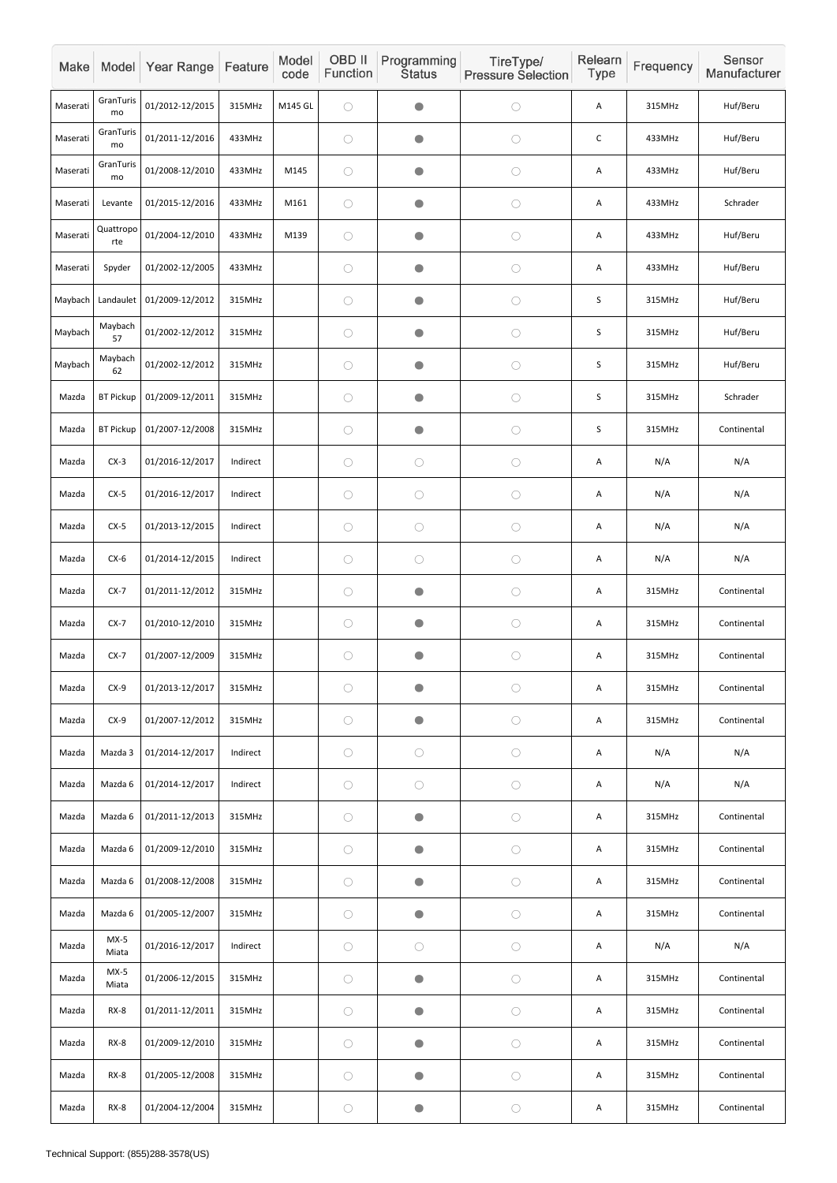| Make     |                  | Model Year Range | Feature  | Model<br>code | OBD II<br>Function | Programming<br><b>Status</b> | TireType/<br><b>Pressure Selection</b> | Relearn<br>Type | Frequency | Sensor<br>Manufacturer |
|----------|------------------|------------------|----------|---------------|--------------------|------------------------------|----------------------------------------|-----------------|-----------|------------------------|
| Maserati | GranTuris<br>mo  | 01/2012-12/2015  | 315MHz   | M145 GL       | $\bigcirc$         | $\bullet$                    | $\bigcirc$                             | Α               | 315MHz    | Huf/Beru               |
| Maserati | GranTuris<br>mo  | 01/2011-12/2016  | 433MHz   |               | $\bigcirc$         | $\bullet$                    | $\bigcirc$                             | $\mathsf C$     | 433MHz    | Huf/Beru               |
| Maserati | GranTuris<br>mo  | 01/2008-12/2010  | 433MHz   | M145          | $\bigcirc$         | $\bullet$                    | $\bigcirc$                             | Α               | 433MHz    | Huf/Beru               |
| Maserati | Levante          | 01/2015-12/2016  | 433MHz   | M161          | $\bigcirc$         | $\bullet$                    | $\bigcirc$                             | Α               | 433MHz    | Schrader               |
| Maserati | Quattropo<br>rte | 01/2004-12/2010  | 433MHz   | M139          | $\bigcirc$         | $\bullet$                    | $\bigcirc$                             | Α               | 433MHz    | Huf/Beru               |
| Maserati | Spyder           | 01/2002-12/2005  | 433MHz   |               | $\bigcirc$         | $\bullet$                    | $\bigcirc$                             | Α               | 433MHz    | Huf/Beru               |
| Maybach  | Landaulet        | 01/2009-12/2012  | 315MHz   |               | $\bigcirc$         | $\bullet$                    | $\bigcirc$                             | S               | 315MHz    | Huf/Beru               |
| Maybach  | Maybach<br>57    | 01/2002-12/2012  | 315MHz   |               | $\bigcirc$         | $\bullet$                    | $\bigcirc$                             | S               | 315MHz    | Huf/Beru               |
| Maybach  | Maybach<br>62    | 01/2002-12/2012  | 315MHz   |               | $\bigcirc$         | $\bullet$                    | $\bigcirc$                             | S               | 315MHz    | Huf/Beru               |
| Mazda    | <b>BT Pickup</b> | 01/2009-12/2011  | 315MHz   |               | $\bigcirc$         | $\bullet$                    | $\bigcirc$                             | S               | 315MHz    | Schrader               |
| Mazda    | <b>BT Pickup</b> | 01/2007-12/2008  | 315MHz   |               | $\bigcirc$         | $\bullet$                    | $\bigcirc$                             | $\mathsf S$     | 315MHz    | Continental            |
| Mazda    | $CX-3$           | 01/2016-12/2017  | Indirect |               | $\bigcirc$         | $\bigcirc$                   | $\bigcirc$                             | Α               | N/A       | N/A                    |
| Mazda    | $CX-5$           | 01/2016-12/2017  | Indirect |               | $\bigcirc$         | $\bigcirc$                   | $\bigcirc$                             | A               | N/A       | N/A                    |
| Mazda    | $CX-5$           | 01/2013-12/2015  | Indirect |               | $\bigcirc$         | $\bigcirc$                   | $\bigcirc$                             | Α               | N/A       | N/A                    |
| Mazda    | $CX-6$           | 01/2014-12/2015  | Indirect |               | $\bigcirc$         | $\bigcirc$                   | $\bigcirc$                             | Α               | N/A       | N/A                    |
| Mazda    | $CX-7$           | 01/2011-12/2012  | 315MHz   |               | $\bigcirc$         | $\bullet$                    | $\bigcirc$                             | Α               | 315MHz    | Continental            |
| Mazda    | $CX-7$           | 01/2010-12/2010  | 315MHz   |               | $\bigcirc$         | $\bullet$                    | $\bigcirc$                             | A               | 315MHz    | Continental            |
| Mazda    | $CX-7$           | 01/2007-12/2009  | 315MHz   |               | $\bigcirc$         | $\bullet$                    | $\bigcirc$                             | Α               | 315MHz    | Continental            |
| Mazda    | $CX-9$           | 01/2013-12/2017  | 315MHz   |               | $\bigcirc$         | $\bullet$                    | $\bigcirc$                             | Α               | 315MHz    | Continental            |
| Mazda    | $CX-9$           | 01/2007-12/2012  | 315MHz   |               | $\bigcirc$         | $\bullet$                    | $\bigcirc$                             | А               | 315MHz    | Continental            |
| Mazda    | Mazda 3          | 01/2014-12/2017  | Indirect |               | $\bigcirc$         | $\bigcirc$                   | $\bigcirc$                             | Α               | N/A       | N/A                    |
| Mazda    | Mazda 6          | 01/2014-12/2017  | Indirect |               | $\bigcirc$         | $\bigcirc$                   | $\bigcirc$                             | А               | N/A       | N/A                    |
| Mazda    | Mazda 6          | 01/2011-12/2013  | 315MHz   |               | $\bigcirc$         | $\bullet$                    | $\bigcirc$                             | Α               | 315MHz    | Continental            |
| Mazda    | Mazda 6          | 01/2009-12/2010  | 315MHz   |               | $\bigcirc$         | $\bullet$                    | $\bigcirc$                             | Α               | 315MHz    | Continental            |
| Mazda    | Mazda 6          | 01/2008-12/2008  | 315MHz   |               | $\bigcirc$         | $\bullet$                    | $\bigcirc$                             | Α               | 315MHz    | Continental            |
| Mazda    | Mazda 6          | 01/2005-12/2007  | 315MHz   |               | $\bigcirc$         | $\bullet$                    | $\bigcirc$                             | А               | 315MHz    | Continental            |
| Mazda    | $MX-5$<br>Miata  | 01/2016-12/2017  | Indirect |               | $\bigcirc$         | $\bigcirc$                   | $\bigcirc$                             | Α               | N/A       | N/A                    |
| Mazda    | $MX-5$<br>Miata  | 01/2006-12/2015  | 315MHz   |               | $\bigcirc$         | $\bullet$                    | $\bigcirc$                             | Α               | 315MHz    | Continental            |
| Mazda    | $RX-8$           | 01/2011-12/2011  | 315MHz   |               | $\bigcirc$         | $\bigcirc$                   | $\bigcirc$                             | A               | 315MHz    | Continental            |
| Mazda    | $RX-8$           | 01/2009-12/2010  | 315MHz   |               | $\bigcirc$         | $\bullet$                    | $\bigcirc$                             | Α               | 315MHz    | Continental            |
| Mazda    | $RX-8$           | 01/2005-12/2008  | 315MHz   |               | $\bigcirc$         | $\bullet$                    | $\bigcirc$                             | А               | 315MHz    | Continental            |
| Mazda    | $RX-8$           | 01/2004-12/2004  | 315MHz   |               | $\bigcirc$         | $\bullet$                    | $\bigcirc$                             | A               | 315MHz    | Continental            |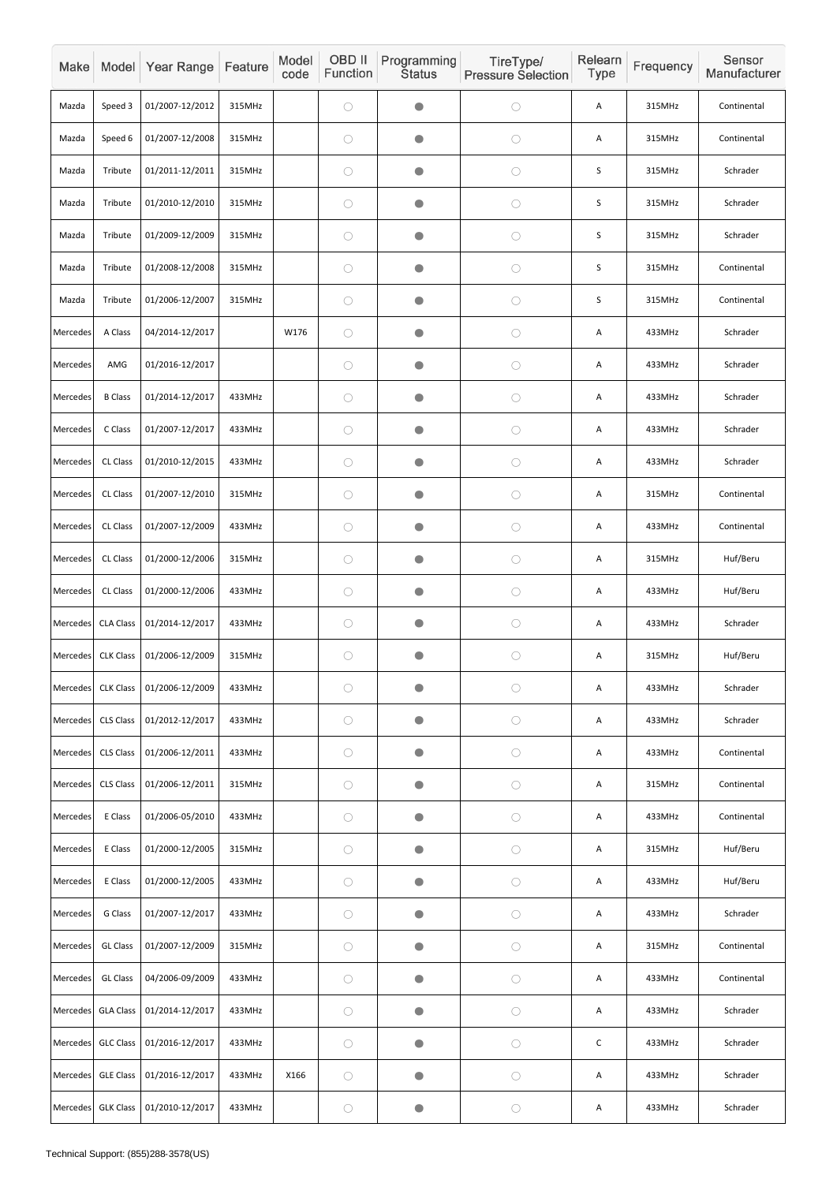| Make            |                  | Model Year Range | Feature | Model<br>code | OBD II<br>Function | Programming<br><b>Status</b> | TireType/<br><b>Pressure Selection</b> | Relearn<br><b>Type</b> | Frequency | Sensor<br>Manufacturer |
|-----------------|------------------|------------------|---------|---------------|--------------------|------------------------------|----------------------------------------|------------------------|-----------|------------------------|
| Mazda           | Speed 3          | 01/2007-12/2012  | 315MHz  |               | $\bigcirc$         | $\bullet$                    | $\bigcirc$                             | Α                      | 315MHz    | Continental            |
| Mazda           | Speed 6          | 01/2007-12/2008  | 315MHz  |               | $\bigcirc$         | $\bullet$                    | $\bigcirc$                             | Α                      | 315MHz    | Continental            |
| Mazda           | Tribute          | 01/2011-12/2011  | 315MHz  |               | $\bigcirc$         | $\bullet$                    | $\bigcirc$                             | S                      | 315MHz    | Schrader               |
| Mazda           | Tribute          | 01/2010-12/2010  | 315MHz  |               | $\bigcirc$         | $\bullet$                    | $\bigcirc$                             | S                      | 315MHz    | Schrader               |
| Mazda           | Tribute          | 01/2009-12/2009  | 315MHz  |               | $\bigcirc$         | $\bullet$                    | $\bigcirc$                             | S                      | 315MHz    | Schrader               |
| Mazda           | Tribute          | 01/2008-12/2008  | 315MHz  |               | $\bigcirc$         | $\bullet$                    | $\bigcirc$                             | S                      | 315MHz    | Continental            |
| Mazda           | Tribute          | 01/2006-12/2007  | 315MHz  |               | $\bigcirc$         | $\bullet$                    | $\bigcirc$                             | S                      | 315MHz    | Continental            |
| Mercedes        | A Class          | 04/2014-12/2017  |         | W176          | $\bigcirc$         | $\bullet$                    | $\bigcirc$                             | Α                      | 433MHz    | Schrader               |
| Mercedes        | AMG              | 01/2016-12/2017  |         |               | $\bigcirc$         | $\bullet$                    | $\bigcirc$                             | A                      | 433MHz    | Schrader               |
| Mercedes        | <b>B</b> Class   | 01/2014-12/2017  | 433MHz  |               | $\bigcirc$         | $\bullet$                    | $\bigcirc$                             | A                      | 433MHz    | Schrader               |
| Mercedes        | C Class          | 01/2007-12/2017  | 433MHz  |               | $\bigcirc$         | $\bullet$                    | $\bigcirc$                             | A                      | 433MHz    | Schrader               |
| Mercedes        | CL Class         | 01/2010-12/2015  | 433MHz  |               | $\bigcirc$         | $\bullet$                    | $\bigcirc$                             | A                      | 433MHz    | Schrader               |
| Mercedes        | CL Class         | 01/2007-12/2010  | 315MHz  |               | $\bigcirc$         | $\bullet$                    | $\bigcirc$                             | A                      | 315MHz    | Continental            |
| Mercedes        | CL Class         | 01/2007-12/2009  | 433MHz  |               | $\bigcirc$         | $\bullet$                    | $\bigcirc$                             | Α                      | 433MHz    | Continental            |
| Mercedes        | CL Class         | 01/2000-12/2006  | 315MHz  |               | $\bigcirc$         | $\bullet$                    | $\bigcirc$                             | Α                      | 315MHz    | Huf/Beru               |
| Mercedes        | CL Class         | 01/2000-12/2006  | 433MHz  |               | $\bigcirc$         | $\bullet$                    | $\bigcirc$                             | Α                      | 433MHz    | Huf/Beru               |
| Mercedes        | <b>CLA Class</b> | 01/2014-12/2017  | 433MHz  |               | $\bigcirc$         | $\bullet$                    | $\bigcirc$                             | A                      | 433MHz    | Schrader               |
| Mercedes        | <b>CLK Class</b> | 01/2006-12/2009  | 315MHz  |               | $\bigcirc$         | $\bullet$                    | $\bigcirc$                             | A                      | 315MHz    | Huf/Beru               |
| <b>Mercedes</b> | <b>CLK Class</b> | 01/2006-12/2009  | 433MHz  |               | $\bigcirc$         | O                            | $\bigcirc$                             | A                      | 433MHz    | Schrader               |
| Mercedes        | CLS Class        | 01/2012-12/2017  | 433MHz  |               | $\bigcirc$         | $\bullet$                    | $\bigcirc$                             | A                      | 433MHz    | Schrader               |
| Mercedes        | CLS Class        | 01/2006-12/2011  | 433MHz  |               | $\bigcirc$         | $\bullet$                    | $\bigcirc$                             | Α                      | 433MHz    | Continental            |
| Mercedes        | <b>CLS Class</b> | 01/2006-12/2011  | 315MHz  |               | $\bigcirc$         | $\bullet$                    | $\bigcirc$                             | Α                      | 315MHz    | Continental            |
| Mercedes        | E Class          | 01/2006-05/2010  | 433MHz  |               | $\bigcirc$         | $\bullet$                    | $\bigcirc$                             | A                      | 433MHz    | Continental            |
| Mercedes        | E Class          | 01/2000-12/2005  | 315MHz  |               | $\bigcirc$         | $\bullet$                    | $\bigcirc$                             | A                      | 315MHz    | Huf/Beru               |
| Mercedes        | E Class          | 01/2000-12/2005  | 433MHz  |               | $\bigcirc$         | $\bullet$                    | $\bigcirc$                             | A                      | 433MHz    | Huf/Beru               |
| Mercedes        | G Class          | 01/2007-12/2017  | 433MHz  |               | $\bigcirc$         | $\bullet$                    | $\bigcirc$                             | Α                      | 433MHz    | Schrader               |
| Mercedes        | <b>GL Class</b>  | 01/2007-12/2009  | 315MHz  |               | $\bigcirc$         | $\bigcirc$                   | $\bigcirc$                             | A                      | 315MHz    | Continental            |
| Mercedes        | <b>GL Class</b>  | 04/2006-09/2009  | 433MHz  |               | $\bigcirc$         | $\bullet$                    | $\bigcirc$                             | A                      | 433MHz    | Continental            |
| Mercedes        | <b>GLA Class</b> | 01/2014-12/2017  | 433MHz  |               | $\bigcirc$         | $\bullet$                    | $\bigcirc$                             | Α                      | 433MHz    | Schrader               |
| Mercedes        | <b>GLC Class</b> | 01/2016-12/2017  | 433MHz  |               | $\bigcirc$         | $\bullet$                    | $\bigcirc$                             | $\mathsf C$            | 433MHz    | Schrader               |
| Mercedes        | <b>GLE Class</b> | 01/2016-12/2017  | 433MHz  | X166          | $\bigcirc$         | $\bigcirc$                   | $\bigcirc$                             | Α                      | 433MHz    | Schrader               |
| Mercedes        | <b>GLK Class</b> | 01/2010-12/2017  | 433MHz  |               | $\bigcirc$         | $\bullet$                    | $\bigcirc$                             | Α                      | 433MHz    | Schrader               |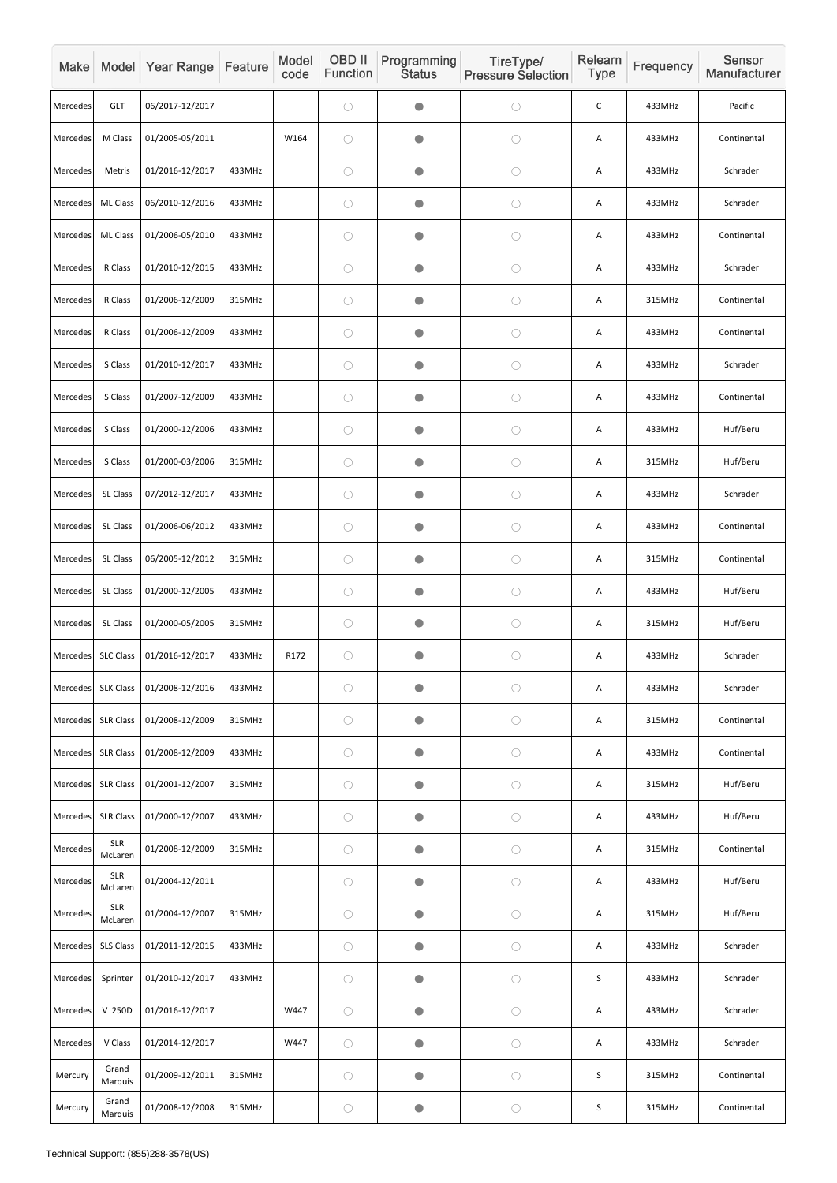| Make            |                       | Model Year Range | Feature | Model<br>code | OBD II<br>Function | Programming<br><b>Status</b> | TireType/<br><b>Pressure Selection</b> | Relearn<br>Type | Frequency | Sensor<br>Manufacturer |
|-----------------|-----------------------|------------------|---------|---------------|--------------------|------------------------------|----------------------------------------|-----------------|-----------|------------------------|
| Mercedes        | <b>GLT</b>            | 06/2017-12/2017  |         |               | $\bigcirc$         | $\blacksquare$               | $\bigcirc$                             | $\mathsf C$     | 433MHz    | Pacific                |
| Mercedes        | M Class               | 01/2005-05/2011  |         | W164          | $\bigcirc$         | O                            | $\bigcirc$                             | Α               | 433MHz    | Continental            |
| Mercedes        | Metris                | 01/2016-12/2017  | 433MHz  |               | $\bigcirc$         | $\bullet$                    | $\bigcirc$                             | Α               | 433MHz    | Schrader               |
| Mercedes        | ML Class              | 06/2010-12/2016  | 433MHz  |               | $\bigcirc$         | O                            | $\bigcirc$                             | Α               | 433MHz    | Schrader               |
| Mercedes        | <b>ML Class</b>       | 01/2006-05/2010  | 433MHz  |               | $\bigcirc$         | $\bullet$                    | $\bigcirc$                             | Α               | 433MHz    | Continental            |
| Mercedes        | R Class               | 01/2010-12/2015  | 433MHz  |               | $\bigcirc$         | $\bullet$                    | $\bigcirc$                             | Α               | 433MHz    | Schrader               |
| Mercedes        | R Class               | 01/2006-12/2009  | 315MHz  |               | $\bigcirc$         | O                            | $\bigcirc$                             | Α               | 315MHz    | Continental            |
| Mercedes        | R Class               | 01/2006-12/2009  | 433MHz  |               | $\bigcirc$         | $\blacksquare$               | $\bigcirc$                             | Α               | 433MHz    | Continental            |
| Mercedes        | S Class               | 01/2010-12/2017  | 433MHz  |               | $\bigcirc$         | $\bullet$                    | $\bigcirc$                             | A               | 433MHz    | Schrader               |
| Mercedes        | S Class               | 01/2007-12/2009  | 433MHz  |               | $\bigcirc$         | $\bullet$                    | $\bigcirc$                             | Α               | 433MHz    | Continental            |
| Mercedes        | S Class               | 01/2000-12/2006  | 433MHz  |               | $\bigcirc$         | $\blacksquare$               | $\bigcirc$                             | Α               | 433MHz    | Huf/Beru               |
| Mercedes        | S Class               | 01/2000-03/2006  | 315MHz  |               | $\bigcirc$         | $\bullet$                    | $\bigcirc$                             | Α               | 315MHz    | Huf/Beru               |
| Mercedes        | SL Class              | 07/2012-12/2017  | 433MHz  |               | $\bigcirc$         |                              | $\bigcirc$                             | Α               | 433MHz    | Schrader               |
| Mercedes        | SL Class              | 01/2006-06/2012  | 433MHz  |               | $\bigcirc$         | $\bullet$                    | $\bigcirc$                             | Α               | 433MHz    | Continental            |
| Mercedes        | SL Class              | 06/2005-12/2012  | 315MHz  |               | $\bigcirc$         | $\bullet$                    | $\bigcirc$                             | Α               | 315MHz    | Continental            |
| Mercedes        | SL Class              | 01/2000-12/2005  | 433MHz  |               | $\bigcirc$         | O                            | $\bigcirc$                             | Α               | 433MHz    | Huf/Beru               |
| Mercedes        | SL Class              | 01/2000-05/2005  | 315MHz  |               | $\bigcirc$         | $\bullet$                    | $\bigcirc$                             | Α               | 315MHz    | Huf/Beru               |
| Mercedes        | <b>SLC Class</b>      | 01/2016-12/2017  | 433MHz  | R172          | $\bigcirc$         | $\bullet$                    | $\bigcirc$                             | A               | 433MHz    | Schrader               |
| <b>Mercedes</b> | <b>SLK Class</b>      | 01/2008-12/2016  | 433MHz  |               | $\bigcirc$         | $\bullet$                    | $\bigcirc$                             | Α               | 433MHz    | Schrader               |
| Mercedes        | <b>SLR Class</b>      | 01/2008-12/2009  | 315MHz  |               | $\bigcirc$         | $\bullet$                    | $\bigcirc$                             | A               | 315MHz    | Continental            |
| Mercedes        | <b>SLR Class</b>      | 01/2008-12/2009  | 433MHz  |               | $\bigcirc$         | $\bullet$                    | $\bigcirc$                             | Α               | 433MHz    | Continental            |
| Mercedes        | <b>SLR Class</b>      | 01/2001-12/2007  | 315MHz  |               | $\bigcirc$         | $\bullet$                    | $\bigcirc$                             | Α               | 315MHz    | Huf/Beru               |
| Mercedes        | <b>SLR Class</b>      | 01/2000-12/2007  | 433MHz  |               | $\bigcirc$         |                              | $\bigcirc$                             | A               | 433MHz    | Huf/Beru               |
| Mercedes        | <b>SLR</b><br>McLaren | 01/2008-12/2009  | 315MHz  |               | $\bigcirc$         | $\bullet$                    | $\bigcirc$                             | A               | 315MHz    | Continental            |
| Mercedes        | <b>SLR</b><br>McLaren | 01/2004-12/2011  |         |               | $\bigcirc$         | $\bullet$                    | $\bigcirc$                             | Α               | 433MHz    | Huf/Beru               |
| Mercedes        | <b>SLR</b><br>McLaren | 01/2004-12/2007  | 315MHz  |               | $\bigcirc$         | O                            | $\bigcirc$                             | Α               | 315MHz    | Huf/Beru               |
| Mercedes        | SLS Class             | 01/2011-12/2015  | 433MHz  |               | $\bigcirc$         | $\bullet$                    | $\bigcirc$                             | Α               | 433MHz    | Schrader               |
| Mercedes        | Sprinter              | 01/2010-12/2017  | 433MHz  |               | $\bigcirc$         | $\bullet$                    | $\bigcirc$                             | $\sf S$         | 433MHz    | Schrader               |
| Mercedes        | V 250D                | 01/2016-12/2017  |         | W447          | $\bigcirc$         | $\bullet$                    | $\bigcirc$                             | A               | 433MHz    | Schrader               |
| Mercedes        | V Class               | 01/2014-12/2017  |         | W447          | $\bigcirc$         | $\bullet$                    | $\bigcirc$                             | A               | 433MHz    | Schrader               |
| Mercury         | Grand<br>Marquis      | 01/2009-12/2011  | 315MHz  |               | $\bigcirc$         | $\bullet$                    | $\bigcirc$                             | S               | 315MHz    | Continental            |
| Mercury         | Grand<br>Marquis      | 01/2008-12/2008  | 315MHz  |               | $\bigcirc$         | $\bullet$                    | $\bigcirc$                             | S               | 315MHz    | Continental            |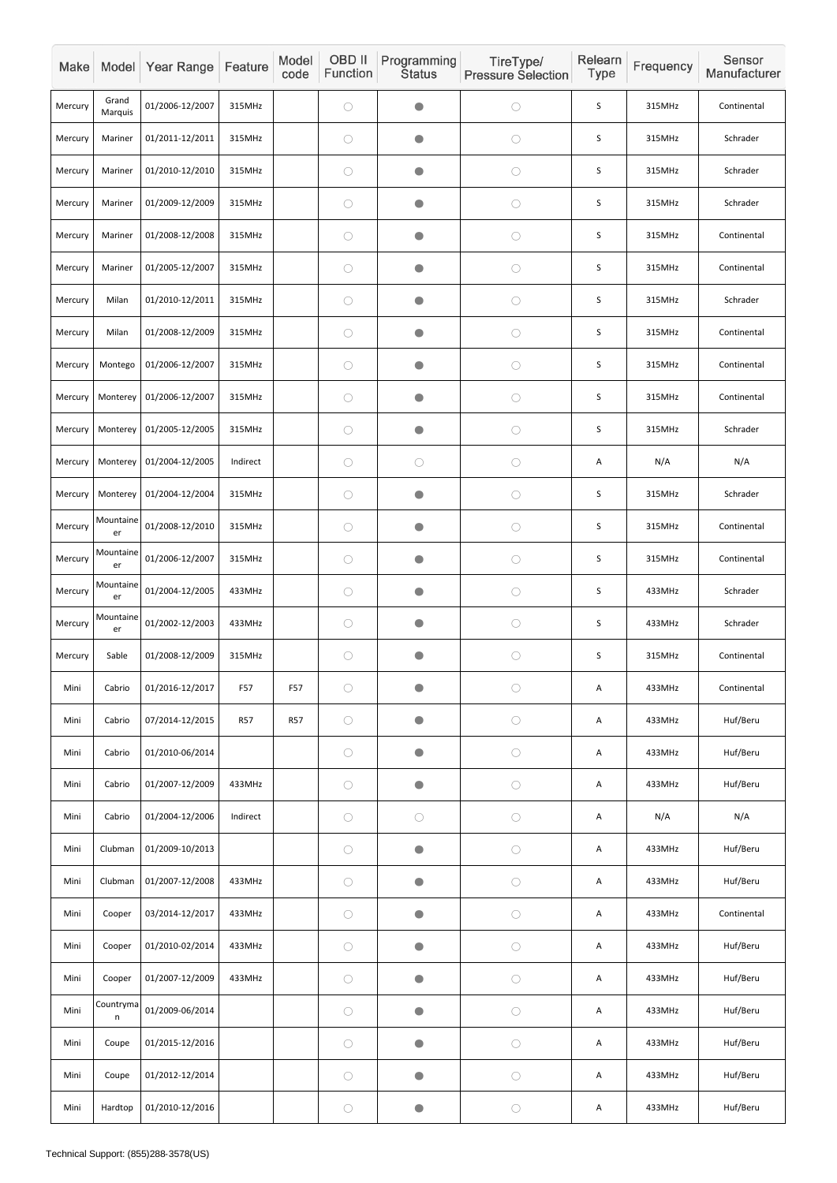| Make    |                  | Model Year Range | Feature    | Model<br>code | OBD II<br>Function | Programming<br><b>Status</b> | TireType/<br><b>Pressure Selection</b> | Relearn<br>Type | Frequency | Sensor<br>Manufacturer |
|---------|------------------|------------------|------------|---------------|--------------------|------------------------------|----------------------------------------|-----------------|-----------|------------------------|
| Mercury | Grand<br>Marquis | 01/2006-12/2007  | 315MHz     |               | $\bigcirc$         | $\bullet$                    | $\bigcirc$                             | $\mathsf S$     | 315MHz    | Continental            |
| Mercury | Mariner          | 01/2011-12/2011  | 315MHz     |               | $\bigcirc$         | $\bullet$                    | $\bigcirc$                             | S               | 315MHz    | Schrader               |
| Mercury | Mariner          | 01/2010-12/2010  | 315MHz     |               | $\bigcirc$         | $\bullet$                    | $\bigcirc$                             | $\sf S$         | 315MHz    | Schrader               |
| Mercury | Mariner          | 01/2009-12/2009  | 315MHz     |               | $\bigcirc$         | $\bullet$                    | $\bigcirc$                             | $\mathsf S$     | 315MHz    | Schrader               |
| Mercury | Mariner          | 01/2008-12/2008  | 315MHz     |               | $\bigcirc$         | $\bullet$                    | $\bigcirc$                             | S               | 315MHz    | Continental            |
| Mercury | Mariner          | 01/2005-12/2007  | 315MHz     |               | $\bigcirc$         | $\bullet$                    | $\bigcirc$                             | $\sf S$         | 315MHz    | Continental            |
| Mercury | Milan            | 01/2010-12/2011  | 315MHz     |               | $\bigcirc$         | $\bullet$                    | $\bigcirc$                             | S               | 315MHz    | Schrader               |
| Mercury | Milan            | 01/2008-12/2009  | 315MHz     |               | $\bigcirc$         | $\bullet$                    | $\bigcirc$                             | S               | 315MHz    | Continental            |
| Mercury | Montego          | 01/2006-12/2007  | 315MHz     |               | $\bigcirc$         | $\bullet$                    | $\bigcirc$                             | S               | 315MHz    | Continental            |
| Mercury | Monterey         | 01/2006-12/2007  | 315MHz     |               | $\bigcirc$         | $\bullet$                    | $\bigcirc$                             | S               | 315MHz    | Continental            |
| Mercury | Monterey         | 01/2005-12/2005  | 315MHz     |               | $\bigcirc$         | $\bullet$                    | $\bigcirc$                             | $\mathsf S$     | 315MHz    | Schrader               |
| Mercury | Monterey         | 01/2004-12/2005  | Indirect   |               | $\bigcirc$         | $\bigcirc$                   | $\bigcirc$                             | A               | N/A       | N/A                    |
| Mercury | Monterey         | 01/2004-12/2004  | 315MHz     |               | $\bigcirc$         | $\bullet$                    | $\bigcirc$                             | $\mathsf S$     | 315MHz    | Schrader               |
| Mercury | Mountaine<br>er  | 01/2008-12/2010  | 315MHz     |               | $\bigcirc$         | $\bullet$                    | $\bigcirc$                             | $\mathsf S$     | 315MHz    | Continental            |
| Mercury | Mountaine<br>er  | 01/2006-12/2007  | 315MHz     |               | $\bigcirc$         | $\bullet$                    | $\bigcirc$                             | S               | 315MHz    | Continental            |
| Mercury | Mountaine<br>er  | 01/2004-12/2005  | 433MHz     |               | $\bigcirc$         | $\bullet$                    | $\bigcirc$                             | $\mathsf S$     | 433MHz    | Schrader               |
| Mercury | Mountaine<br>er  | 01/2002-12/2003  | 433MHz     |               | $\bigcirc$         | $\bullet$                    | $\bigcirc$                             | $\mathsf S$     | 433MHz    | Schrader               |
| Mercury | Sable            | 01/2008-12/2009  | 315MHz     |               | $\bigcirc$         | $\bullet$                    | $\bigcirc$                             | $\mathsf S$     | 315MHz    | Continental            |
| Mini    | Cabrio           | 01/2016-12/2017  | F57        | F57           | $\bigcirc$         | $\bigcirc$                   | $\bigcirc$                             | A               | 433MHz    | Continental            |
| Mini    | Cabrio           | 07/2014-12/2015  | <b>R57</b> | <b>R57</b>    | $\bigcirc$         | $\bigcirc$                   | $\bigcirc$                             | A               | 433MHz    | Huf/Beru               |
| Mini    | Cabrio           | 01/2010-06/2014  |            |               | $\bigcirc$         | $\bullet$                    | $\bigcirc$                             | A               | 433MHz    | Huf/Beru               |
| Mini    | Cabrio           | 01/2007-12/2009  | 433MHz     |               | $\bigcirc$         | $\bullet$                    | $\bigcirc$                             | A               | 433MHz    | Huf/Beru               |
| Mini    | Cabrio           | 01/2004-12/2006  | Indirect   |               | $\bigcirc$         | $\bigcirc$                   | $\bigcirc$                             | Α               | N/A       | N/A                    |
| Mini    | Clubman          | 01/2009-10/2013  |            |               | $\bigcirc$         | $\bullet$                    | $\bigcirc$                             | A               | 433MHz    | Huf/Beru               |
| Mini    | Clubman          | 01/2007-12/2008  | 433MHz     |               | $\bigcirc$         | $\bullet$                    | $\bigcirc$                             | A               | 433MHz    | Huf/Beru               |
| Mini    | Cooper           | 03/2014-12/2017  | 433MHz     |               | $\bigcirc$         | $\bullet$                    | $\bigcirc$                             | Α               | 433MHz    | Continental            |
| Mini    | Cooper           | 01/2010-02/2014  | 433MHz     |               | $\bigcirc$         | $\bullet$                    | $\bigcirc$                             | A               | 433MHz    | Huf/Beru               |
| Mini    | Cooper           | 01/2007-12/2009  | 433MHz     |               | $\bigcirc$         | $\bullet$                    | $\bigcirc$                             | Α               | 433MHz    | Huf/Beru               |
| Mini    | Countryma<br>n   | 01/2009-06/2014  |            |               | $\bigcirc$         | $\bullet$                    | $\bigcirc$                             | Α               | 433MHz    | Huf/Beru               |
| Mini    | Coupe            | 01/2015-12/2016  |            |               | $\bigcirc$         | $\bullet$                    | $\bigcirc$                             | A               | 433MHz    | Huf/Beru               |
| Mini    | Coupe            | 01/2012-12/2014  |            |               | $\bigcirc$         | $\bullet$                    | $\bigcirc$                             | Α               | 433MHz    | Huf/Beru               |
| Mini    | Hardtop          | 01/2010-12/2016  |            |               | $\bigcirc$         | $\bullet$                    | $\bigcirc$                             | Α               | 433MHz    | Huf/Beru               |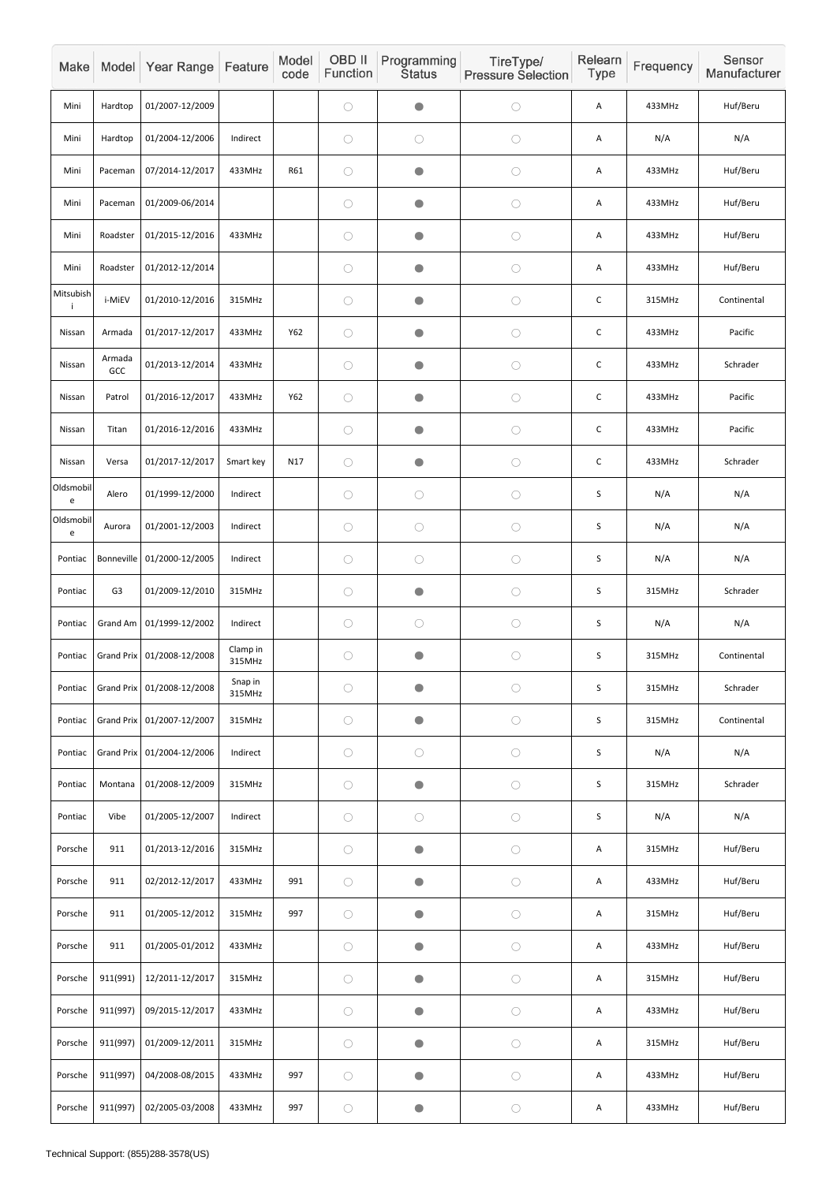| Make           |                   | Model Year Range             | Feature            | Model<br>code | OBD II<br>Function | Programming<br><b>Status</b> | TireType/<br><b>Pressure Selection</b> | Relearn<br>Type | Frequency | Sensor<br>Manufacturer |
|----------------|-------------------|------------------------------|--------------------|---------------|--------------------|------------------------------|----------------------------------------|-----------------|-----------|------------------------|
| Mini           | Hardtop           | 01/2007-12/2009              |                    |               | $\bigcirc$         | $\bullet$                    | $\bigcirc$                             | A               | 433MHz    | Huf/Beru               |
| Mini           | Hardtop           | 01/2004-12/2006              | Indirect           |               | $\bigcirc$         | $\bigcirc$                   | $\bigcirc$                             | A               | N/A       | N/A                    |
| Mini           | Paceman           | 07/2014-12/2017              | 433MHz             | R61           | $\bigcirc$         | $\bullet$                    | $\bigcirc$                             | A               | 433MHz    | Huf/Beru               |
| Mini           | Paceman           | 01/2009-06/2014              |                    |               | $\bigcirc$         | $\bullet$                    | $\bigcirc$                             | A               | 433MHz    | Huf/Beru               |
| Mini           | Roadster          | 01/2015-12/2016              | 433MHz             |               | $\bigcirc$         | $\bullet$                    | $\bigcirc$                             | A               | 433MHz    | Huf/Beru               |
| Mini           | Roadster          | 01/2012-12/2014              |                    |               | $\bigcirc$         | $\bullet$                    | $\bigcirc$                             | A               | 433MHz    | Huf/Beru               |
| Mitsubish<br>j | i-MiEV            | 01/2010-12/2016              | 315MHz             |               | $\bigcirc$         | $\bullet$                    | $\bigcirc$                             | $\mathsf C$     | 315MHz    | Continental            |
| Nissan         | Armada            | 01/2017-12/2017              | 433MHz             | Y62           | $\bigcirc$         | $\bullet$                    | $\bigcirc$                             | $\mathsf C$     | 433MHz    | Pacific                |
| Nissan         | Armada<br>GCC     | 01/2013-12/2014              | 433MHz             |               | $\bigcirc$         | $\bullet$                    | $\bigcirc$                             | $\mathsf C$     | 433MHz    | Schrader               |
| Nissan         | Patrol            | 01/2016-12/2017              | 433MHz             | Y62           | $\bigcirc$         | $\bullet$                    | $\bigcirc$                             | $\mathsf C$     | 433MHz    | Pacific                |
| Nissan         | Titan             | 01/2016-12/2016              | 433MHz             |               | $\bigcirc$         | $\bullet$                    | $\bigcirc$                             | $\mathsf C$     | 433MHz    | Pacific                |
| Nissan         | Versa             | 01/2017-12/2017              | Smart key          | N17           | $\bigcirc$         | $\bullet$                    | $\bigcirc$                             | $\mathsf C$     | 433MHz    | Schrader               |
| Oldsmobil<br>e | Alero             | 01/1999-12/2000              | Indirect           |               | $\bigcirc$         | $\bigcirc$                   | $\bigcirc$                             | $\sf S$         | N/A       | N/A                    |
| Oldsmobil<br>e | Aurora            | 01/2001-12/2003              | Indirect           |               | $\bigcirc$         | $\bigcirc$                   | $\bigcirc$                             | S               | N/A       | N/A                    |
| Pontiac        | Bonneville        | 01/2000-12/2005              | Indirect           |               | $\bigcirc$         | $\bigcirc$                   | $\bigcirc$                             | $\mathsf S$     | N/A       | N/A                    |
| Pontiac        | G <sub>3</sub>    | 01/2009-12/2010              | 315MHz             |               | $\bigcirc$         | $\bullet$                    | $\bigcirc$                             | $\mathsf S$     | 315MHz    | Schrader               |
| Pontiac        | Grand Am          | 01/1999-12/2002              | Indirect           |               | $\bigcirc$         | $\bigcirc$                   | $\bigcirc$                             | $\mathsf S$     | N/A       | N/A                    |
| Pontiac        |                   | Grand Prix 01/2008-12/2008   | Clamp in<br>315MHz |               | $\bigcirc$         | $\bullet$                    | $\bigcirc$                             | $\mathsf S$     | 315MHz    | Continental            |
| Pontiac        |                   | Grand Prix   01/2008-12/2008 | Snap in<br>315MHz  |               | $\bigcirc$         | $\bullet$                    | $\bigcirc$                             | $\mathsf S$     | 315MHz    | Schrader               |
| Pontiac        |                   | Grand Prix   01/2007-12/2007 | 315MHz             |               | $\bigcirc$         | $\bullet$                    | $\bigcirc$                             | $\mathsf S$     | 315MHz    | Continental            |
| Pontiac        | <b>Grand Prix</b> | 01/2004-12/2006              | Indirect           |               | $\bigcirc$         | $\bigcirc$                   | $\bigcirc$                             | $\mathsf S$     | N/A       | N/A                    |
| Pontiac        | Montana           | 01/2008-12/2009              | 315MHz             |               | $\bigcirc$         | $\bullet$                    | $\bigcirc$                             | $\mathsf S$     | 315MHz    | Schrader               |
| Pontiac        | Vibe              | 01/2005-12/2007              | Indirect           |               | $\bigcirc$         | $\bigcirc$                   | $\bigcirc$                             | $\mathsf S$     | N/A       | N/A                    |
| Porsche        | 911               | 01/2013-12/2016              | 315MHz             |               | $\bigcirc$         | $\bullet$                    | $\bigcirc$                             | A               | 315MHz    | Huf/Beru               |
| Porsche        | 911               | 02/2012-12/2017              | 433MHz             | 991           | $\bigcirc$         | $\bullet$                    | $\bigcirc$                             | A               | 433MHz    | Huf/Beru               |
| Porsche        | 911               | 01/2005-12/2012              | 315MHz             | 997           | $\bigcirc$         | $\bullet$                    | $\bigcirc$                             | A               | 315MHz    | Huf/Beru               |
| Porsche        | 911               | 01/2005-01/2012              | 433MHz             |               | $\bigcirc$         | $\bullet$                    | $\bigcirc$                             | A               | 433MHz    | Huf/Beru               |
| Porsche        | 911(991)          | 12/2011-12/2017              | 315MHz             |               | $\bigcirc$         | $\bullet$                    | $\bigcirc$                             | A               | 315MHz    | Huf/Beru               |
| Porsche        | 911(997)          | 09/2015-12/2017              | 433MHz             |               | $\bigcirc$         | $\bullet$                    | $\bigcirc$                             | A               | 433MHz    | Huf/Beru               |
| Porsche        | 911(997)          | 01/2009-12/2011              | 315MHz             |               | $\bigcirc$         | $\bullet$                    | $\bigcirc$                             | A               | 315MHz    | Huf/Beru               |
| Porsche        | 911(997)          | 04/2008-08/2015              | 433MHz             | 997           | $\bigcirc$         | $\bullet$                    | $\bigcirc$                             | Α               | 433MHz    | Huf/Beru               |
| Porsche        | 911(997)          | 02/2005-03/2008              | 433MHz             | 997           | $\bigcirc$         | $\bullet$                    | $\bigcirc$                             | Α               | 433MHz    | Huf/Beru               |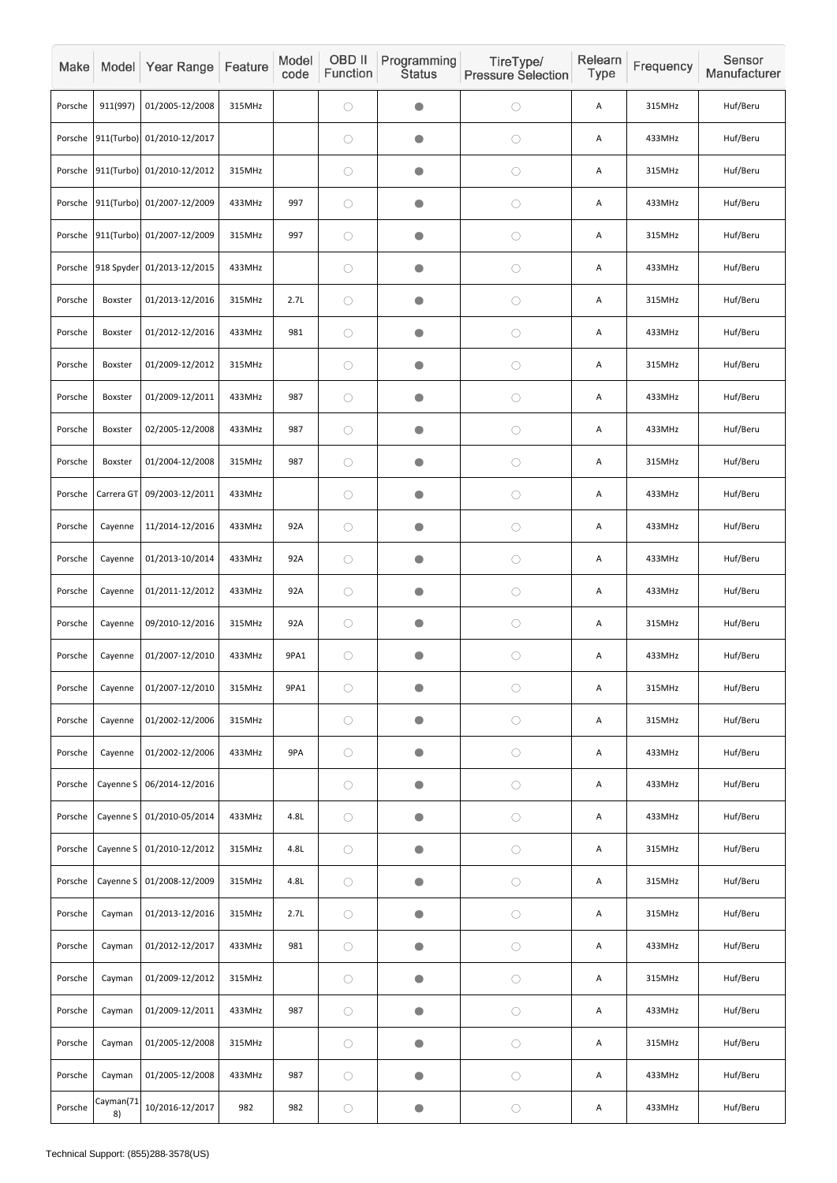| Make    |                 | Model Year Range                   | Feature | Model<br>code | OBD II<br>Function | Programming<br><b>Status</b> | TireType/<br><b>Pressure Selection</b> | Relearn<br><b>Type</b> | Frequency | Sensor<br>Manufacturer |
|---------|-----------------|------------------------------------|---------|---------------|--------------------|------------------------------|----------------------------------------|------------------------|-----------|------------------------|
| Porsche | 911(997)        | 01/2005-12/2008                    | 315MHz  |               | $\bigcirc$         | $\bullet$                    | $\bigcirc$                             | Α                      | 315MHz    | Huf/Beru               |
| Porsche |                 | 911(Turbo) 01/2010-12/2017         |         |               | $\bigcirc$         | $\bullet$                    | $\bigcirc$                             | Α                      | 433MHz    | Huf/Beru               |
|         |                 | Porsche 911(Turbo) 01/2010-12/2012 | 315MHz  |               | $\bigcirc$         | $\bullet$                    | $\bigcirc$                             | Α                      | 315MHz    | Huf/Beru               |
| Porsche |                 | 911(Turbo) 01/2007-12/2009         | 433MHz  | 997           | $\bigcirc$         | O                            | $\bigcirc$                             | A                      | 433MHz    | Huf/Beru               |
| Porsche |                 | 911(Turbo) 01/2007-12/2009         | 315MHz  | 997           | $\bigcirc$         | $\bullet$                    | $\bigcirc$                             | Α                      | 315MHz    | Huf/Beru               |
| Porsche |                 | 918 Spyder 01/2013-12/2015         | 433MHz  |               | $\bigcirc$         | $\bullet$                    | $\bigcirc$                             | A                      | 433MHz    | Huf/Beru               |
| Porsche | Boxster         | 01/2013-12/2016                    | 315MHz  | 2.7L          | $\bigcirc$         | $\bullet$                    | $\bigcirc$                             | A                      | 315MHz    | Huf/Beru               |
| Porsche | Boxster         | 01/2012-12/2016                    | 433MHz  | 981           | $\bigcirc$         | $\bullet$                    | $\bigcirc$                             | Α                      | 433MHz    | Huf/Beru               |
| Porsche | Boxster         | 01/2009-12/2012                    | 315MHz  |               | $\bigcirc$         | $\bullet$                    | $\bigcirc$                             | A                      | 315MHz    | Huf/Beru               |
| Porsche | Boxster         | 01/2009-12/2011                    | 433MHz  | 987           | $\bigcirc$         | $\bullet$                    | $\bigcirc$                             | Α                      | 433MHz    | Huf/Beru               |
| Porsche | Boxster         | 02/2005-12/2008                    | 433MHz  | 987           | $\bigcirc$         | $\bullet$                    | $\bigcirc$                             | A                      | 433MHz    | Huf/Beru               |
| Porsche | Boxster         | 01/2004-12/2008                    | 315MHz  | 987           | $\bigcirc$         | $\bullet$                    | $\bigcirc$                             | A                      | 315MHz    | Huf/Beru               |
| Porsche |                 | Carrera GT 09/2003-12/2011         | 433MHz  |               | $\bigcirc$         | $\bullet$                    | $\bigcirc$                             | Α                      | 433MHz    | Huf/Beru               |
| Porsche | Cayenne         | 11/2014-12/2016                    | 433MHz  | 92A           | $\bigcirc$         | $\bullet$                    | $\bigcirc$                             | Α                      | 433MHz    | Huf/Beru               |
| Porsche | Cayenne         | 01/2013-10/2014                    | 433MHz  | 92A           | $\bigcirc$         | $\bullet$                    | $\bigcirc$                             | A                      | 433MHz    | Huf/Beru               |
| Porsche | Cayenne         | 01/2011-12/2012                    | 433MHz  | 92A           | $\bigcirc$         | $\bullet$                    | $\bigcirc$                             | A                      | 433MHz    | Huf/Beru               |
| Porsche | Cayenne         | 09/2010-12/2016                    | 315MHz  | 92A           | $\bigcirc$         | $\bullet$                    | $\bigcirc$                             | Α                      | 315MHz    | Huf/Beru               |
| Porsche | Cayenne         | 01/2007-12/2010                    | 433MHz  | 9PA1          | $\bigcirc$         | $\bullet$                    | $\bigcirc$                             | A                      | 433MHz    | Huf/Beru               |
| Porsche | Cayenne         | 01/2007-12/2010                    | 315MHz  | 9PA1          | $\bigcirc$         | $\bullet$                    | $\bigcirc$                             | A                      | 315MHz    | Huf/Beru               |
| Porsche | Cayenne         | 01/2002-12/2006                    | 315MHz  |               | $\bigcirc$         | $\bullet$                    | $\bigcirc$                             | Α                      | 315MHz    | Huf/Beru               |
| Porsche | Cayenne         | 01/2002-12/2006                    | 433MHz  | 9PA           | $\bigcirc$         | $\bullet$                    | $\bigcirc$                             | A                      | 433MHz    | Huf/Beru               |
| Porsche | Cayenne S       | 06/2014-12/2016                    |         |               | $\bigcirc$         | $\bullet$                    | $\bigcirc$                             | Α                      | 433MHz    | Huf/Beru               |
| Porsche |                 | Cayenne S 01/2010-05/2014          | 433MHz  | 4.8L          | $\bigcirc$         | $\bullet$                    | $\bigcirc$                             | Α                      | 433MHz    | Huf/Beru               |
| Porsche |                 | Cayenne S 01/2010-12/2012          | 315MHz  | 4.8L          | $\bigcirc$         | $\bullet$                    | $\bigcirc$                             | A                      | 315MHz    | Huf/Beru               |
| Porsche | Cayenne S       | 01/2008-12/2009                    | 315MHz  | 4.8L          | $\bigcirc$         | $\bullet$                    | $\bigcirc$                             | Α                      | 315MHz    | Huf/Beru               |
| Porsche | Cayman          | 01/2013-12/2016                    | 315MHz  | 2.7L          | $\bigcirc$         | $\bullet$                    | $\bigcirc$                             | A                      | 315MHz    | Huf/Beru               |
| Porsche | Cayman          | 01/2012-12/2017                    | 433MHz  | 981           | $\bigcirc$         | $\bullet$                    | $\bigcirc$                             | A                      | 433MHz    | Huf/Beru               |
| Porsche | Cayman          | 01/2009-12/2012                    | 315MHz  |               | $\bigcirc$         | $\bullet$                    | $\bigcirc$                             | Α                      | 315MHz    | Huf/Beru               |
| Porsche | Cayman          | 01/2009-12/2011                    | 433MHz  | 987           | $\bigcirc$         | $\bullet$                    | $\bigcirc$                             | Α                      | 433MHz    | Huf/Beru               |
| Porsche | Cayman          | 01/2005-12/2008                    | 315MHz  |               | $\bigcirc$         | $\bullet$                    | $\bigcirc$                             | Α                      | 315MHz    | Huf/Beru               |
| Porsche | Cayman          | 01/2005-12/2008                    | 433MHz  | 987           | $\bigcirc$         | $\bullet$                    | $\bigcirc$                             | A                      | 433MHz    | Huf/Beru               |
| Porsche | Cayman(71<br>8) | 10/2016-12/2017                    | 982     | 982           | $\bigcirc$         | $\bullet$                    | $\bigcirc$                             | A                      | 433MHz    | Huf/Beru               |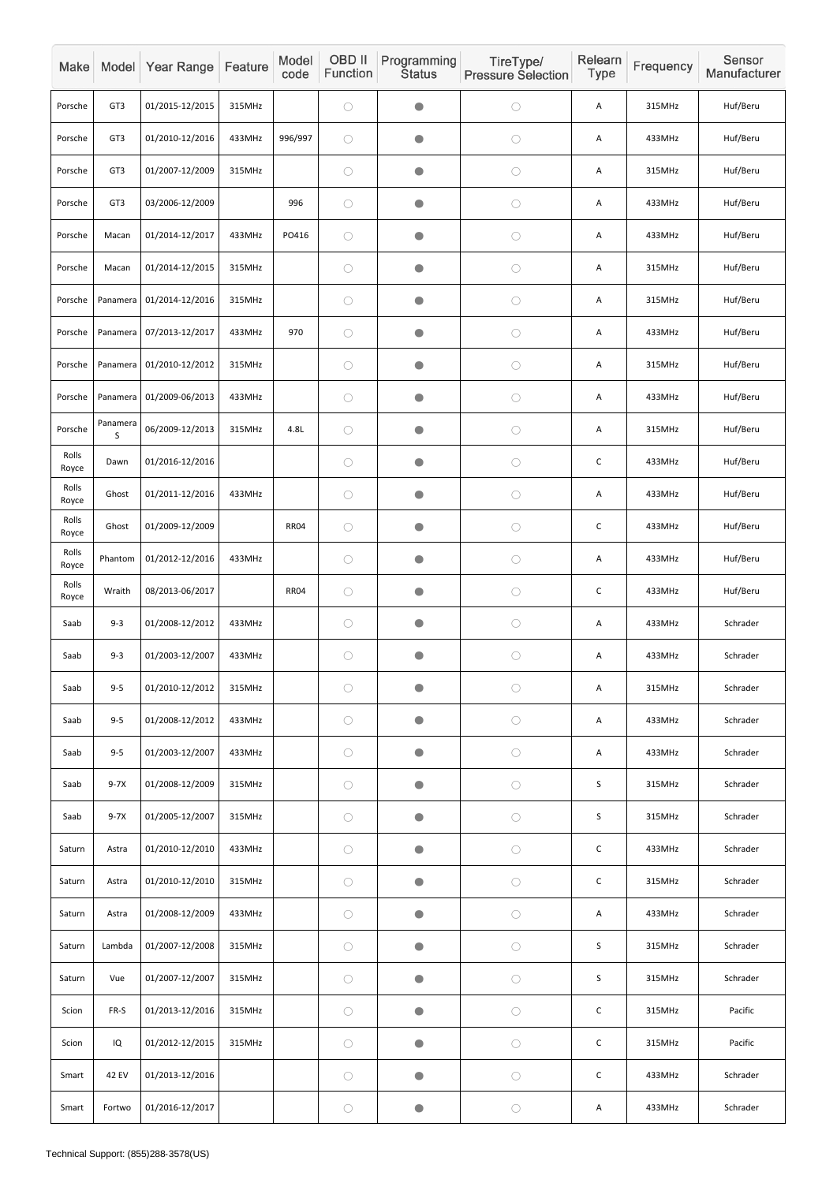| Make           |                 | Model Year Range | Feature | Model<br>code | OBD II<br>Function | Programming<br><b>Status</b> | TireType/<br><b>Pressure Selection</b> | Relearn<br>Type | Frequency | Sensor<br>Manufacturer |
|----------------|-----------------|------------------|---------|---------------|--------------------|------------------------------|----------------------------------------|-----------------|-----------|------------------------|
| Porsche        | GT <sub>3</sub> | 01/2015-12/2015  | 315MHz  |               | $\bigcirc$         | $\bullet$                    | $\bigcirc$                             | Α               | 315MHz    | Huf/Beru               |
| Porsche        | GT3             | 01/2010-12/2016  | 433MHz  | 996/997       | $\bigcirc$         | $\bullet$                    | $\bigcirc$                             | Α               | 433MHz    | Huf/Beru               |
| Porsche        | GT <sub>3</sub> | 01/2007-12/2009  | 315MHz  |               | $\bigcirc$         | $\bullet$                    | $\bigcirc$                             | Α               | 315MHz    | Huf/Beru               |
| Porsche        | GT <sub>3</sub> | 03/2006-12/2009  |         | 996           | $\bigcirc$         | $\bullet$                    | $\bigcirc$                             | Α               | 433MHz    | Huf/Beru               |
| Porsche        | Macan           | 01/2014-12/2017  | 433MHz  | PO416         | $\bigcirc$         | $\bullet$                    | $\bigcirc$                             | Α               | 433MHz    | Huf/Beru               |
| Porsche        | Macan           | 01/2014-12/2015  | 315MHz  |               | $\bigcirc$         | $\bullet$                    | $\bigcirc$                             | Α               | 315MHz    | Huf/Beru               |
| Porsche        | Panamera        | 01/2014-12/2016  | 315MHz  |               | $\bigcirc$         | $\bullet$                    | $\bigcirc$                             | Α               | 315MHz    | Huf/Beru               |
| Porsche        | Panamera        | 07/2013-12/2017  | 433MHz  | 970           | $\bigcirc$         | $\bullet$                    | $\bigcirc$                             | Α               | 433MHz    | Huf/Beru               |
| Porsche        | Panamera        | 01/2010-12/2012  | 315MHz  |               | $\bigcirc$         | $\bullet$                    | $\bigcirc$                             | A               | 315MHz    | Huf/Beru               |
| Porsche        | Panamera        | 01/2009-06/2013  | 433MHz  |               | $\bigcirc$         | $\bullet$                    | $\bigcirc$                             | Α               | 433MHz    | Huf/Beru               |
| Porsche        | Panamera<br>S   | 06/2009-12/2013  | 315MHz  | 4.8L          | $\bigcirc$         | $\bullet$                    | $\bigcirc$                             | Α               | 315MHz    | Huf/Beru               |
| Rolls<br>Royce | Dawn            | 01/2016-12/2016  |         |               | $\bigcirc$         | $\bullet$                    | $\bigcirc$                             | $\mathsf C$     | 433MHz    | Huf/Beru               |
| Rolls<br>Royce | Ghost           | 01/2011-12/2016  | 433MHz  |               | $\bigcirc$         | $\bullet$                    | $\bigcirc$                             | A               | 433MHz    | Huf/Beru               |
| Rolls<br>Royce | Ghost           | 01/2009-12/2009  |         | <b>RR04</b>   | $\bigcirc$         | $\bullet$                    | $\bigcirc$                             | $\mathsf C$     | 433MHz    | Huf/Beru               |
| Rolls<br>Royce | Phantom         | 01/2012-12/2016  | 433MHz  |               | $\bigcirc$         | $\bigcirc$                   | $\bigcirc$                             | A               | 433MHz    | Huf/Beru               |
| Rolls<br>Royce | Wraith          | 08/2013-06/2017  |         | <b>RR04</b>   | $\bigcirc$         | $\bullet$                    | $\bigcirc$                             | $\mathsf{C}$    | 433MHz    | Huf/Beru               |
| Saab           | $9 - 3$         | 01/2008-12/2012  | 433MHz  |               | $\bigcirc$         | $\bigcirc$                   | $\bigcirc$                             | A               | 433MHz    | Schrader               |
| Saab           | $9 - 3$         | 01/2003-12/2007  | 433MHz  |               | $\bigcirc$         | $\bullet$                    | $\bigcirc$                             | Α               | 433MHz    | Schrader               |
| Saab           | $9 - 5$         | 01/2010-12/2012  | 315MHz  |               | $\bigcirc$         | $\bullet$                    | $\bigcirc$                             | Α               | 315MHz    | Schrader               |
| Saab           | $9 - 5$         | 01/2008-12/2012  | 433MHz  |               | $\bigcirc$         | $\bullet$                    | $\bigcirc$                             | A               | 433MHz    | Schrader               |
| Saab           | $9 - 5$         | 01/2003-12/2007  | 433MHz  |               | $\bigcirc$         | $\bullet$                    | $\bigcirc$                             | Α               | 433MHz    | Schrader               |
| Saab           | $9-7X$          | 01/2008-12/2009  | 315MHz  |               | $\bigcirc$         | $\bigcirc$                   | $\bigcirc$                             | $\mathsf S$     | 315MHz    | Schrader               |
| Saab           | $9-7X$          | 01/2005-12/2007  | 315MHz  |               | $\bigcirc$         | $\bullet$                    | $\bigcirc$                             | $\sf S$         | 315MHz    | Schrader               |
| Saturn         | Astra           | 01/2010-12/2010  | 433MHz  |               | $\bigcirc$         | $\bigcirc$                   | $\bigcirc$                             | $\mathsf C$     | 433MHz    | Schrader               |
| Saturn         | Astra           | 01/2010-12/2010  | 315MHz  |               | $\bigcirc$         | $\bigcirc$                   | $\bigcirc$                             | $\mathsf{C}$    | 315MHz    | Schrader               |
| Saturn         | Astra           | 01/2008-12/2009  | 433MHz  |               | $\bigcirc$         | $\bullet$                    | $\bigcirc$                             | А               | 433MHz    | Schrader               |
| Saturn         | Lambda          | 01/2007-12/2008  | 315MHz  |               | $\bigcirc$         | $\bigcirc$                   | $\bigcirc$                             | $\sf S$         | 315MHz    | Schrader               |
| Saturn         | Vue             | 01/2007-12/2007  | 315MHz  |               | $\bigcirc$         | $\bullet$                    | $\bigcirc$                             | $\sf S$         | 315MHz    | Schrader               |
| Scion          | FR-S            | 01/2013-12/2016  | 315MHz  |               | $\bigcirc$         | $\bullet$                    | $\bigcirc$                             | $\mathsf C$     | 315MHz    | Pacific                |
| Scion          | IQ              | 01/2012-12/2015  | 315MHz  |               | $\bigcirc$         | $\bullet$                    | $\bigcirc$                             | $\mathsf C$     | 315MHz    | Pacific                |
| Smart          | 42 EV           | 01/2013-12/2016  |         |               | $\bigcirc$         | $\bullet$                    | $\bigcirc$                             | $\mathsf C$     | 433MHz    | Schrader               |
| Smart          | Fortwo          | 01/2016-12/2017  |         |               | $\bigcirc$         | $\bullet$                    | $\bigcirc$                             | Α               | 433MHz    | Schrader               |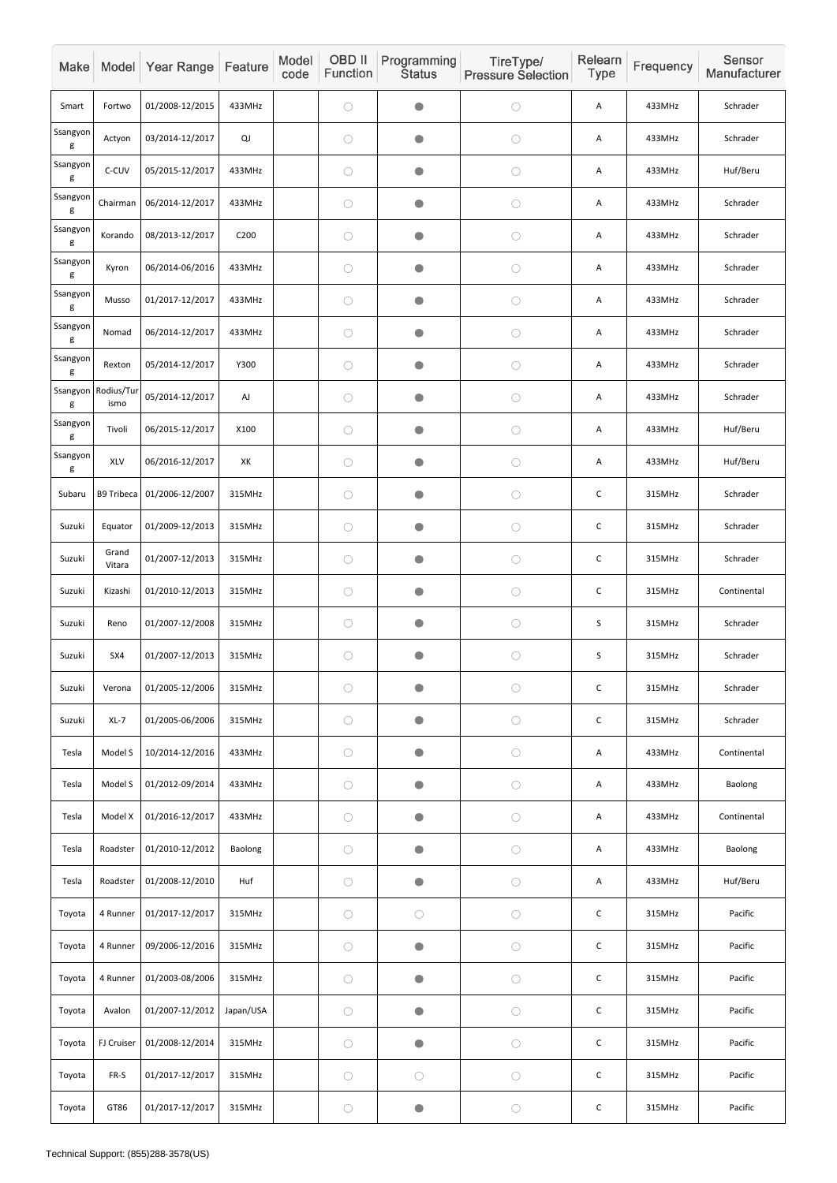| Make          |                    | Model Year Range           | Feature          | Model<br>code | OBD II<br>Function | Programming<br><b>Status</b> | TireType/<br><b>Pressure Selection</b> | Relearn<br><b>Type</b> | Frequency | Sensor<br>Manufacturer |
|---------------|--------------------|----------------------------|------------------|---------------|--------------------|------------------------------|----------------------------------------|------------------------|-----------|------------------------|
| Smart         | Fortwo             | 01/2008-12/2015            | 433MHz           |               | $\bigcirc$         | $\bullet$                    | $\bigcirc$                             | Α                      | 433MHz    | Schrader               |
| Ssangyon<br>g | Actyon             | 03/2014-12/2017            | QJ               |               | $\bigcirc$         | $\bullet$                    | $\bigcirc$                             | A                      | 433MHz    | Schrader               |
| Ssangyon<br>g | C-CUV              | 05/2015-12/2017            | 433MHz           |               | $\bigcirc$         | $\bullet$                    | $\bigcirc$                             | A                      | 433MHz    | Huf/Beru               |
| Ssangyon<br>g | Chairman           | 06/2014-12/2017            | 433MHz           |               | $\bigcirc$         | $\bullet$                    | $\bigcirc$                             | A                      | 433MHz    | Schrader               |
| Ssangyon<br>g | Korando            | 08/2013-12/2017            | C <sub>200</sub> |               | $\bigcirc$         | $\bullet$                    | $\bigcirc$                             | A                      | 433MHz    | Schrader               |
| Ssangyon<br>g | Kyron              | 06/2014-06/2016            | 433MHz           |               | $\bigcirc$         | $\bullet$                    | $\bigcirc$                             | A                      | 433MHz    | Schrader               |
| Ssangyon<br>g | Musso              | 01/2017-12/2017            | 433MHz           |               | $\bigcirc$         | $\bullet$                    | $\bigcirc$                             | A                      | 433MHz    | Schrader               |
| Ssangyon<br>g | Nomad              | 06/2014-12/2017            | 433MHz           |               | $\bigcirc$         | $\bullet$                    | $\bigcirc$                             | A                      | 433MHz    | Schrader               |
| Ssangyon<br>g | Rexton             | 05/2014-12/2017            | Y300             |               | $\bigcirc$         | $\bullet$                    | $\bigcirc$                             | A                      | 433MHz    | Schrader               |
| Ssangyon<br>g | Rodius/Tur<br>ismo | 05/2014-12/2017            | AJ               |               | $\bigcirc$         | $\bullet$                    | $\bigcirc$                             | A                      | 433MHz    | Schrader               |
| Ssangyon<br>g | Tivoli             | 06/2015-12/2017            | X100             |               | $\bigcirc$         | $\bullet$                    | $\bigcirc$                             | A                      | 433MHz    | Huf/Beru               |
| Ssangyon<br>g | XLV                | 06/2016-12/2017            | XK               |               | $\bigcirc$         | $\bullet$                    | $\bigcirc$                             | A                      | 433MHz    | Huf/Beru               |
| Subaru        |                    | B9 Tribeca 01/2006-12/2007 | 315MHz           |               | $\bigcirc$         | $\bullet$                    | $\bigcirc$                             | $\mathsf C$            | 315MHz    | Schrader               |
| Suzuki        | Equator            | 01/2009-12/2013            | 315MHz           |               | $\bigcirc$         | $\bullet$                    | $\bigcirc$                             | $\mathsf C$            | 315MHz    | Schrader               |
| Suzuki        | Grand<br>Vitara    | 01/2007-12/2013            | 315MHz           |               | $\bigcirc$         | $\bullet$                    | $\bigcirc$                             | $\mathsf C$            | 315MHz    | Schrader               |
| Suzuki        | Kizashi            | 01/2010-12/2013            | 315MHz           |               | $\bigcirc$         | $\bullet$                    | $\bigcirc$                             | $\mathsf C$            | 315MHz    | Continental            |
| Suzuki        | Reno               | 01/2007-12/2008            | 315MHz           |               | $\bigcirc$         | $\bullet$                    | $\bigcirc$                             | $\sf S$                | 315MHz    | Schrader               |
| Suzuki        | SX4                | 01/2007-12/2013            | 315MHz           |               | $\bigcirc$         | $\bullet$                    | $\bigcirc$                             | S                      | 315MHz    | Schrader               |
| Suzuki        | Verona             | 01/2005-12/2006            | 315MHz           |               | $\bigcirc$         | $\bullet$                    | $\bigcirc$                             | $\mathsf C$            | 315MHz    | Schrader               |
| Suzuki        | $XL-7$             | 01/2005-06/2006            | 315MHz           |               | $\bigcirc$         | $\bullet$                    | $\bigcirc$                             | $\mathsf C$            | 315MHz    | Schrader               |
| Tesla         | Model S            | 10/2014-12/2016            | 433MHz           |               | $\bigcirc$         | $\bullet$                    | $\bigcirc$                             | A                      | 433MHz    | Continental            |
| Tesla         | Model S            | 01/2012-09/2014            | 433MHz           |               | $\bigcirc$         | $\bullet$                    | $\bigcirc$                             | A                      | 433MHz    | Baolong                |
| Tesla         | Model X            | 01/2016-12/2017            | 433MHz           |               | $\bigcirc$         | $\bullet$                    | $\bigcirc$                             | A                      | 433MHz    | Continental            |
| Tesla         | Roadster           | 01/2010-12/2012            | Baolong          |               | $\bigcirc$         | $\bullet$                    | $\bigcirc$                             | A                      | 433MHz    | Baolong                |
| Tesla         | Roadster           | 01/2008-12/2010            | Huf              |               | $\bigcirc$         | $\bullet$                    | $\bigcirc$                             | A                      | 433MHz    | Huf/Beru               |
| Toyota        | 4 Runner           | 01/2017-12/2017            | 315MHz           |               | $\bigcirc$         | $\bigcirc$                   | $\bigcirc$                             | $\mathsf C$            | 315MHz    | Pacific                |
| Toyota        | 4 Runner           | 09/2006-12/2016            | 315MHz           |               | $\bigcirc$         | $\bullet$                    | $\bigcirc$                             | $\mathsf C$            | 315MHz    | Pacific                |
| Toyota        | 4 Runner           | 01/2003-08/2006            | 315MHz           |               | $\bigcirc$         | $\bullet$                    | $\bigcirc$                             | $\mathsf C$            | 315MHz    | Pacific                |
| Toyota        | Avalon             | 01/2007-12/2012            | Japan/USA        |               | $\bigcirc$         | $\bullet$                    | $\bigcirc$                             | $\mathsf C$            | 315MHz    | Pacific                |
| Toyota        | FJ Cruiser         | 01/2008-12/2014            | 315MHz           |               | $\bigcirc$         | $\bullet$                    | $\bigcirc$                             | $\mathsf C$            | 315MHz    | Pacific                |
| Toyota        | FR-S               | 01/2017-12/2017            | 315MHz           |               | $\bigcirc$         | $\bigcirc$                   | $\bigcirc$                             | $\mathsf C$            | 315MHz    | Pacific                |
| Toyota        | GT86               | 01/2017-12/2017            | 315MHz           |               | $\bigcirc$         | $\bullet$                    | $\bigcirc$                             | $\mathsf C$            | 315MHz    | Pacific                |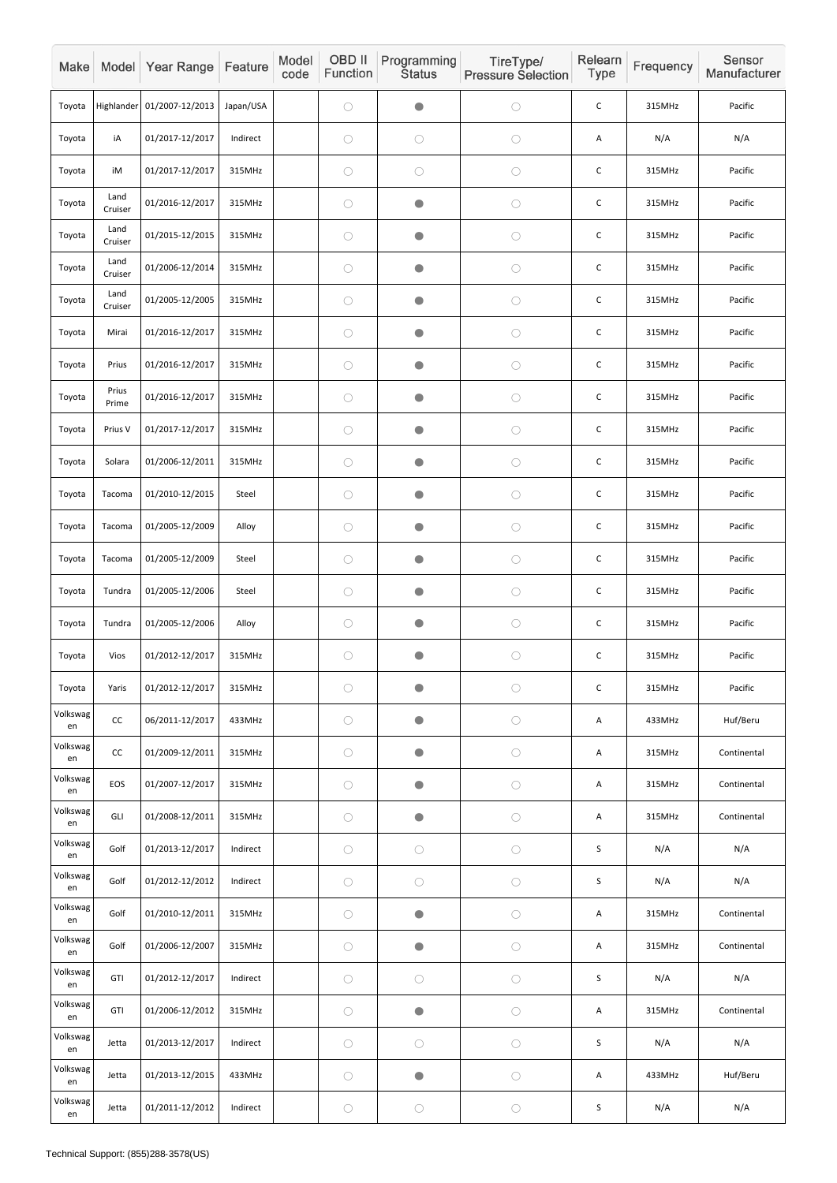| Make           |                 | Model Year Range           | Feature   | Model<br>code | OBD II<br>Function | Programming<br><b>Status</b> | TireType/<br><b>Pressure Selection</b> | Relearn<br>Type | Frequency | Sensor<br>Manufacturer |
|----------------|-----------------|----------------------------|-----------|---------------|--------------------|------------------------------|----------------------------------------|-----------------|-----------|------------------------|
| Toyota         |                 | Highlander 01/2007-12/2013 | Japan/USA |               | $\bigcirc$         | $\bullet$                    | $\bigcirc$                             | $\mathsf C$     | 315MHz    | Pacific                |
| Toyota         | iA              | 01/2017-12/2017            | Indirect  |               | $\bigcirc$         | $\bigcirc$                   | $\bigcirc$                             | Α               | N/A       | N/A                    |
| Toyota         | iM              | 01/2017-12/2017            | 315MHz    |               | $\bigcirc$         | $\bigcirc$                   | $\bigcirc$                             | $\mathsf C$     | 315MHz    | Pacific                |
| Toyota         | Land<br>Cruiser | 01/2016-12/2017            | 315MHz    |               | $\bigcirc$         | $\bullet$                    | $\bigcirc$                             | $\mathsf C$     | 315MHz    | Pacific                |
| Toyota         | Land<br>Cruiser | 01/2015-12/2015            | 315MHz    |               | $\bigcirc$         | $\bullet$                    | $\bigcirc$                             | $\mathsf C$     | 315MHz    | Pacific                |
| Toyota         | Land<br>Cruiser | 01/2006-12/2014            | 315MHz    |               | $\bigcirc$         | $\bullet$                    | $\bigcirc$                             | $\mathsf C$     | 315MHz    | Pacific                |
| Toyota         | Land<br>Cruiser | 01/2005-12/2005            | 315MHz    |               | $\bigcirc$         | $\bullet$                    | $\bigcirc$                             | $\mathsf C$     | 315MHz    | Pacific                |
| Toyota         | Mirai           | 01/2016-12/2017            | 315MHz    |               | $\bigcirc$         | $\bullet$                    | $\bigcirc$                             | $\mathsf C$     | 315MHz    | Pacific                |
| Toyota         | Prius           | 01/2016-12/2017            | 315MHz    |               | $\bigcirc$         | $\bullet$                    | $\bigcirc$                             | $\mathsf C$     | 315MHz    | Pacific                |
| Toyota         | Prius<br>Prime  | 01/2016-12/2017            | 315MHz    |               | $\bigcirc$         | $\bullet$                    | $\bigcirc$                             | $\mathsf C$     | 315MHz    | Pacific                |
| Toyota         | Prius V         | 01/2017-12/2017            | 315MHz    |               | $\bigcirc$         | $\bullet$                    | $\bigcirc$                             | $\mathsf C$     | 315MHz    | Pacific                |
| Toyota         | Solara          | 01/2006-12/2011            | 315MHz    |               | $\bigcirc$         | $\bullet$                    | $\bigcirc$                             | $\mathsf C$     | 315MHz    | Pacific                |
| Toyota         | Tacoma          | 01/2010-12/2015            | Steel     |               | $\bigcirc$         | $\bullet$                    | $\bigcirc$                             | $\mathsf C$     | 315MHz    | Pacific                |
| Toyota         | Tacoma          | 01/2005-12/2009            | Alloy     |               | $\bigcirc$         | $\bullet$                    | $\bigcirc$                             | $\mathsf C$     | 315MHz    | Pacific                |
| Toyota         | Tacoma          | 01/2005-12/2009            | Steel     |               | $\bigcirc$         | $\bullet$                    | $\bigcirc$                             | $\mathsf C$     | 315MHz    | Pacific                |
| Toyota         | Tundra          | 01/2005-12/2006            | Steel     |               | $\bigcirc$         | $\bullet$                    | $\bigcirc$                             | $\mathsf C$     | 315MHz    | Pacific                |
| Toyota         | Tundra          | 01/2005-12/2006            | Alloy     |               | $\bigcirc$         | $\bullet$                    | $\bigcirc$                             | $\mathsf C$     | 315MHz    | Pacific                |
| Toyota         | Vios            | 01/2012-12/2017            | 315MHz    |               | $\bigcirc$         | $\bullet$                    | $\bigcirc$                             | $\mathsf C$     | 315MHz    | Pacific                |
| Toyota         | Yaris           | 01/2012-12/2017            | 315MHz    |               | $\bigcirc$         | $\bullet$                    | $\bigcirc$                             | $\mathsf C$     | 315MHz    | Pacific                |
| Volkswag<br>en | cc              | 06/2011-12/2017            | 433MHz    |               | $\bigcirc$         | $\bullet$                    | $\bigcirc$                             | A               | 433MHz    | Huf/Beru               |
| Volkswag<br>en | CC              | 01/2009-12/2011            | 315MHz    |               | $\bigcirc$         | $\bullet$                    | $\bigcirc$                             | A               | 315MHz    | Continental            |
| Volkswag<br>en | EOS             | 01/2007-12/2017            | 315MHz    |               | $\bigcirc$         | $\bullet$                    | $\bigcirc$                             | A               | 315MHz    | Continental            |
| Volkswag<br>en | GLI             | 01/2008-12/2011            | 315MHz    |               | $\bigcirc$         | $\bullet$                    | $\bigcirc$                             | A               | 315MHz    | Continental            |
| Volkswag<br>en | Golf            | 01/2013-12/2017            | Indirect  |               | $\bigcirc$         | $\bigcirc$                   | $\bigcirc$                             | $\sf S$         | N/A       | N/A                    |
| Volkswag<br>en | Golf            | 01/2012-12/2012            | Indirect  |               | $\bigcirc$         | $\bigcirc$                   | $\bigcirc$                             | S               | N/A       | N/A                    |
| Volkswag<br>en | Golf            | 01/2010-12/2011            | 315MHz    |               | $\bigcirc$         | $\bullet$                    | $\bigcirc$                             | A               | 315MHz    | Continental            |
| Volkswag<br>en | Golf            | 01/2006-12/2007            | 315MHz    |               | $\bigcirc$         | $\bullet$                    | $\bigcirc$                             | A               | 315MHz    | Continental            |
| Volkswag<br>en | GTI             | 01/2012-12/2017            | Indirect  |               | $\bigcirc$         | $\bigcirc$                   | $\bigcirc$                             | S               | N/A       | N/A                    |
| Volkswag<br>en | GTI             | 01/2006-12/2012            | 315MHz    |               | $\bigcirc$         | $\bullet$                    | $\bigcirc$                             | Α               | 315MHz    | Continental            |
| Volkswag<br>en | Jetta           | 01/2013-12/2017            | Indirect  |               | $\bigcirc$         | $\bigcirc$                   | $\bigcirc$                             | $\sf S$         | N/A       | N/A                    |
| Volkswag<br>en | Jetta           | 01/2013-12/2015            | 433MHz    |               | $\bigcirc$         | $\bullet$                    | $\bigcirc$                             | Α               | 433MHz    | Huf/Beru               |
| Volkswag<br>en | Jetta           | 01/2011-12/2012            | Indirect  |               | $\bigcirc$         | $\bigcirc$                   | $\bigcirc$                             | $\sf S$         | N/A       | N/A                    |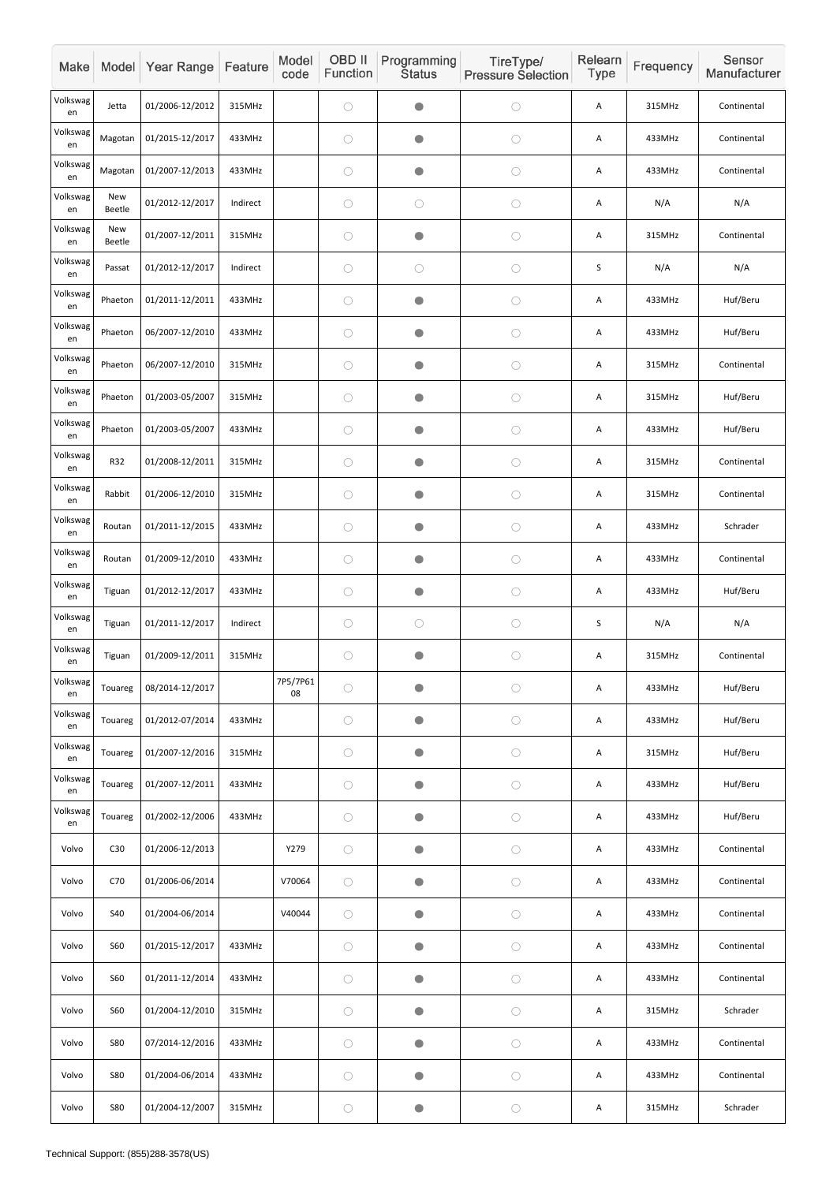| Make           |                      | Model Year Range | Feature  | Model<br>code  | OBD II<br>Function | Programming<br><b>Status</b> | TireType/<br><b>Pressure Selection</b> | Relearn<br>Type | Frequency | Sensor<br>Manufacturer |
|----------------|----------------------|------------------|----------|----------------|--------------------|------------------------------|----------------------------------------|-----------------|-----------|------------------------|
| Volkswag<br>en | Jetta                | 01/2006-12/2012  | 315MHz   |                | $\bigcirc$         | $\bullet$                    | $\bigcirc$                             | Α               | 315MHz    | Continental            |
| Volkswag<br>en | Magotan              | 01/2015-12/2017  | 433MHz   |                | $\bigcirc$         | $\bullet$                    | $\bigcirc$                             | A               | 433MHz    | Continental            |
| Volkswag<br>en | Magotan              | 01/2007-12/2013  | 433MHz   |                | $\bigcirc$         | $\bullet$                    | $\bigcirc$                             | A               | 433MHz    | Continental            |
| Volkswag<br>en | New<br>Beetle        | 01/2012-12/2017  | Indirect |                | $\bigcirc$         | $\bigcirc$                   | O                                      | A               | N/A       | N/A                    |
| Volkswag<br>en | <b>New</b><br>Beetle | 01/2007-12/2011  | 315MHz   |                | $\bigcirc$         | $\bullet$                    | $\bigcirc$                             | A               | 315MHz    | Continental            |
| Volkswag<br>en | Passat               | 01/2012-12/2017  | Indirect |                | $\bigcirc$         | $\bigcirc$                   | $\bigcirc$                             | $\sf S$         | N/A       | N/A                    |
| Volkswag<br>en | Phaeton              | 01/2011-12/2011  | 433MHz   |                | $\bigcirc$         | $\bullet$                    | $\bigcirc$                             | A               | 433MHz    | Huf/Beru               |
| Volkswag<br>en | Phaeton              | 06/2007-12/2010  | 433MHz   |                | $\bigcirc$         | $\bullet$                    | $\bigcirc$                             | A               | 433MHz    | Huf/Beru               |
| Volkswag<br>en | Phaeton              | 06/2007-12/2010  | 315MHz   |                | $\bigcirc$         | $\bullet$                    | $\bigcirc$                             | A               | 315MHz    | Continental            |
| Volkswag<br>en | Phaeton              | 01/2003-05/2007  | 315MHz   |                | $\bigcirc$         | $\bullet$                    | $\bigcirc$                             | A               | 315MHz    | Huf/Beru               |
| Volkswag<br>en | Phaeton              | 01/2003-05/2007  | 433MHz   |                | $\bigcirc$         | $\bullet$                    | $\bigcirc$                             | Α               | 433MHz    | Huf/Beru               |
| Volkswag<br>en | R32                  | 01/2008-12/2011  | 315MHz   |                | $\bigcirc$         | $\bullet$                    | $\bigcirc$                             | Α               | 315MHz    | Continental            |
| Volkswag<br>en | Rabbit               | 01/2006-12/2010  | 315MHz   |                | $\bigcirc$         | $\bullet$                    | $\bigcirc$                             | A               | 315MHz    | Continental            |
| Volkswag<br>en | Routan               | 01/2011-12/2015  | 433MHz   |                | $\bigcirc$         |                              | $\bigcirc$                             | Α               | 433MHz    | Schrader               |
| Volkswag<br>en | Routan               | 01/2009-12/2010  | 433MHz   |                | $\bigcirc$         | $\bullet$                    | $\bigcirc$                             | Α               | 433MHz    | Continental            |
| Volkswag<br>en | Tiguan               | 01/2012-12/2017  | 433MHz   |                | $\bigcirc$         | $\bullet$                    | $\bigcirc$                             | A               | 433MHz    | Huf/Beru               |
| Volkswag<br>en | Tiguan               | 01/2011-12/2017  | Indirect |                | $\bigcirc$         | $\bigcirc$                   | $\bigcirc$                             | $\sf S$         | N/A       | N/A                    |
| Volkswag<br>en | Tiguan               | 01/2009-12/2011  | 315MHz   |                | $\bigcirc$         | $\bullet$                    | $\bigcirc$                             | Α               | 315MHz    | Continental            |
| Volkswag<br>en | Touareg              | 08/2014-12/2017  |          | 7P5/7P61<br>08 | $\bigcirc$         |                              | $\bigcirc$                             | Α               | 433MHz    | Huf/Beru               |
| Volkswag<br>en | Touareg              | 01/2012-07/2014  | 433MHz   |                | $\bigcirc$         | $\bullet$                    | $\bigcirc$                             | Α               | 433MHz    | Huf/Beru               |
| Volkswag<br>en | Touareg              | 01/2007-12/2016  | 315MHz   |                | $\bigcirc$         | $\bullet$                    | $\bigcirc$                             | Α               | 315MHz    | Huf/Beru               |
| Volkswag<br>en | Touareg              | 01/2007-12/2011  | 433MHz   |                | $\bigcirc$         | $\bullet$                    | $\bigcirc$                             | A               | 433MHz    | Huf/Beru               |
| Volkswag<br>en | Touareg              | 01/2002-12/2006  | 433MHz   |                | $\bigcirc$         | $\bullet$                    | $\bigcirc$                             | Α               | 433MHz    | Huf/Beru               |
| Volvo          | C30                  | 01/2006-12/2013  |          | Y279           | $\bigcirc$         | $\bullet$                    | $\bigcirc$                             | A               | 433MHz    | Continental            |
| Volvo          | C70                  | 01/2006-06/2014  |          | V70064         | $\bigcirc$         | $\bullet$                    | $\bigcirc$                             | A               | 433MHz    | Continental            |
| Volvo          | <b>S40</b>           | 01/2004-06/2014  |          | V40044         | $\bigcirc$         |                              | $\bigcirc$                             | A               | 433MHz    | Continental            |
| Volvo          | <b>S60</b>           | 01/2015-12/2017  | 433MHz   |                | $\bigcirc$         | $\bullet$                    | $\bigcirc$                             | A               | 433MHz    | Continental            |
| Volvo          | <b>S60</b>           | 01/2011-12/2014  | 433MHz   |                | $\bigcirc$         | $\bullet$                    | $\bigcirc$                             | Α               | 433MHz    | Continental            |
| Volvo          | <b>S60</b>           | 01/2004-12/2010  | 315MHz   |                | $\bigcirc$         | $\bullet$                    | $\bigcirc$                             | Α               | 315MHz    | Schrader               |
| Volvo          | <b>S80</b>           | 07/2014-12/2016  | 433MHz   |                | $\bigcirc$         | $\bullet$                    | $\bigcirc$                             | Α               | 433MHz    | Continental            |
| Volvo          | <b>S80</b>           | 01/2004-06/2014  | 433MHz   |                | $\bigcirc$         | $\bullet$                    | $\bigcirc$                             | Α               | 433MHz    | Continental            |
| Volvo          | <b>S80</b>           | 01/2004-12/2007  | 315MHz   |                | $\bigcirc$         | $\bullet$                    | $\bigcirc$                             | A               | 315MHz    | Schrader               |